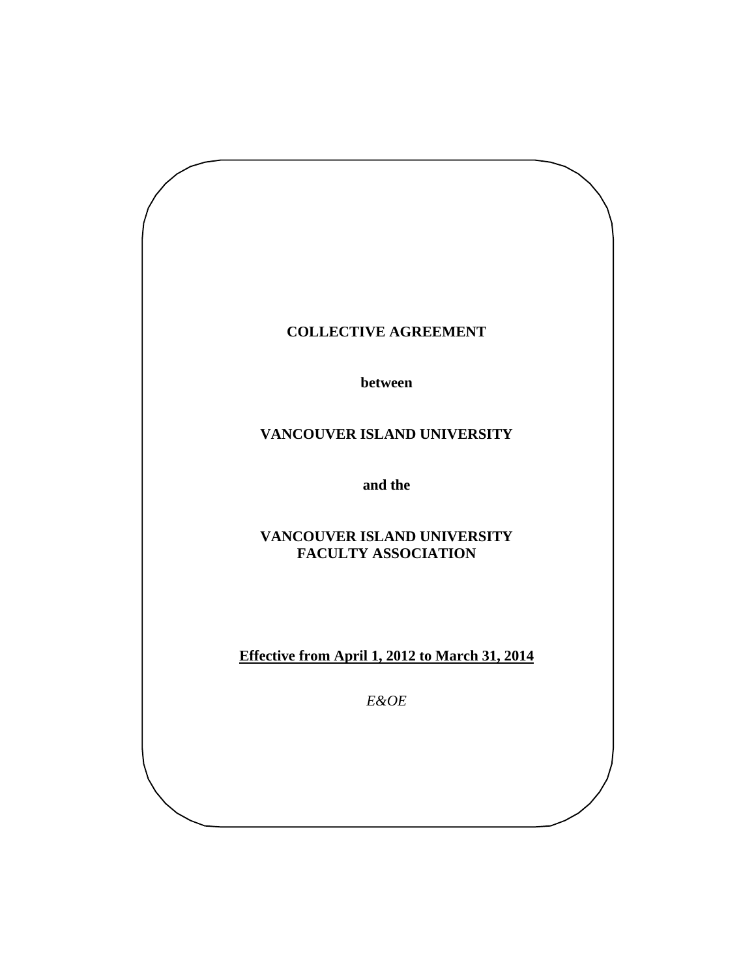## **COLLECTIVE AGREEMENT**

**between** 

# **VANCOUVER ISLAND UNIVERSITY**

**and the** 

**VANCOUVER ISLAND UNIVERSITY FACULTY ASSOCIATION** 

**Effective from April 1, 2012 to March 31, 2014** 

*E&OE*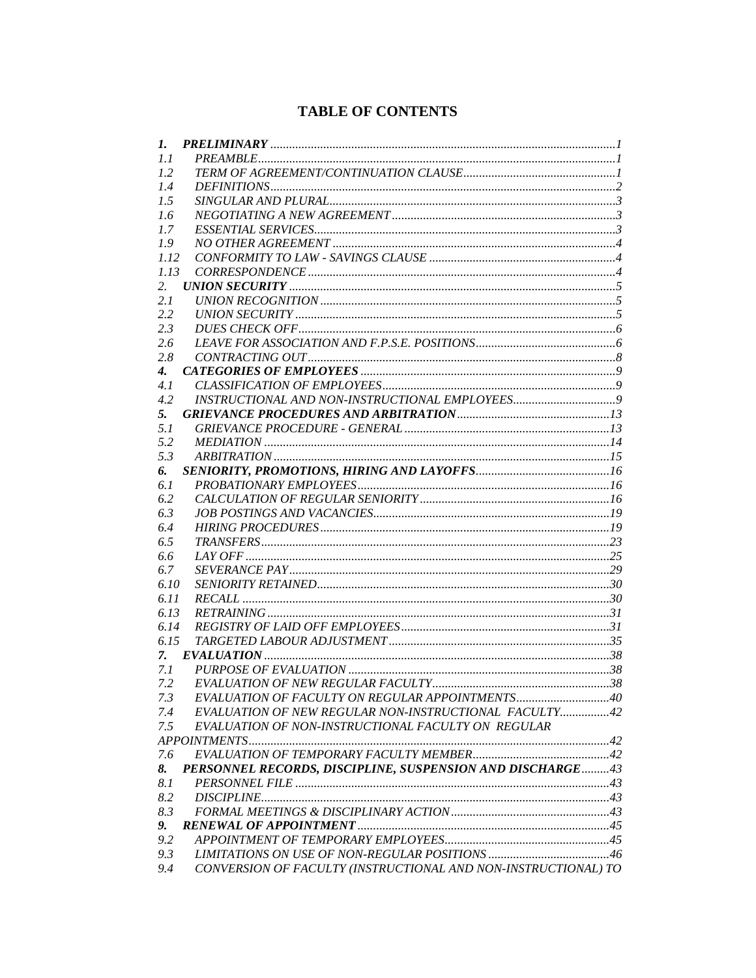# **TABLE OF CONTENTS**

| 1.                 |                                                                |  |
|--------------------|----------------------------------------------------------------|--|
| 1.1                |                                                                |  |
| 1.2                |                                                                |  |
| 1.4                |                                                                |  |
| 1.5                |                                                                |  |
| 1.6                |                                                                |  |
| 1.7                |                                                                |  |
| 1.9                |                                                                |  |
| 1.12               |                                                                |  |
| 1.13               |                                                                |  |
| 2.                 |                                                                |  |
| 2.1                |                                                                |  |
| 2.2                |                                                                |  |
| 2.3                |                                                                |  |
| 2.6                |                                                                |  |
| 2.8                |                                                                |  |
| $\boldsymbol{4}$ . |                                                                |  |
| 4.1                |                                                                |  |
| 4.2                |                                                                |  |
| 5.                 |                                                                |  |
| 5.1                |                                                                |  |
| 5.2                |                                                                |  |
| 5.3                |                                                                |  |
| 6.                 |                                                                |  |
| 6.1                |                                                                |  |
| 6.2                |                                                                |  |
| 6.3                |                                                                |  |
| 6.4                |                                                                |  |
| 6.5                |                                                                |  |
| 6.6                |                                                                |  |
| 6.7                |                                                                |  |
| 6.10               |                                                                |  |
| 6.11               |                                                                |  |
| 6.13               |                                                                |  |
| 6.14               |                                                                |  |
| 6.15               |                                                                |  |
| 7.                 |                                                                |  |
| 7.1                |                                                                |  |
| 7.2                |                                                                |  |
| 7.3                | EVALUATION OF FACULTY ON REGULAR APPOINTMENTS40                |  |
| 7.4                | EVALUATION OF NEW REGULAR NON-INSTRUCTIONAL FACULTY42          |  |
| 7.5                | EVALUATION OF NON-INSTRUCTIONAL FACULTY ON REGULAR             |  |
|                    |                                                                |  |
| 7.6                |                                                                |  |
| 8.                 | PERSONNEL RECORDS, DISCIPLINE, SUSPENSION AND DISCHARGE43      |  |
| 8.1                |                                                                |  |
| 8.2                |                                                                |  |
| 8.3                |                                                                |  |
| 9.                 |                                                                |  |
| 9.2                |                                                                |  |
| 9.3                |                                                                |  |
| 9.4                | CONVERSION OF FACULTY (INSTRUCTIONAL AND NON-INSTRUCTIONAL) TO |  |
|                    |                                                                |  |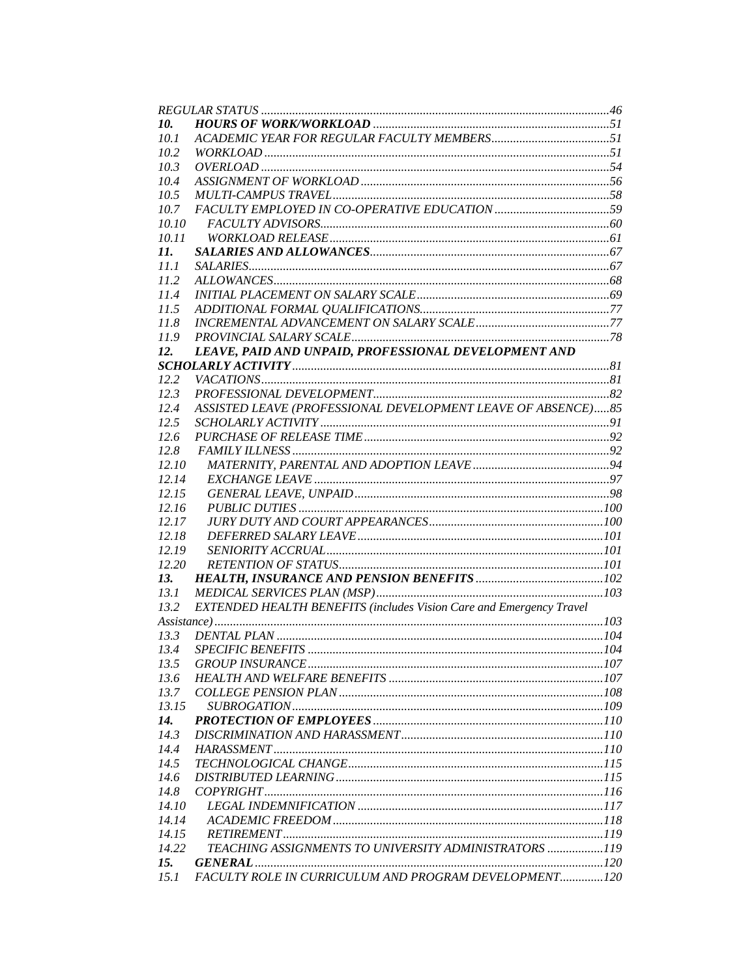| 10.          |                                                                            |  |
|--------------|----------------------------------------------------------------------------|--|
| 10.1         |                                                                            |  |
| 10.2         |                                                                            |  |
| 10.3         |                                                                            |  |
| 10.4         |                                                                            |  |
| 10.5         |                                                                            |  |
| 10.7         |                                                                            |  |
| 10.10        |                                                                            |  |
| 10.11        |                                                                            |  |
| 11.          |                                                                            |  |
| 11.1         |                                                                            |  |
| 112          |                                                                            |  |
| 11.4         |                                                                            |  |
| 11.5         |                                                                            |  |
| 11.8         |                                                                            |  |
| 11.9         |                                                                            |  |
| 12.          | LEAVE, PAID AND UNPAID, PROFESSIONAL DEVELOPMENT AND                       |  |
|              |                                                                            |  |
| 12.2         |                                                                            |  |
| 12.3         |                                                                            |  |
| 12.4         | ASSISTED LEAVE (PROFESSIONAL DEVELOPMENT LEAVE OF ABSENCE)85               |  |
| 12.5         |                                                                            |  |
| 12.6         |                                                                            |  |
| 12.8         |                                                                            |  |
| 12.10        |                                                                            |  |
| 12.14        |                                                                            |  |
| 12.15        |                                                                            |  |
| 12.16        |                                                                            |  |
| 12.17        |                                                                            |  |
| 12.18        |                                                                            |  |
| 12.19        |                                                                            |  |
| 12.20        |                                                                            |  |
| 13.          |                                                                            |  |
| 13.1         |                                                                            |  |
| 13.2         | <b>EXTENDED HEALTH BENEFITS (includes Vision Care and Emergency Travel</b> |  |
|              |                                                                            |  |
| 13.3         |                                                                            |  |
| 13.4         |                                                                            |  |
|              |                                                                            |  |
| 13.5<br>13.6 |                                                                            |  |
|              |                                                                            |  |
| 13.7         |                                                                            |  |
| 13.15        |                                                                            |  |
| 14.          |                                                                            |  |
| 14.3         |                                                                            |  |
| 14.4         |                                                                            |  |
| 14.5         |                                                                            |  |
| 14.6         |                                                                            |  |
| 14.8         |                                                                            |  |
| 14.10        |                                                                            |  |
| 14.14        |                                                                            |  |
| 14.15        |                                                                            |  |
| 14.22        | TEACHING ASSIGNMENTS TO UNIVERSITY ADMINISTRATORS 119                      |  |
| 15.          |                                                                            |  |
| 15.1         | FACULTY ROLE IN CURRICULUM AND PROGRAM DEVELOPMENT120                      |  |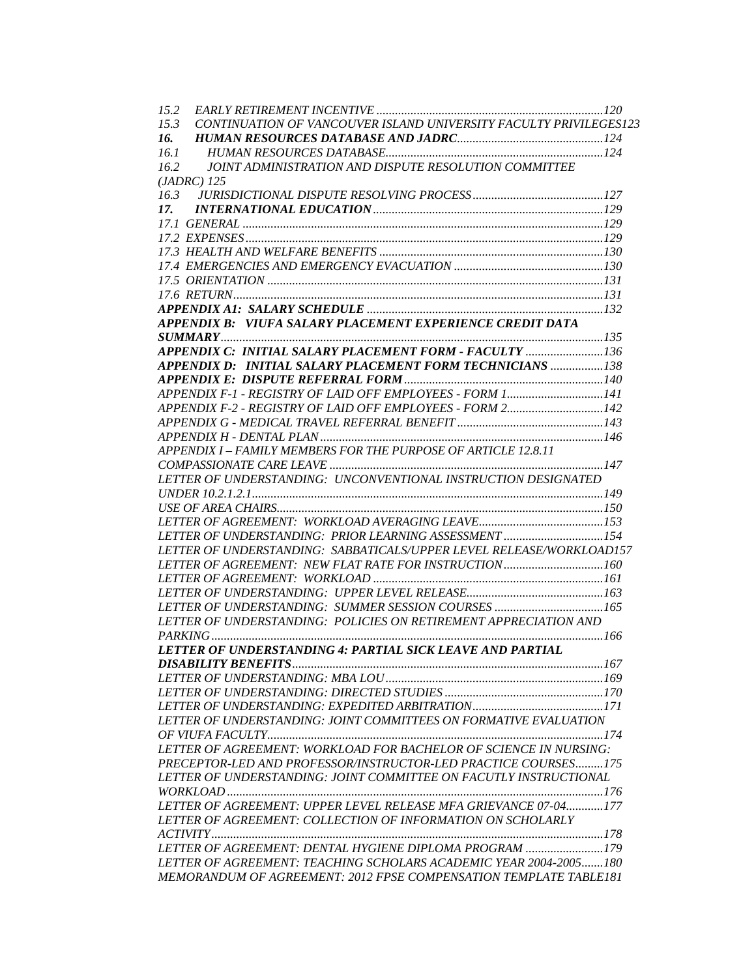| 15.2 |                                                                      |  |
|------|----------------------------------------------------------------------|--|
| 15.3 | CONTINUATION OF VANCOUVER ISLAND UNIVERSITY FACULTY PRIVILEGES123    |  |
| 16.  |                                                                      |  |
| 16.1 |                                                                      |  |
| 16.2 | JOINT ADMINISTRATION AND DISPUTE RESOLUTION COMMITTEE                |  |
|      | $(JADRC)$ 125                                                        |  |
|      |                                                                      |  |
| 17.  |                                                                      |  |
|      |                                                                      |  |
|      |                                                                      |  |
|      |                                                                      |  |
|      |                                                                      |  |
|      |                                                                      |  |
|      |                                                                      |  |
|      |                                                                      |  |
|      | APPENDIX B: VIUFA SALARY PLACEMENT EXPERIENCE CREDIT DATA            |  |
|      |                                                                      |  |
|      | APPENDIX C: INITIAL SALARY PLACEMENT FORM - FACULTY  136             |  |
|      | APPENDIX D: INITIAL SALARY PLACEMENT FORM TECHNICIANS 138            |  |
|      |                                                                      |  |
|      | APPENDIX F-1 - REGISTRY OF LAID OFF EMPLOYEES - FORM 1141            |  |
|      | APPENDIX F-2 - REGISTRY OF LAID OFF EMPLOYEES - FORM 2142            |  |
|      |                                                                      |  |
|      |                                                                      |  |
|      | APPENDIX I - FAMILY MEMBERS FOR THE PURPOSE OF ARTICLE 12.8.11       |  |
|      |                                                                      |  |
|      | LETTER OF UNDERSTANDING: UNCONVENTIONAL INSTRUCTION DESIGNATED       |  |
|      |                                                                      |  |
|      |                                                                      |  |
|      |                                                                      |  |
|      | LETTER OF UNDERSTANDING: PRIOR LEARNING ASSESSMENT 154               |  |
|      | LETTER OF UNDERSTANDING: SABBATICALS/UPPER LEVEL RELEASE/WORKLOAD157 |  |
|      | LETTER OF AGREEMENT: NEW FLAT RATE FOR INSTRUCTION160                |  |
|      |                                                                      |  |
|      |                                                                      |  |
|      |                                                                      |  |
|      | LETTER OF UNDERSTANDING: POLICIES ON RETIREMENT APPRECIATION AND     |  |
|      |                                                                      |  |
|      | LETTER OF UNDERSTANDING 4: PARTIAL SICK LEAVE AND PARTIAL            |  |
|      |                                                                      |  |
|      |                                                                      |  |
|      |                                                                      |  |
|      |                                                                      |  |
|      |                                                                      |  |
|      | LETTER OF UNDERSTANDING: JOINT COMMITTEES ON FORMATIVE EVALUATION    |  |
|      |                                                                      |  |
|      | LETTER OF AGREEMENT: WORKLOAD FOR BACHELOR OF SCIENCE IN NURSING:    |  |
|      | PRECEPTOR-LED AND PROFESSOR/INSTRUCTOR-LED PRACTICE COURSES175       |  |
|      | LETTER OF UNDERSTANDING: JOINT COMMITTEE ON FACUTLY INSTRUCTIONAL    |  |
|      |                                                                      |  |
|      | LETTER OF AGREEMENT: UPPER LEVEL RELEASE MFA GRIEVANCE 07-04177      |  |
|      | LETTER OF AGREEMENT: COLLECTION OF INFORMATION ON SCHOLARLY          |  |
|      |                                                                      |  |
|      | LETTER OF AGREEMENT: DENTAL HYGIENE DIPLOMA PROGRAM 179              |  |
|      | LETTER OF AGREEMENT: TEACHING SCHOLARS ACADEMIC YEAR 2004-2005180    |  |
|      | MEMORANDUM OF AGREEMENT: 2012 FPSE COMPENSATION TEMPLATE TABLE181    |  |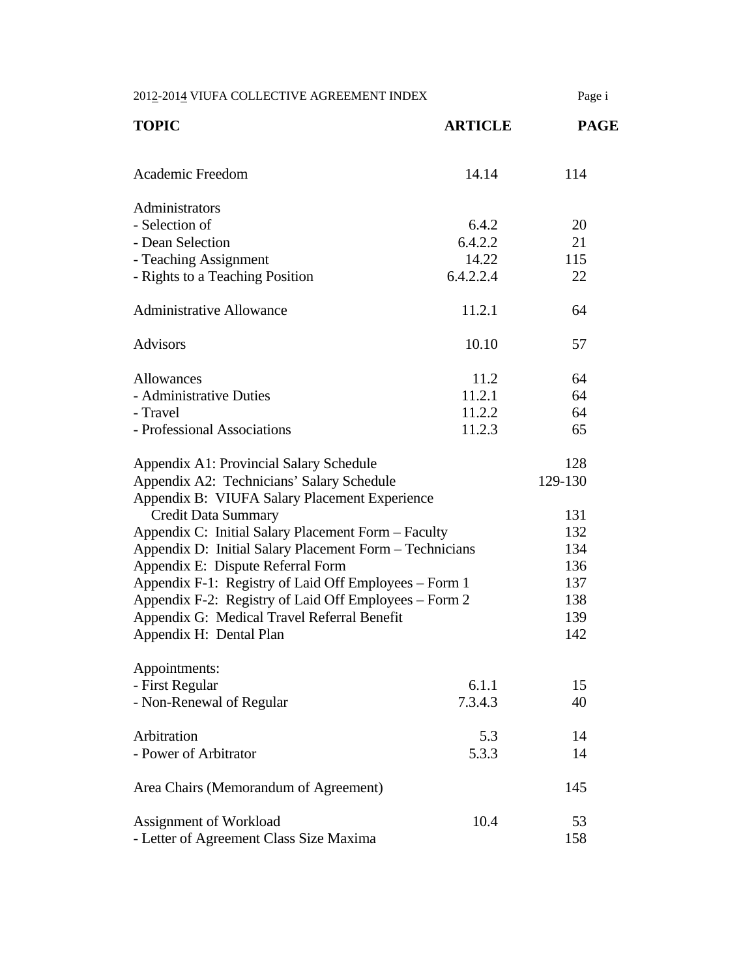2012-2014 VIUFA COLLECTIVE AGREEMENT INDEX Page i **TOPIC ARTICLE PAGE**  Academic Freedom 14.14 114 Administrators  $-$  Selection of 6.4.2 20 - Dean Selection 6.4.2.2 21 - Teaching Assignment 14.22 115 - Rights to a Teaching Position 6.4.2.2.4 22 Administrative Allowance 11.2.1 64 Advisors 10.10 57 Allowances 11.2 64 - Administrative Duties 11.2.1 64 - Travel 11.2.2 64 - Professional Associations 11.2.3 65 Appendix A1: Provincial Salary Schedule 128 Appendix A2: Technicians' Salary Schedule 129-130 Appendix B: VIUFA Salary Placement Experience Credit Data Summary 131 Appendix C: Initial Salary Placement Form – Faculty 132 Appendix D: Initial Salary Placement Form – Technicians 134 Appendix E: Dispute Referral Form 136 Appendix F-1: Registry of Laid Off Employees – Form 1 137 Appendix F-2: Registry of Laid Off Employees – Form 2 138 Appendix G: Medical Travel Referral Benefit 139 Appendix H: Dental Plan 142 Appointments: - First Regular 6.1.1 15 - Non-Renewal of Regular 7.3.4.3 40 Arbitration 5.3 14 - Power of Arbitrator 5.3.3 14 Area Chairs (Memorandum of Agreement) 145 Assignment of Workload 10.4 53 - Letter of Agreement Class Size Maxima 158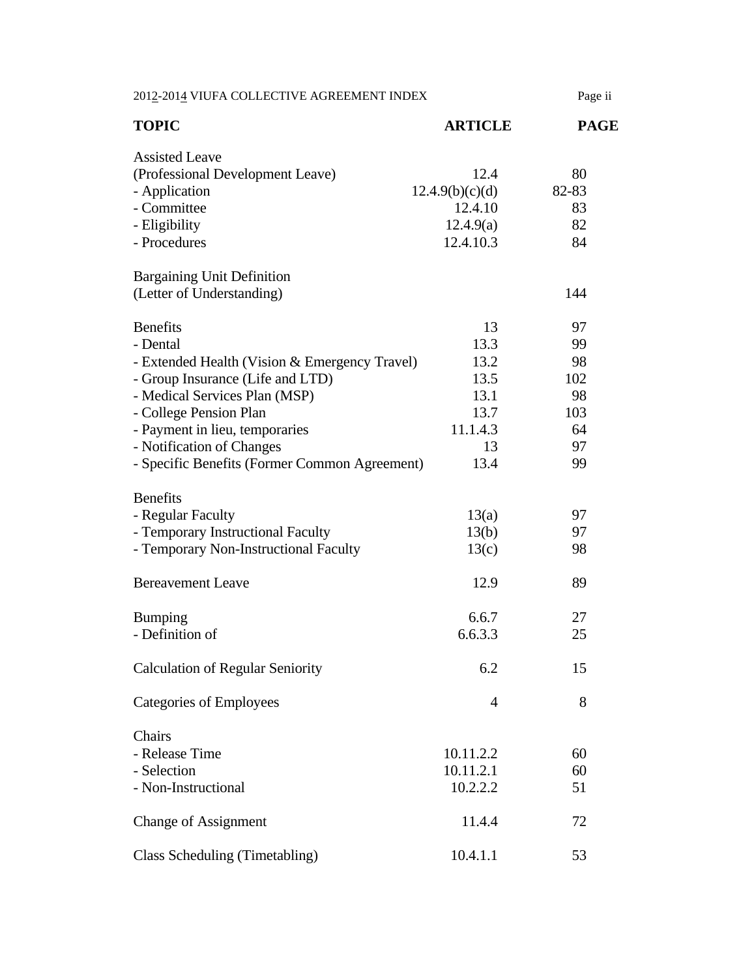| 2012-2014 VIUFA COLLECTIVE AGREEMENT INDEX                                                                                                                                                                                                                                                  |                                                                      | Page ii                                              |
|---------------------------------------------------------------------------------------------------------------------------------------------------------------------------------------------------------------------------------------------------------------------------------------------|----------------------------------------------------------------------|------------------------------------------------------|
| <b>TOPIC</b>                                                                                                                                                                                                                                                                                | <b>ARTICLE</b>                                                       | <b>PAGE</b>                                          |
| <b>Assisted Leave</b><br>(Professional Development Leave)<br>- Application<br>- Committee<br>- Eligibility<br>- Procedures                                                                                                                                                                  | 12.4<br>12.4.9(b)(c)(d)<br>12.4.10<br>12.4.9(a)<br>12.4.10.3         | 80<br>82-83<br>83<br>82<br>84                        |
| <b>Bargaining Unit Definition</b><br>(Letter of Understanding)                                                                                                                                                                                                                              |                                                                      | 144                                                  |
| <b>Benefits</b><br>- Dental<br>- Extended Health (Vision & Emergency Travel)<br>- Group Insurance (Life and LTD)<br>- Medical Services Plan (MSP)<br>- College Pension Plan<br>- Payment in lieu, temporaries<br>- Notification of Changes<br>- Specific Benefits (Former Common Agreement) | 13<br>13.3<br>13.2<br>13.5<br>13.1<br>13.7<br>11.1.4.3<br>13<br>13.4 | 97<br>99<br>98<br>102<br>98<br>103<br>64<br>97<br>99 |
| <b>Benefits</b><br>- Regular Faculty<br>- Temporary Instructional Faculty<br>- Temporary Non-Instructional Faculty                                                                                                                                                                          | 13(a)<br>13(b)<br>13(c)                                              | 97<br>97<br>98                                       |
| <b>Bereavement Leave</b>                                                                                                                                                                                                                                                                    | 12.9                                                                 | 89                                                   |
| <b>Bumping</b><br>- Definition of                                                                                                                                                                                                                                                           | 6.6.7<br>6.6.3.3                                                     | 27<br>25                                             |
| <b>Calculation of Regular Seniority</b>                                                                                                                                                                                                                                                     | 6.2                                                                  | 15                                                   |
| Categories of Employees                                                                                                                                                                                                                                                                     | 4                                                                    | 8                                                    |
| Chairs<br>- Release Time<br>- Selection<br>- Non-Instructional                                                                                                                                                                                                                              | 10.11.2.2<br>10.11.2.1<br>10.2.2.2                                   | 60<br>60<br>51                                       |
| <b>Change of Assignment</b>                                                                                                                                                                                                                                                                 | 11.4.4                                                               | 72                                                   |
| Class Scheduling (Timetabling)                                                                                                                                                                                                                                                              | 10.4.1.1                                                             | 53                                                   |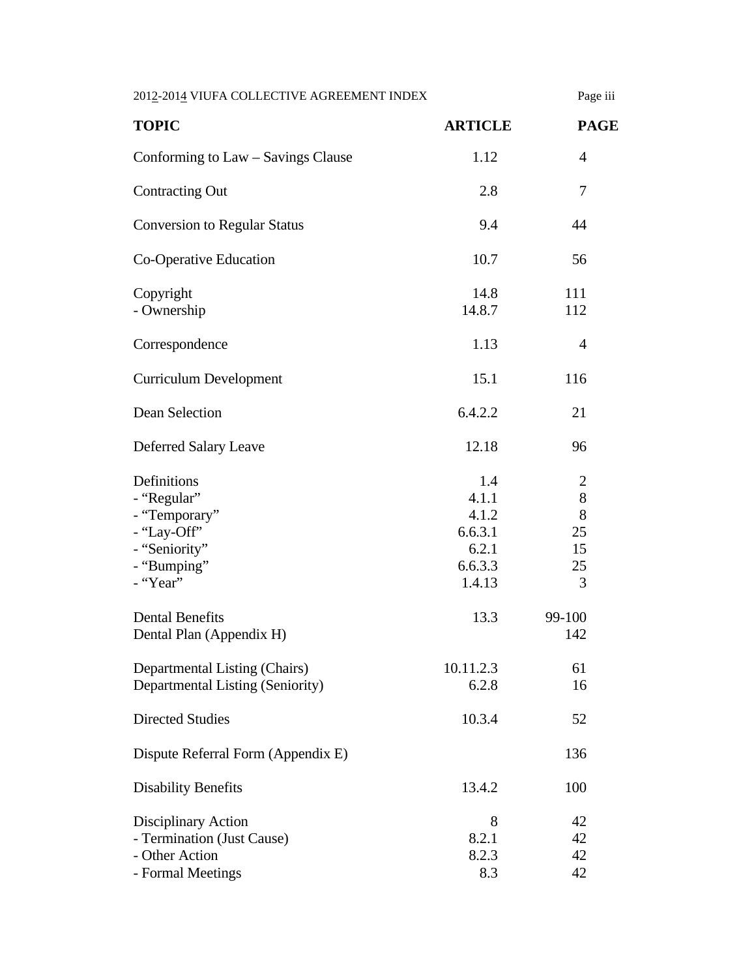| 2012-2014 VIUFA COLLECTIVE AGREEMENT INDEX                                                             |                                                                | Page iii                               |
|--------------------------------------------------------------------------------------------------------|----------------------------------------------------------------|----------------------------------------|
| <b>TOPIC</b>                                                                                           | <b>ARTICLE</b>                                                 | <b>PAGE</b>                            |
| Conforming to Law – Savings Clause                                                                     | 1.12                                                           | $\overline{4}$                         |
| <b>Contracting Out</b>                                                                                 | 2.8                                                            | 7                                      |
| <b>Conversion to Regular Status</b>                                                                    | 9.4                                                            | 44                                     |
| Co-Operative Education                                                                                 | 10.7                                                           | 56                                     |
| Copyright<br>- Ownership                                                                               | 14.8<br>14.8.7                                                 | 111<br>112                             |
| Correspondence                                                                                         | 1.13                                                           | $\overline{4}$                         |
| <b>Curriculum Development</b>                                                                          | 15.1                                                           | 116                                    |
| Dean Selection                                                                                         | 6.4.2.2                                                        | 21                                     |
| Deferred Salary Leave                                                                                  | 12.18                                                          | 96                                     |
| Definitions<br>- "Regular"<br>- "Temporary"<br>- "Lay-Off"<br>- "Seniority"<br>- "Bumping"<br>- "Year" | 1.4<br>4.1.1<br>4.1.2<br>6.6.3.1<br>6.2.1<br>6.6.3.3<br>1.4.13 | 2<br>$8\,$<br>8<br>25<br>15<br>25<br>3 |
| <b>Dental Benefits</b><br>Dental Plan (Appendix H)                                                     | 13.3                                                           | 99-100<br>142                          |
| Departmental Listing (Chairs)<br>Departmental Listing (Seniority)                                      | 10.11.2.3<br>6.2.8                                             | 61<br>16                               |
| <b>Directed Studies</b>                                                                                | 10.3.4                                                         | 52                                     |
| Dispute Referral Form (Appendix E)                                                                     |                                                                | 136                                    |
| <b>Disability Benefits</b>                                                                             | 13.4.2                                                         | 100                                    |
| <b>Disciplinary Action</b><br>- Termination (Just Cause)<br>- Other Action<br>- Formal Meetings        | 8<br>8.2.1<br>8.2.3<br>8.3                                     | 42<br>42<br>42<br>42                   |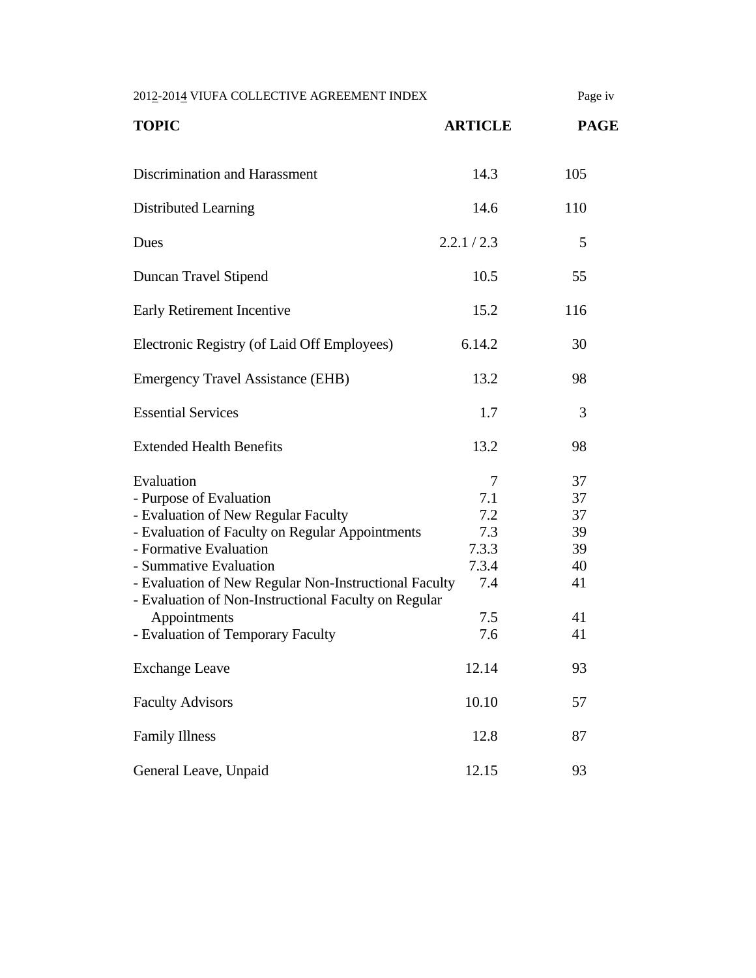| 2012-2014 VIUFA COLLECTIVE AGREEMENT INDEX                                                                                                                                                                                                                                                                                                                |                                                               | Page iv                                            |
|-----------------------------------------------------------------------------------------------------------------------------------------------------------------------------------------------------------------------------------------------------------------------------------------------------------------------------------------------------------|---------------------------------------------------------------|----------------------------------------------------|
| <b>TOPIC</b>                                                                                                                                                                                                                                                                                                                                              | <b>ARTICLE</b>                                                | <b>PAGE</b>                                        |
| Discrimination and Harassment                                                                                                                                                                                                                                                                                                                             | 14.3                                                          | 105                                                |
| Distributed Learning                                                                                                                                                                                                                                                                                                                                      | 14.6                                                          | 110                                                |
| Dues                                                                                                                                                                                                                                                                                                                                                      | 2.2.1 / 2.3                                                   | 5                                                  |
| Duncan Travel Stipend                                                                                                                                                                                                                                                                                                                                     | 10.5                                                          | 55                                                 |
| Early Retirement Incentive                                                                                                                                                                                                                                                                                                                                | 15.2                                                          | 116                                                |
| Electronic Registry (of Laid Off Employees)                                                                                                                                                                                                                                                                                                               | 6.14.2                                                        | 30                                                 |
| <b>Emergency Travel Assistance (EHB)</b>                                                                                                                                                                                                                                                                                                                  | 13.2                                                          | 98                                                 |
| <b>Essential Services</b>                                                                                                                                                                                                                                                                                                                                 | 1.7                                                           | 3                                                  |
| <b>Extended Health Benefits</b>                                                                                                                                                                                                                                                                                                                           | 13.2                                                          | 98                                                 |
| Evaluation<br>- Purpose of Evaluation<br>- Evaluation of New Regular Faculty<br>- Evaluation of Faculty on Regular Appointments<br>- Formative Evaluation<br>- Summative Evaluation<br>- Evaluation of New Regular Non-Instructional Faculty<br>- Evaluation of Non-Instructional Faculty on Regular<br>Appointments<br>- Evaluation of Temporary Faculty | 7<br>7.1<br>7.2<br>7.3<br>7.3.3<br>7.3.4<br>7.4<br>7.5<br>7.6 | 37<br>37<br>37<br>39<br>39<br>40<br>41<br>41<br>41 |
| <b>Exchange Leave</b>                                                                                                                                                                                                                                                                                                                                     | 12.14                                                         | 93                                                 |
| <b>Faculty Advisors</b>                                                                                                                                                                                                                                                                                                                                   | 10.10                                                         | 57                                                 |
| <b>Family Illness</b>                                                                                                                                                                                                                                                                                                                                     | 12.8                                                          | 87                                                 |
| General Leave, Unpaid                                                                                                                                                                                                                                                                                                                                     | 12.15                                                         | 93                                                 |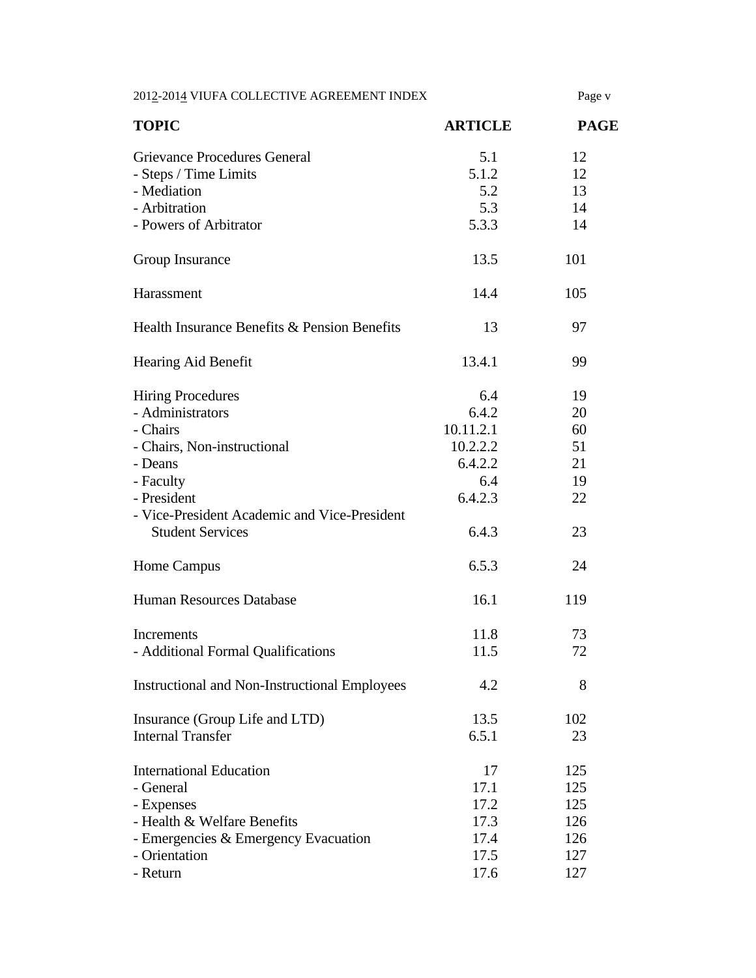2012-2014 VIUFA COLLECTIVE AGREEMENT INDEX Page v

| <b>TOPIC</b>                                                            | <b>ARTICLE</b> | <b>PAGE</b> |
|-------------------------------------------------------------------------|----------------|-------------|
| Grievance Procedures General                                            | 5.1            | 12          |
| - Steps / Time Limits                                                   | 5.1.2          | 12          |
| - Mediation                                                             | 5.2            | 13          |
| - Arbitration                                                           | 5.3            | 14          |
| - Powers of Arbitrator                                                  | 5.3.3          | 14          |
| Group Insurance                                                         | 13.5           | 101         |
| Harassment                                                              | 14.4           | 105         |
| Health Insurance Benefits & Pension Benefits                            | 13             | 97          |
| Hearing Aid Benefit                                                     | 13.4.1         | 99          |
| <b>Hiring Procedures</b>                                                | 6.4            | 19          |
| - Administrators                                                        | 6.4.2          | 20          |
| - Chairs                                                                | 10.11.2.1      | 60          |
| - Chairs, Non-instructional                                             | 10.2.2.2       | 51          |
| - Deans                                                                 | 6.4.2.2        | 21          |
| - Faculty                                                               | 6.4            | 19          |
| - President                                                             | 6.4.2.3        | 22          |
| - Vice-President Academic and Vice-President<br><b>Student Services</b> | 6.4.3          | 23          |
| Home Campus                                                             | 6.5.3          | 24          |
| <b>Human Resources Database</b>                                         | 16.1           | 119         |
| Increments                                                              | 11.8           | 73          |
| - Additional Formal Qualifications                                      | 11.5           | 72          |
| <b>Instructional and Non-Instructional Employees</b>                    | 4.2            | 8           |
| Insurance (Group Life and LTD)                                          | 13.5           | 102         |
| <b>Internal Transfer</b>                                                | 6.5.1          | 23          |
| <b>International Education</b>                                          | 17             | 125         |
| - General                                                               | 17.1           | 125         |
| - Expenses                                                              | 17.2           | 125         |
| - Health & Welfare Benefits                                             | 17.3           | 126         |
| - Emergencies & Emergency Evacuation                                    | 17.4           | 126         |
| - Orientation                                                           | 17.5           | 127         |
| - Return                                                                | 17.6           | 127         |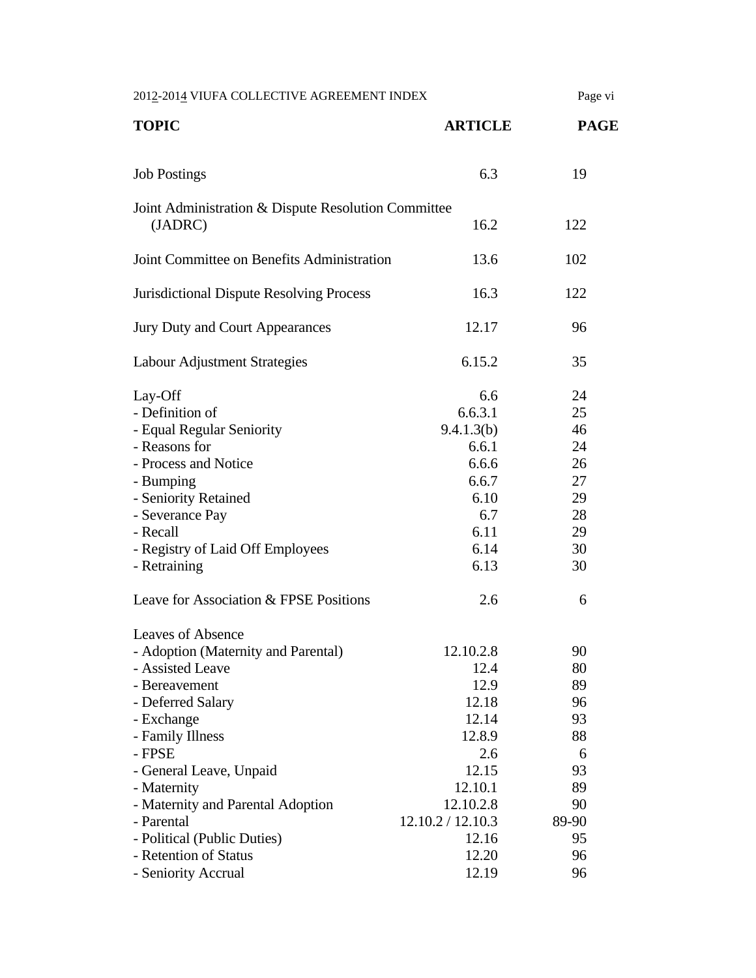| 2012-2014 VIUFA COLLECTIVE AGREEMENT INDEX                                                                                                                                                                                                                                                                                                        |                                                                                                                                               | Page vi                                                                            |
|---------------------------------------------------------------------------------------------------------------------------------------------------------------------------------------------------------------------------------------------------------------------------------------------------------------------------------------------------|-----------------------------------------------------------------------------------------------------------------------------------------------|------------------------------------------------------------------------------------|
| <b>TOPIC</b>                                                                                                                                                                                                                                                                                                                                      | <b>ARTICLE</b>                                                                                                                                | <b>PAGE</b>                                                                        |
| <b>Job Postings</b>                                                                                                                                                                                                                                                                                                                               | 6.3                                                                                                                                           | 19                                                                                 |
| Joint Administration & Dispute Resolution Committee<br>(JADRC)                                                                                                                                                                                                                                                                                    | 16.2                                                                                                                                          | 122                                                                                |
| Joint Committee on Benefits Administration                                                                                                                                                                                                                                                                                                        | 13.6                                                                                                                                          | 102                                                                                |
| <b>Jurisdictional Dispute Resolving Process</b>                                                                                                                                                                                                                                                                                                   | 16.3                                                                                                                                          | 122                                                                                |
| Jury Duty and Court Appearances                                                                                                                                                                                                                                                                                                                   | 12.17                                                                                                                                         | 96                                                                                 |
| Labour Adjustment Strategies                                                                                                                                                                                                                                                                                                                      | 6.15.2                                                                                                                                        | 35                                                                                 |
| Lay-Off<br>- Definition of<br>- Equal Regular Seniority<br>- Reasons for<br>- Process and Notice<br>- Bumping<br>- Seniority Retained<br>- Severance Pay<br>- Recall<br>- Registry of Laid Off Employees<br>- Retraining<br>Leave for Association & FPSE Positions                                                                                | 6.6<br>6.6.3.1<br>9.4.1.3(b)<br>6.6.1<br>6.6.6<br>6.6.7<br>6.10<br>6.7<br>6.11<br>6.14<br>6.13<br>2.6                                         | 24<br>25<br>46<br>24<br>26<br>27<br>29<br>28<br>29<br>30<br>30<br>6                |
| <b>Leaves of Absence</b><br>- Adoption (Maternity and Parental)<br>- Assisted Leave<br>- Bereavement<br>- Deferred Salary<br>- Exchange<br>- Family Illness<br>- FPSE<br>- General Leave, Unpaid<br>- Maternity<br>- Maternity and Parental Adoption<br>- Parental<br>- Political (Public Duties)<br>- Retention of Status<br>- Seniority Accrual | 12.10.2.8<br>12.4<br>12.9<br>12.18<br>12.14<br>12.8.9<br>2.6<br>12.15<br>12.10.1<br>12.10.2.8<br>12.10.2 / 12.10.3<br>12.16<br>12.20<br>12.19 | 90<br>80<br>89<br>96<br>93<br>88<br>6<br>93<br>89<br>90<br>89-90<br>95<br>96<br>96 |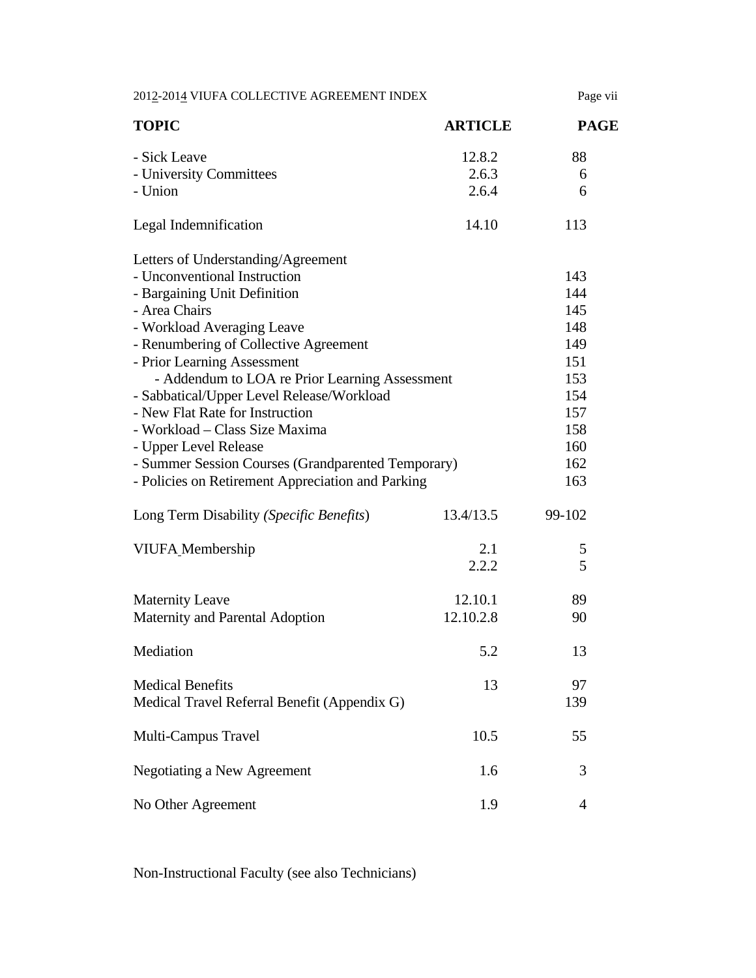| 2012-2014 VIUFA COLLECTIVE AGREEMENT INDEX         |                | Page vii       |
|----------------------------------------------------|----------------|----------------|
| <b>TOPIC</b>                                       | <b>ARTICLE</b> | <b>PAGE</b>    |
| - Sick Leave                                       | 12.8.2         | 88             |
| - University Committees                            | 2.6.3          | 6              |
| - Union                                            | 2.6.4          | 6              |
| Legal Indemnification                              | 14.10          | 113            |
| Letters of Understanding/Agreement                 |                |                |
| - Unconventional Instruction                       |                | 143            |
| - Bargaining Unit Definition                       |                | 144            |
| - Area Chairs                                      |                | 145            |
| - Workload Averaging Leave                         |                | 148            |
| - Renumbering of Collective Agreement              |                | 149            |
| - Prior Learning Assessment                        |                | 151            |
| - Addendum to LOA re Prior Learning Assessment     |                | 153            |
| - Sabbatical/Upper Level Release/Workload          |                | 154            |
| - New Flat Rate for Instruction                    |                | 157            |
| - Workload – Class Size Maxima                     |                | 158            |
| - Upper Level Release                              |                | 160            |
| - Summer Session Courses (Grandparented Temporary) |                | 162            |
| - Policies on Retirement Appreciation and Parking  |                | 163            |
| Long Term Disability (Specific Benefits)           | 13.4/13.5      | 99-102         |
| VIUFA_Membership                                   | 2.1            | 5              |
|                                                    | 2.2.2          | 5              |
| <b>Maternity Leave</b>                             | 12.10.1        | 89             |
| Maternity and Parental Adoption                    | 12.10.2.8      | 90             |
| Mediation                                          | 5.2            | 13             |
| <b>Medical Benefits</b>                            | 13             | 97             |
| Medical Travel Referral Benefit (Appendix G)       |                | 139            |
| Multi-Campus Travel                                | 10.5           | 55             |
| Negotiating a New Agreement                        | 1.6            | 3              |
| No Other Agreement                                 | 1.9            | $\overline{4}$ |

Non-Instructional Faculty (see also Technicians)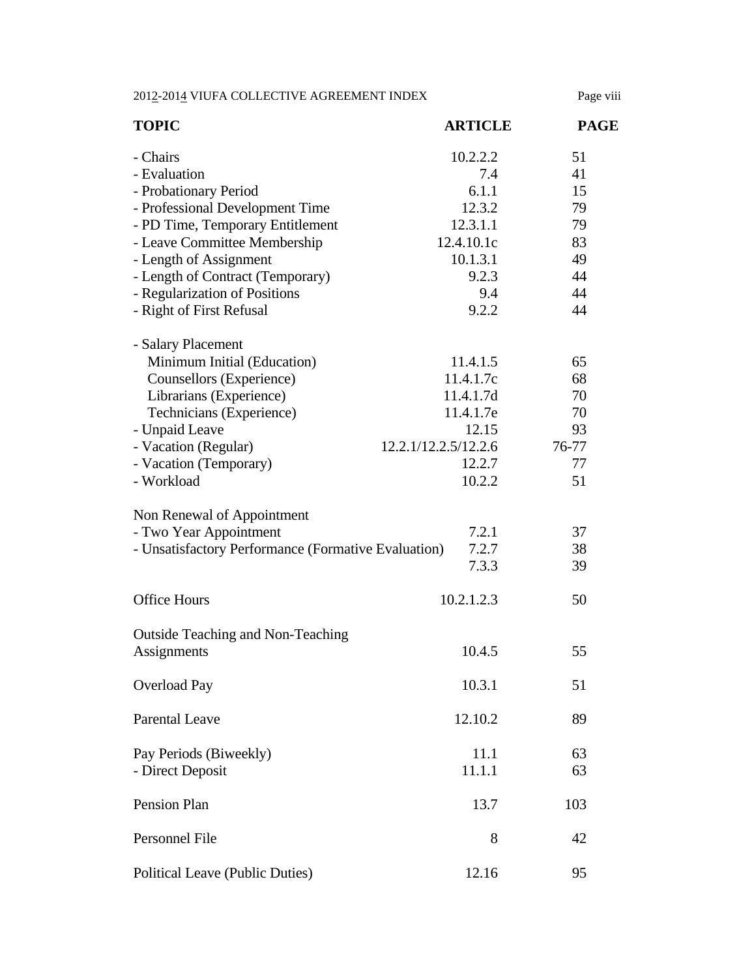2012-2014 VIUFA COLLECTIVE AGREEMENT INDEX Page viii

| <b>TOPIC</b>                                        | <b>ARTICLE</b>       | <b>PAGE</b> |
|-----------------------------------------------------|----------------------|-------------|
| - Chairs                                            | 10.2.2.2             | 51          |
| - Evaluation                                        | 7.4                  | 41          |
| - Probationary Period                               | 6.1.1                | 15          |
| - Professional Development Time                     | 12.3.2               | 79          |
| - PD Time, Temporary Entitlement                    | 12.3.1.1             | 79          |
| - Leave Committee Membership                        | 12.4.10.1c           | 83          |
| - Length of Assignment                              | 10.1.3.1             | 49          |
| - Length of Contract (Temporary)                    | 9.2.3                | 44          |
| - Regularization of Positions                       | 9.4                  | 44          |
| - Right of First Refusal                            | 9.2.2                | 44          |
| - Salary Placement                                  |                      |             |
| Minimum Initial (Education)                         | 11.4.1.5             | 65          |
| Counsellors (Experience)                            | 11.4.1.7c            | 68          |
| Librarians (Experience)                             | 11.4.1.7d            | 70          |
| Technicians (Experience)                            | 11.4.1.7e            | 70          |
| - Unpaid Leave                                      | 12.15                | 93          |
| - Vacation (Regular)                                | 12.2.1/12.2.5/12.2.6 | 76-77       |
| - Vacation (Temporary)                              | 12.2.7               | 77          |
| - Workload                                          | 10.2.2               | 51          |
| Non Renewal of Appointment                          |                      |             |
| - Two Year Appointment                              | 7.2.1                | 37          |
| - Unsatisfactory Performance (Formative Evaluation) | 7.2.7                | 38          |
|                                                     | 7.3.3                | 39          |
| <b>Office Hours</b>                                 | 10.2.1.2.3           | 50          |
| <b>Outside Teaching and Non-Teaching</b>            |                      |             |
| Assignments                                         | 10.4.5               | 55          |
| <b>Overload Pay</b>                                 | 10.3.1               | 51          |
| <b>Parental Leave</b>                               | 12.10.2              | 89          |
| Pay Periods (Biweekly)                              | 11.1                 | 63          |
| - Direct Deposit                                    | 11.1.1               | 63          |
| Pension Plan                                        | 13.7                 | 103         |
| Personnel File                                      | 8                    | 42          |
| <b>Political Leave (Public Duties)</b>              | 12.16                | 95          |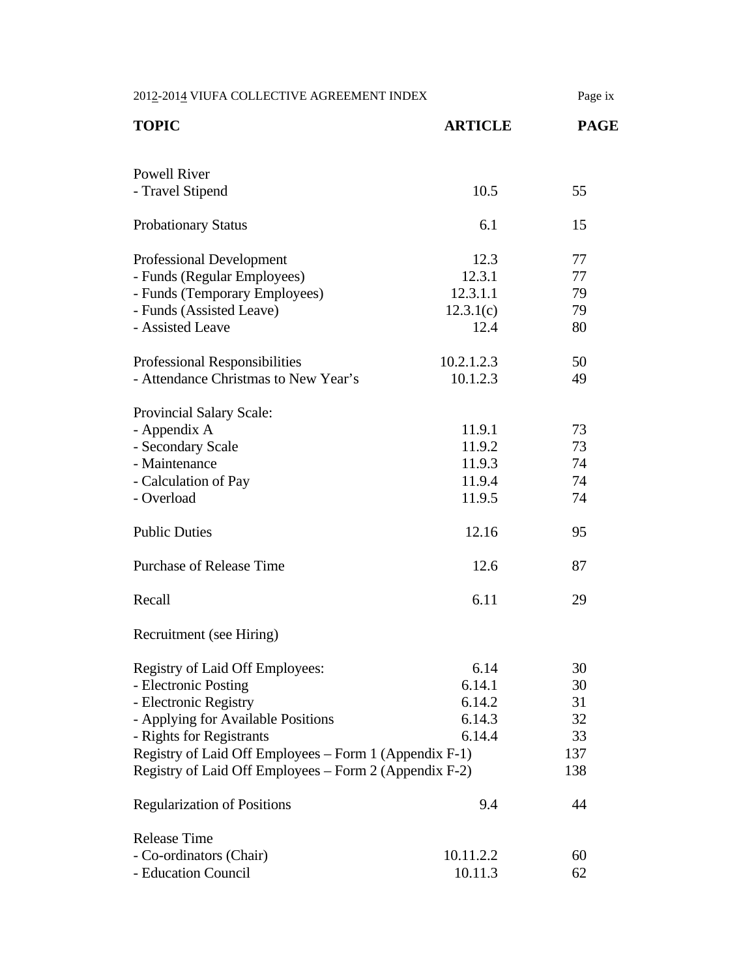| 2012-2014 VIUFA COLLECTIVE AGREEMENT INDEX             |                | Page ix     |
|--------------------------------------------------------|----------------|-------------|
| <b>TOPIC</b>                                           | <b>ARTICLE</b> | <b>PAGE</b> |
| <b>Powell River</b>                                    |                |             |
| - Travel Stipend                                       | 10.5           | 55          |
| <b>Probationary Status</b>                             | 6.1            | 15          |
| <b>Professional Development</b>                        | 12.3           | 77          |
| - Funds (Regular Employees)                            | 12.3.1         | 77          |
| - Funds (Temporary Employees)                          | 12.3.1.1       | 79          |
| - Funds (Assisted Leave)                               | 12.3.1(c)      | 79          |
| - Assisted Leave                                       | 12.4           | 80          |
| Professional Responsibilities                          | 10.2.1.2.3     | 50          |
| - Attendance Christmas to New Year's                   | 10.1.2.3       | 49          |
| Provincial Salary Scale:                               |                |             |
| - Appendix A                                           | 11.9.1         | 73          |
| - Secondary Scale                                      | 11.9.2         | 73          |
| - Maintenance                                          | 11.9.3         | 74          |
| - Calculation of Pay                                   | 11.9.4         | 74          |
| - Overload                                             | 11.9.5         | 74          |
| <b>Public Duties</b>                                   | 12.16          | 95          |
| <b>Purchase of Release Time</b>                        | 12.6           | 87          |
| Recall                                                 | 6.11           | 29          |
| Recruitment (see Hiring)                               |                |             |
| Registry of Laid Off Employees:                        | 6.14           | 30          |
| - Electronic Posting                                   | 6.14.1         | 30          |
| - Electronic Registry                                  | 6.14.2         | 31          |
| - Applying for Available Positions                     | 6.14.3         | 32          |
| - Rights for Registrants                               | 6.14.4         | 33          |
| Registry of Laid Off Employees – Form 1 (Appendix F-1) |                | 137         |
| Registry of Laid Off Employees – Form 2 (Appendix F-2) |                | 138         |
| <b>Regularization of Positions</b>                     | 9.4            | 44          |
| <b>Release Time</b>                                    |                |             |
| - Co-ordinators (Chair)                                | 10.11.2.2      | 60          |
| - Education Council                                    | 10.11.3        | 62          |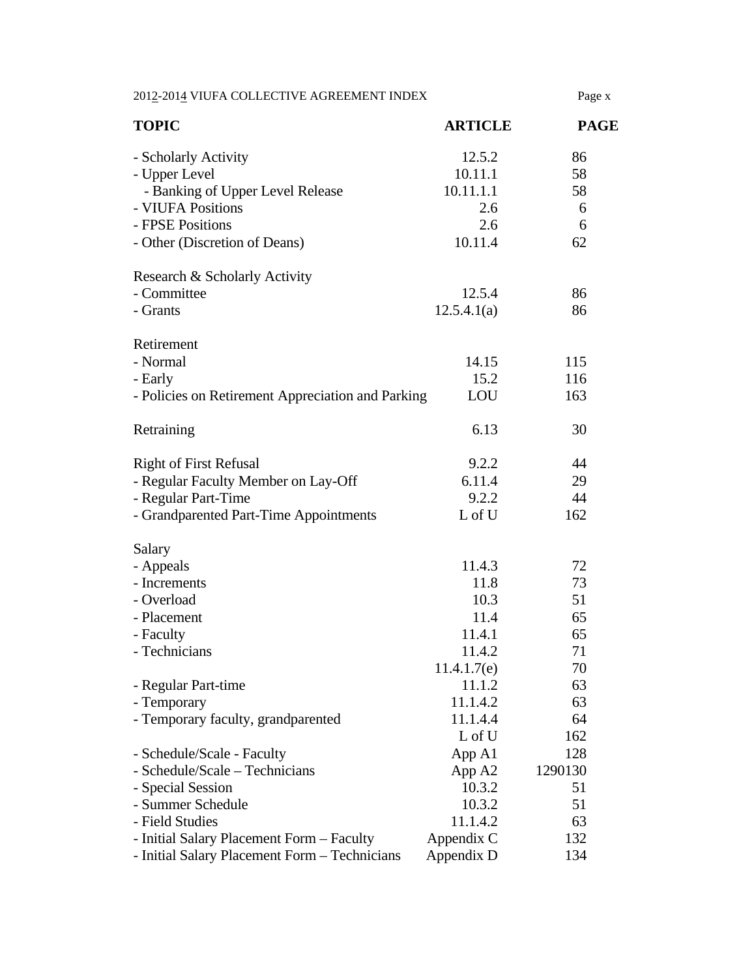| 2012-2014 VIUFA COLLECTIVE AGREEMENT INDEX        |                | Page x      |
|---------------------------------------------------|----------------|-------------|
| <b>TOPIC</b>                                      | <b>ARTICLE</b> | <b>PAGE</b> |
| - Scholarly Activity                              | 12.5.2         | 86          |
| - Upper Level                                     | 10.11.1        | 58          |
| - Banking of Upper Level Release                  | 10.11.1.1      | 58          |
| - VIUFA Positions                                 | 2.6            | 6           |
| - FPSE Positions                                  | 2.6            | 6           |
| - Other (Discretion of Deans)                     | 10.11.4        | 62          |
| Research & Scholarly Activity                     |                |             |
| - Committee                                       | 12.5.4         | 86          |
| - Grants                                          | 12.5.4.1(a)    | 86          |
| Retirement                                        |                |             |
| - Normal                                          | 14.15          | 115         |
| - Early                                           | 15.2           | 116         |
| - Policies on Retirement Appreciation and Parking | LOU            | 163         |
| Retraining                                        | 6.13           | 30          |
| <b>Right of First Refusal</b>                     | 9.2.2          | 44          |
| - Regular Faculty Member on Lay-Off               | 6.11.4         | 29          |
| - Regular Part-Time                               | 9.2.2          | 44          |
| - Grandparented Part-Time Appointments            | L of U         | 162         |
| Salary                                            |                |             |
| - Appeals                                         | 11.4.3         | 72          |
| - Increments                                      | 11.8           | 73          |
| - Overload                                        | 10.3           | 51          |
| - Placement                                       | 11.4           | 65          |
| - Faculty                                         | 11.4.1         | 65          |
| - Technicians                                     | 11.4.2         | 71          |
|                                                   | 11.4.1.7(e)    | 70          |
| - Regular Part-time                               | 11.1.2         | 63          |
| - Temporary                                       | 11.1.4.2       | 63          |
| - Temporary faculty, grandparented                | 11.1.4.4       | 64          |
|                                                   | L of U         | 162         |
| - Schedule/Scale - Faculty                        | App A1         | 128         |
| - Schedule/Scale - Technicians                    | App A2         | 1290130     |
| - Special Session                                 | 10.3.2         | 51          |
| - Summer Schedule                                 | 10.3.2         | 51          |
| - Field Studies                                   | 11.1.4.2       | 63          |
| - Initial Salary Placement Form - Faculty         | Appendix C     | 132         |
| - Initial Salary Placement Form - Technicians     | Appendix D     | 134         |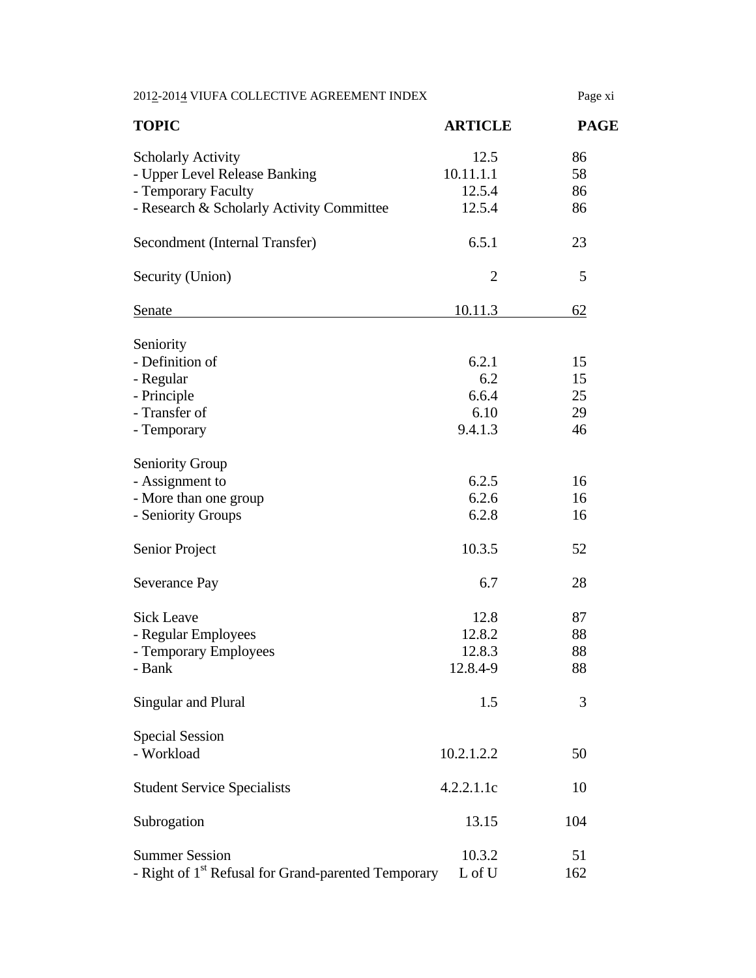| 2012-2014 VIUFA COLLECTIVE AGREEMENT INDEX                      |                | Page xi     |
|-----------------------------------------------------------------|----------------|-------------|
| <b>TOPIC</b>                                                    | <b>ARTICLE</b> | <b>PAGE</b> |
| <b>Scholarly Activity</b>                                       | 12.5           | 86          |
| - Upper Level Release Banking                                   | 10.11.1.1      | 58          |
| - Temporary Faculty                                             | 12.5.4         | 86          |
| - Research & Scholarly Activity Committee                       | 12.5.4         | 86          |
| Secondment (Internal Transfer)                                  | 6.5.1          | 23          |
| Security (Union)                                                | $\overline{2}$ | 5           |
| <b>Senate</b>                                                   | 10.11.3        | 62          |
| Seniority                                                       |                |             |
| - Definition of                                                 | 6.2.1          | 15          |
| - Regular                                                       | 6.2            | 15          |
| - Principle                                                     | 6.6.4          | 25          |
| - Transfer of                                                   | 6.10           | 29          |
| - Temporary                                                     | 9.4.1.3        | 46          |
|                                                                 |                |             |
| <b>Seniority Group</b>                                          |                |             |
| - Assignment to                                                 | 6.2.5          | 16          |
| - More than one group                                           | 6.2.6          | 16          |
| - Seniority Groups                                              | 6.2.8          | 16          |
|                                                                 |                |             |
| Senior Project                                                  | 10.3.5         | 52          |
| Severance Pay                                                   | 6.7            | 28          |
|                                                                 |                |             |
| <b>Sick Leave</b>                                               | 12.8           | 87          |
| - Regular Employees                                             | 12.8.2         | 88          |
| - Temporary Employees                                           | 12.8.3         | 88          |
| - Bank                                                          | 12.8.4-9       | 88          |
|                                                                 |                |             |
| Singular and Plural                                             | 1.5            | 3           |
|                                                                 |                |             |
| <b>Special Session</b>                                          |                |             |
| - Workload                                                      | 10.2.1.2.2     | 50          |
| <b>Student Service Specialists</b>                              | 4.2.2.1.1c     | 10          |
| Subrogation                                                     | 13.15          | 104         |
|                                                                 |                |             |
| <b>Summer Session</b>                                           | 10.3.2         | 51          |
| - Right of 1 <sup>st</sup> Refusal for Grand-parented Temporary | L of U         | 162         |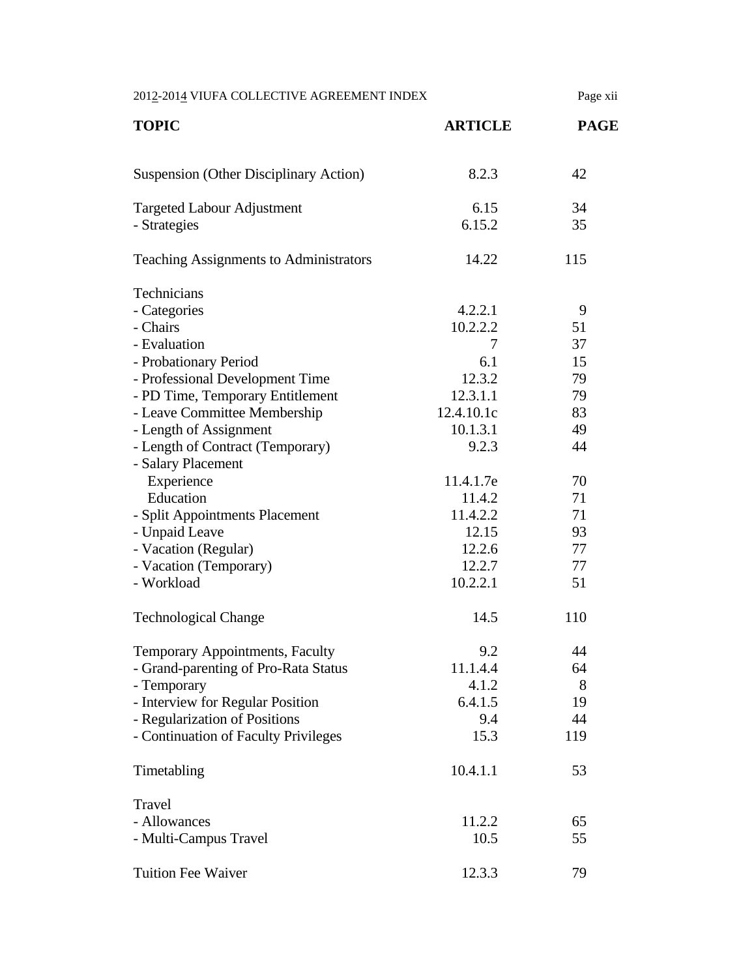| 2012-2014 VIUFA COLLECTIVE AGREEMENT INDEX        |                | Page xii    |
|---------------------------------------------------|----------------|-------------|
| <b>TOPIC</b>                                      | <b>ARTICLE</b> | <b>PAGE</b> |
| <b>Suspension (Other Disciplinary Action)</b>     | 8.2.3          | 42          |
| <b>Targeted Labour Adjustment</b><br>- Strategies | 6.15<br>6.15.2 | 34<br>35    |
| <b>Teaching Assignments to Administrators</b>     | 14.22          | 115         |
| Technicians                                       |                |             |
| - Categories                                      | 4.2.2.1        | 9           |
| - Chairs                                          | 10.2.2.2       | 51          |
| - Evaluation                                      | 7              | 37          |
| - Probationary Period                             | 6.1            | 15          |
| - Professional Development Time                   | 12.3.2         | 79          |
| - PD Time, Temporary Entitlement                  | 12.3.1.1       | 79          |
| - Leave Committee Membership                      | 12.4.10.1c     | 83          |
| - Length of Assignment                            | 10.1.3.1       | 49          |
| - Length of Contract (Temporary)                  | 9.2.3          | 44          |
| - Salary Placement                                |                |             |
| Experience                                        | 11.4.1.7e      | 70          |
| Education                                         | 11.4.2         | 71          |
| - Split Appointments Placement                    | 11.4.2.2       | 71          |
| - Unpaid Leave                                    | 12.15          | 93          |
| - Vacation (Regular)                              | 12.2.6         | 77          |
| - Vacation (Temporary)                            | 12.2.7         | 77          |
| - Workload                                        | 10.2.2.1       | 51          |
| <b>Technological Change</b>                       | 14.5           | 110         |
| Temporary Appointments, Faculty                   | 9.2            | 44          |
| - Grand-parenting of Pro-Rata Status              | 11.1.4.4       | 64          |
| - Temporary                                       | 4.1.2          | 8           |
| - Interview for Regular Position                  | 6.4.1.5        | 19          |
| - Regularization of Positions                     | 9.4            | 44          |
| - Continuation of Faculty Privileges              | 15.3           | 119         |
| Timetabling                                       | 10.4.1.1       | 53          |
| Travel                                            |                |             |
| - Allowances                                      | 11.2.2         | 65          |
| - Multi-Campus Travel                             | 10.5           | 55          |
| <b>Tuition Fee Waiver</b>                         | 12.3.3         | 79          |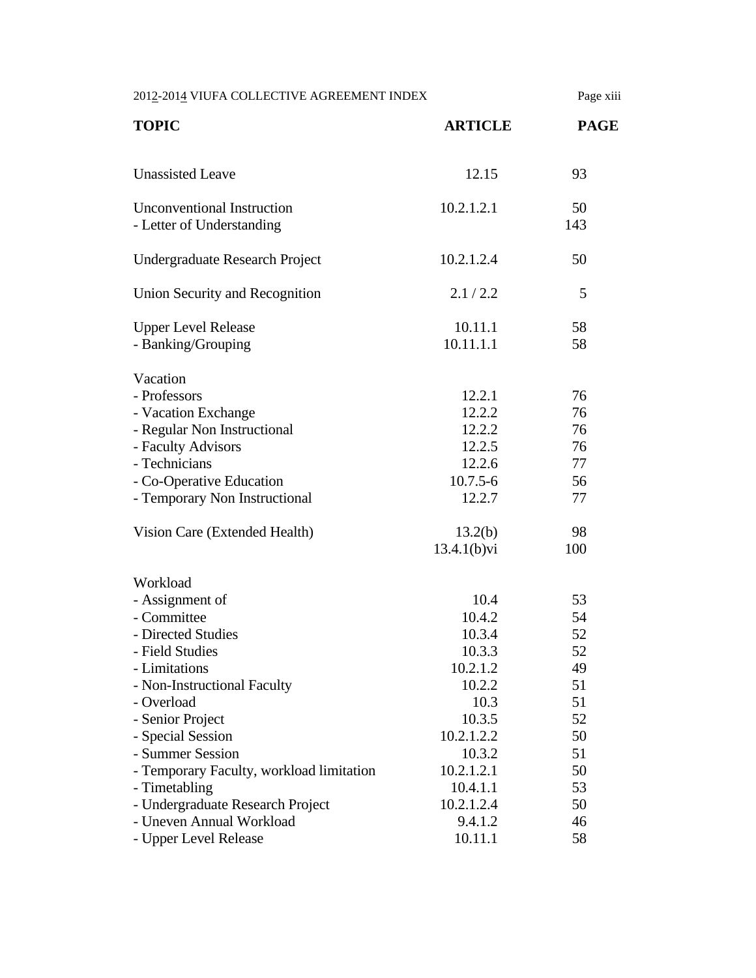2012-2014 VIUFA COLLECTIVE AGREEMENT INDEX Page xiii **TOPIC ARTICLE PAGE**  Unassisted Leave  $12.15$  93 Unconventional Instruction 10.2.1.2.1 50 - Letter of Understanding 143 Undergraduate Research Project 10.2.1.2.4 50 Union Security and Recognition 2.1/2.2 5 Upper Level Release 10.11.1 58 - Banking/Grouping 10.11.1.1 58 Vacation - Professors 22.2.1 76 - Vacation Exchange 12.2.2 76 - Regular Non Instructional 12.2.2 76 - Faculty Advisors 76 - Technicians 12.2.6 77 - Co-Operative Education 10.7.5-6 56 - Temporary Non Instructional 12.2.7 77 Vision Care (Extended Health) 13.2(b) 98 13.4.1(b)vi 100 Workload - Assignment of 10.4 53 - Committee 30.4.2 54 - Directed Studies 10.3.4 52 - Field Studies 52 - Limitations 10.2.1.2 49 - Non-Instructional Faculty 10.2.2 51 - Overload 10.3 51 - Senior Project 10.3.5 52 - Special Session 10.2.1.2.2 50 - Summer Session 10.3.2 51 - Temporary Faculty, workload limitation 10.2.1.2.1 50 - Timetabling 10.4.1.1 53 - Undergraduate Research Project 10.2.1.2.4 50 - Uneven Annual Workload 9.4.1.2 46 - Upper Level Release 10.11.1 58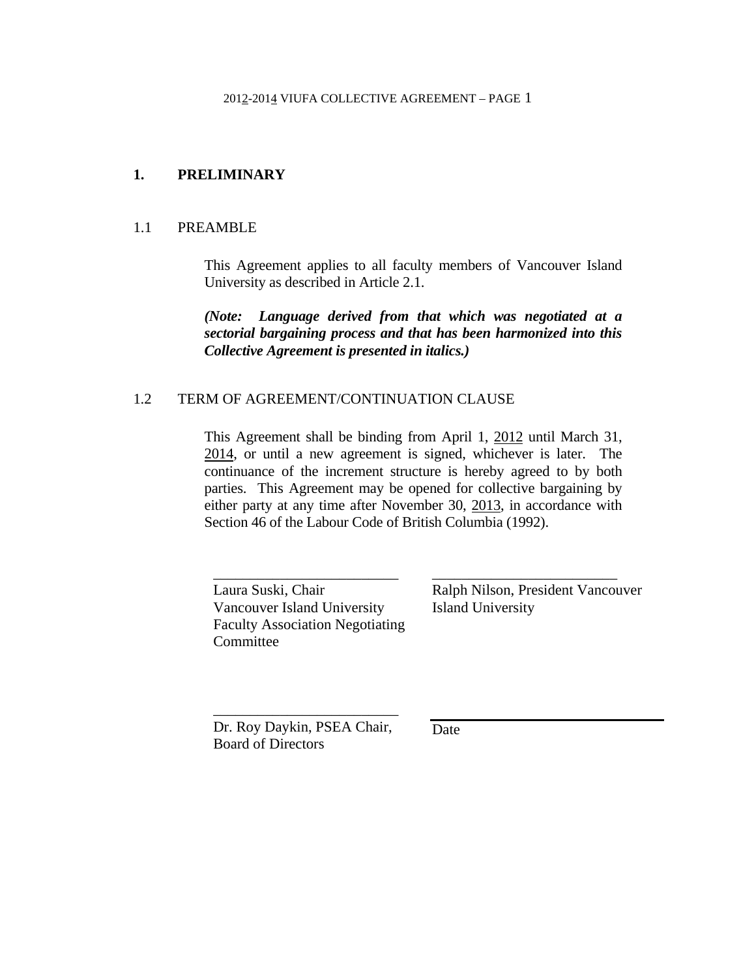## **1. PRELIMINARY**

## 1.1 PREAMBLE

 This Agreement applies to all faculty members of Vancouver Island University as described in Article 2.1.

 *(Note: Language derived from that which was negotiated at a sectorial bargaining process and that has been harmonized into this Collective Agreement is presented in italics.)* 

## 1.2 TERM OF AGREEMENT/CONTINUATION CLAUSE

 This Agreement shall be binding from April 1, 2012 until March 31, 2014, or until a new agreement is signed, whichever is later. The continuance of the increment structure is hereby agreed to by both parties. This Agreement may be opened for collective bargaining by either party at any time after November 30, 2013, in accordance with Section 46 of the Labour Code of British Columbia (1992).

Laura Suski, Chair Vancouver Island University Faculty Association Negotiating **Committee** 

\_\_\_\_\_\_\_\_\_\_\_\_\_\_\_\_\_\_\_\_\_\_\_\_\_

Ralph Nilson, President Vancouver Island University

\_\_\_\_\_\_\_\_\_\_\_\_\_\_\_\_\_\_\_\_\_\_\_\_\_

Dr. Roy Daykin, PSEA Chair, Board of Directors

 $\overline{\phantom{a}}$  ,  $\overline{\phantom{a}}$  ,  $\overline{\phantom{a}}$  ,  $\overline{\phantom{a}}$  ,  $\overline{\phantom{a}}$  ,  $\overline{\phantom{a}}$  ,  $\overline{\phantom{a}}$  ,  $\overline{\phantom{a}}$  ,  $\overline{\phantom{a}}$  ,  $\overline{\phantom{a}}$  ,  $\overline{\phantom{a}}$  ,  $\overline{\phantom{a}}$  ,  $\overline{\phantom{a}}$  ,  $\overline{\phantom{a}}$  ,  $\overline{\phantom{a}}$  ,  $\overline{\phantom{a}}$ 

Date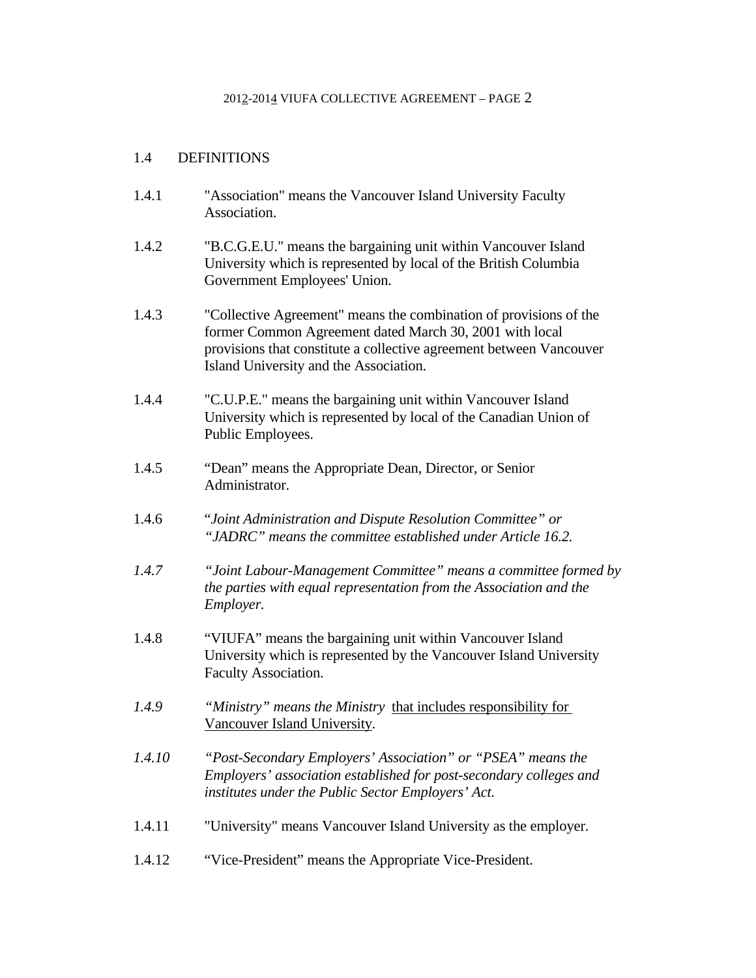## 1.4 DEFINITIONS

- 1.4.1 "Association" means the Vancouver Island University Faculty Association.
- 1.4.2 "B.C.G.E.U." means the bargaining unit within Vancouver Island University which is represented by local of the British Columbia Government Employees' Union.
- 1.4.3 "Collective Agreement" means the combination of provisions of the former Common Agreement dated March 30, 2001 with local provisions that constitute a collective agreement between Vancouver Island University and the Association.
- 1.4.4 "C.U.P.E." means the bargaining unit within Vancouver Island University which is represented by local of the Canadian Union of Public Employees.
- 1.4.5 "Dean" means the Appropriate Dean, Director, or Senior Administrator.
- 1.4.6 "*Joint Administration and Dispute Resolution Committee" or "JADRC" means the committee established under Article 16.2.*
- *1.4.7 "Joint Labour-Management Committee" means a committee formed by the parties with equal representation from the Association and the Employer.*
- 1.4.8 "VIUFA" means the bargaining unit within Vancouver Island University which is represented by the Vancouver Island University Faculty Association.
- *1.4.9 "Ministry" means the Ministry* that includes responsibility for Vancouver Island University*.*
- *1.4.10 "Post-Secondary Employers' Association" or "PSEA" means the Employers' association established for post-secondary colleges and institutes under the Public Sector Employers' Act.*
- 1.4.11 "University" means Vancouver Island University as the employer.
- 1.4.12 "Vice-President" means the Appropriate Vice-President.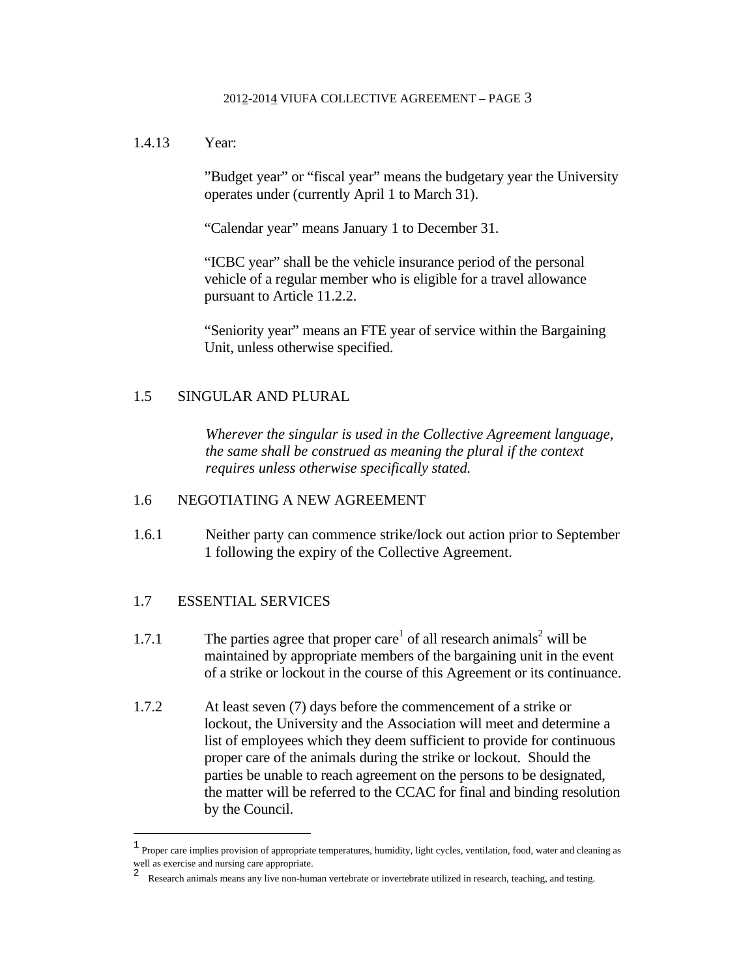1.4.13 Year:

"Budget year" or "fiscal year" means the budgetary year the University operates under (currently April 1 to March 31).

"Calendar year" means January 1 to December 31.

"ICBC year" shall be the vehicle insurance period of the personal vehicle of a regular member who is eligible for a travel allowance pursuant to Article 11.2.2.

"Seniority year" means an FTE year of service within the Bargaining Unit, unless otherwise specified.

## 1.5 SINGULAR AND PLURAL

*Wherever the singular is used in the Collective Agreement language, the same shall be construed as meaning the plural if the context requires unless otherwise specifically stated.* 

### 1.6 NEGOTIATING A NEW AGREEMENT

1.6.1 Neither party can commence strike/lock out action prior to September 1 following the expiry of the Collective Agreement.

## 1.7 ESSENTIAL SERVICES

i<br>Li

- 1.7.1 The parties agree that proper care<sup>1</sup> of all research animals<sup>2</sup> will be maintained by appropriate members of the bargaining unit in the event of a strike or lockout in the course of this Agreement or its continuance.
- 1.7.2 At least seven (7) days before the commencement of a strike or lockout, the University and the Association will meet and determine a list of employees which they deem sufficient to provide for continuous proper care of the animals during the strike or lockout. Should the parties be unable to reach agreement on the persons to be designated, the matter will be referred to the CCAC for final and binding resolution by the Council.

<sup>1</sup> Proper care implies provision of appropriate temperatures, humidity, light cycles, ventilation, food, water and cleaning as well as exercise and nursing care appropriate.

<sup>2</sup> Research animals means any live non-human vertebrate or invertebrate utilized in research, teaching, and testing.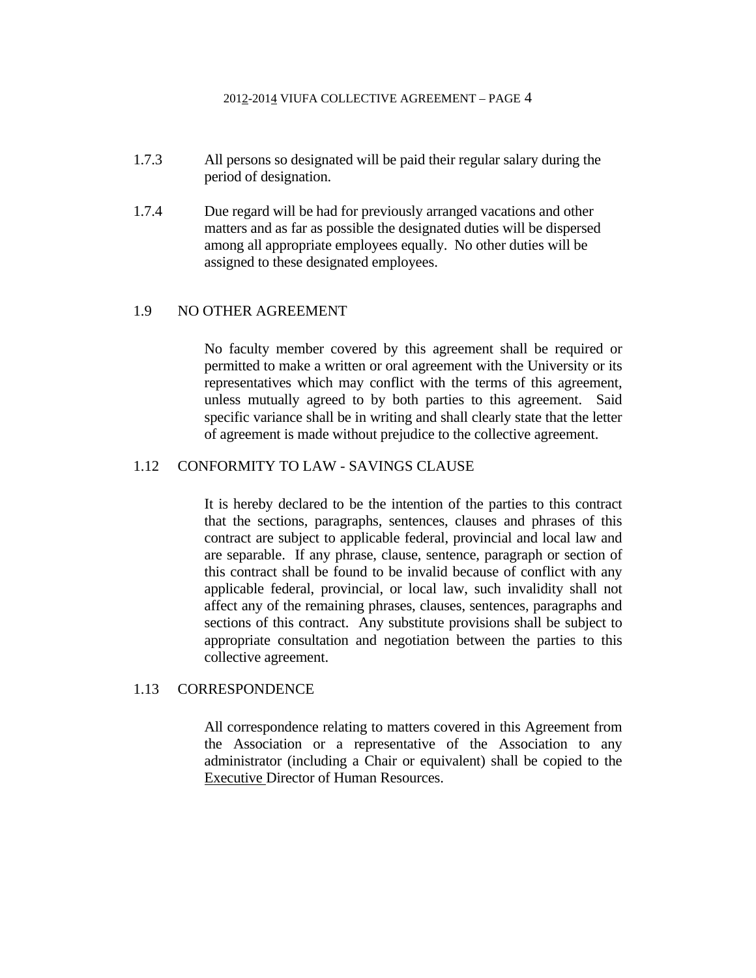- 1.7.3 All persons so designated will be paid their regular salary during the period of designation.
- 1.7.4 Due regard will be had for previously arranged vacations and other matters and as far as possible the designated duties will be dispersed among all appropriate employees equally. No other duties will be assigned to these designated employees.

### 1.9 NO OTHER AGREEMENT

 No faculty member covered by this agreement shall be required or permitted to make a written or oral agreement with the University or its representatives which may conflict with the terms of this agreement, unless mutually agreed to by both parties to this agreement. Said specific variance shall be in writing and shall clearly state that the letter of agreement is made without prejudice to the collective agreement.

### 1.12 CONFORMITY TO LAW - SAVINGS CLAUSE

 It is hereby declared to be the intention of the parties to this contract that the sections, paragraphs, sentences, clauses and phrases of this contract are subject to applicable federal, provincial and local law and are separable. If any phrase, clause, sentence, paragraph or section of this contract shall be found to be invalid because of conflict with any applicable federal, provincial, or local law, such invalidity shall not affect any of the remaining phrases, clauses, sentences, paragraphs and sections of this contract. Any substitute provisions shall be subject to appropriate consultation and negotiation between the parties to this collective agreement.

### 1.13 CORRESPONDENCE

 All correspondence relating to matters covered in this Agreement from the Association or a representative of the Association to any administrator (including a Chair or equivalent) shall be copied to the Executive Director of Human Resources.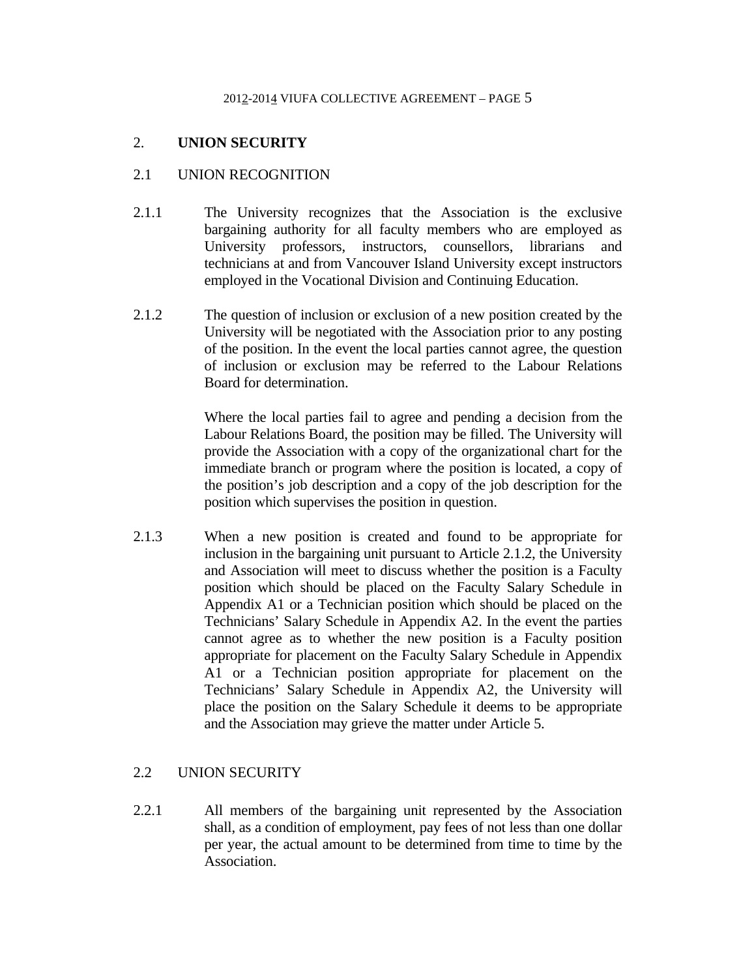## 2. **UNION SECURITY**

## 2.1 UNION RECOGNITION

- 2.1.1 The University recognizes that the Association is the exclusive bargaining authority for all faculty members who are employed as University professors, instructors, counsellors, librarians and technicians at and from Vancouver Island University except instructors employed in the Vocational Division and Continuing Education.
- 2.1.2 The question of inclusion or exclusion of a new position created by the University will be negotiated with the Association prior to any posting of the position. In the event the local parties cannot agree, the question of inclusion or exclusion may be referred to the Labour Relations Board for determination.

Where the local parties fail to agree and pending a decision from the Labour Relations Board, the position may be filled. The University will provide the Association with a copy of the organizational chart for the immediate branch or program where the position is located, a copy of the position's job description and a copy of the job description for the position which supervises the position in question.

2.1.3 When a new position is created and found to be appropriate for inclusion in the bargaining unit pursuant to Article 2.1.2, the University and Association will meet to discuss whether the position is a Faculty position which should be placed on the Faculty Salary Schedule in Appendix A1 or a Technician position which should be placed on the Technicians' Salary Schedule in Appendix A2. In the event the parties cannot agree as to whether the new position is a Faculty position appropriate for placement on the Faculty Salary Schedule in Appendix A1 or a Technician position appropriate for placement on the Technicians' Salary Schedule in Appendix A2, the University will place the position on the Salary Schedule it deems to be appropriate and the Association may grieve the matter under Article 5.

## 2.2 UNION SECURITY

2.2.1 All members of the bargaining unit represented by the Association shall, as a condition of employment, pay fees of not less than one dollar per year, the actual amount to be determined from time to time by the Association.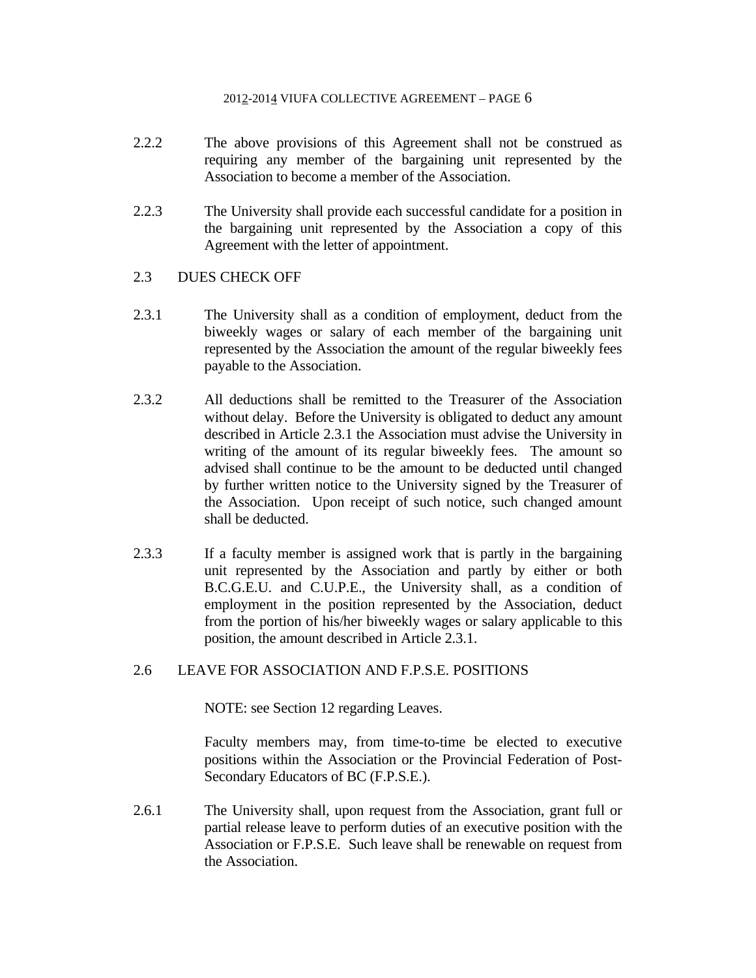- 2.2.2 The above provisions of this Agreement shall not be construed as requiring any member of the bargaining unit represented by the Association to become a member of the Association.
- 2.2.3 The University shall provide each successful candidate for a position in the bargaining unit represented by the Association a copy of this Agreement with the letter of appointment.

## 2.3 DUES CHECK OFF

- 2.3.1 The University shall as a condition of employment, deduct from the biweekly wages or salary of each member of the bargaining unit represented by the Association the amount of the regular biweekly fees payable to the Association.
- 2.3.2 All deductions shall be remitted to the Treasurer of the Association without delay. Before the University is obligated to deduct any amount described in Article 2.3.1 the Association must advise the University in writing of the amount of its regular biweekly fees. The amount so advised shall continue to be the amount to be deducted until changed by further written notice to the University signed by the Treasurer of the Association. Upon receipt of such notice, such changed amount shall be deducted.
- 2.3.3 If a faculty member is assigned work that is partly in the bargaining unit represented by the Association and partly by either or both B.C.G.E.U. and C.U.P.E., the University shall, as a condition of employment in the position represented by the Association, deduct from the portion of his/her biweekly wages or salary applicable to this position, the amount described in Article 2.3.1.

## 2.6 LEAVE FOR ASSOCIATION AND F.P.S.E. POSITIONS

NOTE: see Section 12 regarding Leaves.

 Faculty members may, from time-to-time be elected to executive positions within the Association or the Provincial Federation of Post-Secondary Educators of BC (F.P.S.E.).

2.6.1 The University shall, upon request from the Association, grant full or partial release leave to perform duties of an executive position with the Association or F.P.S.E. Such leave shall be renewable on request from the Association.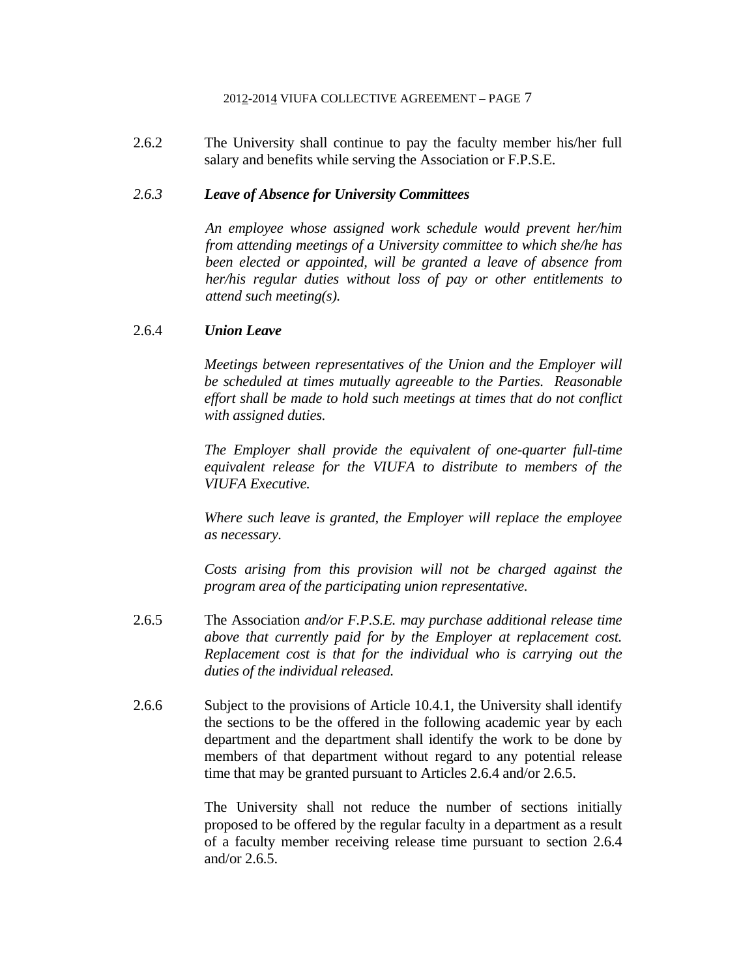2.6.2 The University shall continue to pay the faculty member his/her full salary and benefits while serving the Association or F.P.S.E.

### *2.6.3 Leave of Absence for University Committees*

*An employee whose assigned work schedule would prevent her/him from attending meetings of a University committee to which she/he has been elected or appointed, will be granted a leave of absence from her/his regular duties without loss of pay or other entitlements to attend such meeting(s).* 

### 2.6.4 *Union Leave*

*Meetings between representatives of the Union and the Employer will be scheduled at times mutually agreeable to the Parties. Reasonable effort shall be made to hold such meetings at times that do not conflict with assigned duties.* 

*The Employer shall provide the equivalent of one-quarter full-time equivalent release for the VIUFA to distribute to members of the VIUFA Executive.*

*Where such leave is granted, the Employer will replace the employee as necessary.* 

*Costs arising from this provision will not be charged against the program area of the participating union representative.*

- 2.6.5 The Association *and/or F.P.S.E. may purchase additional release time above that currently paid for by the Employer at replacement cost. Replacement cost is that for the individual who is carrying out the duties of the individual released.*
- 2.6.6 Subject to the provisions of Article 10.4.1, the University shall identify the sections to be the offered in the following academic year by each department and the department shall identify the work to be done by members of that department without regard to any potential release time that may be granted pursuant to Articles 2.6.4 and/or 2.6.5.

 The University shall not reduce the number of sections initially proposed to be offered by the regular faculty in a department as a result of a faculty member receiving release time pursuant to section 2.6.4 and/or 2.6.5.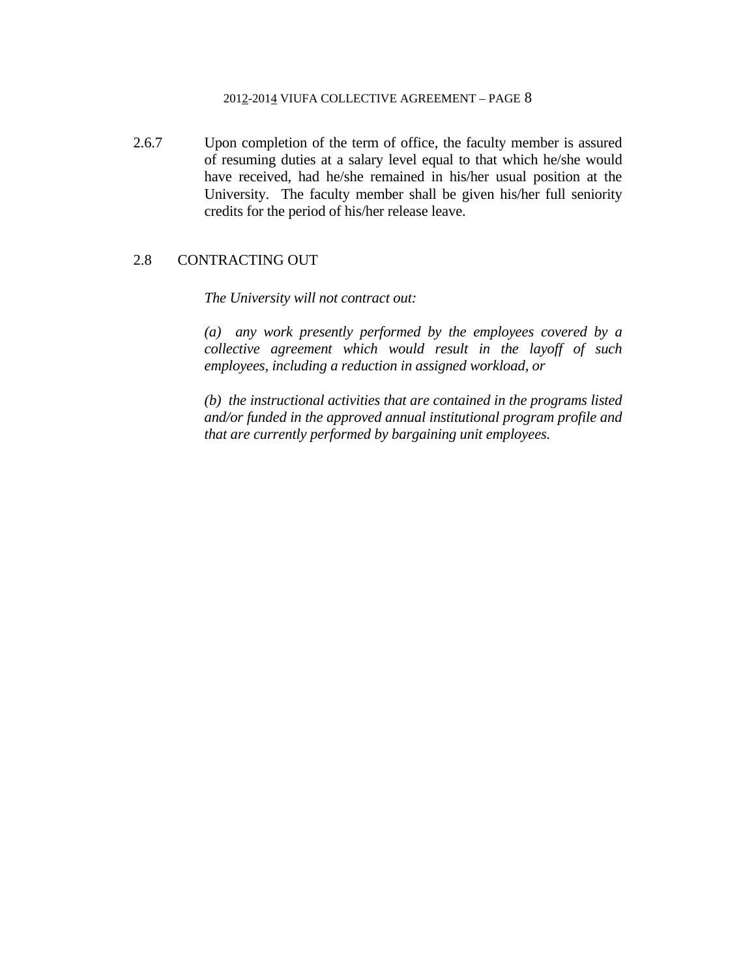2.6.7 Upon completion of the term of office, the faculty member is assured of resuming duties at a salary level equal to that which he/she would have received, had he/she remained in his/her usual position at the University. The faculty member shall be given his/her full seniority credits for the period of his/her release leave.

## 2.8 CONTRACTING OUT

#### *The University will not contract out:*

*(a) any work presently performed by the employees covered by a collective agreement which would result in the layoff of such employees, including a reduction in assigned workload, or* 

*(b) the instructional activities that are contained in the programs listed and/or funded in the approved annual institutional program profile and that are currently performed by bargaining unit employees.*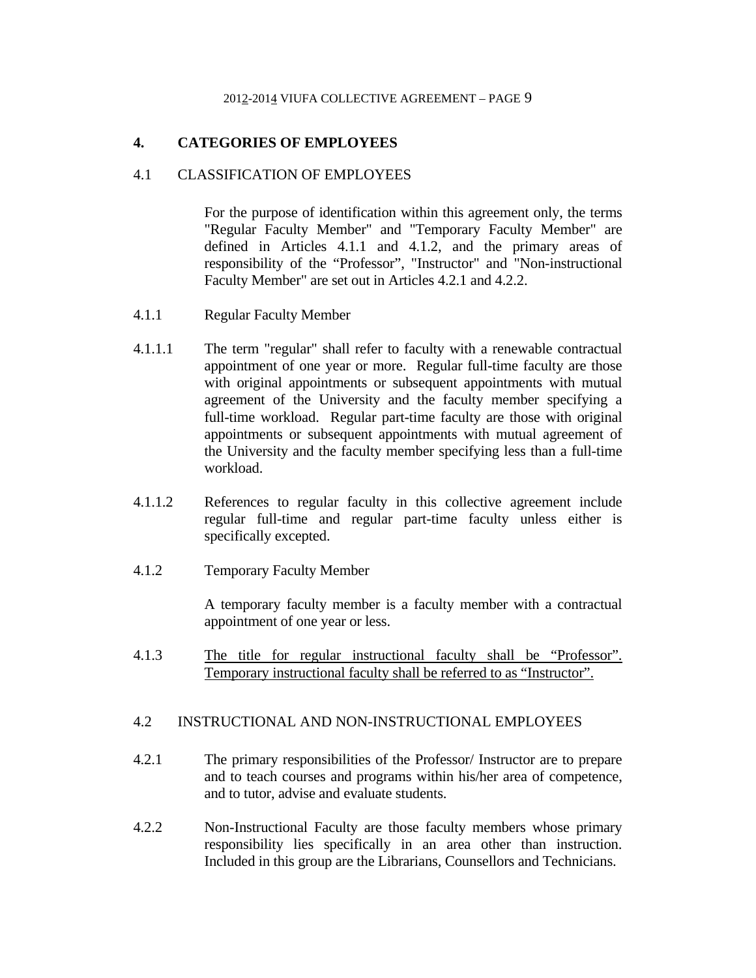## **4. CATEGORIES OF EMPLOYEES**

## 4.1 CLASSIFICATION OF EMPLOYEES

 For the purpose of identification within this agreement only, the terms "Regular Faculty Member" and "Temporary Faculty Member" are defined in Articles 4.1.1 and 4.1.2, and the primary areas of responsibility of the "Professor", "Instructor" and "Non-instructional Faculty Member" are set out in Articles 4.2.1 and 4.2.2.

- 4.1.1 Regular Faculty Member
- 4.1.1.1 The term "regular" shall refer to faculty with a renewable contractual appointment of one year or more. Regular full-time faculty are those with original appointments or subsequent appointments with mutual agreement of the University and the faculty member specifying a full-time workload. Regular part-time faculty are those with original appointments or subsequent appointments with mutual agreement of the University and the faculty member specifying less than a full-time workload.
- 4.1.1.2 References to regular faculty in this collective agreement include regular full-time and regular part-time faculty unless either is specifically excepted.
- 4.1.2 Temporary Faculty Member

 A temporary faculty member is a faculty member with a contractual appointment of one year or less.

4.1.3 The title for regular instructional faculty shall be "Professor". Temporary instructional faculty shall be referred to as "Instructor".

### 4.2 INSTRUCTIONAL AND NON-INSTRUCTIONAL EMPLOYEES

- 4.2.1 The primary responsibilities of the Professor/ Instructor are to prepare and to teach courses and programs within his/her area of competence, and to tutor, advise and evaluate students.
- 4.2.2 Non-Instructional Faculty are those faculty members whose primary responsibility lies specifically in an area other than instruction. Included in this group are the Librarians, Counsellors and Technicians.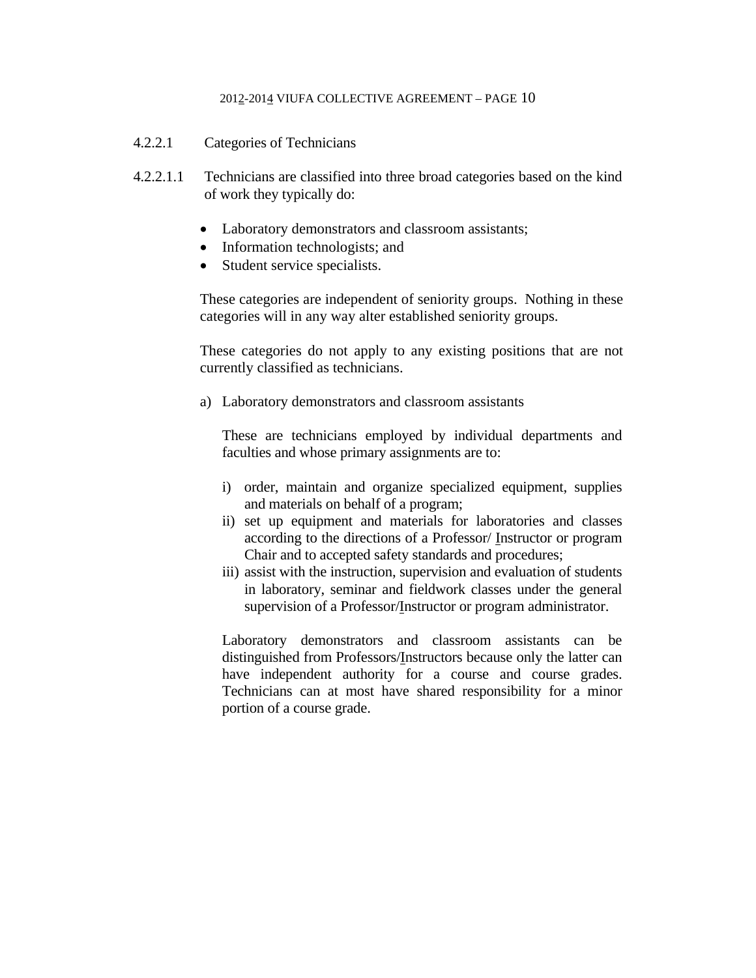- 4.2.2.1 Categories of Technicians
- 4.2.2.1.1 Technicians are classified into three broad categories based on the kind of work they typically do:
	- Laboratory demonstrators and classroom assistants;
	- Information technologists; and
	- Student service specialists.

These categories are independent of seniority groups. Nothing in these categories will in any way alter established seniority groups.

These categories do not apply to any existing positions that are not currently classified as technicians.

a) Laboratory demonstrators and classroom assistants

 These are technicians employed by individual departments and faculties and whose primary assignments are to:

- i) order, maintain and organize specialized equipment, supplies and materials on behalf of a program;
- ii) set up equipment and materials for laboratories and classes according to the directions of a Professor/ Instructor or program Chair and to accepted safety standards and procedures;
- iii) assist with the instruction, supervision and evaluation of students in laboratory, seminar and fieldwork classes under the general supervision of a Professor/Instructor or program administrator.

 Laboratory demonstrators and classroom assistants can be distinguished from Professors/Instructors because only the latter can have independent authority for a course and course grades. Technicians can at most have shared responsibility for a minor portion of a course grade.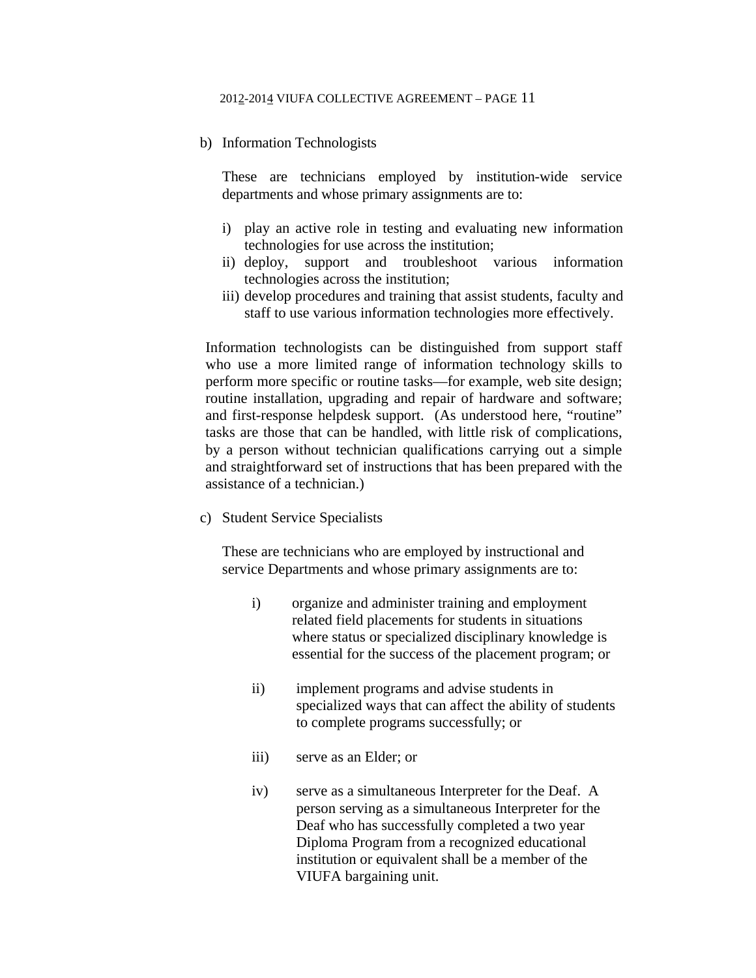#### b) Information Technologists

 These are technicians employed by institution-wide service departments and whose primary assignments are to:

- i) play an active role in testing and evaluating new information technologies for use across the institution;
- ii) deploy, support and troubleshoot various information technologies across the institution;
- iii) develop procedures and training that assist students, faculty and staff to use various information technologies more effectively.

Information technologists can be distinguished from support staff who use a more limited range of information technology skills to perform more specific or routine tasks—for example, web site design; routine installation, upgrading and repair of hardware and software; and first-response helpdesk support. (As understood here, "routine" tasks are those that can be handled, with little risk of complications, by a person without technician qualifications carrying out a simple and straightforward set of instructions that has been prepared with the assistance of a technician.)

c) Student Service Specialists

These are technicians who are employed by instructional and service Departments and whose primary assignments are to:

- i) organize and administer training and employment related field placements for students in situations where status or specialized disciplinary knowledge is essential for the success of the placement program; or
- ii) implement programs and advise students in specialized ways that can affect the ability of students to complete programs successfully; or
- iii) serve as an Elder; or
- iv) serve as a simultaneous Interpreter for the Deaf. A person serving as a simultaneous Interpreter for the Deaf who has successfully completed a two year Diploma Program from a recognized educational institution or equivalent shall be a member of the VIUFA bargaining unit.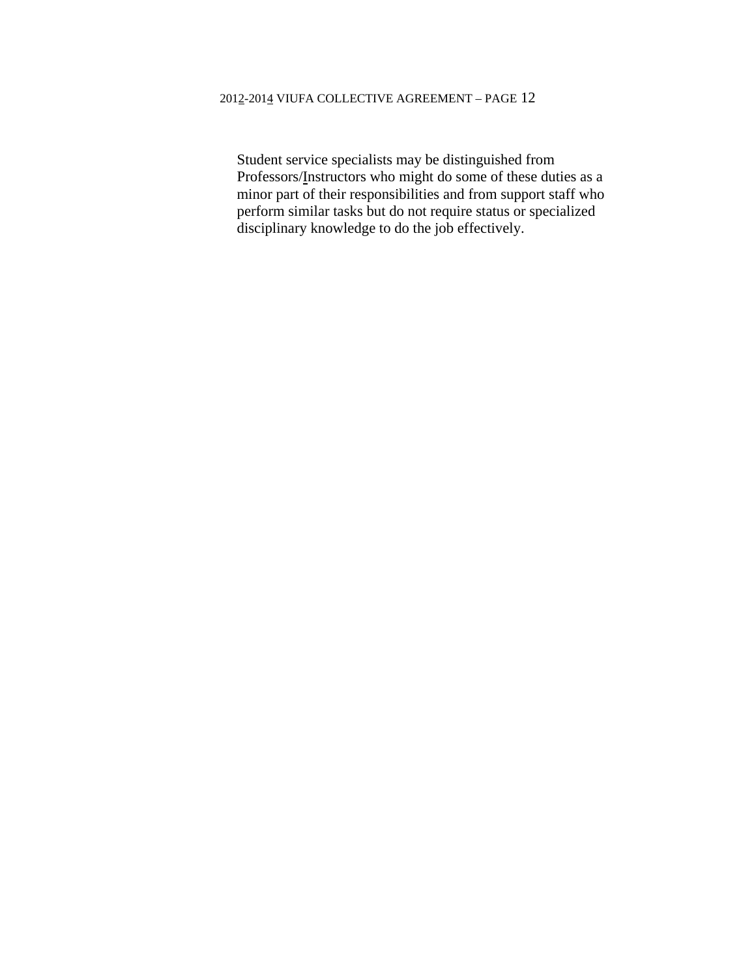Student service specialists may be distinguished from Professors/Instructors who might do some of these duties as a minor part of their responsibilities and from support staff who perform similar tasks but do not require status or specialized disciplinary knowledge to do the job effectively.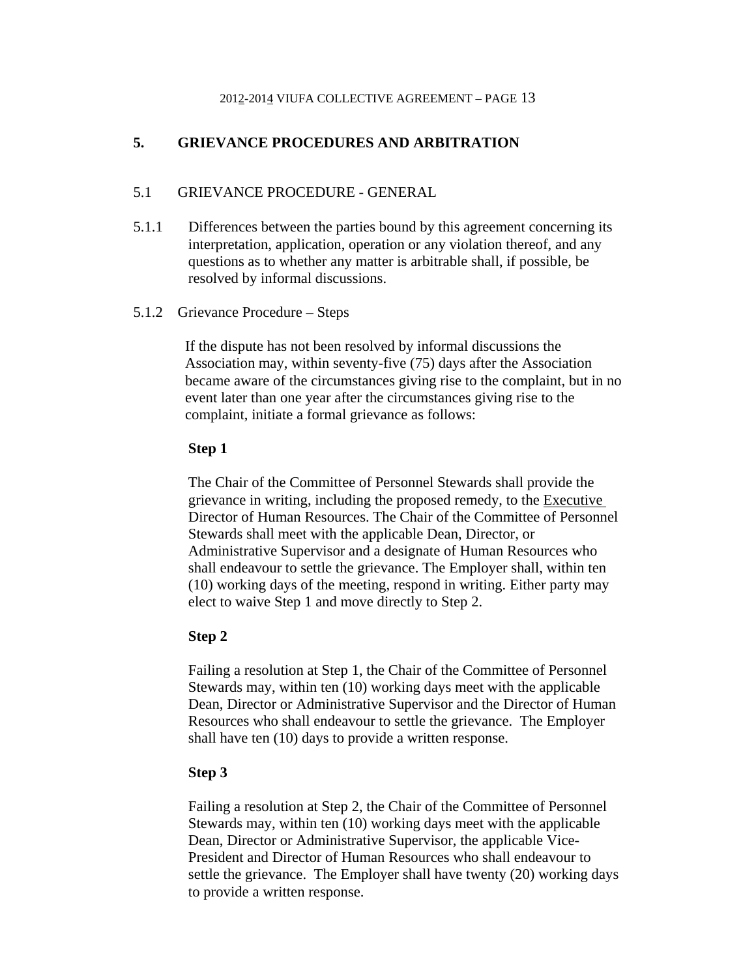## **5. GRIEVANCE PROCEDURES AND ARBITRATION**

## 5.1 GRIEVANCE PROCEDURE - GENERAL

- 5.1.1 Differences between the parties bound by this agreement concerning its interpretation, application, operation or any violation thereof, and any questions as to whether any matter is arbitrable shall, if possible, be resolved by informal discussions.
- 5.1.2 Grievance Procedure Steps

If the dispute has not been resolved by informal discussions the Association may, within seventy-five (75) days after the Association became aware of the circumstances giving rise to the complaint, but in no event later than one year after the circumstances giving rise to the complaint, initiate a formal grievance as follows:

## **Step 1**

The Chair of the Committee of Personnel Stewards shall provide the grievance in writing, including the proposed remedy, to the Executive Director of Human Resources. The Chair of the Committee of Personnel Stewards shall meet with the applicable Dean, Director, or Administrative Supervisor and a designate of Human Resources who shall endeavour to settle the grievance. The Employer shall, within ten (10) working days of the meeting, respond in writing. Either party may elect to waive Step 1 and move directly to Step 2.

### **Step 2**

Failing a resolution at Step 1, the Chair of the Committee of Personnel Stewards may, within ten (10) working days meet with the applicable Dean, Director or Administrative Supervisor and the Director of Human Resources who shall endeavour to settle the grievance. The Employer shall have ten (10) days to provide a written response.

### **Step 3**

Failing a resolution at Step 2, the Chair of the Committee of Personnel Stewards may, within ten (10) working days meet with the applicable Dean, Director or Administrative Supervisor, the applicable Vice-President and Director of Human Resources who shall endeavour to settle the grievance. The Employer shall have twenty (20) working days to provide a written response.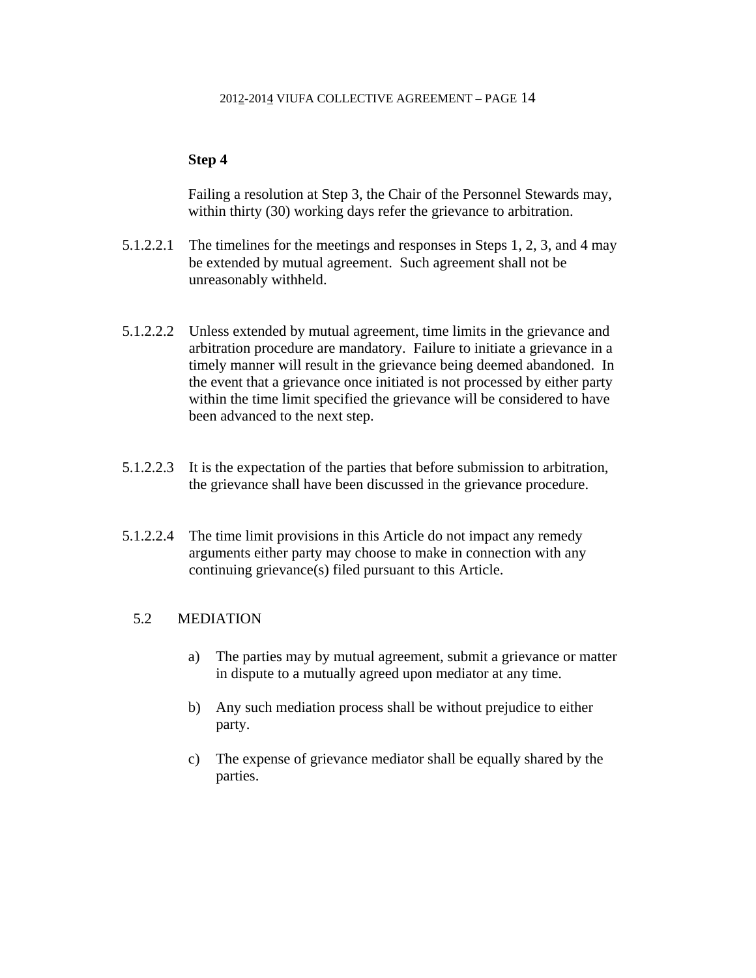### **Step 4**

Failing a resolution at Step 3, the Chair of the Personnel Stewards may, within thirty (30) working days refer the grievance to arbitration.

- 5.1.2.2.1 The timelines for the meetings and responses in Steps 1, 2, 3, and 4 may be extended by mutual agreement. Such agreement shall not be unreasonably withheld.
- 5.1.2.2.2 Unless extended by mutual agreement, time limits in the grievance and arbitration procedure are mandatory. Failure to initiate a grievance in a timely manner will result in the grievance being deemed abandoned. In the event that a grievance once initiated is not processed by either party within the time limit specified the grievance will be considered to have been advanced to the next step.
- 5.1.2.2.3 It is the expectation of the parties that before submission to arbitration, the grievance shall have been discussed in the grievance procedure.
- 5.1.2.2.4 The time limit provisions in this Article do not impact any remedy arguments either party may choose to make in connection with any continuing grievance(s) filed pursuant to this Article.

## 5.2 MEDIATION

- a) The parties may by mutual agreement, submit a grievance or matter in dispute to a mutually agreed upon mediator at any time.
- b) Any such mediation process shall be without prejudice to either party.
- c) The expense of grievance mediator shall be equally shared by the parties.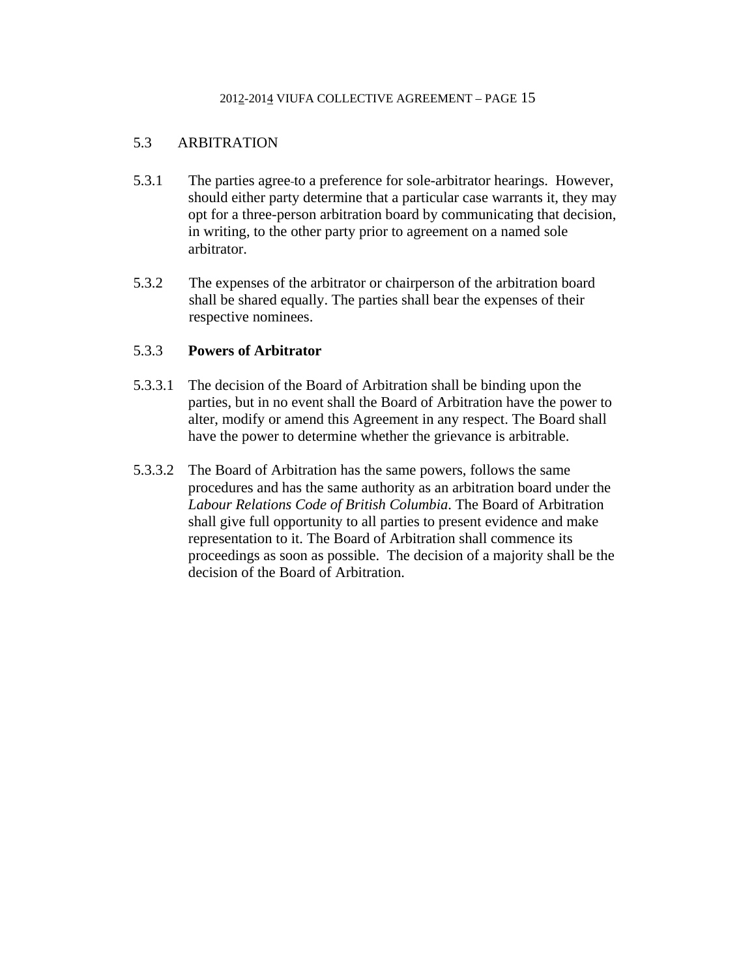## 5.3 ARBITRATION

- 5.3.1 The parties agree to a preference for sole-arbitrator hearings. However, should either party determine that a particular case warrants it, they may opt for a three-person arbitration board by communicating that decision, in writing, to the other party prior to agreement on a named sole arbitrator.
- 5.3.2 The expenses of the arbitrator or chairperson of the arbitration board shall be shared equally. The parties shall bear the expenses of their respective nominees.

## 5.3.3 **Powers of Arbitrator**

- 5.3.3.1 The decision of the Board of Arbitration shall be binding upon the parties, but in no event shall the Board of Arbitration have the power to alter, modify or amend this Agreement in any respect. The Board shall have the power to determine whether the grievance is arbitrable.
- 5.3.3.2 The Board of Arbitration has the same powers, follows the same procedures and has the same authority as an arbitration board under the *Labour Relations Code of British Columbia*. The Board of Arbitration shall give full opportunity to all parties to present evidence and make representation to it. The Board of Arbitration shall commence its proceedings as soon as possible. The decision of a majority shall be the decision of the Board of Arbitration.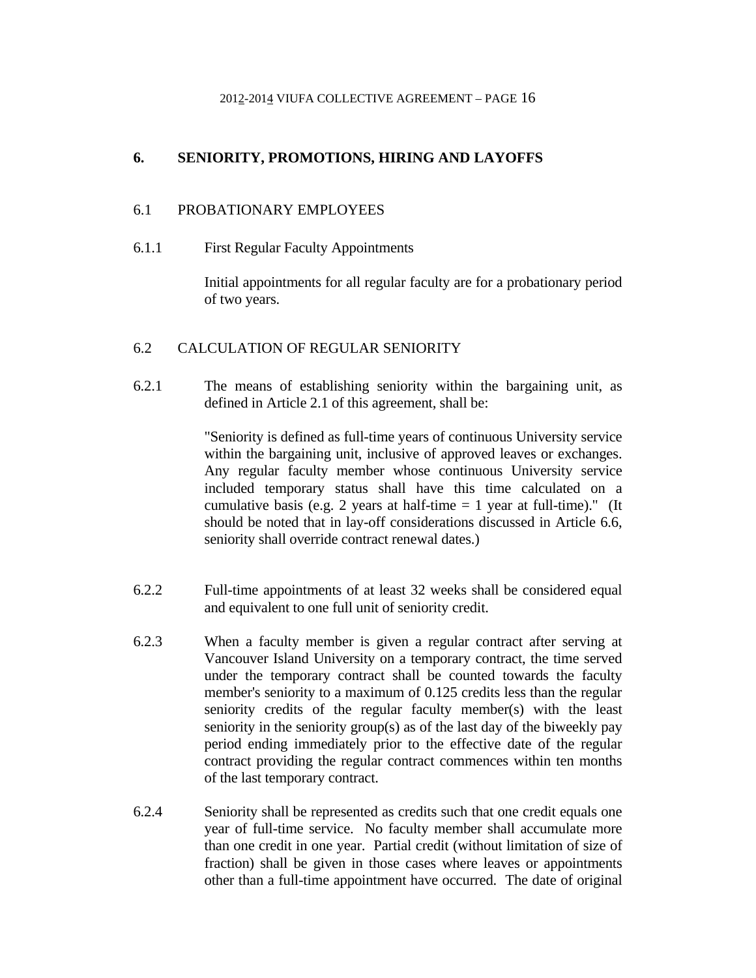## **6. SENIORITY, PROMOTIONS, HIRING AND LAYOFFS**

## 6.1 PROBATIONARY EMPLOYEES

6.1.1 First Regular Faculty Appointments

 Initial appointments for all regular faculty are for a probationary period of two years.

## 6.2 CALCULATION OF REGULAR SENIORITY

6.2.1 The means of establishing seniority within the bargaining unit, as defined in Article 2.1 of this agreement, shall be:

> "Seniority is defined as full-time years of continuous University service within the bargaining unit, inclusive of approved leaves or exchanges. Any regular faculty member whose continuous University service included temporary status shall have this time calculated on a cumulative basis (e.g. 2 years at half-time  $= 1$  year at full-time)." (It should be noted that in lay-off considerations discussed in Article 6.6, seniority shall override contract renewal dates.)

- 6.2.2 Full-time appointments of at least 32 weeks shall be considered equal and equivalent to one full unit of seniority credit.
- 6.2.3 When a faculty member is given a regular contract after serving at Vancouver Island University on a temporary contract, the time served under the temporary contract shall be counted towards the faculty member's seniority to a maximum of 0.125 credits less than the regular seniority credits of the regular faculty member(s) with the least seniority in the seniority group(s) as of the last day of the biweekly pay period ending immediately prior to the effective date of the regular contract providing the regular contract commences within ten months of the last temporary contract.
- 6.2.4 Seniority shall be represented as credits such that one credit equals one year of full-time service. No faculty member shall accumulate more than one credit in one year. Partial credit (without limitation of size of fraction) shall be given in those cases where leaves or appointments other than a full-time appointment have occurred. The date of original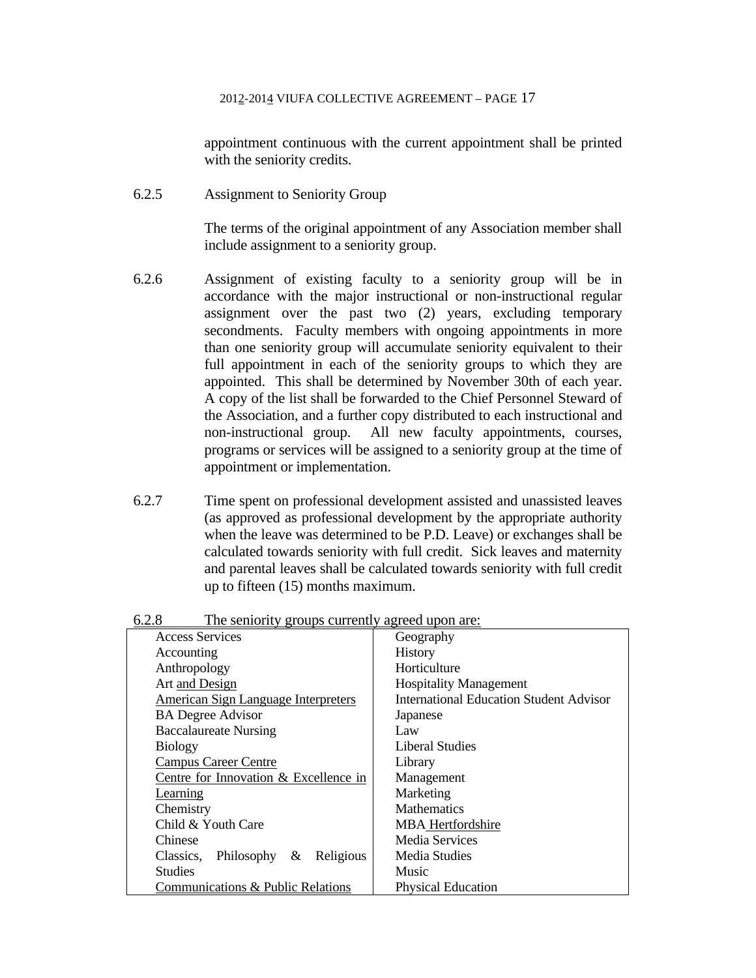appointment continuous with the current appointment shall be printed with the seniority credits.

6.2.5 Assignment to Seniority Group

 The terms of the original appointment of any Association member shall include assignment to a seniority group.

- 6.2.6 Assignment of existing faculty to a seniority group will be in accordance with the major instructional or non-instructional regular assignment over the past two (2) years, excluding temporary secondments. Faculty members with ongoing appointments in more than one seniority group will accumulate seniority equivalent to their full appointment in each of the seniority groups to which they are appointed. This shall be determined by November 30th of each year. A copy of the list shall be forwarded to the Chief Personnel Steward of the Association, and a further copy distributed to each instructional and non-instructional group. All new faculty appointments, courses, programs or services will be assigned to a seniority group at the time of appointment or implementation.
- 6.2.7 Time spent on professional development assisted and unassisted leaves (as approved as professional development by the appropriate authority when the leave was determined to be P.D. Leave) or exchanges shall be calculated towards seniority with full credit. Sick leaves and maternity and parental leaves shall be calculated towards seniority with full credit up to fifteen (15) months maximum.

| <b>Access Services</b>                     |           | Geography                                      |
|--------------------------------------------|-----------|------------------------------------------------|
| Accounting                                 |           | <b>History</b>                                 |
| Anthropology                               |           | Horticulture                                   |
| Art and Design                             |           | <b>Hospitality Management</b>                  |
| <b>American Sign Language Interpreters</b> |           | <b>International Education Student Advisor</b> |
| <b>BA Degree Advisor</b>                   |           | Japanese                                       |
| <b>Baccalaureate Nursing</b>               |           | Law                                            |
| <b>Biology</b>                             |           | Liberal Studies                                |
| <b>Campus Career Centre</b>                |           | Library                                        |
| Centre for Innovation & Excellence in      |           | Management                                     |
| <b>Learning</b>                            |           | Marketing                                      |
| Chemistry                                  |           | Mathematics                                    |
| Child & Youth Care                         |           | <b>MBA</b> Hertfordshire                       |
| Chinese                                    |           | Media Services                                 |
| Philosophy $\&$<br>Classics,               | Religious | Media Studies                                  |
| <b>Studies</b>                             |           | Music                                          |
| Communications & Public Relations          |           | Physical Education                             |

6.2.8 The seniority groups currently agreed upon are: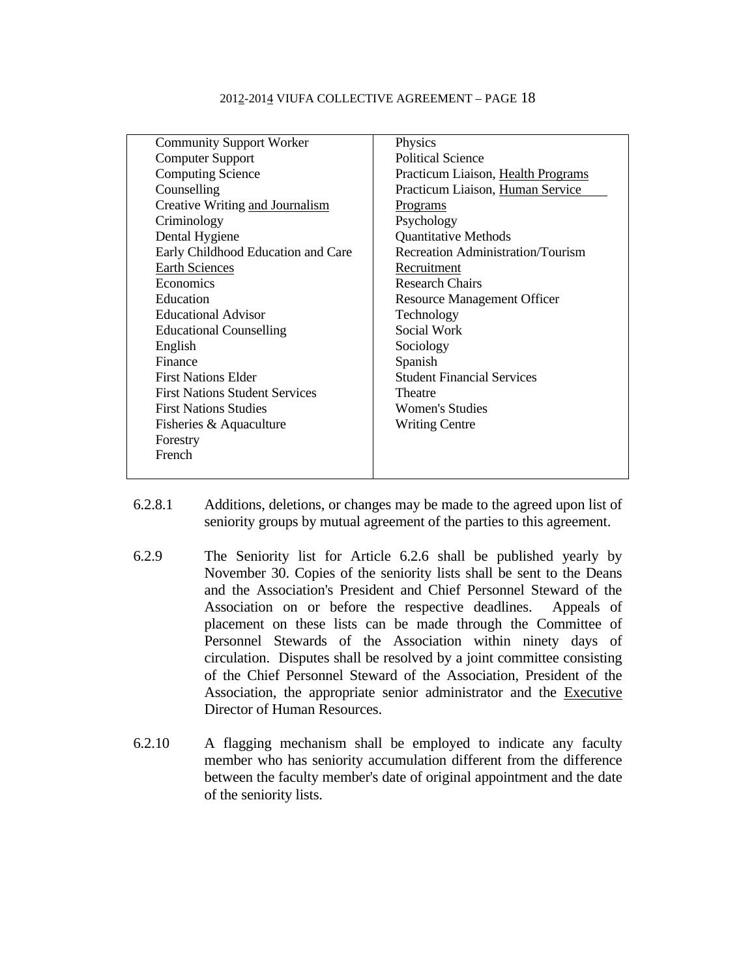| <b>Community Support Worker</b>       | Physics                            |
|---------------------------------------|------------------------------------|
| <b>Computer Support</b>               | <b>Political Science</b>           |
| <b>Computing Science</b>              | Practicum Liaison, Health Programs |
| Counselling                           | Practicum Liaison, Human Service   |
| Creative Writing and Journalism       | <u>Programs</u>                    |
| Criminology                           | Psychology                         |
| Dental Hygiene                        | <b>Quantitative Methods</b>        |
| Early Childhood Education and Care    | Recreation Administration/Tourism  |
| <b>Earth Sciences</b>                 | Recruitment                        |
| Economics                             | <b>Research Chairs</b>             |
| Education                             | <b>Resource Management Officer</b> |
| <b>Educational Advisor</b>            | Technology                         |
| <b>Educational Counselling</b>        | Social Work                        |
| English                               | Sociology                          |
| Finance                               | Spanish                            |
| <b>First Nations Elder</b>            | <b>Student Financial Services</b>  |
| <b>First Nations Student Services</b> | Theatre                            |
| <b>First Nations Studies</b>          | Women's Studies                    |
| Fisheries & Aquaculture               | <b>Writing Centre</b>              |
| Forestry                              |                                    |
| French                                |                                    |
|                                       |                                    |

- 6.2.8.1 Additions, deletions, or changes may be made to the agreed upon list of seniority groups by mutual agreement of the parties to this agreement.
- 6.2.9 The Seniority list for Article 6.2.6 shall be published yearly by November 30. Copies of the seniority lists shall be sent to the Deans and the Association's President and Chief Personnel Steward of the Association on or before the respective deadlines. Appeals of placement on these lists can be made through the Committee of Personnel Stewards of the Association within ninety days of circulation. Disputes shall be resolved by a joint committee consisting of the Chief Personnel Steward of the Association, President of the Association, the appropriate senior administrator and the Executive Director of Human Resources.
- 6.2.10 A flagging mechanism shall be employed to indicate any faculty member who has seniority accumulation different from the difference between the faculty member's date of original appointment and the date of the seniority lists.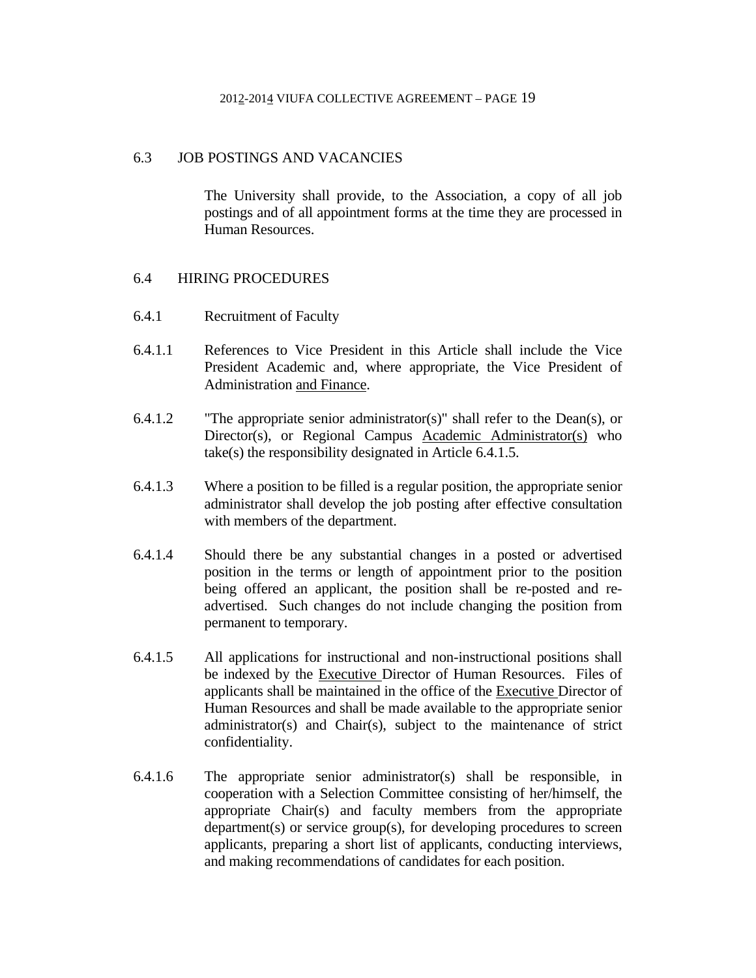### 6.3 JOB POSTINGS AND VACANCIES

 The University shall provide, to the Association, a copy of all job postings and of all appointment forms at the time they are processed in Human Resources.

## 6.4 HIRING PROCEDURES

- 6.4.1 Recruitment of Faculty
- 6.4.1.1 References to Vice President in this Article shall include the Vice President Academic and, where appropriate, the Vice President of Administration and Finance.
- 6.4.1.2 "The appropriate senior administrator(s)" shall refer to the Dean(s), or Director(s), or Regional Campus Academic Administrator(s) who take(s) the responsibility designated in Article 6.4.1.5.
- 6.4.1.3 Where a position to be filled is a regular position, the appropriate senior administrator shall develop the job posting after effective consultation with members of the department.
- 6.4.1.4 Should there be any substantial changes in a posted or advertised position in the terms or length of appointment prior to the position being offered an applicant, the position shall be re-posted and readvertised. Such changes do not include changing the position from permanent to temporary.
- 6.4.1.5 All applications for instructional and non-instructional positions shall be indexed by the Executive Director of Human Resources. Files of applicants shall be maintained in the office of the Executive Director of Human Resources and shall be made available to the appropriate senior administrator(s) and Chair(s), subject to the maintenance of strict confidentiality.
- 6.4.1.6 The appropriate senior administrator(s) shall be responsible, in cooperation with a Selection Committee consisting of her/himself, the appropriate Chair(s) and faculty members from the appropriate department(s) or service group(s), for developing procedures to screen applicants, preparing a short list of applicants, conducting interviews, and making recommendations of candidates for each position.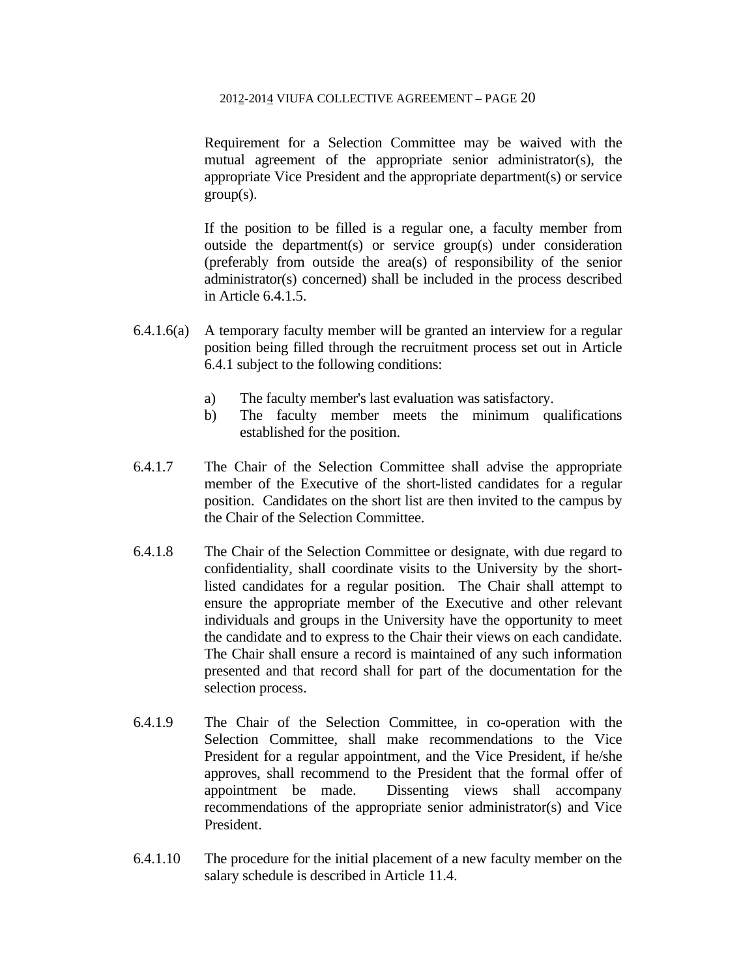Requirement for a Selection Committee may be waived with the mutual agreement of the appropriate senior administrator(s), the appropriate Vice President and the appropriate department(s) or service  $group(s)$ .

 If the position to be filled is a regular one, a faculty member from outside the department(s) or service group(s) under consideration (preferably from outside the area(s) of responsibility of the senior administrator(s) concerned) shall be included in the process described in Article 6.4.1.5.

- 6.4.1.6(a) A temporary faculty member will be granted an interview for a regular position being filled through the recruitment process set out in Article 6.4.1 subject to the following conditions:
	- a) The faculty member's last evaluation was satisfactory.
	- b) The faculty member meets the minimum qualifications established for the position.
- 6.4.1.7 The Chair of the Selection Committee shall advise the appropriate member of the Executive of the short-listed candidates for a regular position. Candidates on the short list are then invited to the campus by the Chair of the Selection Committee.
- 6.4.1.8 The Chair of the Selection Committee or designate, with due regard to confidentiality, shall coordinate visits to the University by the shortlisted candidates for a regular position. The Chair shall attempt to ensure the appropriate member of the Executive and other relevant individuals and groups in the University have the opportunity to meet the candidate and to express to the Chair their views on each candidate. The Chair shall ensure a record is maintained of any such information presented and that record shall for part of the documentation for the selection process.
- 6.4.1.9 The Chair of the Selection Committee, in co-operation with the Selection Committee, shall make recommendations to the Vice President for a regular appointment, and the Vice President, if he/she approves, shall recommend to the President that the formal offer of appointment be made. Dissenting views shall accompany recommendations of the appropriate senior administrator(s) and Vice President.
- 6.4.1.10 The procedure for the initial placement of a new faculty member on the salary schedule is described in Article 11.4.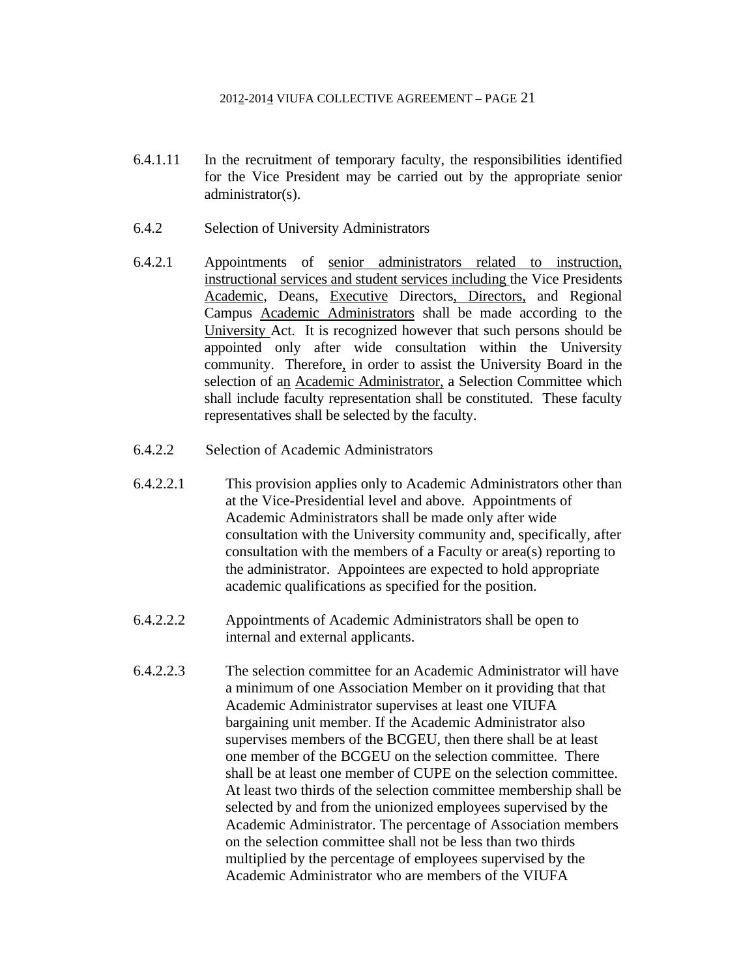- 6.4.1.11 In the recruitment of temporary faculty, the responsibilities identified for the Vice President may be carried out by the appropriate senior administrator(s).
- 6.4.2 Selection of University Administrators
- 6.4.2.1 Appointments of senior administrators related to instruction, instructional services and student services including the Vice Presidents Academic, Deans, Executive Directors, Directors, and Regional Campus Academic Administrators shall be made according to the University Act. It is recognized however that such persons should be appointed only after wide consultation within the University community. Therefore, in order to assist the University Board in the selection of an **Academic Administrator**, a Selection Committee which shall include faculty representation shall be constituted. These faculty representatives shall be selected by the faculty.
- 6.4.2.2 Selection of Academic Administrators
- 6.4.2.2.1 This provision applies only to Academic Administrators other than at the Vice-Presidential level and above. Appointments of Academic Administrators shall be made only after wide consultation with the University community and, specifically, after consultation with the members of a Faculty or area(s) reporting to the administrator. Appointees are expected to hold appropriate academic qualifications as specified for the position.
- 6.4.2.2.2 Appointments of Academic Administrators shall be open to internal and external applicants.
- 6.4.2.2.3 The selection committee for an Academic Administrator will have a minimum of one Association Member on it providing that that Academic Administrator supervises at least one VIUFA bargaining unit member. If the Academic Administrator also supervises members of the BCGEU, then there shall be at least one member of the BCGEU on the selection committee. There shall be at least one member of CUPE on the selection committee. At least two thirds of the selection committee membership shall be selected by and from the unionized employees supervised by the Academic Administrator. The percentage of Association members on the selection committee shall not be less than two thirds multiplied by the percentage of employees supervised by the Academic Administrator who are members of the VIUFA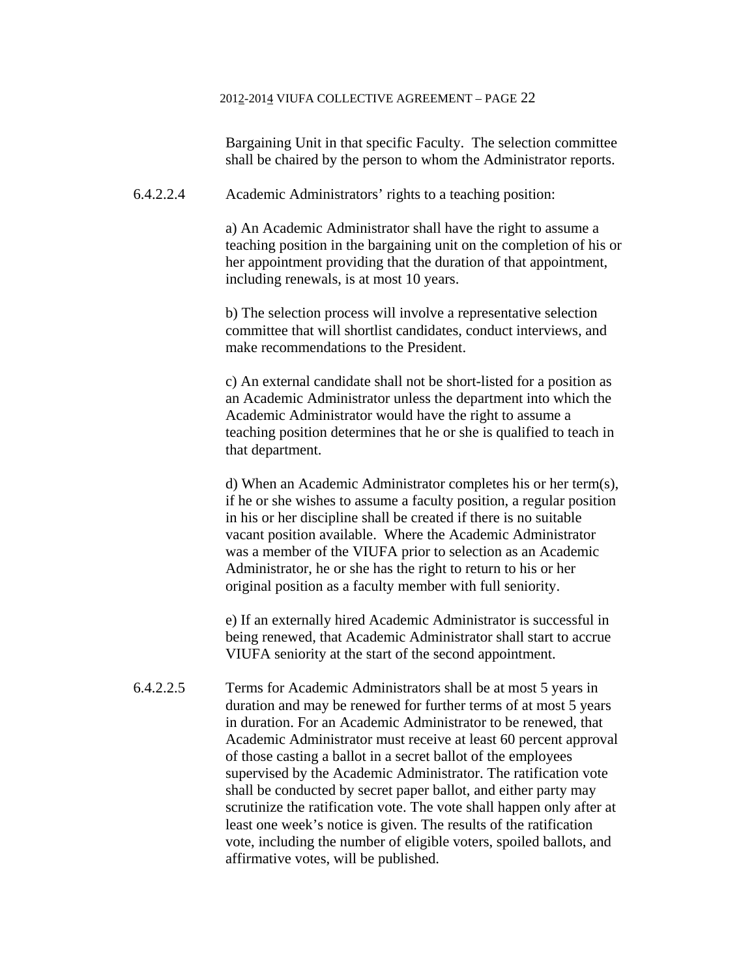Bargaining Unit in that specific Faculty. The selection committee shall be chaired by the person to whom the Administrator reports.

6.4.2.2.4 Academic Administrators' rights to a teaching position:

a) An Academic Administrator shall have the right to assume a teaching position in the bargaining unit on the completion of his or her appointment providing that the duration of that appointment, including renewals, is at most 10 years.

b) The selection process will involve a representative selection committee that will shortlist candidates, conduct interviews, and make recommendations to the President.

c) An external candidate shall not be short-listed for a position as an Academic Administrator unless the department into which the Academic Administrator would have the right to assume a teaching position determines that he or she is qualified to teach in that department.

d) When an Academic Administrator completes his or her term(s), if he or she wishes to assume a faculty position, a regular position in his or her discipline shall be created if there is no suitable vacant position available. Where the Academic Administrator was a member of the VIUFA prior to selection as an Academic Administrator, he or she has the right to return to his or her original position as a faculty member with full seniority.

e) If an externally hired Academic Administrator is successful in being renewed, that Academic Administrator shall start to accrue VIUFA seniority at the start of the second appointment.

6.4.2.2.5 Terms for Academic Administrators shall be at most 5 years in duration and may be renewed for further terms of at most 5 years in duration. For an Academic Administrator to be renewed, that Academic Administrator must receive at least 60 percent approval of those casting a ballot in a secret ballot of the employees supervised by the Academic Administrator. The ratification vote shall be conducted by secret paper ballot, and either party may scrutinize the ratification vote. The vote shall happen only after at least one week's notice is given. The results of the ratification vote, including the number of eligible voters, spoiled ballots, and affirmative votes, will be published.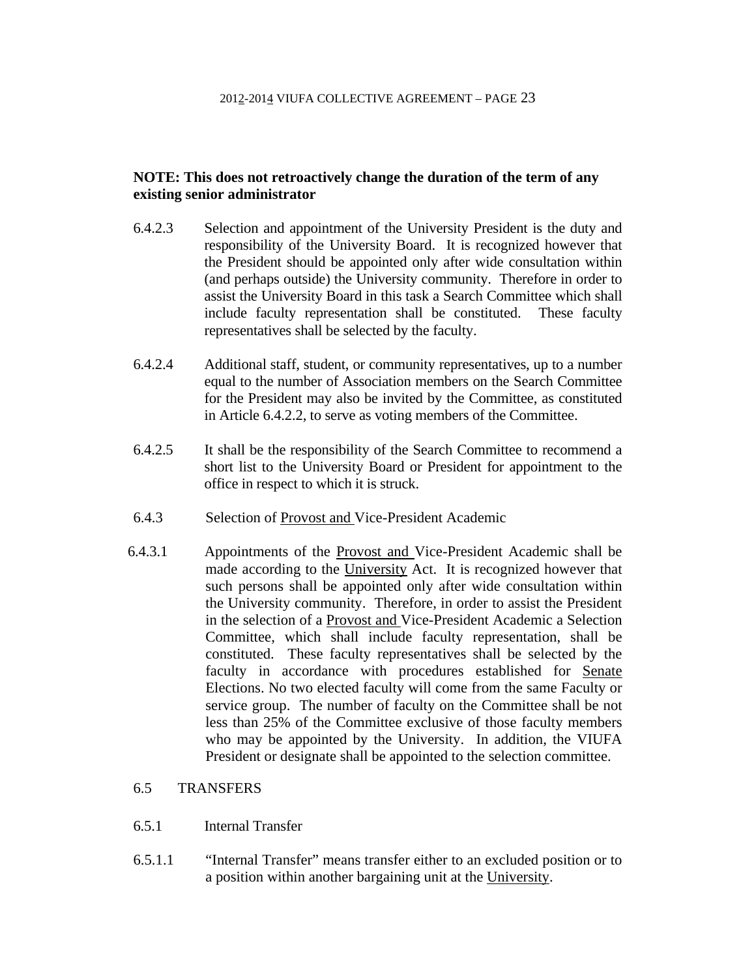## **NOTE: This does not retroactively change the duration of the term of any existing senior administrator**

- 6.4.2.3 Selection and appointment of the University President is the duty and responsibility of the University Board. It is recognized however that the President should be appointed only after wide consultation within (and perhaps outside) the University community. Therefore in order to assist the University Board in this task a Search Committee which shall include faculty representation shall be constituted. These faculty representatives shall be selected by the faculty.
- 6.4.2.4 Additional staff, student, or community representatives, up to a number equal to the number of Association members on the Search Committee for the President may also be invited by the Committee, as constituted in Article 6.4.2.2, to serve as voting members of the Committee.
- 6.4.2.5 It shall be the responsibility of the Search Committee to recommend a short list to the University Board or President for appointment to the office in respect to which it is struck.
- 6.4.3 Selection of Provost and Vice-President Academic
- 6.4.3.1 Appointments of the Provost and Vice-President Academic shall be made according to the University Act. It is recognized however that such persons shall be appointed only after wide consultation within the University community. Therefore, in order to assist the President in the selection of a Provost and Vice-President Academic a Selection Committee, which shall include faculty representation, shall be constituted. These faculty representatives shall be selected by the faculty in accordance with procedures established for **Senate** Elections. No two elected faculty will come from the same Faculty or service group. The number of faculty on the Committee shall be not less than 25% of the Committee exclusive of those faculty members who may be appointed by the University. In addition, the VIUFA President or designate shall be appointed to the selection committee.

## 6.5 TRANSFERS

- 6.5.1 Internal Transfer
- 6.5.1.1 "Internal Transfer" means transfer either to an excluded position or to a position within another bargaining unit at the University.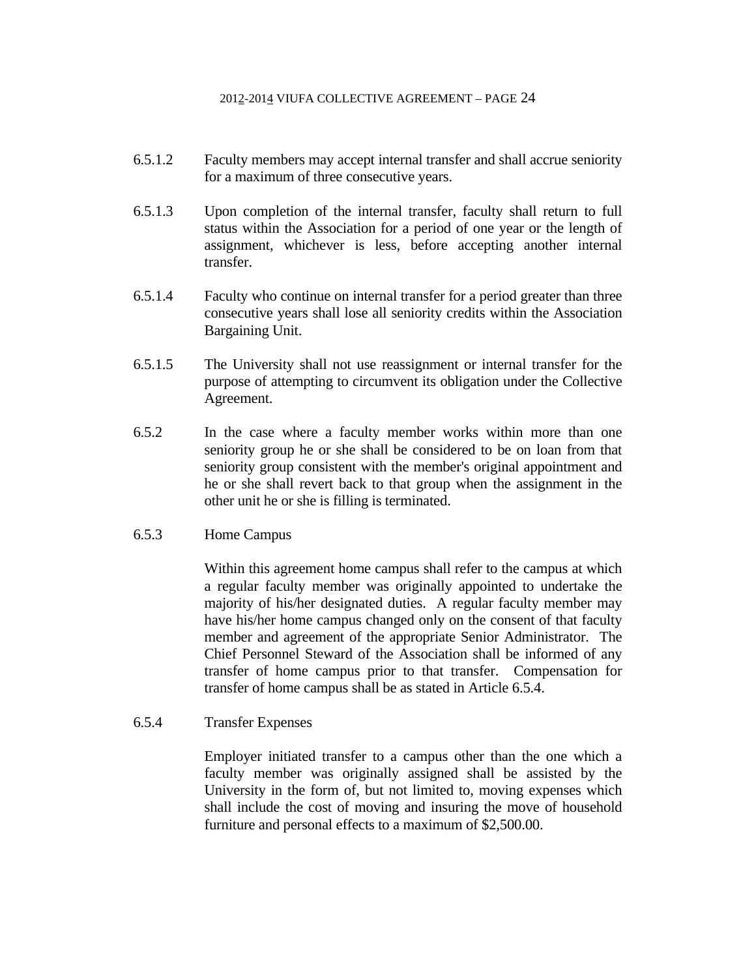- 6.5.1.2 Faculty members may accept internal transfer and shall accrue seniority for a maximum of three consecutive years.
- 6.5.1.3 Upon completion of the internal transfer, faculty shall return to full status within the Association for a period of one year or the length of assignment, whichever is less, before accepting another internal transfer.
- 6.5.1.4 Faculty who continue on internal transfer for a period greater than three consecutive years shall lose all seniority credits within the Association Bargaining Unit.
- 6.5.1.5 The University shall not use reassignment or internal transfer for the purpose of attempting to circumvent its obligation under the Collective Agreement.
- 6.5.2 In the case where a faculty member works within more than one seniority group he or she shall be considered to be on loan from that seniority group consistent with the member's original appointment and he or she shall revert back to that group when the assignment in the other unit he or she is filling is terminated.
- 6.5.3 Home Campus

 Within this agreement home campus shall refer to the campus at which a regular faculty member was originally appointed to undertake the majority of his/her designated duties. A regular faculty member may have his/her home campus changed only on the consent of that faculty member and agreement of the appropriate Senior Administrator. The Chief Personnel Steward of the Association shall be informed of any transfer of home campus prior to that transfer. Compensation for transfer of home campus shall be as stated in Article 6.5.4.

6.5.4 Transfer Expenses

 Employer initiated transfer to a campus other than the one which a faculty member was originally assigned shall be assisted by the University in the form of, but not limited to, moving expenses which shall include the cost of moving and insuring the move of household furniture and personal effects to a maximum of \$2,500.00.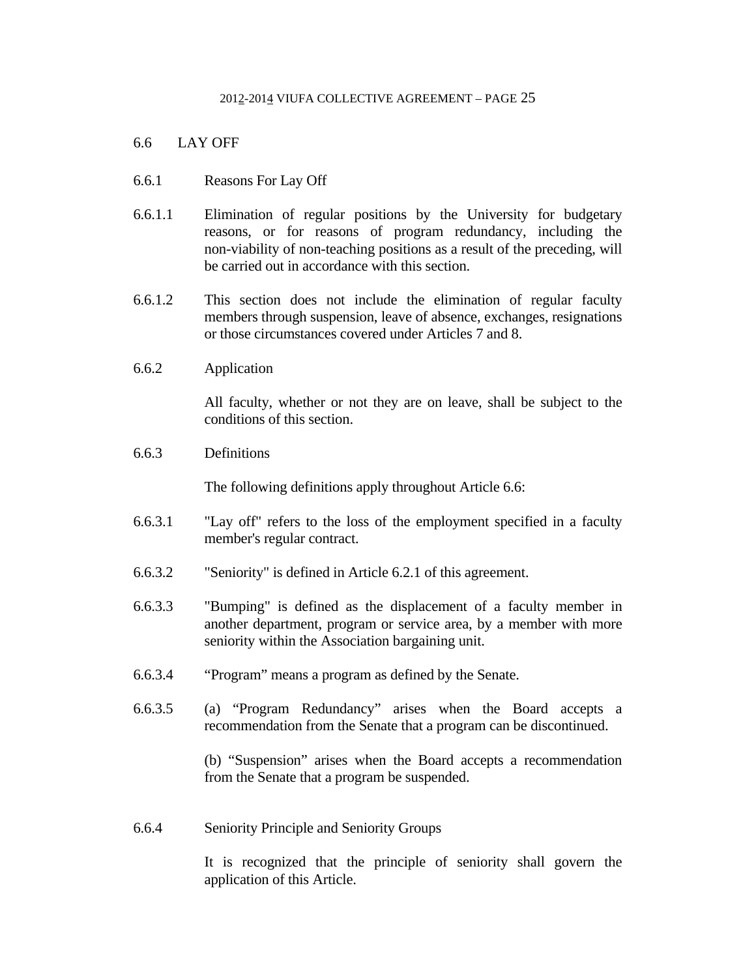## 6.6 LAY OFF

- 6.6.1 Reasons For Lay Off
- 6.6.1.1 Elimination of regular positions by the University for budgetary reasons, or for reasons of program redundancy, including the non-viability of non-teaching positions as a result of the preceding, will be carried out in accordance with this section.
- 6.6.1.2 This section does not include the elimination of regular faculty members through suspension, leave of absence, exchanges, resignations or those circumstances covered under Articles 7 and 8.
- 6.6.2 Application

 All faculty, whether or not they are on leave, shall be subject to the conditions of this section.

6.6.3 Definitions

The following definitions apply throughout Article 6.6:

- 6.6.3.1 "Lay off" refers to the loss of the employment specified in a faculty member's regular contract.
- 6.6.3.2 "Seniority" is defined in Article 6.2.1 of this agreement.
- 6.6.3.3 "Bumping" is defined as the displacement of a faculty member in another department, program or service area, by a member with more seniority within the Association bargaining unit.
- 6.6.3.4 "Program" means a program as defined by the Senate.
- 6.6.3.5 (a) "Program Redundancy" arises when the Board accepts a recommendation from the Senate that a program can be discontinued.

 (b) "Suspension" arises when the Board accepts a recommendation from the Senate that a program be suspended.

6.6.4 Seniority Principle and Seniority Groups

 It is recognized that the principle of seniority shall govern the application of this Article.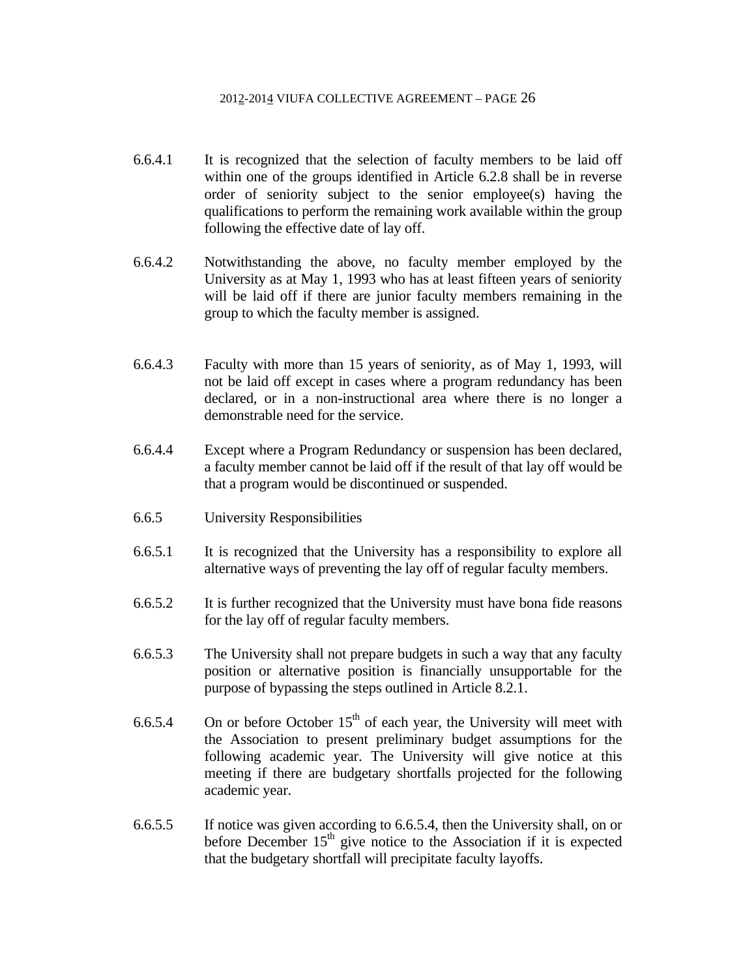- 6.6.4.1 It is recognized that the selection of faculty members to be laid off within one of the groups identified in Article 6.2.8 shall be in reverse order of seniority subject to the senior employee(s) having the qualifications to perform the remaining work available within the group following the effective date of lay off.
- 6.6.4.2 Notwithstanding the above, no faculty member employed by the University as at May 1, 1993 who has at least fifteen years of seniority will be laid off if there are junior faculty members remaining in the group to which the faculty member is assigned.
- 6.6.4.3 Faculty with more than 15 years of seniority, as of May 1, 1993, will not be laid off except in cases where a program redundancy has been declared, or in a non-instructional area where there is no longer a demonstrable need for the service.
- 6.6.4.4 Except where a Program Redundancy or suspension has been declared, a faculty member cannot be laid off if the result of that lay off would be that a program would be discontinued or suspended.
- 6.6.5 University Responsibilities
- 6.6.5.1 It is recognized that the University has a responsibility to explore all alternative ways of preventing the lay off of regular faculty members.
- 6.6.5.2 It is further recognized that the University must have bona fide reasons for the lay off of regular faculty members.
- 6.6.5.3 The University shall not prepare budgets in such a way that any faculty position or alternative position is financially unsupportable for the purpose of bypassing the steps outlined in Article 8.2.1.
- 6.6.5.4 On or before October  $15<sup>th</sup>$  of each year, the University will meet with the Association to present preliminary budget assumptions for the following academic year. The University will give notice at this meeting if there are budgetary shortfalls projected for the following academic year.
- 6.6.5.5 If notice was given according to 6.6.5.4, then the University shall, on or before December  $15<sup>th</sup>$  give notice to the Association if it is expected that the budgetary shortfall will precipitate faculty layoffs.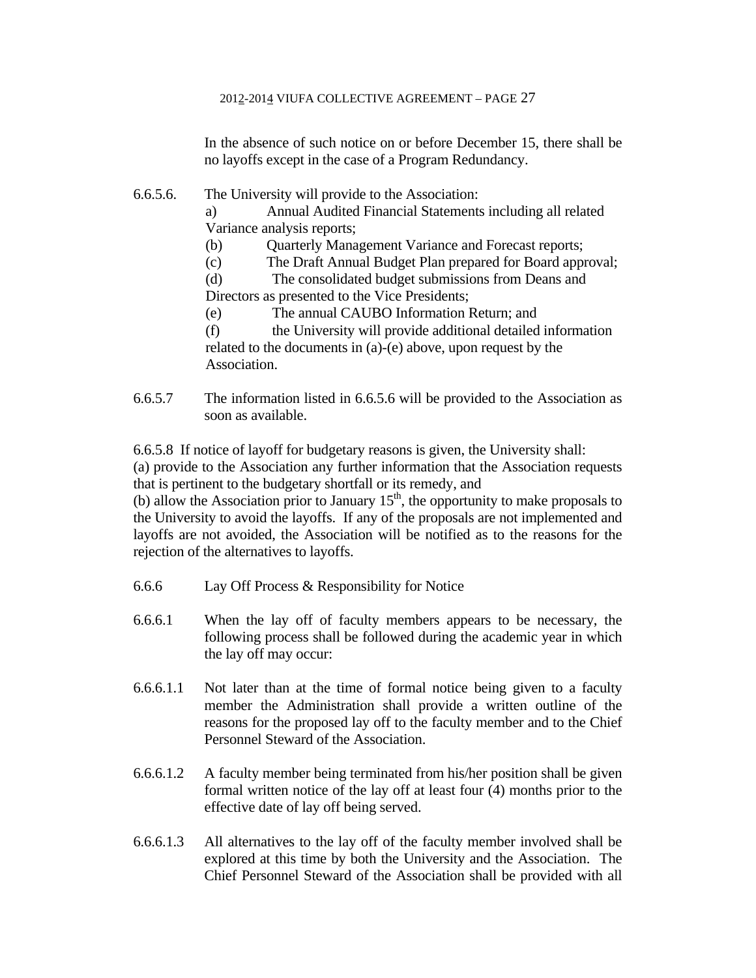In the absence of such notice on or before December 15, there shall be no layoffs except in the case of a Program Redundancy.

# 6.6.5.6. The University will provide to the Association:

a) Annual Audited Financial Statements including all related Variance analysis reports;

- (b) Quarterly Management Variance and Forecast reports;
- (c) The Draft Annual Budget Plan prepared for Board approval;

(d) The consolidated budget submissions from Deans and Directors as presented to the Vice Presidents;

(e) The annual CAUBO Information Return; and

(f) the University will provide additional detailed information related to the documents in (a)-(e) above, upon request by the Association.

6.6.5.7 The information listed in 6.6.5.6 will be provided to the Association as soon as available.

6.6.5.8 If notice of layoff for budgetary reasons is given, the University shall: (a) provide to the Association any further information that the Association requests that is pertinent to the budgetary shortfall or its remedy, and

(b) allow the Association prior to January  $15<sup>th</sup>$ , the opportunity to make proposals to the University to avoid the layoffs. If any of the proposals are not implemented and layoffs are not avoided, the Association will be notified as to the reasons for the rejection of the alternatives to layoffs.

- 6.6.6 Lay Off Process & Responsibility for Notice
- 6.6.6.1 When the lay off of faculty members appears to be necessary, the following process shall be followed during the academic year in which the lay off may occur:
- 6.6.6.1.1 Not later than at the time of formal notice being given to a faculty member the Administration shall provide a written outline of the reasons for the proposed lay off to the faculty member and to the Chief Personnel Steward of the Association.
- 6.6.6.1.2 A faculty member being terminated from his/her position shall be given formal written notice of the lay off at least four (4) months prior to the effective date of lay off being served.
- 6.6.6.1.3 All alternatives to the lay off of the faculty member involved shall be explored at this time by both the University and the Association. The Chief Personnel Steward of the Association shall be provided with all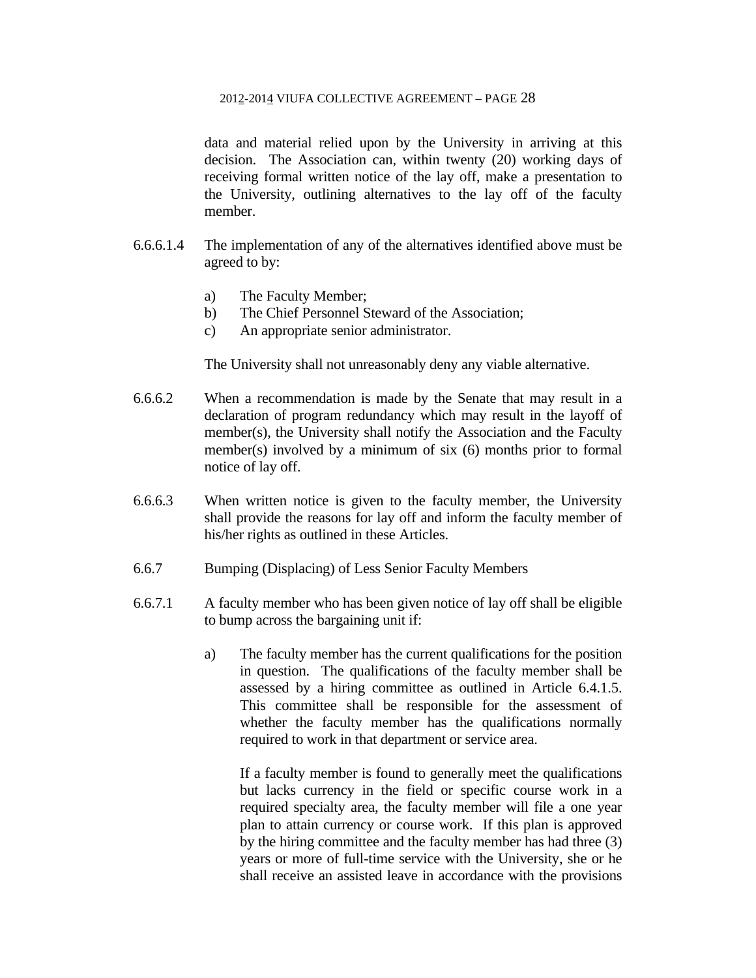data and material relied upon by the University in arriving at this decision. The Association can, within twenty (20) working days of receiving formal written notice of the lay off, make a presentation to the University, outlining alternatives to the lay off of the faculty member.

- 6.6.6.1.4 The implementation of any of the alternatives identified above must be agreed to by:
	- a) The Faculty Member;
	- b) The Chief Personnel Steward of the Association;
	- c) An appropriate senior administrator.

The University shall not unreasonably deny any viable alternative.

- 6.6.6.2 When a recommendation is made by the Senate that may result in a declaration of program redundancy which may result in the layoff of member(s), the University shall notify the Association and the Faculty member(s) involved by a minimum of six (6) months prior to formal notice of lay off.
- 6.6.6.3 When written notice is given to the faculty member, the University shall provide the reasons for lay off and inform the faculty member of his/her rights as outlined in these Articles.
- 6.6.7 Bumping (Displacing) of Less Senior Faculty Members
- 6.6.7.1 A faculty member who has been given notice of lay off shall be eligible to bump across the bargaining unit if:
	- a) The faculty member has the current qualifications for the position in question. The qualifications of the faculty member shall be assessed by a hiring committee as outlined in Article 6.4.1.5. This committee shall be responsible for the assessment of whether the faculty member has the qualifications normally required to work in that department or service area.

 If a faculty member is found to generally meet the qualifications but lacks currency in the field or specific course work in a required specialty area, the faculty member will file a one year plan to attain currency or course work. If this plan is approved by the hiring committee and the faculty member has had three (3) years or more of full-time service with the University, she or he shall receive an assisted leave in accordance with the provisions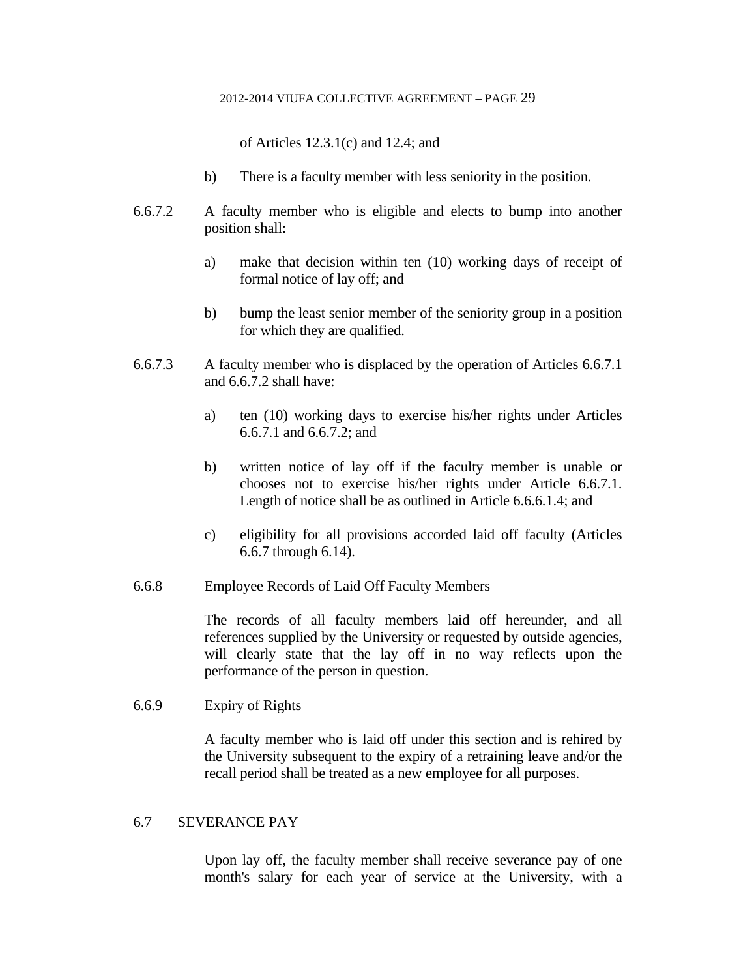of Articles 12.3.1(c) and 12.4; and

- b) There is a faculty member with less seniority in the position.
- 6.6.7.2 A faculty member who is eligible and elects to bump into another position shall:
	- a) make that decision within ten (10) working days of receipt of formal notice of lay off; and
	- b) bump the least senior member of the seniority group in a position for which they are qualified.
- 6.6.7.3 A faculty member who is displaced by the operation of Articles 6.6.7.1 and 6.6.7.2 shall have:
	- a) ten (10) working days to exercise his/her rights under Articles 6.6.7.1 and 6.6.7.2; and
	- b) written notice of lay off if the faculty member is unable or chooses not to exercise his/her rights under Article 6.6.7.1. Length of notice shall be as outlined in Article 6.6.6.1.4; and
	- c) eligibility for all provisions accorded laid off faculty (Articles 6.6.7 through 6.14).
- 6.6.8 Employee Records of Laid Off Faculty Members

 The records of all faculty members laid off hereunder, and all references supplied by the University or requested by outside agencies, will clearly state that the lay off in no way reflects upon the performance of the person in question.

6.6.9 Expiry of Rights

 A faculty member who is laid off under this section and is rehired by the University subsequent to the expiry of a retraining leave and/or the recall period shall be treated as a new employee for all purposes.

## 6.7 SEVERANCE PAY

 Upon lay off, the faculty member shall receive severance pay of one month's salary for each year of service at the University, with a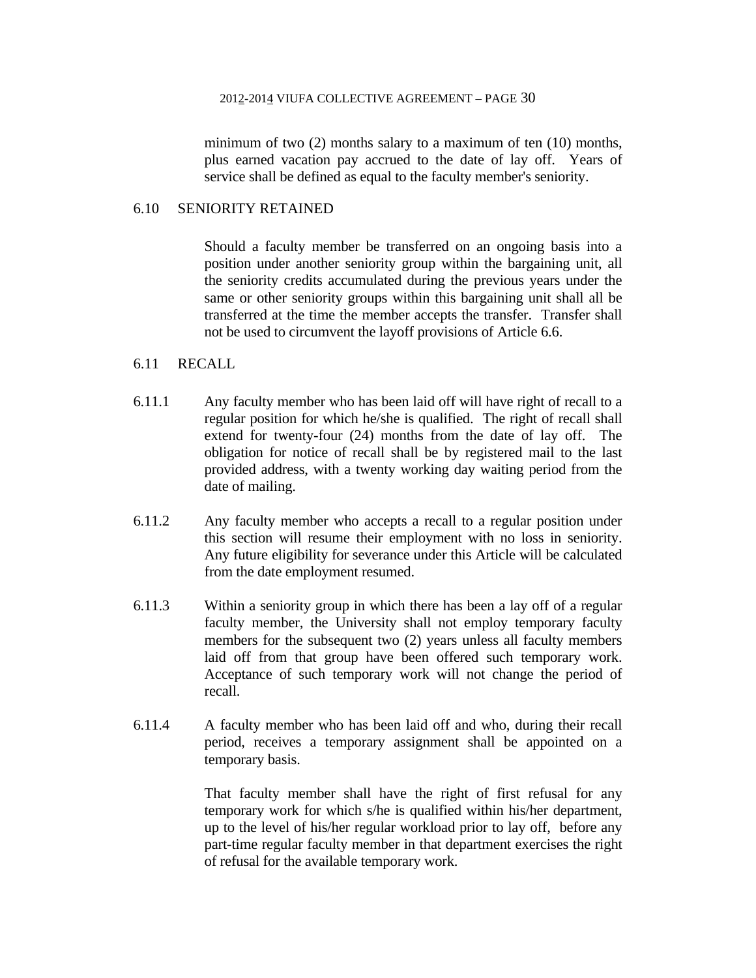minimum of two (2) months salary to a maximum of ten (10) months, plus earned vacation pay accrued to the date of lay off. Years of service shall be defined as equal to the faculty member's seniority.

#### 6.10 SENIORITY RETAINED

 Should a faculty member be transferred on an ongoing basis into a position under another seniority group within the bargaining unit, all the seniority credits accumulated during the previous years under the same or other seniority groups within this bargaining unit shall all be transferred at the time the member accepts the transfer. Transfer shall not be used to circumvent the layoff provisions of Article 6.6.

### 6.11 RECALL

- 6.11.1 Any faculty member who has been laid off will have right of recall to a regular position for which he/she is qualified. The right of recall shall extend for twenty-four (24) months from the date of lay off. The obligation for notice of recall shall be by registered mail to the last provided address, with a twenty working day waiting period from the date of mailing.
- 6.11.2 Any faculty member who accepts a recall to a regular position under this section will resume their employment with no loss in seniority. Any future eligibility for severance under this Article will be calculated from the date employment resumed.
- 6.11.3 Within a seniority group in which there has been a lay off of a regular faculty member, the University shall not employ temporary faculty members for the subsequent two (2) years unless all faculty members laid off from that group have been offered such temporary work. Acceptance of such temporary work will not change the period of recall.
- 6.11.4 A faculty member who has been laid off and who, during their recall period, receives a temporary assignment shall be appointed on a temporary basis.

 That faculty member shall have the right of first refusal for any temporary work for which s/he is qualified within his/her department, up to the level of his/her regular workload prior to lay off, before any part-time regular faculty member in that department exercises the right of refusal for the available temporary work.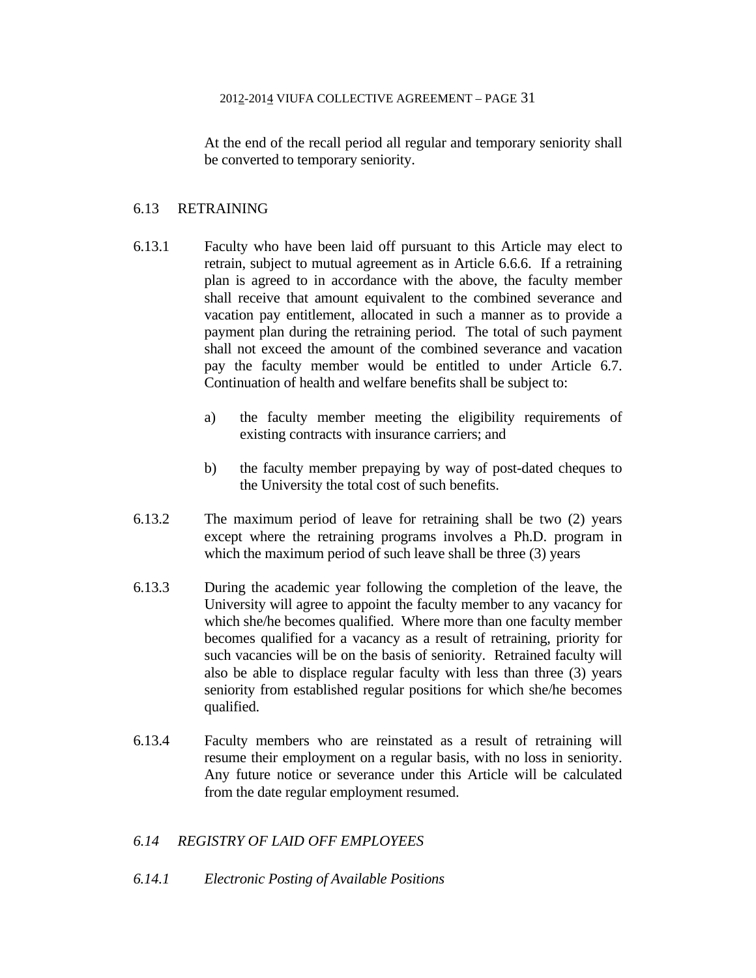At the end of the recall period all regular and temporary seniority shall be converted to temporary seniority.

## 6.13 RETRAINING

- 6.13.1 Faculty who have been laid off pursuant to this Article may elect to retrain, subject to mutual agreement as in Article 6.6.6. If a retraining plan is agreed to in accordance with the above, the faculty member shall receive that amount equivalent to the combined severance and vacation pay entitlement, allocated in such a manner as to provide a payment plan during the retraining period. The total of such payment shall not exceed the amount of the combined severance and vacation pay the faculty member would be entitled to under Article 6.7. Continuation of health and welfare benefits shall be subject to:
	- a) the faculty member meeting the eligibility requirements of existing contracts with insurance carriers; and
	- b) the faculty member prepaying by way of post-dated cheques to the University the total cost of such benefits.
- 6.13.2 The maximum period of leave for retraining shall be two (2) years except where the retraining programs involves a Ph.D. program in which the maximum period of such leave shall be three (3) years
- 6.13.3 During the academic year following the completion of the leave, the University will agree to appoint the faculty member to any vacancy for which she/he becomes qualified. Where more than one faculty member becomes qualified for a vacancy as a result of retraining, priority for such vacancies will be on the basis of seniority. Retrained faculty will also be able to displace regular faculty with less than three (3) years seniority from established regular positions for which she/he becomes qualified.
- 6.13.4 Faculty members who are reinstated as a result of retraining will resume their employment on a regular basis, with no loss in seniority. Any future notice or severance under this Article will be calculated from the date regular employment resumed.

## *6.14 REGISTRY OF LAID OFF EMPLOYEES*

*6.14.1 Electronic Posting of Available Positions*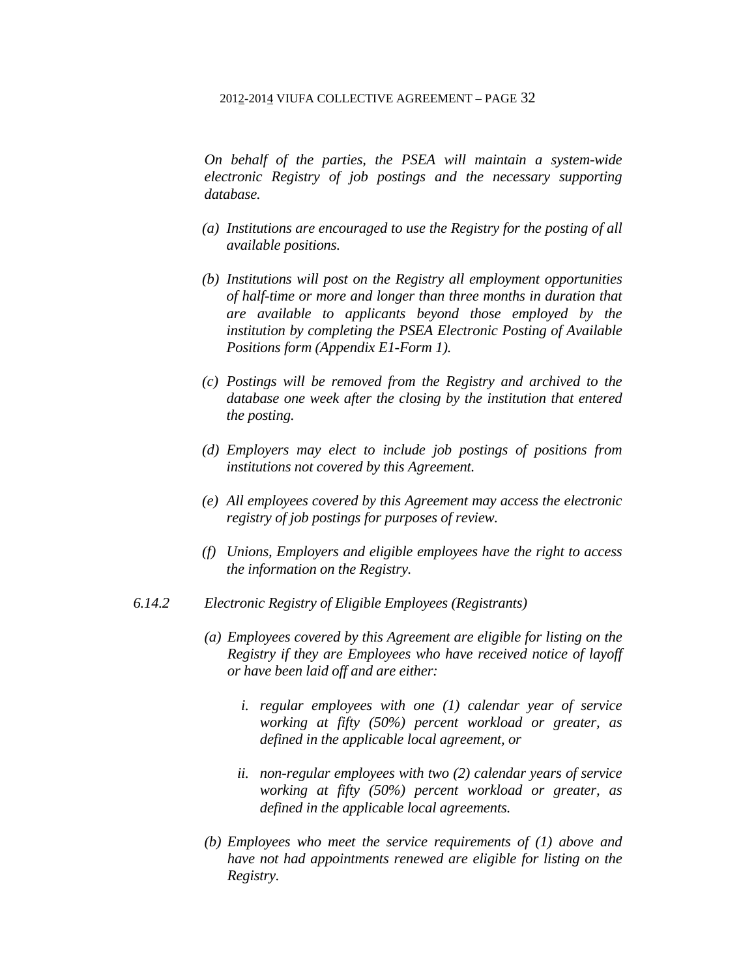*On behalf of the parties, the PSEA will maintain a system-wide electronic Registry of job postings and the necessary supporting database.* 

- *(a) Institutions are encouraged to use the Registry for the posting of all available positions.*
- *(b) Institutions will post on the Registry all employment opportunities of half-time or more and longer than three months in duration that are available to applicants beyond those employed by the institution by completing the PSEA Electronic Posting of Available Positions form (Appendix E1-Form 1).*
- *(c) Postings will be removed from the Registry and archived to the database one week after the closing by the institution that entered the posting.*
- *(d) Employers may elect to include job postings of positions from institutions not covered by this Agreement.*
- *(e) All employees covered by this Agreement may access the electronic registry of job postings for purposes of review.*
- *(f) Unions, Employers and eligible employees have the right to access the information on the Registry.*
- *6.14.2 Electronic Registry of Eligible Employees (Registrants)* 
	- *(a) Employees covered by this Agreement are eligible for listing on the Registry if they are Employees who have received notice of layoff or have been laid off and are either:* 
		- *i. regular employees with one (1) calendar year of service working at fifty (50%) percent workload or greater, as defined in the applicable local agreement, or*
		- *ii. non-regular employees with two (2) calendar years of service working at fifty (50%) percent workload or greater, as defined in the applicable local agreements.*
	- *(b) Employees who meet the service requirements of (1) above and have not had appointments renewed are eligible for listing on the Registry.*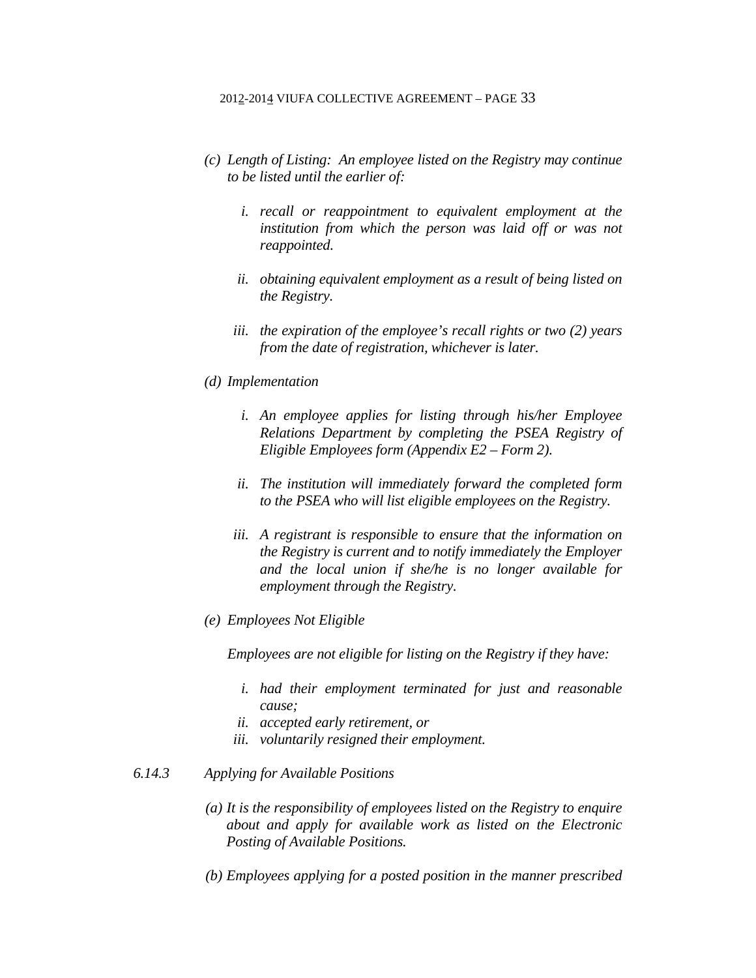- *(c) Length of Listing: An employee listed on the Registry may continue to be listed until the earlier of:* 
	- *i. recall or reappointment to equivalent employment at the institution from which the person was laid off or was not reappointed.*
	- *ii. obtaining equivalent employment as a result of being listed on the Registry.*
	- *iii. the expiration of the employee's recall rights or two (2) years from the date of registration, whichever is later.*

#### *(d) Implementation*

- *i. An employee applies for listing through his/her Employee Relations Department by completing the PSEA Registry of Eligible Employees form (Appendix E2 – Form 2).*
- *ii. The institution will immediately forward the completed form to the PSEA who will list eligible employees on the Registry.*
- *iii. A registrant is responsible to ensure that the information on the Registry is current and to notify immediately the Employer and the local union if she/he is no longer available for employment through the Registry.*
- *(e) Employees Not Eligible*

*Employees are not eligible for listing on the Registry if they have:* 

- *i. had their employment terminated for just and reasonable cause;*
- *ii. accepted early retirement, or*
- *iii. voluntarily resigned their employment.*

### *6.14.3 Applying for Available Positions*

- *(a) It is the responsibility of employees listed on the Registry to enquire about and apply for available work as listed on the Electronic Posting of Available Positions.*
- *(b) Employees applying for a posted position in the manner prescribed*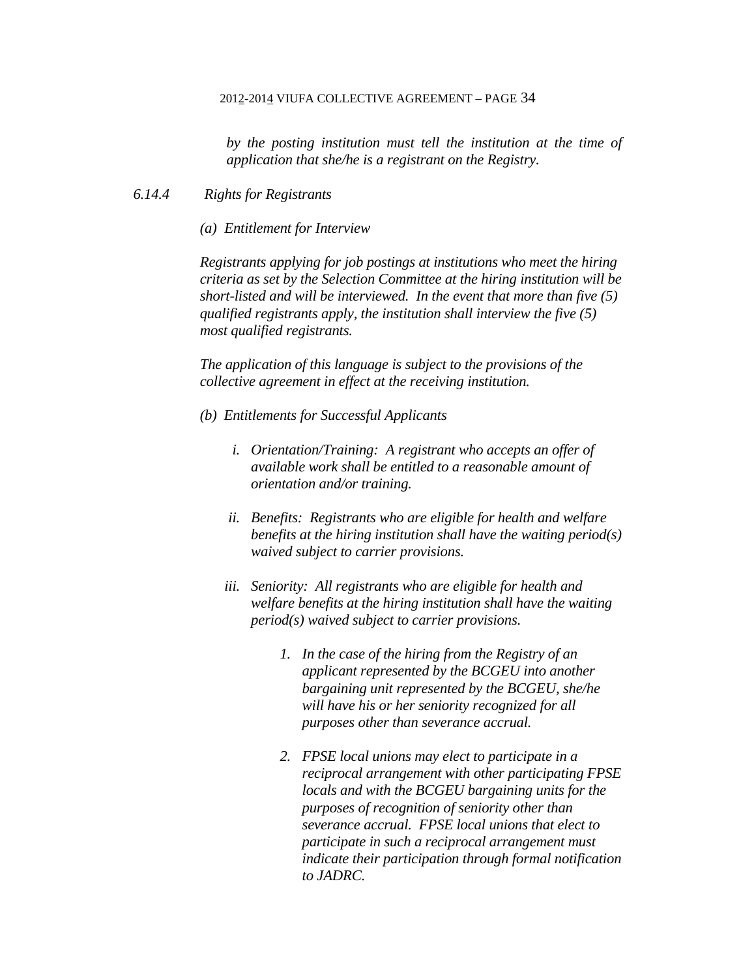*by the posting institution must tell the institution at the time of application that she/he is a registrant on the Registry.* 

## *6.14.4 Rights for Registrants*

*(a) Entitlement for Interview* 

*Registrants applying for job postings at institutions who meet the hiring criteria as set by the Selection Committee at the hiring institution will be short-listed and will be interviewed. In the event that more than five (5) qualified registrants apply, the institution shall interview the five (5) most qualified registrants.* 

*The application of this language is subject to the provisions of the collective agreement in effect at the receiving institution.* 

- *(b) Entitlements for Successful Applicants* 
	- *i. Orientation/Training: A registrant who accepts an offer of available work shall be entitled to a reasonable amount of orientation and/or training.*
	- *ii. Benefits: Registrants who are eligible for health and welfare benefits at the hiring institution shall have the waiting period(s) waived subject to carrier provisions.*
	- *iii. Seniority: All registrants who are eligible for health and welfare benefits at the hiring institution shall have the waiting period(s) waived subject to carrier provisions.* 
		- *1. In the case of the hiring from the Registry of an applicant represented by the BCGEU into another bargaining unit represented by the BCGEU, she/he will have his or her seniority recognized for all purposes other than severance accrual.*
		- *2. FPSE local unions may elect to participate in a reciprocal arrangement with other participating FPSE locals and with the BCGEU bargaining units for the purposes of recognition of seniority other than severance accrual. FPSE local unions that elect to participate in such a reciprocal arrangement must indicate their participation through formal notification to JADRC.*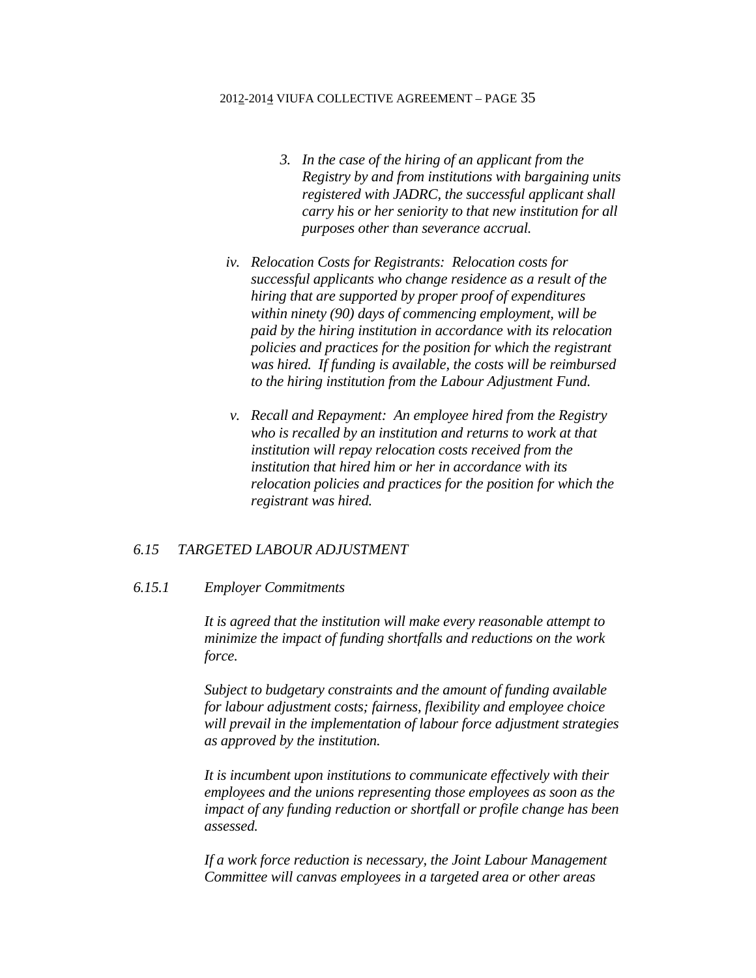- *3. In the case of the hiring of an applicant from the Registry by and from institutions with bargaining units registered with JADRC, the successful applicant shall carry his or her seniority to that new institution for all purposes other than severance accrual.*
- *iv. Relocation Costs for Registrants: Relocation costs for successful applicants who change residence as a result of the hiring that are supported by proper proof of expenditures within ninety (90) days of commencing employment, will be paid by the hiring institution in accordance with its relocation policies and practices for the position for which the registrant was hired. If funding is available, the costs will be reimbursed to the hiring institution from the Labour Adjustment Fund.*
- *v. Recall and Repayment: An employee hired from the Registry who is recalled by an institution and returns to work at that institution will repay relocation costs received from the institution that hired him or her in accordance with its relocation policies and practices for the position for which the registrant was hired.*

### *6.15 TARGETED LABOUR ADJUSTMENT*

### *6.15.1 Employer Commitments*

*It is agreed that the institution will make every reasonable attempt to minimize the impact of funding shortfalls and reductions on the work force.* 

*Subject to budgetary constraints and the amount of funding available for labour adjustment costs; fairness, flexibility and employee choice will prevail in the implementation of labour force adjustment strategies as approved by the institution.* 

*It is incumbent upon institutions to communicate effectively with their employees and the unions representing those employees as soon as the impact of any funding reduction or shortfall or profile change has been assessed.* 

*If a work force reduction is necessary, the Joint Labour Management Committee will canvas employees in a targeted area or other areas*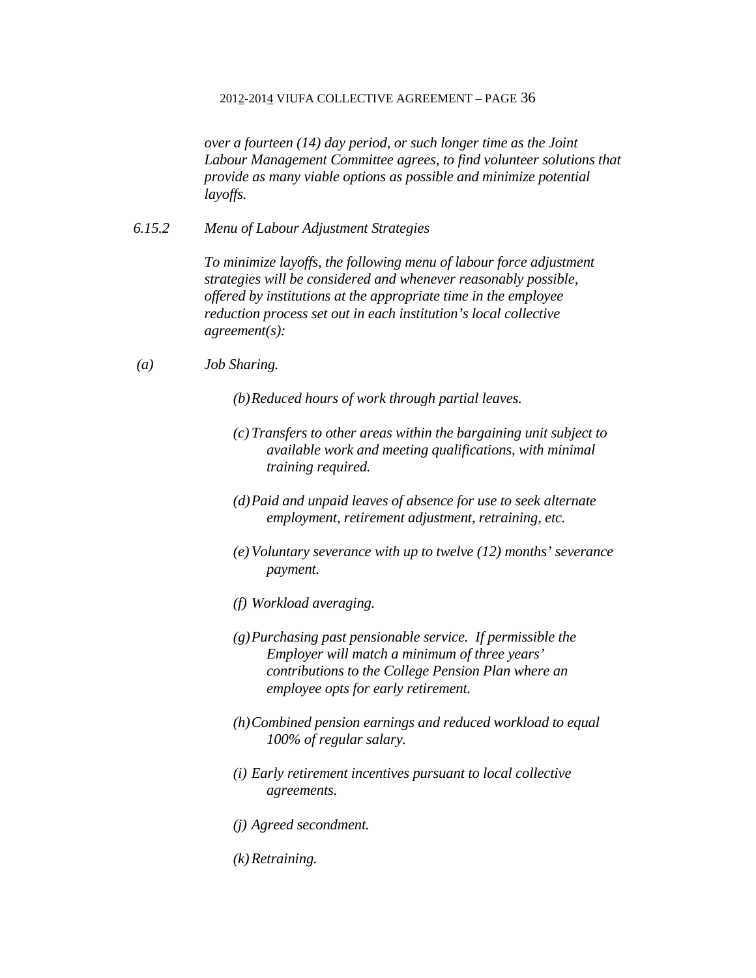*over a fourteen (14) day period, or such longer time as the Joint Labour Management Committee agrees, to find volunteer solutions that provide as many viable options as possible and minimize potential layoffs.* 

*6.15.2 Menu of Labour Adjustment Strategies* 

*To minimize layoffs, the following menu of labour force adjustment strategies will be considered and whenever reasonably possible, offered by institutions at the appropriate time in the employee reduction process set out in each institution's local collective agreement(s):* 

- *(a) Job Sharing.* 
	- *(b)Reduced hours of work through partial leaves.*
	- *(c)Transfers to other areas within the bargaining unit subject to available work and meeting qualifications, with minimal training required.*
	- *(d)Paid and unpaid leaves of absence for use to seek alternate employment, retirement adjustment, retraining, etc.*
	- *(e)Voluntary severance with up to twelve (12) months' severance payment.*
	- *(f) Workload averaging.*
	- *(g)Purchasing past pensionable service. If permissible the Employer will match a minimum of three years' contributions to the College Pension Plan where an employee opts for early retirement.*
	- *(h)Combined pension earnings and reduced workload to equal 100% of regular salary.*
	- *(i) Early retirement incentives pursuant to local collective agreements.*
	- *(j) Agreed secondment.*
	- *(k)Retraining.*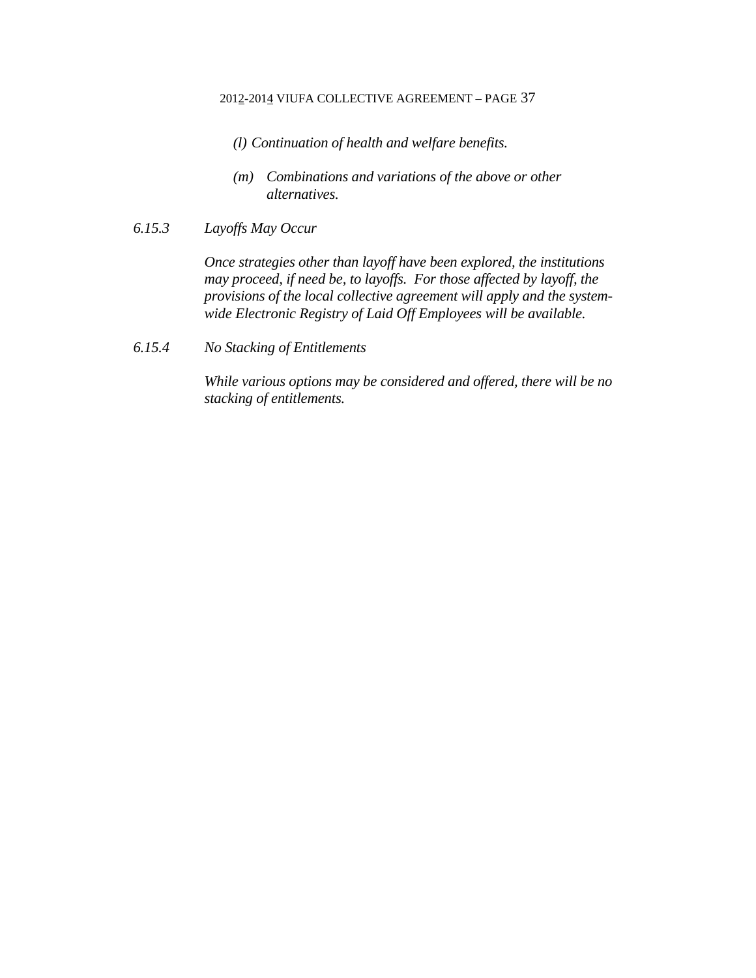- *(l) Continuation of health and welfare benefits.*
- *(m) Combinations and variations of the above or other alternatives.*
- *6.15.3 Layoffs May Occur*

*Once strategies other than layoff have been explored, the institutions may proceed, if need be, to layoffs. For those affected by layoff, the provisions of the local collective agreement will apply and the systemwide Electronic Registry of Laid Off Employees will be available.* 

*6.15.4 No Stacking of Entitlements* 

*While various options may be considered and offered, there will be no stacking of entitlements.*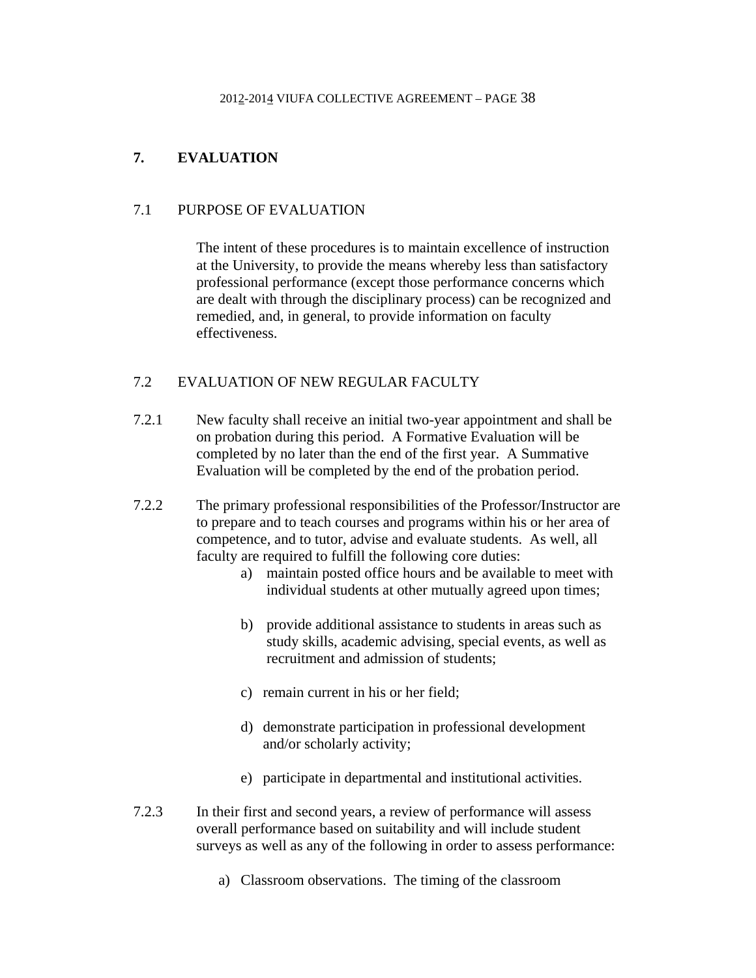# **7. EVALUATION**

## 7.1 PURPOSE OF EVALUATION

 The intent of these procedures is to maintain excellence of instruction at the University, to provide the means whereby less than satisfactory professional performance (except those performance concerns which are dealt with through the disciplinary process) can be recognized and remedied, and, in general, to provide information on faculty effectiveness.

# 7.2 EVALUATION OF NEW REGULAR FACULTY

- 7.2.1 New faculty shall receive an initial two-year appointment and shall be on probation during this period. A Formative Evaluation will be completed by no later than the end of the first year. A Summative Evaluation will be completed by the end of the probation period.
- 7.2.2 The primary professional responsibilities of the Professor/Instructor are to prepare and to teach courses and programs within his or her area of competence, and to tutor, advise and evaluate students. As well, all faculty are required to fulfill the following core duties:
	- a) maintain posted office hours and be available to meet with individual students at other mutually agreed upon times;
	- b) provide additional assistance to students in areas such as study skills, academic advising, special events, as well as recruitment and admission of students;
	- c) remain current in his or her field;
	- d) demonstrate participation in professional development and/or scholarly activity;
	- e) participate in departmental and institutional activities.
- 7.2.3 In their first and second years, a review of performance will assess overall performance based on suitability and will include student surveys as well as any of the following in order to assess performance:
	- a) Classroom observations. The timing of the classroom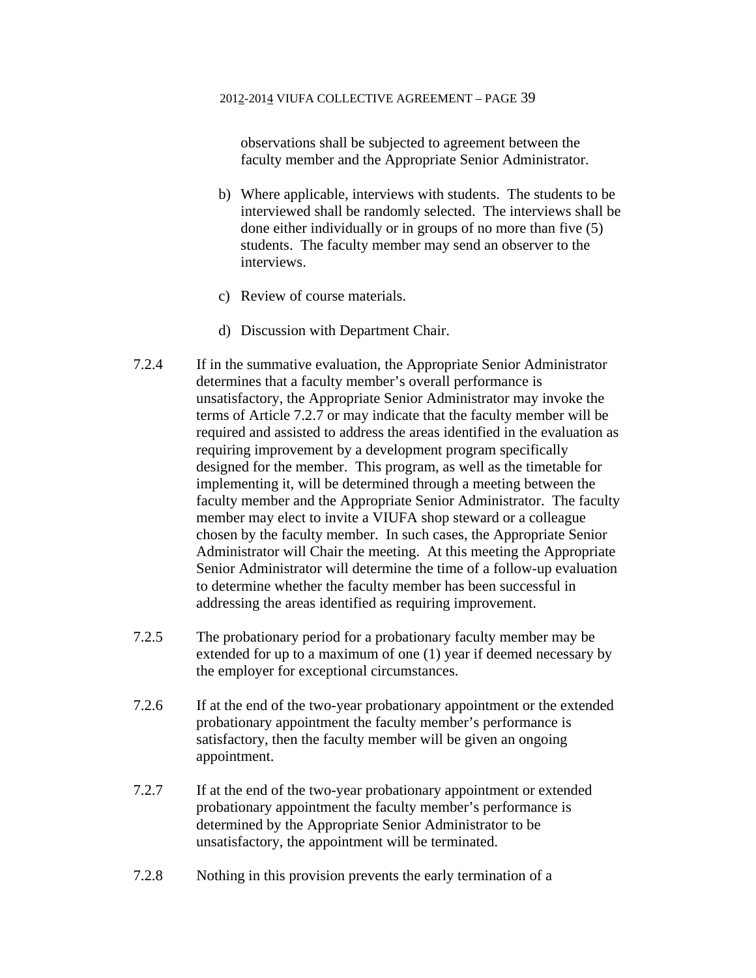observations shall be subjected to agreement between the faculty member and the Appropriate Senior Administrator.

- b) Where applicable, interviews with students. The students to be interviewed shall be randomly selected. The interviews shall be done either individually or in groups of no more than five (5) students. The faculty member may send an observer to the interviews.
- c) Review of course materials.
- d) Discussion with Department Chair.
- 7.2.4 If in the summative evaluation, the Appropriate Senior Administrator determines that a faculty member's overall performance is unsatisfactory, the Appropriate Senior Administrator may invoke the terms of Article 7.2.7 or may indicate that the faculty member will be required and assisted to address the areas identified in the evaluation as requiring improvement by a development program specifically designed for the member. This program, as well as the timetable for implementing it, will be determined through a meeting between the faculty member and the Appropriate Senior Administrator. The faculty member may elect to invite a VIUFA shop steward or a colleague chosen by the faculty member. In such cases, the Appropriate Senior Administrator will Chair the meeting. At this meeting the Appropriate Senior Administrator will determine the time of a follow-up evaluation to determine whether the faculty member has been successful in addressing the areas identified as requiring improvement.
- 7.2.5 The probationary period for a probationary faculty member may be extended for up to a maximum of one (1) year if deemed necessary by the employer for exceptional circumstances.
- 7.2.6 If at the end of the two-year probationary appointment or the extended probationary appointment the faculty member's performance is satisfactory, then the faculty member will be given an ongoing appointment.
- 7.2.7 If at the end of the two-year probationary appointment or extended probationary appointment the faculty member's performance is determined by the Appropriate Senior Administrator to be unsatisfactory, the appointment will be terminated.
- 7.2.8 Nothing in this provision prevents the early termination of a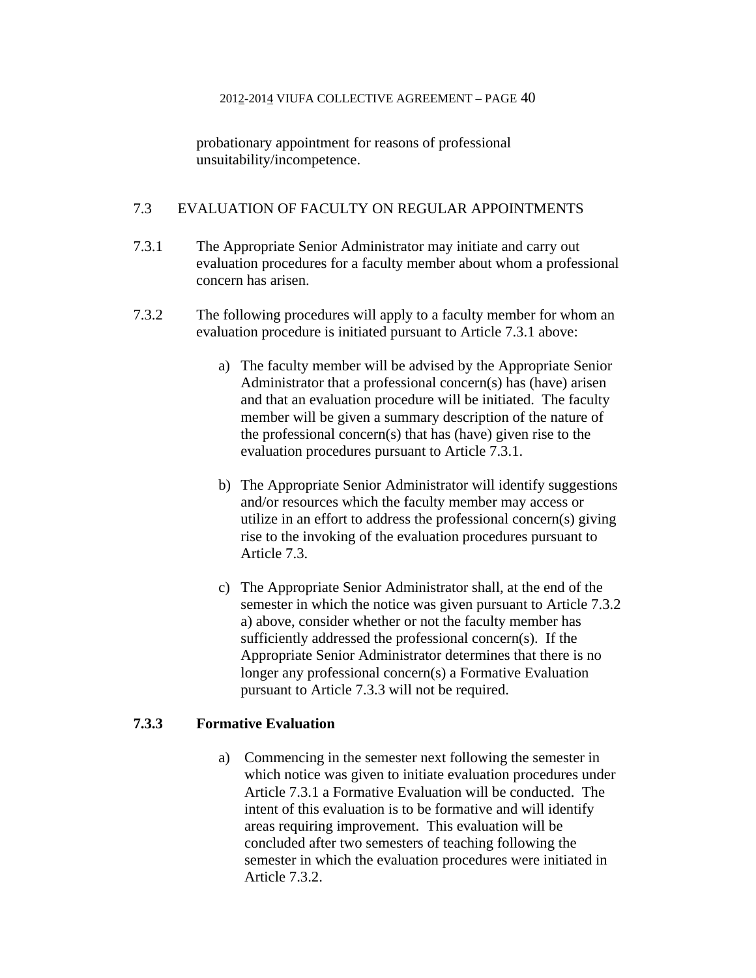probationary appointment for reasons of professional unsuitability/incompetence.

## 7.3 EVALUATION OF FACULTY ON REGULAR APPOINTMENTS

- 7.3.1 The Appropriate Senior Administrator may initiate and carry out evaluation procedures for a faculty member about whom a professional concern has arisen.
- 7.3.2 The following procedures will apply to a faculty member for whom an evaluation procedure is initiated pursuant to Article 7.3.1 above:
	- a) The faculty member will be advised by the Appropriate Senior Administrator that a professional concern(s) has (have) arisen and that an evaluation procedure will be initiated. The faculty member will be given a summary description of the nature of the professional concern(s) that has (have) given rise to the evaluation procedures pursuant to Article 7.3.1.
	- b) The Appropriate Senior Administrator will identify suggestions and/or resources which the faculty member may access or utilize in an effort to address the professional concern(s) giving rise to the invoking of the evaluation procedures pursuant to Article 7.3.
	- c) The Appropriate Senior Administrator shall, at the end of the semester in which the notice was given pursuant to Article 7.3.2 a) above, consider whether or not the faculty member has sufficiently addressed the professional concern(s). If the Appropriate Senior Administrator determines that there is no longer any professional concern(s) a Formative Evaluation pursuant to Article 7.3.3 will not be required.

## **7.3.3 Formative Evaluation**

 a) Commencing in the semester next following the semester in which notice was given to initiate evaluation procedures under Article 7.3.1 a Formative Evaluation will be conducted. The intent of this evaluation is to be formative and will identify areas requiring improvement. This evaluation will be concluded after two semesters of teaching following the semester in which the evaluation procedures were initiated in Article 7.3.2.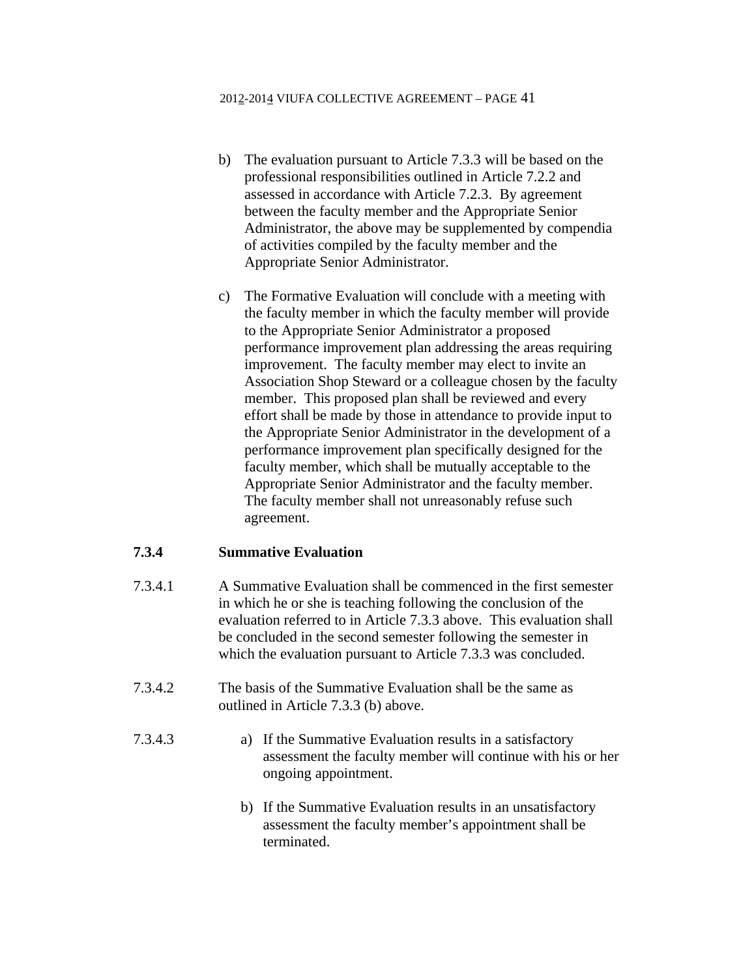- b) The evaluation pursuant to Article 7.3.3 will be based on the professional responsibilities outlined in Article 7.2.2 and assessed in accordance with Article 7.2.3. By agreement between the faculty member and the Appropriate Senior Administrator, the above may be supplemented by compendia of activities compiled by the faculty member and the Appropriate Senior Administrator.
- c) The Formative Evaluation will conclude with a meeting with the faculty member in which the faculty member will provide to the Appropriate Senior Administrator a proposed performance improvement plan addressing the areas requiring improvement. The faculty member may elect to invite an Association Shop Steward or a colleague chosen by the faculty member. This proposed plan shall be reviewed and every effort shall be made by those in attendance to provide input to the Appropriate Senior Administrator in the development of a performance improvement plan specifically designed for the faculty member, which shall be mutually acceptable to the Appropriate Senior Administrator and the faculty member. The faculty member shall not unreasonably refuse such agreement.

## **7.3.4 Summative Evaluation**

- 7.3.4.1 A Summative Evaluation shall be commenced in the first semester in which he or she is teaching following the conclusion of the evaluation referred to in Article 7.3.3 above. This evaluation shall be concluded in the second semester following the semester in which the evaluation pursuant to Article 7.3.3 was concluded.
- 7.3.4.2 The basis of the Summative Evaluation shall be the same as outlined in Article 7.3.3 (b) above.
- 7.3.4.3 a) If the Summative Evaluation results in a satisfactory assessment the faculty member will continue with his or her ongoing appointment.
	- b) If the Summative Evaluation results in an unsatisfactory assessment the faculty member's appointment shall be terminated.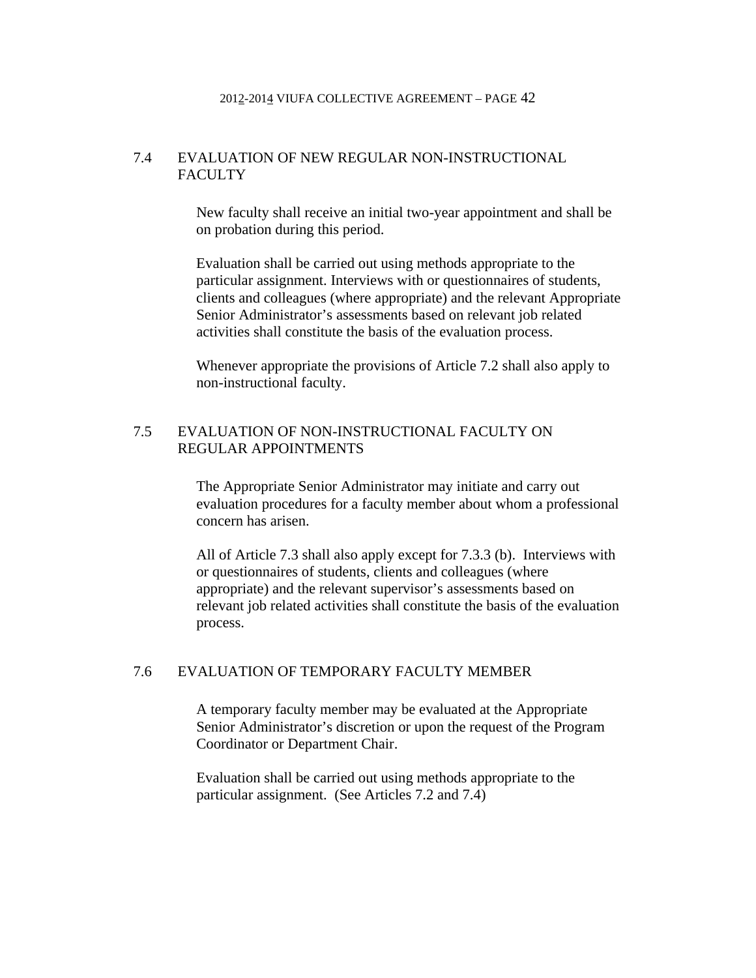## 7.4 EVALUATION OF NEW REGULAR NON-INSTRUCTIONAL FACULTY

 New faculty shall receive an initial two-year appointment and shall be on probation during this period.

Evaluation shall be carried out using methods appropriate to the particular assignment. Interviews with or questionnaires of students, clients and colleagues (where appropriate) and the relevant Appropriate Senior Administrator's assessments based on relevant job related activities shall constitute the basis of the evaluation process.

Whenever appropriate the provisions of Article 7.2 shall also apply to non-instructional faculty.

## 7.5 EVALUATION OF NON-INSTRUCTIONAL FACULTY ON REGULAR APPOINTMENTS

 The Appropriate Senior Administrator may initiate and carry out evaluation procedures for a faculty member about whom a professional concern has arisen.

All of Article 7.3 shall also apply except for 7.3.3 (b). Interviews with or questionnaires of students, clients and colleagues (where appropriate) and the relevant supervisor's assessments based on relevant job related activities shall constitute the basis of the evaluation process.

# 7.6 EVALUATION OF TEMPORARY FACULTY MEMBER

 A temporary faculty member may be evaluated at the Appropriate Senior Administrator's discretion or upon the request of the Program Coordinator or Department Chair.

Evaluation shall be carried out using methods appropriate to the particular assignment. (See Articles 7.2 and 7.4)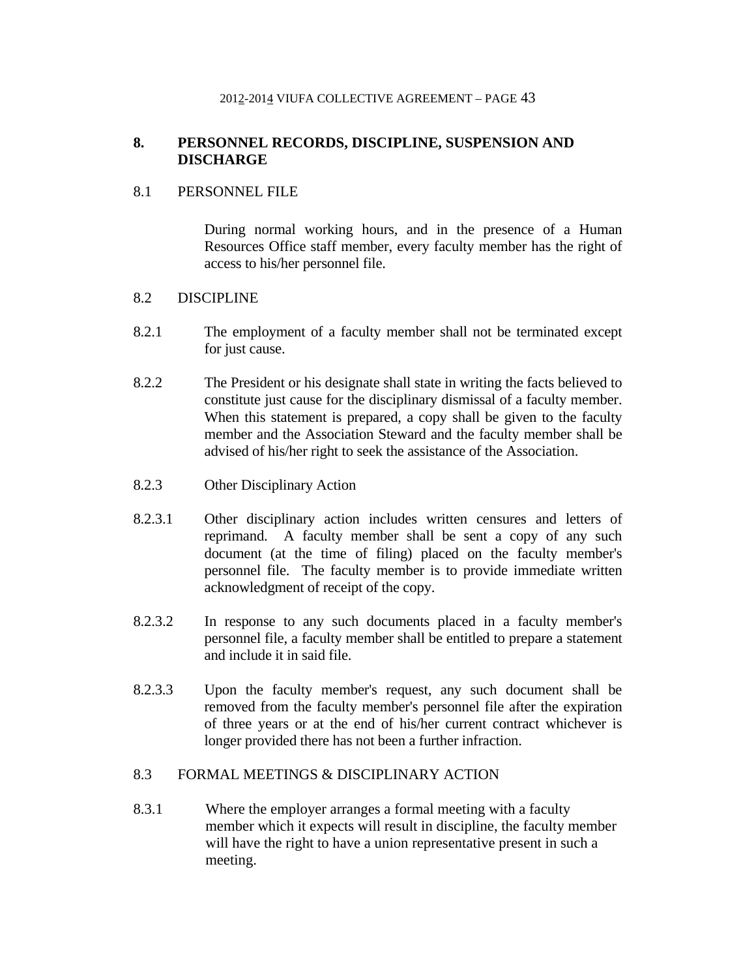# **8. PERSONNEL RECORDS, DISCIPLINE, SUSPENSION AND DISCHARGE**

## 8.1 PERSONNEL FILE

 During normal working hours, and in the presence of a Human Resources Office staff member, every faculty member has the right of access to his/her personnel file.

## 8.2 DISCIPLINE

- 8.2.1 The employment of a faculty member shall not be terminated except for just cause.
- 8.2.2 The President or his designate shall state in writing the facts believed to constitute just cause for the disciplinary dismissal of a faculty member. When this statement is prepared, a copy shall be given to the faculty member and the Association Steward and the faculty member shall be advised of his/her right to seek the assistance of the Association.
- 8.2.3 Other Disciplinary Action
- 8.2.3.1 Other disciplinary action includes written censures and letters of reprimand. A faculty member shall be sent a copy of any such document (at the time of filing) placed on the faculty member's personnel file. The faculty member is to provide immediate written acknowledgment of receipt of the copy.
- 8.2.3.2 In response to any such documents placed in a faculty member's personnel file, a faculty member shall be entitled to prepare a statement and include it in said file.
- 8.2.3.3 Upon the faculty member's request, any such document shall be removed from the faculty member's personnel file after the expiration of three years or at the end of his/her current contract whichever is longer provided there has not been a further infraction.

## 8.3 FORMAL MEETINGS & DISCIPLINARY ACTION

8.3.1 Where the employer arranges a formal meeting with a faculty member which it expects will result in discipline, the faculty member will have the right to have a union representative present in such a meeting.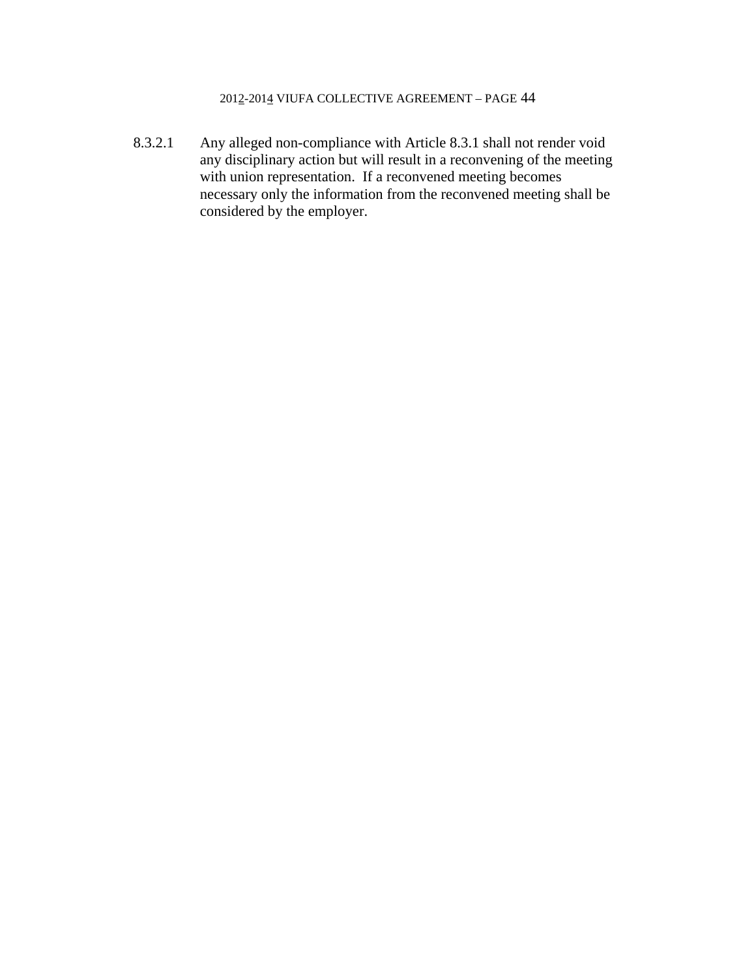8.3.2.1 Any alleged non-compliance with Article 8.3.1 shall not render void any disciplinary action but will result in a reconvening of the meeting with union representation. If a reconvened meeting becomes necessary only the information from the reconvened meeting shall be considered by the employer.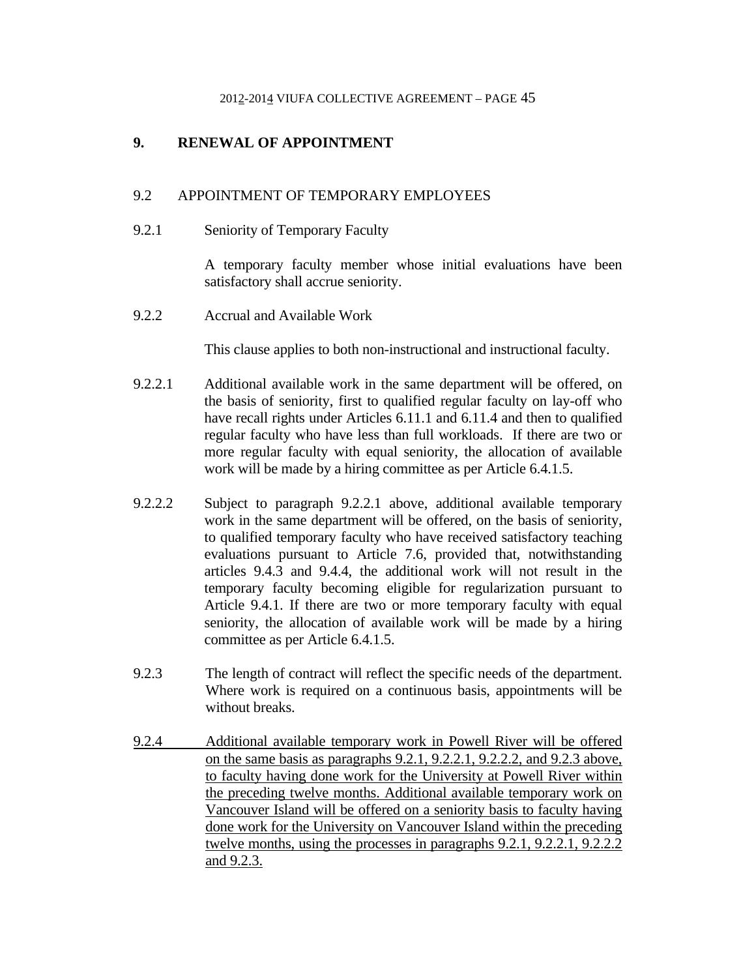# **9. RENEWAL OF APPOINTMENT**

## 9.2 APPOINTMENT OF TEMPORARY EMPLOYEES

### 9.2.1 Seniority of Temporary Faculty

A temporary faculty member whose initial evaluations have been satisfactory shall accrue seniority.

9.2.2 Accrual and Available Work

This clause applies to both non-instructional and instructional faculty.

- 9.2.2.1 Additional available work in the same department will be offered, on the basis of seniority, first to qualified regular faculty on lay-off who have recall rights under Articles 6.11.1 and 6.11.4 and then to qualified regular faculty who have less than full workloads. If there are two or more regular faculty with equal seniority, the allocation of available work will be made by a hiring committee as per Article 6.4.1.5.
- 9.2.2.2 Subject to paragraph 9.2.2.1 above, additional available temporary work in the same department will be offered, on the basis of seniority, to qualified temporary faculty who have received satisfactory teaching evaluations pursuant to Article 7.6, provided that, notwithstanding articles 9.4.3 and 9.4.4, the additional work will not result in the temporary faculty becoming eligible for regularization pursuant to Article 9.4.1. If there are two or more temporary faculty with equal seniority, the allocation of available work will be made by a hiring committee as per Article 6.4.1.5.
- 9.2.3 The length of contract will reflect the specific needs of the department. Where work is required on a continuous basis, appointments will be without breaks.
- 9.2.4 Additional available temporary work in Powell River will be offered on the same basis as paragraphs 9.2.1, 9.2.2.1, 9.2.2.2, and 9.2.3 above, to faculty having done work for the University at Powell River within the preceding twelve months. Additional available temporary work on Vancouver Island will be offered on a seniority basis to faculty having done work for the University on Vancouver Island within the preceding twelve months, using the processes in paragraphs 9.2.1, 9.2.2.1, 9.2.2.2 and 9.2.3.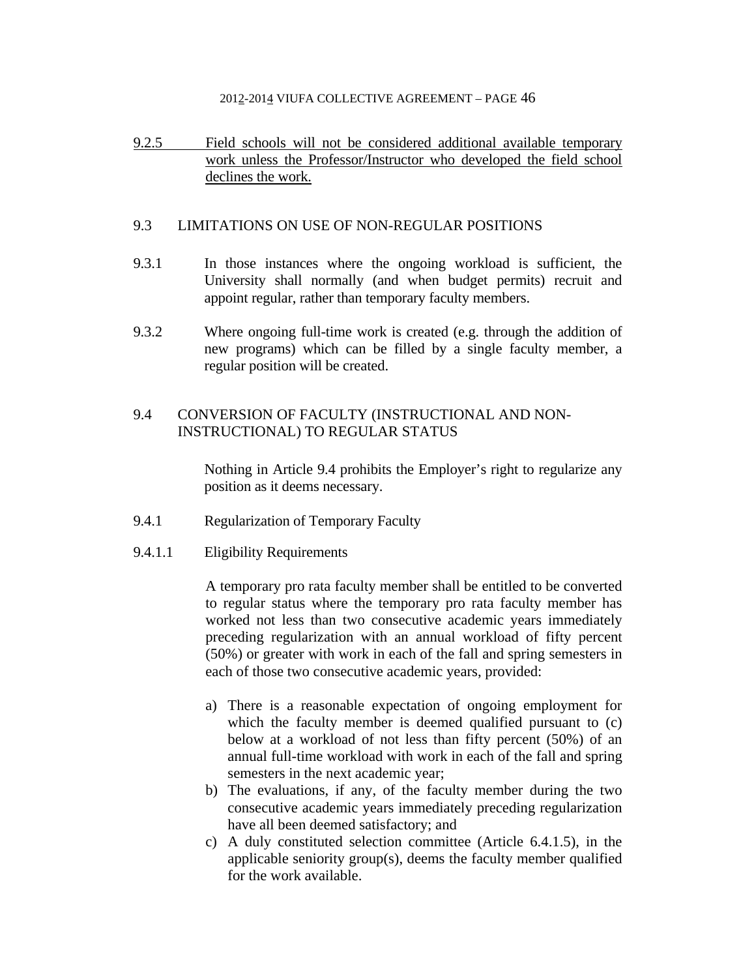9.2.5 Field schools will not be considered additional available temporary work unless the Professor/Instructor who developed the field school declines the work.

## 9.3 LIMITATIONS ON USE OF NON-REGULAR POSITIONS

- 9.3.1 In those instances where the ongoing workload is sufficient, the University shall normally (and when budget permits) recruit and appoint regular, rather than temporary faculty members.
- 9.3.2 Where ongoing full-time work is created (e.g. through the addition of new programs) which can be filled by a single faculty member, a regular position will be created.

## 9.4 CONVERSION OF FACULTY (INSTRUCTIONAL AND NON-INSTRUCTIONAL) TO REGULAR STATUS

 Nothing in Article 9.4 prohibits the Employer's right to regularize any position as it deems necessary.

- 9.4.1 Regularization of Temporary Faculty
- 9.4.1.1 Eligibility Requirements

A temporary pro rata faculty member shall be entitled to be converted to regular status where the temporary pro rata faculty member has worked not less than two consecutive academic years immediately preceding regularization with an annual workload of fifty percent (50%) or greater with work in each of the fall and spring semesters in each of those two consecutive academic years, provided:

- a) There is a reasonable expectation of ongoing employment for which the faculty member is deemed qualified pursuant to (c) below at a workload of not less than fifty percent (50%) of an annual full-time workload with work in each of the fall and spring semesters in the next academic year;
- b) The evaluations, if any, of the faculty member during the two consecutive academic years immediately preceding regularization have all been deemed satisfactory; and
- c) A duly constituted selection committee (Article 6.4.1.5), in the applicable seniority group(s), deems the faculty member qualified for the work available.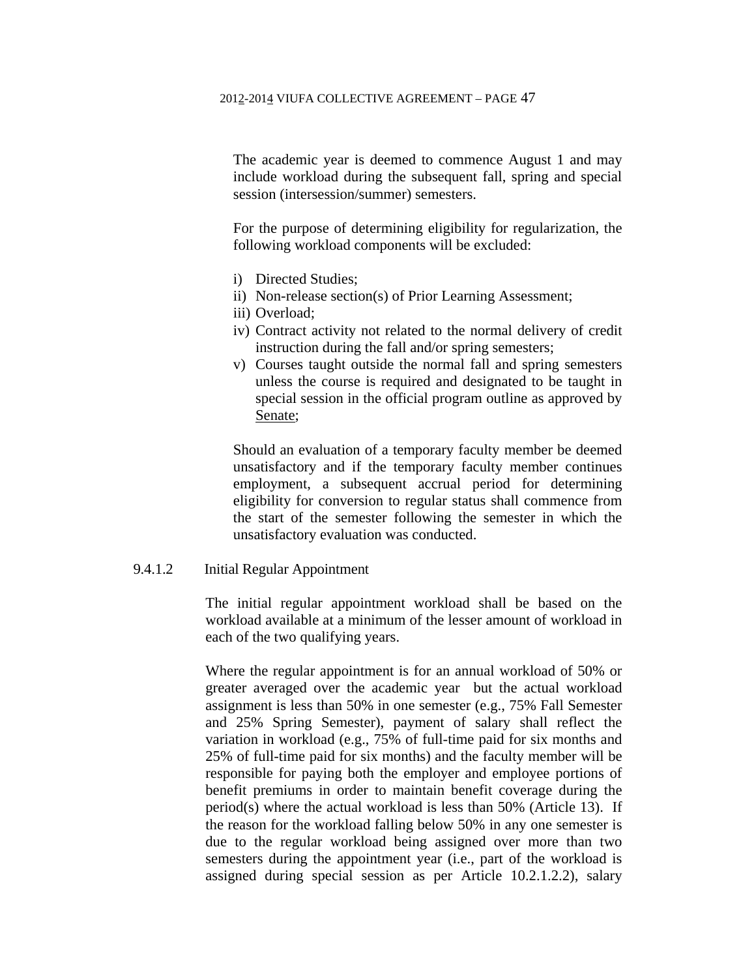The academic year is deemed to commence August 1 and may include workload during the subsequent fall, spring and special session (intersession/summer) semesters.

For the purpose of determining eligibility for regularization, the following workload components will be excluded:

- i) Directed Studies;
- ii) Non-release section(s) of Prior Learning Assessment;
- iii) Overload;
- iv) Contract activity not related to the normal delivery of credit instruction during the fall and/or spring semesters;
- v) Courses taught outside the normal fall and spring semesters unless the course is required and designated to be taught in special session in the official program outline as approved by Senate;

Should an evaluation of a temporary faculty member be deemed unsatisfactory and if the temporary faculty member continues employment, a subsequent accrual period for determining eligibility for conversion to regular status shall commence from the start of the semester following the semester in which the unsatisfactory evaluation was conducted.

## 9.4.1.2 Initial Regular Appointment

The initial regular appointment workload shall be based on the workload available at a minimum of the lesser amount of workload in each of the two qualifying years.

Where the regular appointment is for an annual workload of 50% or greater averaged over the academic year but the actual workload assignment is less than 50% in one semester (e.g., 75% Fall Semester and 25% Spring Semester), payment of salary shall reflect the variation in workload (e.g., 75% of full-time paid for six months and 25% of full-time paid for six months) and the faculty member will be responsible for paying both the employer and employee portions of benefit premiums in order to maintain benefit coverage during the period(s) where the actual workload is less than 50% (Article 13). If the reason for the workload falling below 50% in any one semester is due to the regular workload being assigned over more than two semesters during the appointment year (i.e., part of the workload is assigned during special session as per Article 10.2.1.2.2), salary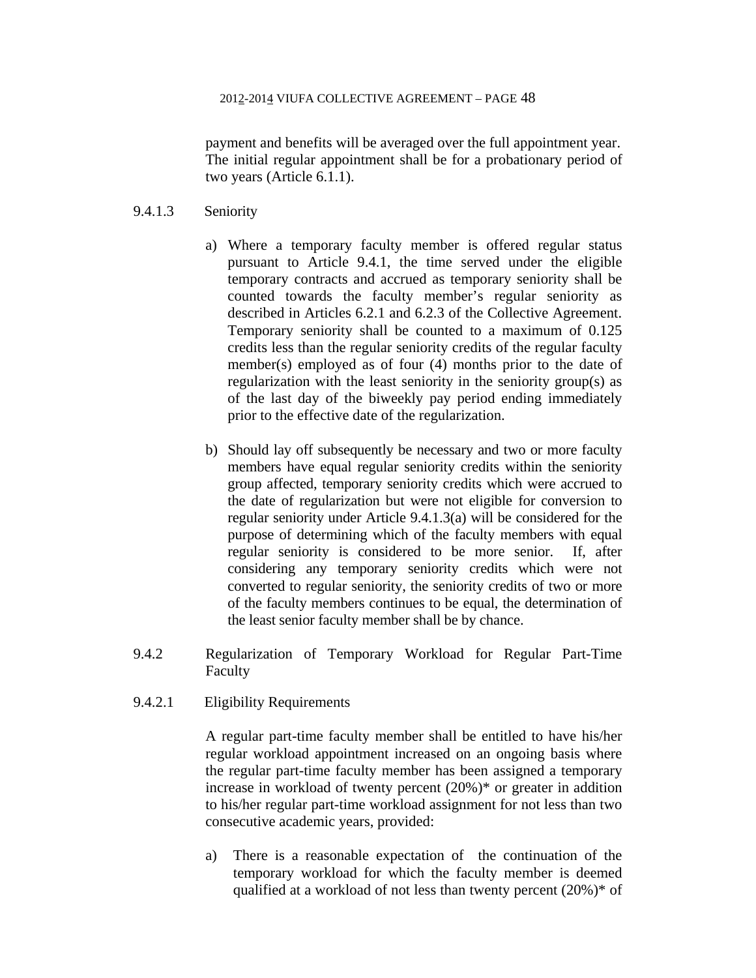payment and benefits will be averaged over the full appointment year. The initial regular appointment shall be for a probationary period of two years (Article 6.1.1).

## 9.4.1.3 Seniority

- a) Where a temporary faculty member is offered regular status pursuant to Article 9.4.1, the time served under the eligible temporary contracts and accrued as temporary seniority shall be counted towards the faculty member's regular seniority as described in Articles 6.2.1 and 6.2.3 of the Collective Agreement. Temporary seniority shall be counted to a maximum of 0.125 credits less than the regular seniority credits of the regular faculty member(s) employed as of four (4) months prior to the date of regularization with the least seniority in the seniority group(s) as of the last day of the biweekly pay period ending immediately prior to the effective date of the regularization.
- b) Should lay off subsequently be necessary and two or more faculty members have equal regular seniority credits within the seniority group affected, temporary seniority credits which were accrued to the date of regularization but were not eligible for conversion to regular seniority under Article 9.4.1.3(a) will be considered for the purpose of determining which of the faculty members with equal regular seniority is considered to be more senior. If, after considering any temporary seniority credits which were not converted to regular seniority, the seniority credits of two or more of the faculty members continues to be equal, the determination of the least senior faculty member shall be by chance.
- 9.4.2 Regularization of Temporary Workload for Regular Part-Time Faculty
- 9.4.2.1 Eligibility Requirements

A regular part-time faculty member shall be entitled to have his/her regular workload appointment increased on an ongoing basis where the regular part-time faculty member has been assigned a temporary increase in workload of twenty percent (20%)\* or greater in addition to his/her regular part-time workload assignment for not less than two consecutive academic years, provided:

a) There is a reasonable expectation of the continuation of the temporary workload for which the faculty member is deemed qualified at a workload of not less than twenty percent (20%)\* of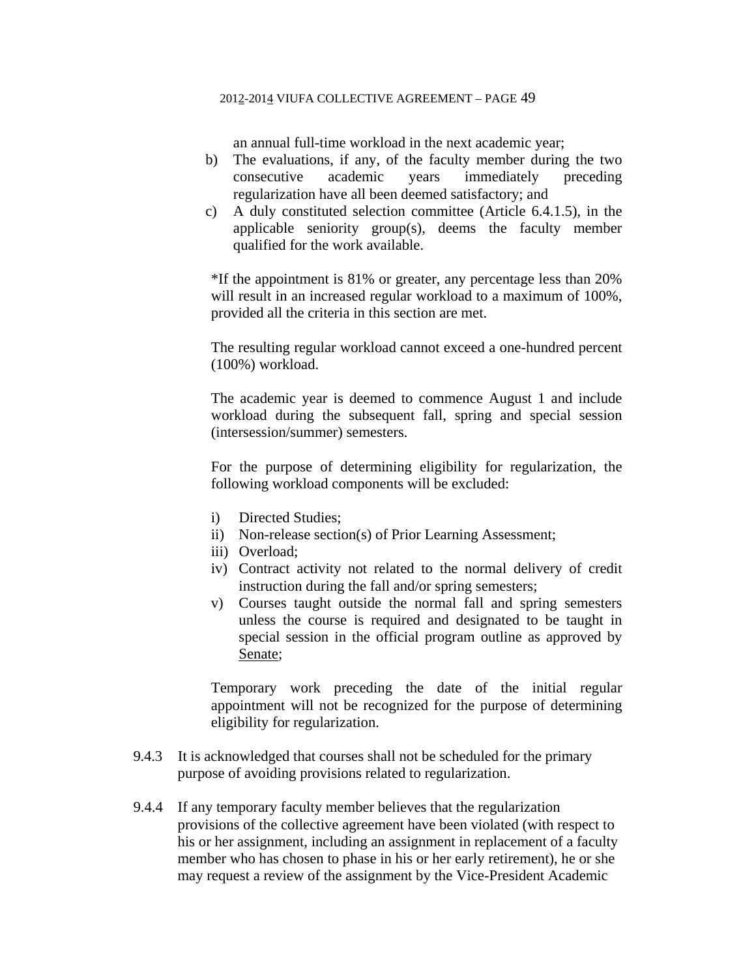an annual full-time workload in the next academic year;

- b) The evaluations, if any, of the faculty member during the two consecutive academic years immediately preceding regularization have all been deemed satisfactory; and
- c) A duly constituted selection committee (Article 6.4.1.5), in the applicable seniority group(s), deems the faculty member qualified for the work available.

\*If the appointment is 81% or greater, any percentage less than 20% will result in an increased regular workload to a maximum of 100%, provided all the criteria in this section are met.

The resulting regular workload cannot exceed a one-hundred percent (100%) workload.

The academic year is deemed to commence August 1 and include workload during the subsequent fall, spring and special session (intersession/summer) semesters.

For the purpose of determining eligibility for regularization, the following workload components will be excluded:

- i) Directed Studies;
- ii) Non-release section(s) of Prior Learning Assessment;
- iii) Overload;
- iv) Contract activity not related to the normal delivery of credit instruction during the fall and/or spring semesters;
- v) Courses taught outside the normal fall and spring semesters unless the course is required and designated to be taught in special session in the official program outline as approved by Senate;

Temporary work preceding the date of the initial regular appointment will not be recognized for the purpose of determining eligibility for regularization.

- 9.4.3 It is acknowledged that courses shall not be scheduled for the primary purpose of avoiding provisions related to regularization.
- 9.4.4 If any temporary faculty member believes that the regularization provisions of the collective agreement have been violated (with respect to his or her assignment, including an assignment in replacement of a faculty member who has chosen to phase in his or her early retirement), he or she may request a review of the assignment by the Vice-President Academic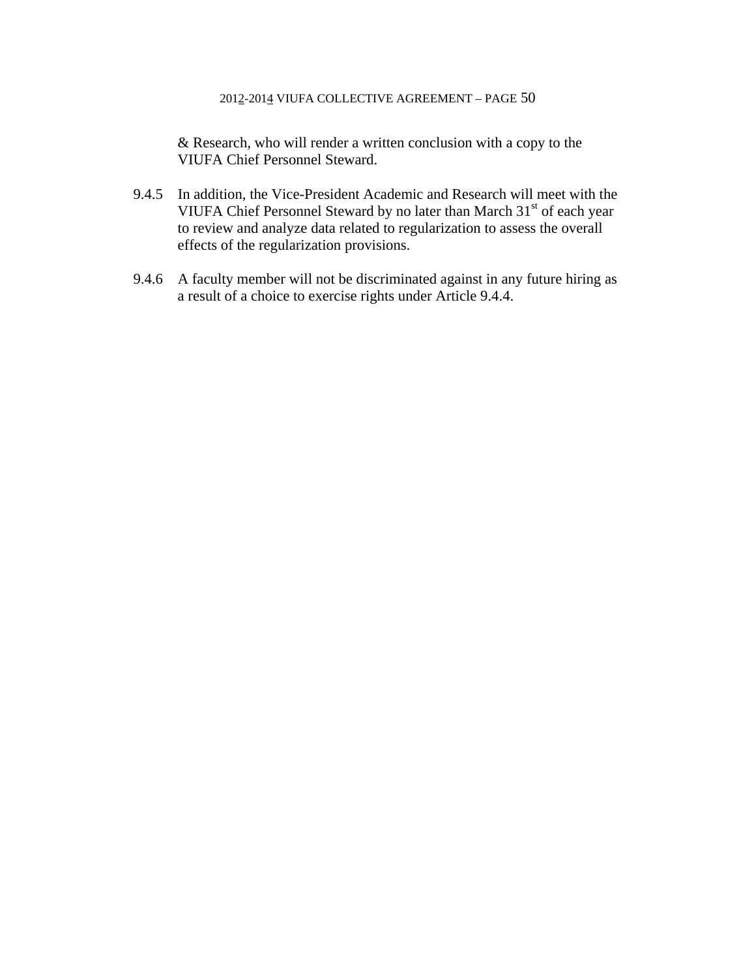& Research, who will render a written conclusion with a copy to the VIUFA Chief Personnel Steward.

- 9.4.5 In addition, the Vice-President Academic and Research will meet with the VIUFA Chief Personnel Steward by no later than March 31<sup>st</sup> of each year to review and analyze data related to regularization to assess the overall effects of the regularization provisions.
- 9.4.6 A faculty member will not be discriminated against in any future hiring as a result of a choice to exercise rights under Article 9.4.4.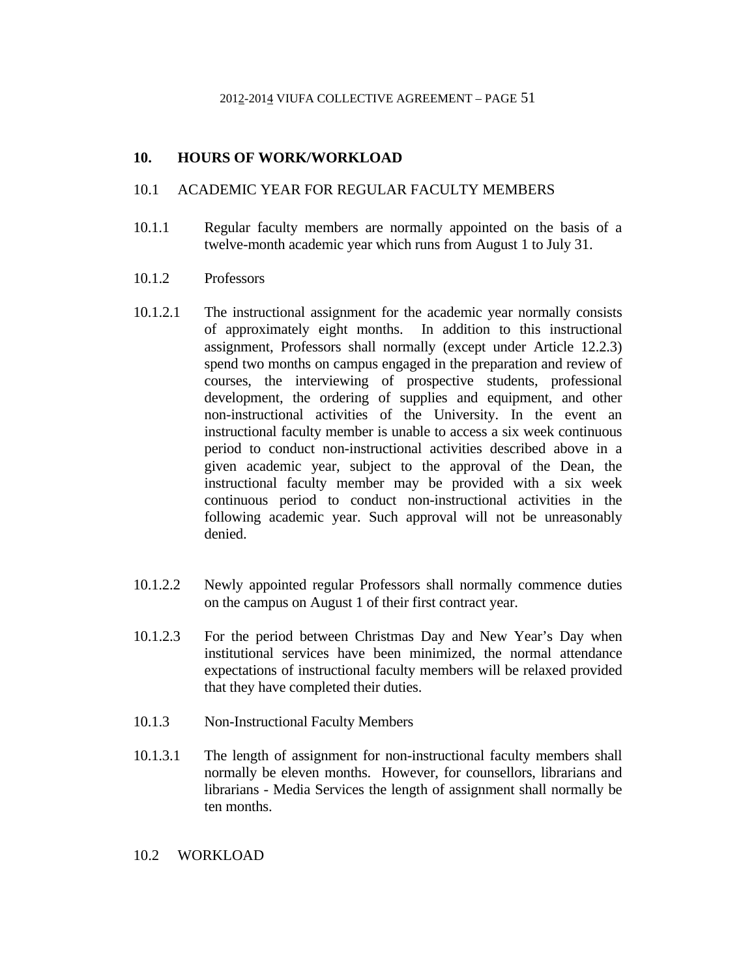## **10. HOURS OF WORK/WORKLOAD**

### 10.1 ACADEMIC YEAR FOR REGULAR FACULTY MEMBERS

- 10.1.1 Regular faculty members are normally appointed on the basis of a twelve-month academic year which runs from August 1 to July 31.
- 10.1.2 Professors
- 10.1.2.1 The instructional assignment for the academic year normally consists of approximately eight months. In addition to this instructional assignment, Professors shall normally (except under Article 12.2.3) spend two months on campus engaged in the preparation and review of courses, the interviewing of prospective students, professional development, the ordering of supplies and equipment, and other non-instructional activities of the University. In the event an instructional faculty member is unable to access a six week continuous period to conduct non-instructional activities described above in a given academic year, subject to the approval of the Dean, the instructional faculty member may be provided with a six week continuous period to conduct non-instructional activities in the following academic year. Such approval will not be unreasonably denied.
- 10.1.2.2 Newly appointed regular Professors shall normally commence duties on the campus on August 1 of their first contract year.
- 10.1.2.3 For the period between Christmas Day and New Year's Day when institutional services have been minimized, the normal attendance expectations of instructional faculty members will be relaxed provided that they have completed their duties.
- 10.1.3 Non-Instructional Faculty Members
- 10.1.3.1 The length of assignment for non-instructional faculty members shall normally be eleven months. However, for counsellors, librarians and librarians - Media Services the length of assignment shall normally be ten months.

## 10.2 WORKLOAD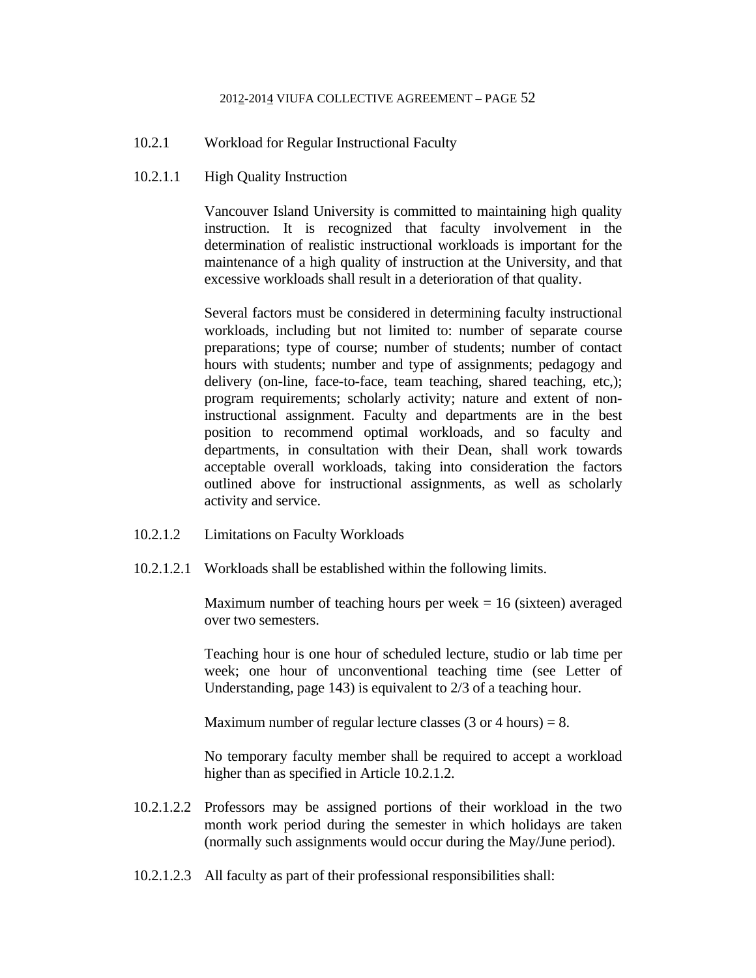- 10.2.1 Workload for Regular Instructional Faculty
- 10.2.1.1 High Quality Instruction

 Vancouver Island University is committed to maintaining high quality instruction. It is recognized that faculty involvement in the determination of realistic instructional workloads is important for the maintenance of a high quality of instruction at the University, and that excessive workloads shall result in a deterioration of that quality.

 Several factors must be considered in determining faculty instructional workloads, including but not limited to: number of separate course preparations; type of course; number of students; number of contact hours with students; number and type of assignments; pedagogy and delivery (on-line, face-to-face, team teaching, shared teaching, etc,); program requirements; scholarly activity; nature and extent of noninstructional assignment. Faculty and departments are in the best position to recommend optimal workloads, and so faculty and departments, in consultation with their Dean, shall work towards acceptable overall workloads, taking into consideration the factors outlined above for instructional assignments, as well as scholarly activity and service.

- 10.2.1.2 Limitations on Faculty Workloads
- 10.2.1.2.1 Workloads shall be established within the following limits.

Maximum number of teaching hours per week  $= 16$  (sixteen) averaged over two semesters.

 Teaching hour is one hour of scheduled lecture, studio or lab time per week; one hour of unconventional teaching time (see Letter of Understanding, page 143) is equivalent to 2/3 of a teaching hour.

Maximum number of regular lecture classes  $(3 \text{ or } 4 \text{ hours}) = 8$ .

 No temporary faculty member shall be required to accept a workload higher than as specified in Article 10.2.1.2.

- 10.2.1.2.2 Professors may be assigned portions of their workload in the two month work period during the semester in which holidays are taken (normally such assignments would occur during the May/June period).
- 10.2.1.2.3 All faculty as part of their professional responsibilities shall: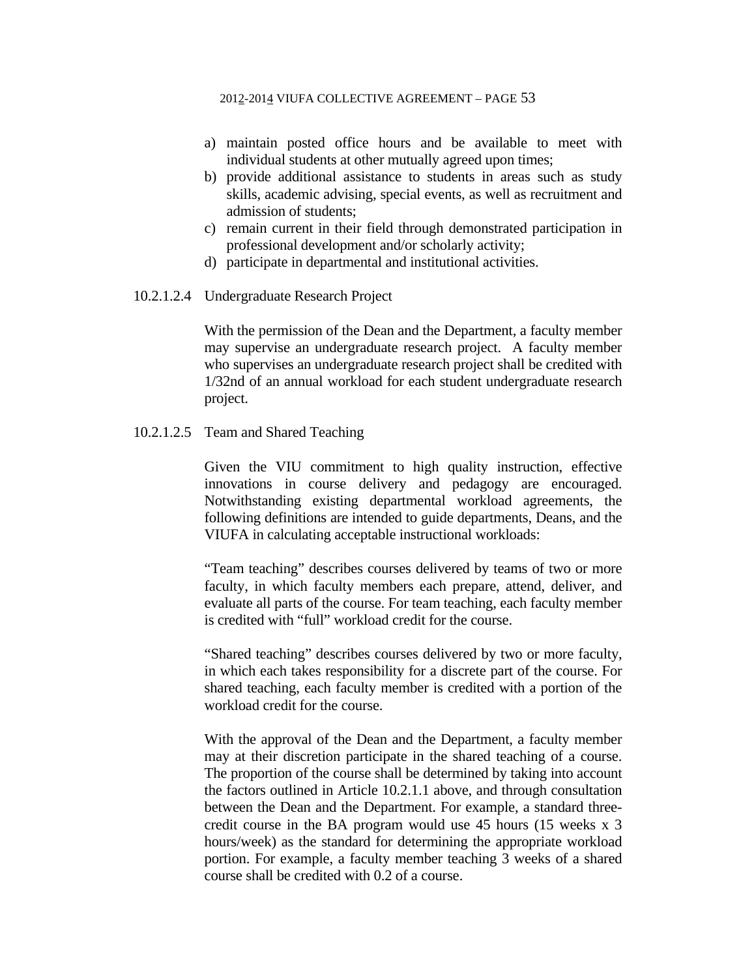- a) maintain posted office hours and be available to meet with individual students at other mutually agreed upon times;
- b) provide additional assistance to students in areas such as study skills, academic advising, special events, as well as recruitment and admission of students;
- c) remain current in their field through demonstrated participation in professional development and/or scholarly activity;
- d) participate in departmental and institutional activities.
- 10.2.1.2.4 Undergraduate Research Project

 With the permission of the Dean and the Department, a faculty member may supervise an undergraduate research project. A faculty member who supervises an undergraduate research project shall be credited with 1/32nd of an annual workload for each student undergraduate research project.

10.2.1.2.5 Team and Shared Teaching

Given the VIU commitment to high quality instruction, effective innovations in course delivery and pedagogy are encouraged. Notwithstanding existing departmental workload agreements, the following definitions are intended to guide departments, Deans, and the VIUFA in calculating acceptable instructional workloads:

"Team teaching" describes courses delivered by teams of two or more faculty, in which faculty members each prepare, attend, deliver, and evaluate all parts of the course. For team teaching, each faculty member is credited with "full" workload credit for the course.

"Shared teaching" describes courses delivered by two or more faculty, in which each takes responsibility for a discrete part of the course. For shared teaching, each faculty member is credited with a portion of the workload credit for the course.

With the approval of the Dean and the Department, a faculty member may at their discretion participate in the shared teaching of a course. The proportion of the course shall be determined by taking into account the factors outlined in Article 10.2.1.1 above, and through consultation between the Dean and the Department. For example, a standard threecredit course in the BA program would use 45 hours (15 weeks x 3 hours/week) as the standard for determining the appropriate workload portion. For example, a faculty member teaching 3 weeks of a shared course shall be credited with 0.2 of a course.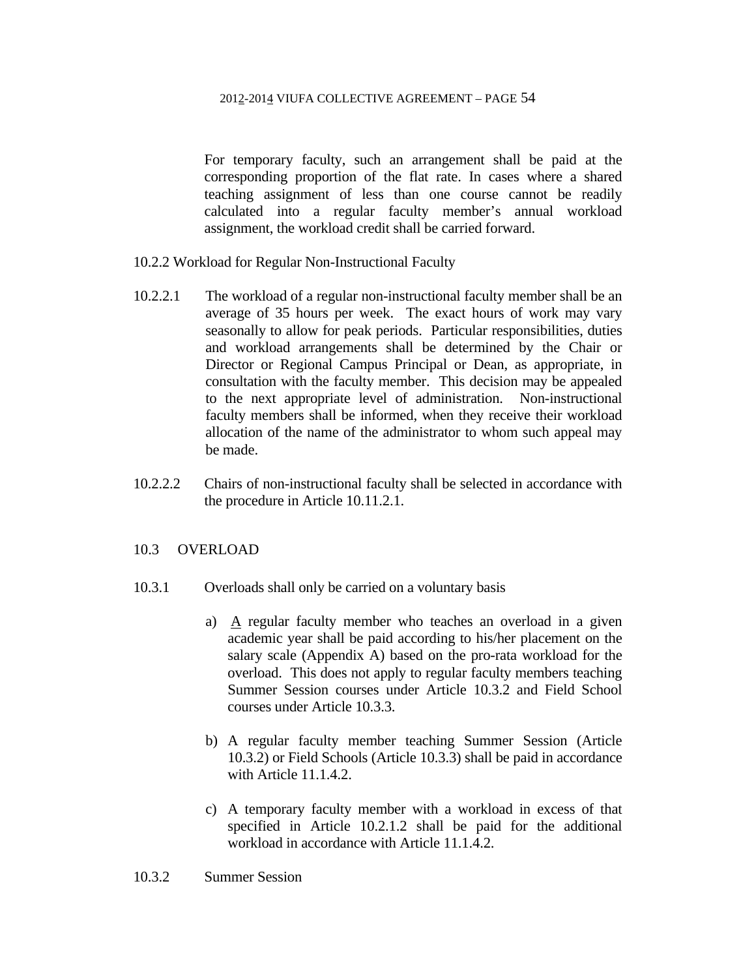For temporary faculty, such an arrangement shall be paid at the corresponding proportion of the flat rate. In cases where a shared teaching assignment of less than one course cannot be readily calculated into a regular faculty member's annual workload assignment, the workload credit shall be carried forward.

- 10.2.2 Workload for Regular Non-Instructional Faculty
- 10.2.2.1 The workload of a regular non-instructional faculty member shall be an average of 35 hours per week. The exact hours of work may vary seasonally to allow for peak periods. Particular responsibilities, duties and workload arrangements shall be determined by the Chair or Director or Regional Campus Principal or Dean, as appropriate, in consultation with the faculty member. This decision may be appealed to the next appropriate level of administration. Non-instructional faculty members shall be informed, when they receive their workload allocation of the name of the administrator to whom such appeal may be made.
- 10.2.2.2 Chairs of non-instructional faculty shall be selected in accordance with the procedure in Article 10.11.2.1.

## 10.3 OVERLOAD

- 10.3.1 Overloads shall only be carried on a voluntary basis
	- a) A regular faculty member who teaches an overload in a given academic year shall be paid according to his/her placement on the salary scale (Appendix A) based on the pro-rata workload for the overload. This does not apply to regular faculty members teaching Summer Session courses under Article 10.3.2 and Field School courses under Article 10.3.3.
	- b) A regular faculty member teaching Summer Session (Article 10.3.2) or Field Schools (Article 10.3.3) shall be paid in accordance with Article 11.1.4.2.
	- c) A temporary faculty member with a workload in excess of that specified in Article 10.2.1.2 shall be paid for the additional workload in accordance with Article 11.1.4.2.
- 10.3.2 Summer Session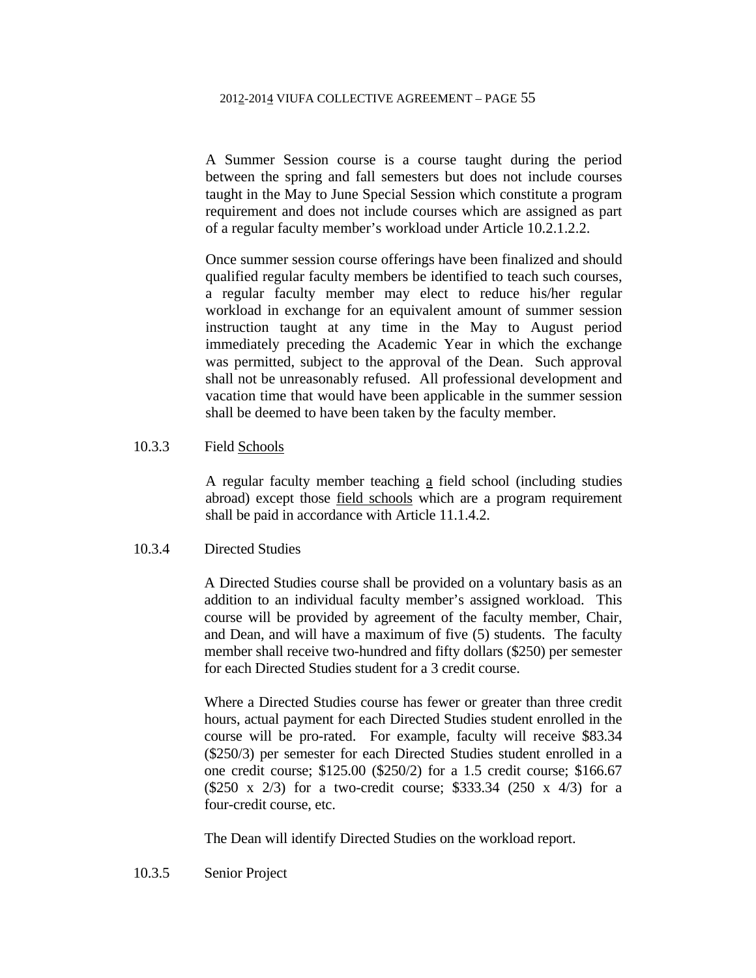A Summer Session course is a course taught during the period between the spring and fall semesters but does not include courses taught in the May to June Special Session which constitute a program requirement and does not include courses which are assigned as part of a regular faculty member's workload under Article 10.2.1.2.2.

Once summer session course offerings have been finalized and should qualified regular faculty members be identified to teach such courses, a regular faculty member may elect to reduce his/her regular workload in exchange for an equivalent amount of summer session instruction taught at any time in the May to August period immediately preceding the Academic Year in which the exchange was permitted, subject to the approval of the Dean. Such approval shall not be unreasonably refused. All professional development and vacation time that would have been applicable in the summer session shall be deemed to have been taken by the faculty member.

### 10.3.3 Field Schools

A regular faculty member teaching a field school (including studies abroad) except those field schools which are a program requirement shall be paid in accordance with Article 11.1.4.2.

### 10.3.4 Directed Studies

 A Directed Studies course shall be provided on a voluntary basis as an addition to an individual faculty member's assigned workload. This course will be provided by agreement of the faculty member, Chair, and Dean, and will have a maximum of five (5) students. The faculty member shall receive two-hundred and fifty dollars (\$250) per semester for each Directed Studies student for a 3 credit course.

 Where a Directed Studies course has fewer or greater than three credit hours, actual payment for each Directed Studies student enrolled in the course will be pro-rated. For example, faculty will receive \$83.34 (\$250/3) per semester for each Directed Studies student enrolled in a one credit course; \$125.00 (\$250/2) for a 1.5 credit course; \$166.67 (\$250 x 2/3) for a two-credit course; \$333.34 (250 x 4/3) for a four-credit course, etc.

The Dean will identify Directed Studies on the workload report.

10.3.5 Senior Project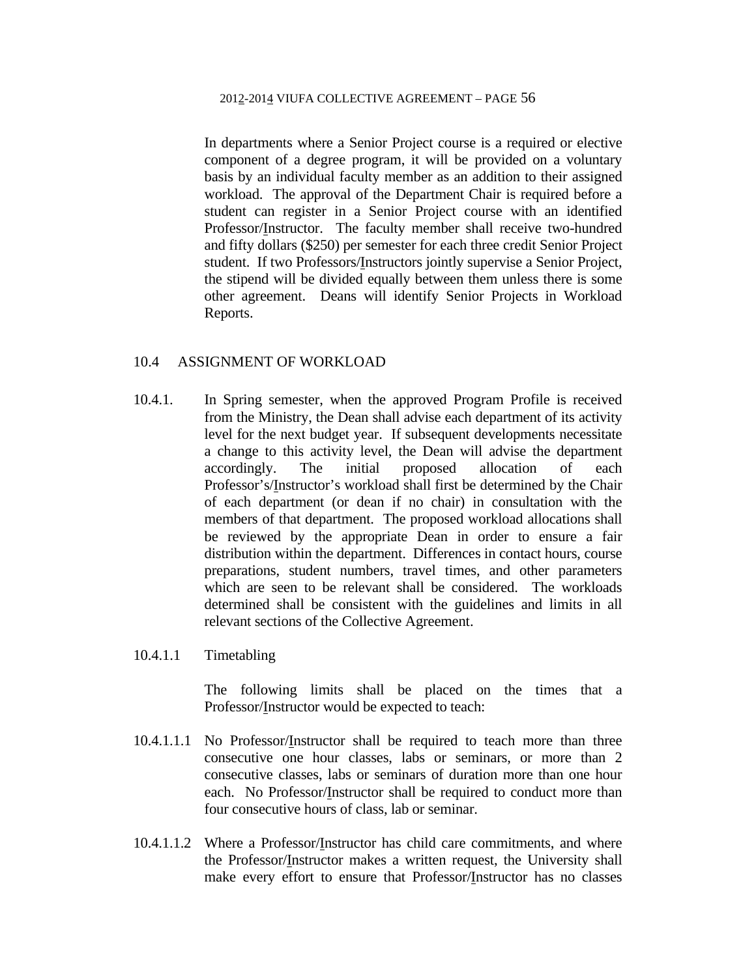In departments where a Senior Project course is a required or elective component of a degree program, it will be provided on a voluntary basis by an individual faculty member as an addition to their assigned workload. The approval of the Department Chair is required before a student can register in a Senior Project course with an identified Professor/Instructor. The faculty member shall receive two-hundred and fifty dollars (\$250) per semester for each three credit Senior Project student. If two Professors/Instructors jointly supervise a Senior Project, the stipend will be divided equally between them unless there is some other agreement. Deans will identify Senior Projects in Workload Reports.

### 10.4 ASSIGNMENT OF WORKLOAD

- 10.4.1. In Spring semester, when the approved Program Profile is received from the Ministry, the Dean shall advise each department of its activity level for the next budget year. If subsequent developments necessitate a change to this activity level, the Dean will advise the department accordingly. The initial proposed allocation of each Professor's/Instructor's workload shall first be determined by the Chair of each department (or dean if no chair) in consultation with the members of that department. The proposed workload allocations shall be reviewed by the appropriate Dean in order to ensure a fair distribution within the department. Differences in contact hours, course preparations, student numbers, travel times, and other parameters which are seen to be relevant shall be considered. The workloads determined shall be consistent with the guidelines and limits in all relevant sections of the Collective Agreement.
- 10.4.1.1 Timetabling

The following limits shall be placed on the times that a Professor/Instructor would be expected to teach:

- 10.4.1.1.1 No Professor/Instructor shall be required to teach more than three consecutive one hour classes, labs or seminars, or more than 2 consecutive classes, labs or seminars of duration more than one hour each. No Professor/Instructor shall be required to conduct more than four consecutive hours of class, lab or seminar.
- 10.4.1.1.2 Where a Professor/Instructor has child care commitments, and where the Professor/Instructor makes a written request, the University shall make every effort to ensure that Professor/Instructor has no classes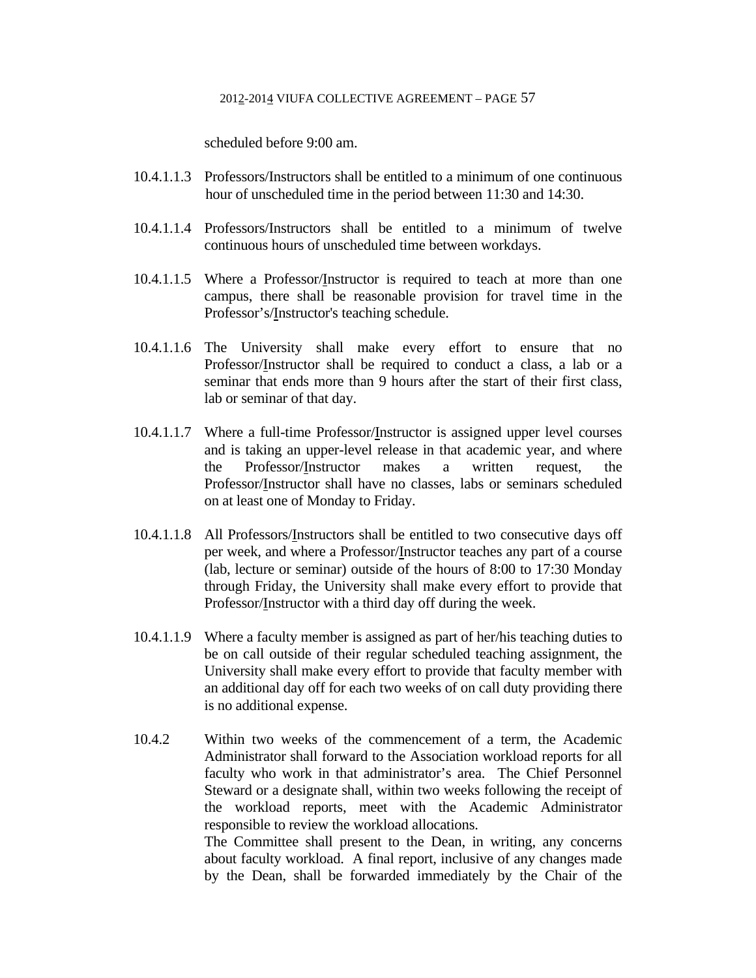scheduled before 9:00 am.

- 10.4.1.1.3 Professors/Instructors shall be entitled to a minimum of one continuous hour of unscheduled time in the period between 11:30 and 14:30.
- 10.4.1.1.4 Professors/Instructors shall be entitled to a minimum of twelve continuous hours of unscheduled time between workdays.
- 10.4.1.1.5 Where a Professor/Instructor is required to teach at more than one campus, there shall be reasonable provision for travel time in the Professor's/Instructor's teaching schedule.
- 10.4.1.1.6 The University shall make every effort to ensure that no Professor/Instructor shall be required to conduct a class, a lab or a seminar that ends more than 9 hours after the start of their first class, lab or seminar of that day.
- 10.4.1.1.7 Where a full-time Professor/Instructor is assigned upper level courses and is taking an upper-level release in that academic year, and where the Professor/Instructor makes a written request, the Professor/Instructor shall have no classes, labs or seminars scheduled on at least one of Monday to Friday.
- 10.4.1.1.8 All Professors/Instructors shall be entitled to two consecutive days off per week, and where a Professor/Instructor teaches any part of a course (lab, lecture or seminar) outside of the hours of 8:00 to 17:30 Monday through Friday, the University shall make every effort to provide that Professor/Instructor with a third day off during the week.
- 10.4.1.1.9 Where a faculty member is assigned as part of her/his teaching duties to be on call outside of their regular scheduled teaching assignment, the University shall make every effort to provide that faculty member with an additional day off for each two weeks of on call duty providing there is no additional expense.
- 10.4.2 Within two weeks of the commencement of a term, the Academic Administrator shall forward to the Association workload reports for all faculty who work in that administrator's area. The Chief Personnel Steward or a designate shall, within two weeks following the receipt of the workload reports, meet with the Academic Administrator responsible to review the workload allocations. The Committee shall present to the Dean, in writing, any concerns about faculty workload. A final report, inclusive of any changes made

by the Dean, shall be forwarded immediately by the Chair of the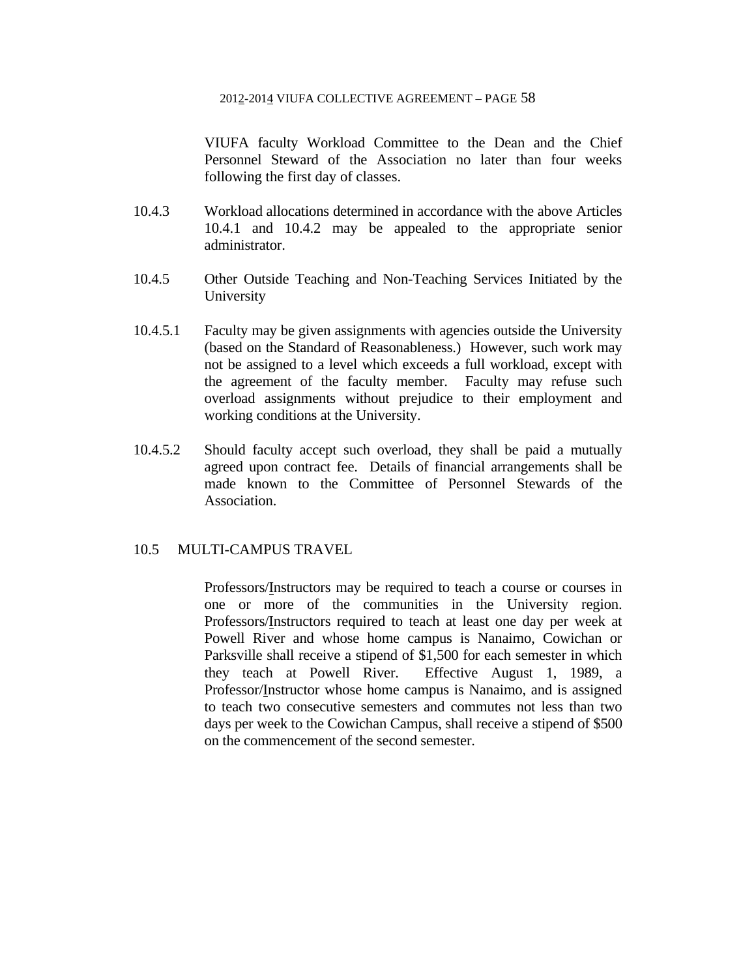VIUFA faculty Workload Committee to the Dean and the Chief Personnel Steward of the Association no later than four weeks following the first day of classes.

- 10.4.3 Workload allocations determined in accordance with the above Articles 10.4.1 and 10.4.2 may be appealed to the appropriate senior administrator.
- 10.4.5 Other Outside Teaching and Non-Teaching Services Initiated by the University
- 10.4.5.1 Faculty may be given assignments with agencies outside the University (based on the Standard of Reasonableness.) However, such work may not be assigned to a level which exceeds a full workload, except with the agreement of the faculty member. Faculty may refuse such overload assignments without prejudice to their employment and working conditions at the University.
- 10.4.5.2 Should faculty accept such overload, they shall be paid a mutually agreed upon contract fee. Details of financial arrangements shall be made known to the Committee of Personnel Stewards of the Association.

# 10.5 MULTI-CAMPUS TRAVEL

 Professors/Instructors may be required to teach a course or courses in one or more of the communities in the University region. Professors/Instructors required to teach at least one day per week at Powell River and whose home campus is Nanaimo, Cowichan or Parksville shall receive a stipend of \$1,500 for each semester in which they teach at Powell River. Effective August 1, 1989, a Professor/Instructor whose home campus is Nanaimo, and is assigned to teach two consecutive semesters and commutes not less than two days per week to the Cowichan Campus, shall receive a stipend of \$500 on the commencement of the second semester.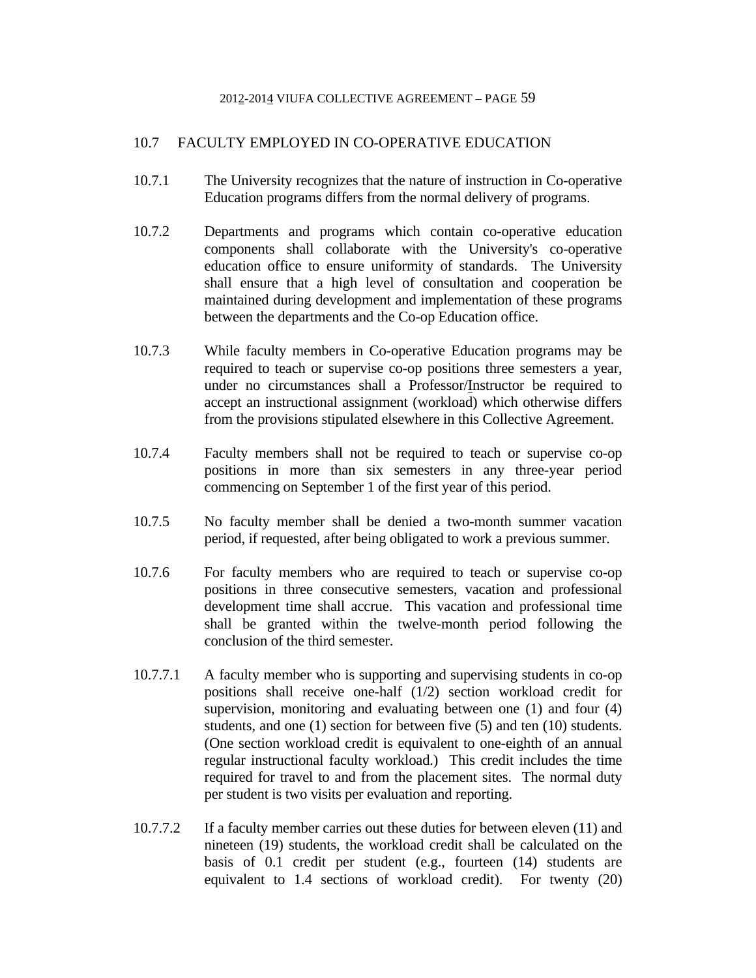# 10.7 FACULTY EMPLOYED IN CO-OPERATIVE EDUCATION

- 10.7.1 The University recognizes that the nature of instruction in Co-operative Education programs differs from the normal delivery of programs.
- 10.7.2 Departments and programs which contain co-operative education components shall collaborate with the University's co-operative education office to ensure uniformity of standards. The University shall ensure that a high level of consultation and cooperation be maintained during development and implementation of these programs between the departments and the Co-op Education office.
- 10.7.3 While faculty members in Co-operative Education programs may be required to teach or supervise co-op positions three semesters a year, under no circumstances shall a Professor/Instructor be required to accept an instructional assignment (workload) which otherwise differs from the provisions stipulated elsewhere in this Collective Agreement.
- 10.7.4 Faculty members shall not be required to teach or supervise co-op positions in more than six semesters in any three-year period commencing on September 1 of the first year of this period.
- 10.7.5 No faculty member shall be denied a two-month summer vacation period, if requested, after being obligated to work a previous summer.
- 10.7.6 For faculty members who are required to teach or supervise co-op positions in three consecutive semesters, vacation and professional development time shall accrue. This vacation and professional time shall be granted within the twelve-month period following the conclusion of the third semester.
- 10.7.7.1 A faculty member who is supporting and supervising students in co-op positions shall receive one-half (1/2) section workload credit for supervision, monitoring and evaluating between one (1) and four (4) students, and one (1) section for between five (5) and ten (10) students. (One section workload credit is equivalent to one-eighth of an annual regular instructional faculty workload.) This credit includes the time required for travel to and from the placement sites. The normal duty per student is two visits per evaluation and reporting.
- 10.7.7.2 If a faculty member carries out these duties for between eleven (11) and nineteen (19) students, the workload credit shall be calculated on the basis of 0.1 credit per student (e.g., fourteen (14) students are equivalent to 1.4 sections of workload credit). For twenty (20)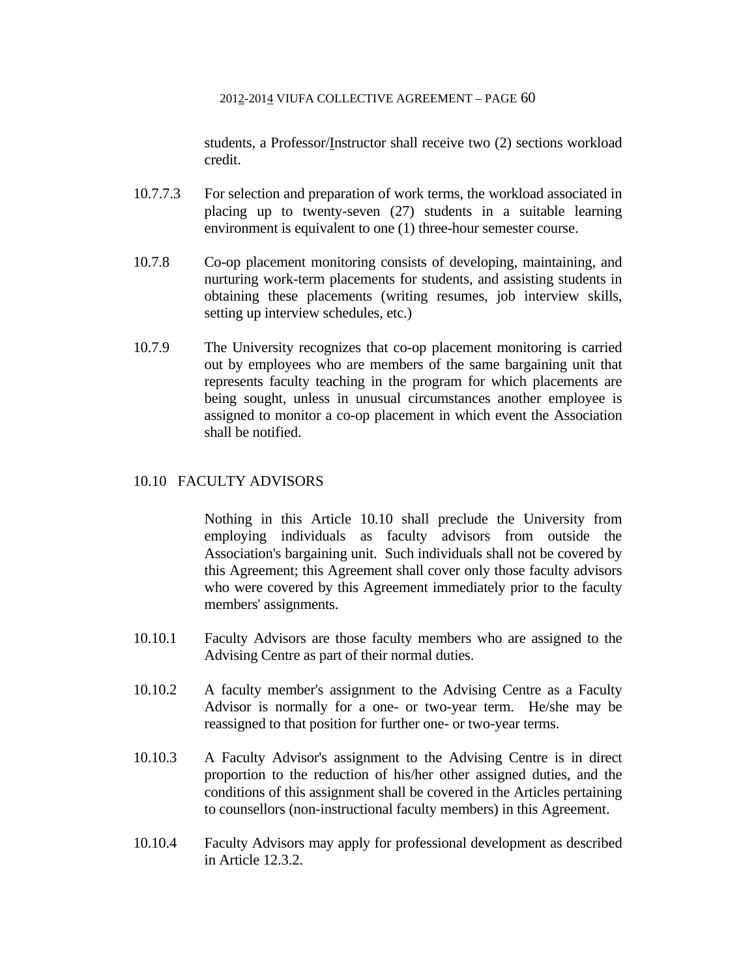students, a Professor/Instructor shall receive two (2) sections workload credit.

- 10.7.7.3 For selection and preparation of work terms, the workload associated in placing up to twenty-seven (27) students in a suitable learning environment is equivalent to one (1) three-hour semester course.
- 10.7.8 Co-op placement monitoring consists of developing, maintaining, and nurturing work-term placements for students, and assisting students in obtaining these placements (writing resumes, job interview skills, setting up interview schedules, etc.)
- 10.7.9 The University recognizes that co-op placement monitoring is carried out by employees who are members of the same bargaining unit that represents faculty teaching in the program for which placements are being sought, unless in unusual circumstances another employee is assigned to monitor a co-op placement in which event the Association shall be notified.

## 10.10 FACULTY ADVISORS

 Nothing in this Article 10.10 shall preclude the University from employing individuals as faculty advisors from outside the Association's bargaining unit. Such individuals shall not be covered by this Agreement; this Agreement shall cover only those faculty advisors who were covered by this Agreement immediately prior to the faculty members' assignments.

- 10.10.1 Faculty Advisors are those faculty members who are assigned to the Advising Centre as part of their normal duties.
- 10.10.2 A faculty member's assignment to the Advising Centre as a Faculty Advisor is normally for a one- or two-year term. He/she may be reassigned to that position for further one- or two-year terms.
- 10.10.3 A Faculty Advisor's assignment to the Advising Centre is in direct proportion to the reduction of his/her other assigned duties, and the conditions of this assignment shall be covered in the Articles pertaining to counsellors (non-instructional faculty members) in this Agreement.
- 10.10.4 Faculty Advisors may apply for professional development as described in Article 12.3.2.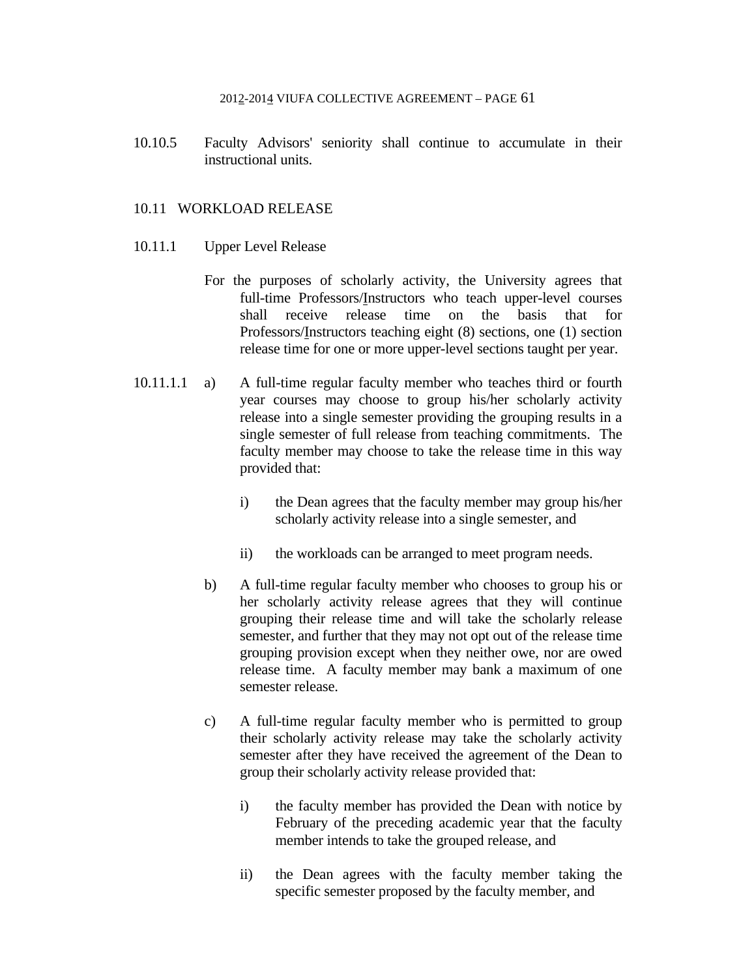10.10.5 Faculty Advisors' seniority shall continue to accumulate in their instructional units.

### 10.11 WORKLOAD RELEASE

- 10.11.1 Upper Level Release
	- For the purposes of scholarly activity, the University agrees that full-time Professors/Instructors who teach upper-level courses shall receive release time on the basis that for Professors/Instructors teaching eight (8) sections, one (1) section release time for one or more upper-level sections taught per year.
- 10.11.1.1 a) A full-time regular faculty member who teaches third or fourth year courses may choose to group his/her scholarly activity release into a single semester providing the grouping results in a single semester of full release from teaching commitments. The faculty member may choose to take the release time in this way provided that:
	- i) the Dean agrees that the faculty member may group his/her scholarly activity release into a single semester, and
	- ii) the workloads can be arranged to meet program needs.
	- b) A full-time regular faculty member who chooses to group his or her scholarly activity release agrees that they will continue grouping their release time and will take the scholarly release semester, and further that they may not opt out of the release time grouping provision except when they neither owe, nor are owed release time. A faculty member may bank a maximum of one semester release.
	- c) A full-time regular faculty member who is permitted to group their scholarly activity release may take the scholarly activity semester after they have received the agreement of the Dean to group their scholarly activity release provided that:
		- i) the faculty member has provided the Dean with notice by February of the preceding academic year that the faculty member intends to take the grouped release, and
		- ii) the Dean agrees with the faculty member taking the specific semester proposed by the faculty member, and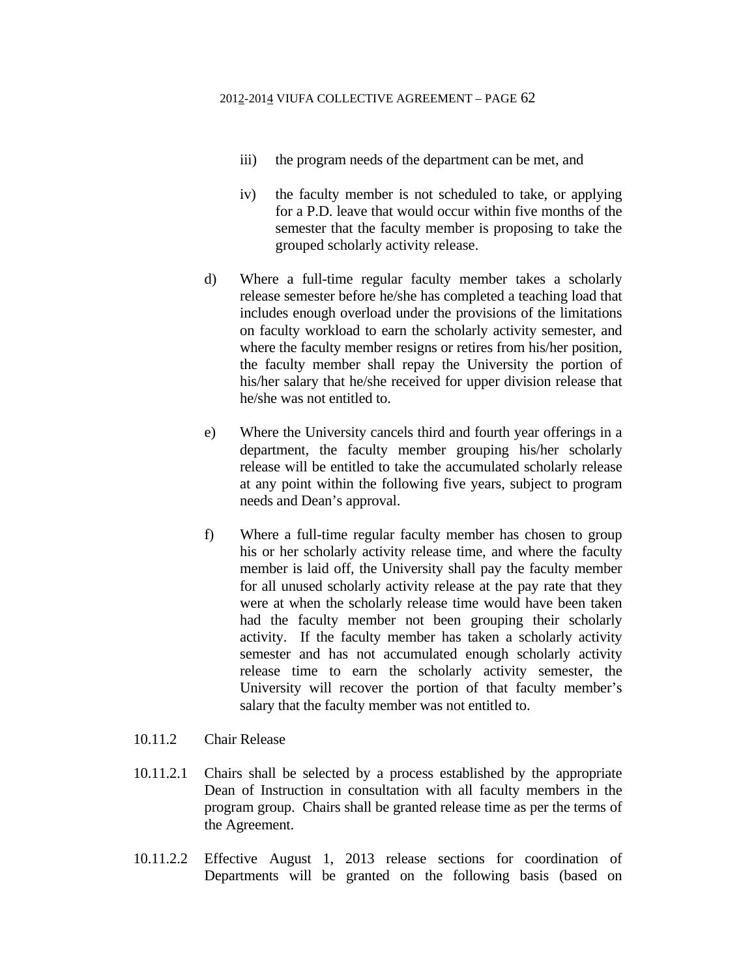- iii) the program needs of the department can be met, and
- iv) the faculty member is not scheduled to take, or applying for a P.D. leave that would occur within five months of the semester that the faculty member is proposing to take the grouped scholarly activity release.
- d) Where a full-time regular faculty member takes a scholarly release semester before he/she has completed a teaching load that includes enough overload under the provisions of the limitations on faculty workload to earn the scholarly activity semester, and where the faculty member resigns or retires from his/her position, the faculty member shall repay the University the portion of his/her salary that he/she received for upper division release that he/she was not entitled to.
- e) Where the University cancels third and fourth year offerings in a department, the faculty member grouping his/her scholarly release will be entitled to take the accumulated scholarly release at any point within the following five years, subject to program needs and Dean's approval.
- f) Where a full-time regular faculty member has chosen to group his or her scholarly activity release time, and where the faculty member is laid off, the University shall pay the faculty member for all unused scholarly activity release at the pay rate that they were at when the scholarly release time would have been taken had the faculty member not been grouping their scholarly activity. If the faculty member has taken a scholarly activity semester and has not accumulated enough scholarly activity release time to earn the scholarly activity semester, the University will recover the portion of that faculty member's salary that the faculty member was not entitled to.
- 10.11.2 Chair Release
- 10.11.2.1 Chairs shall be selected by a process established by the appropriate Dean of Instruction in consultation with all faculty members in the program group. Chairs shall be granted release time as per the terms of the Agreement.
- 10.11.2.2 Effective August 1, 2013 release sections for coordination of Departments will be granted on the following basis (based on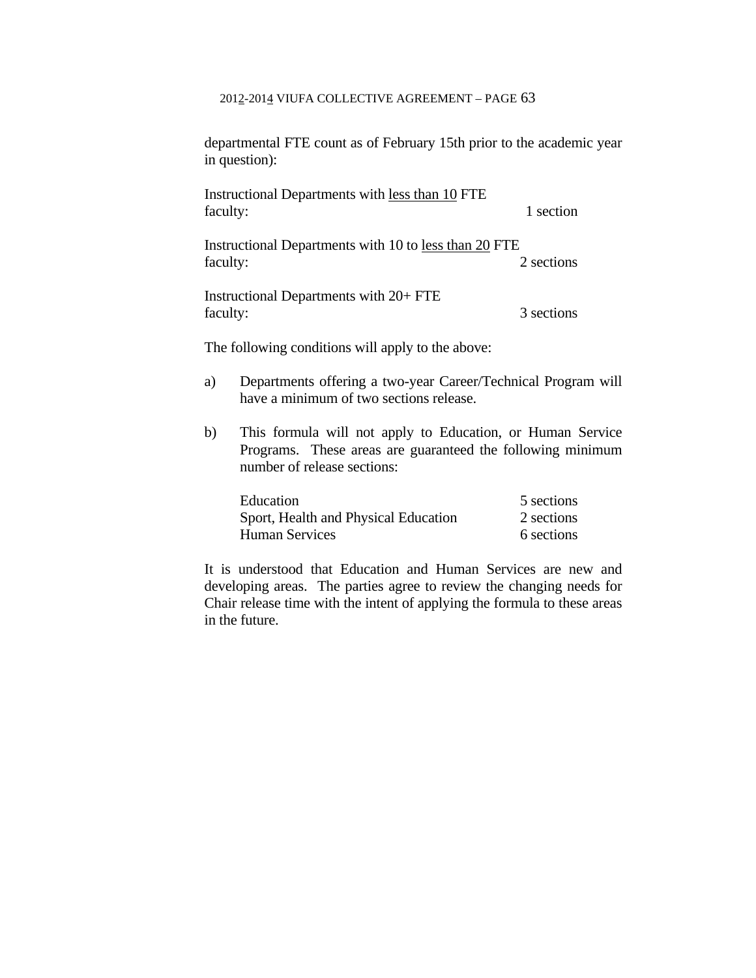departmental FTE count as of February 15th prior to the academic year in question):

| Instructional Departments with less than 10 FTE       |            |  |
|-------------------------------------------------------|------------|--|
| faculty:                                              | 1 section  |  |
| Instructional Departments with 10 to less than 20 FTE |            |  |
| faculty:                                              | 2 sections |  |

 Instructional Departments with 20+ FTE faculty: 3 sections

The following conditions will apply to the above:

- a) Departments offering a two-year Career/Technical Program will have a minimum of two sections release.
- b) This formula will not apply to Education, or Human Service Programs. These areas are guaranteed the following minimum number of release sections:

| Education                            | 5 sections |
|--------------------------------------|------------|
| Sport, Health and Physical Education | 2 sections |
| <b>Human Services</b>                | 6 sections |

 It is understood that Education and Human Services are new and developing areas. The parties agree to review the changing needs for Chair release time with the intent of applying the formula to these areas in the future.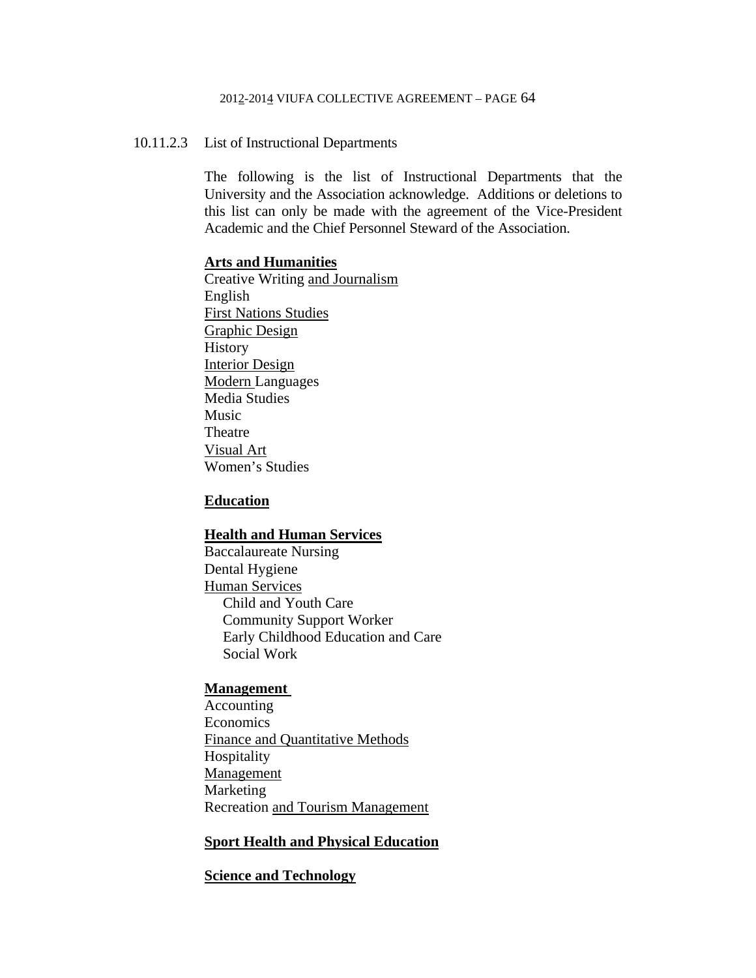### 10.11.2.3 List of Instructional Departments

 The following is the list of Instructional Departments that the University and the Association acknowledge. Additions or deletions to this list can only be made with the agreement of the Vice-President Academic and the Chief Personnel Steward of the Association.

#### **Arts and Humanities**

 Creative Writing and Journalism English First Nations Studies Graphic Design History Interior Design Modern Languages Media Studies Music Theatre Visual Art Women's Studies

### **Education**

#### **Health and Human Services**

 Baccalaureate Nursing Dental Hygiene Human Services Child and Youth Care Community Support Worker Early Childhood Education and Care Social Work

#### **Management**

 Accounting Economics Finance and Quantitative Methods Hospitality Management Marketing Recreation and Tourism Management

## **Sport Health and Physical Education**

### **Science and Technology**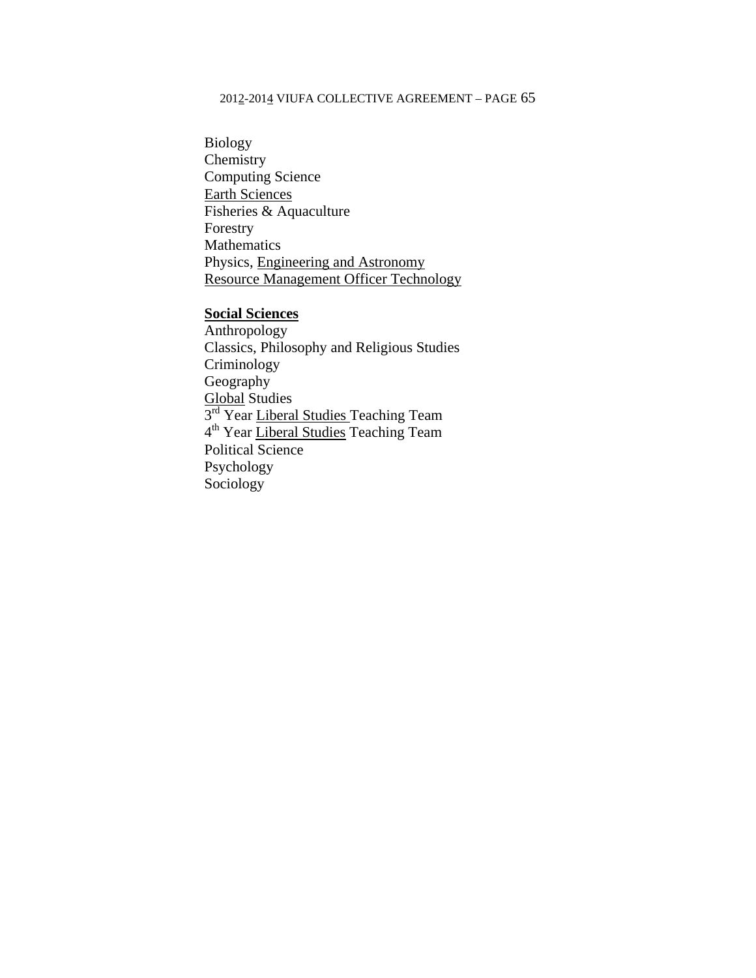Biology **Chemistry**  Computing Science Earth Sciences Fisheries & Aquaculture Forestry Mathematics Physics, Engineering and Astronomy Resource Management Officer Technology

## **Social Sciences**

 Anthropology Classics, Philosophy and Religious Studies Criminology Geography Global Studies 3<sup>rd</sup> Year Liberal Studies Teaching Team 4<sup>th</sup> Year Liberal Studies Teaching Team Political Science Psychology Sociology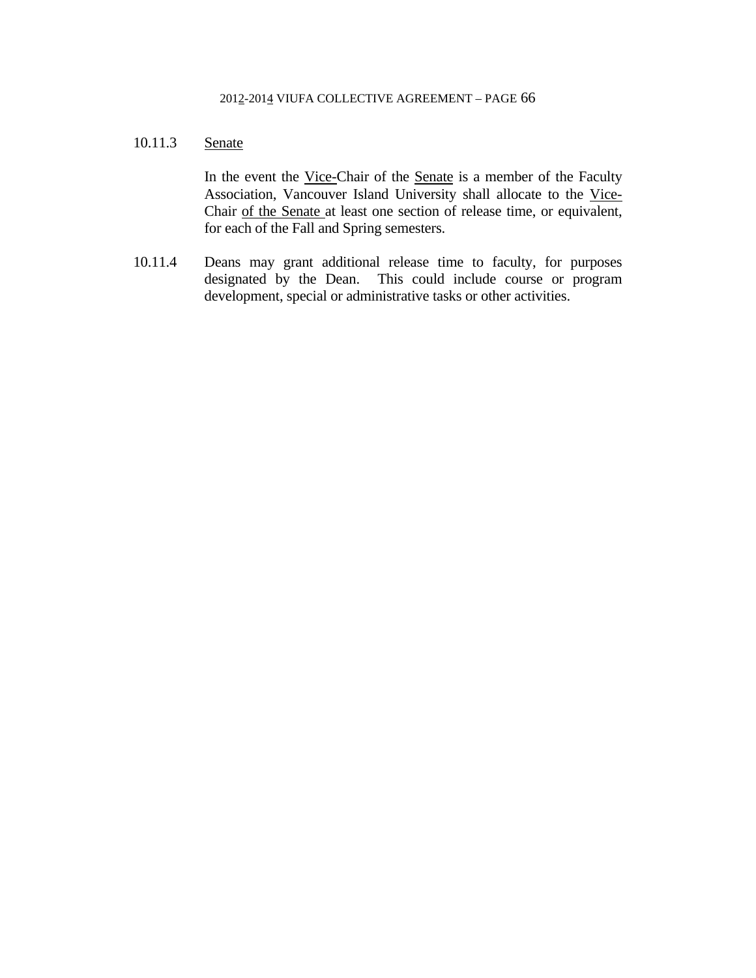# 10.11.3 Senate

In the event the Vice-Chair of the Senate is a member of the Faculty Association, Vancouver Island University shall allocate to the Vice-Chair of the Senate at least one section of release time, or equivalent, for each of the Fall and Spring semesters.

10.11.4 Deans may grant additional release time to faculty, for purposes designated by the Dean. This could include course or program development, special or administrative tasks or other activities.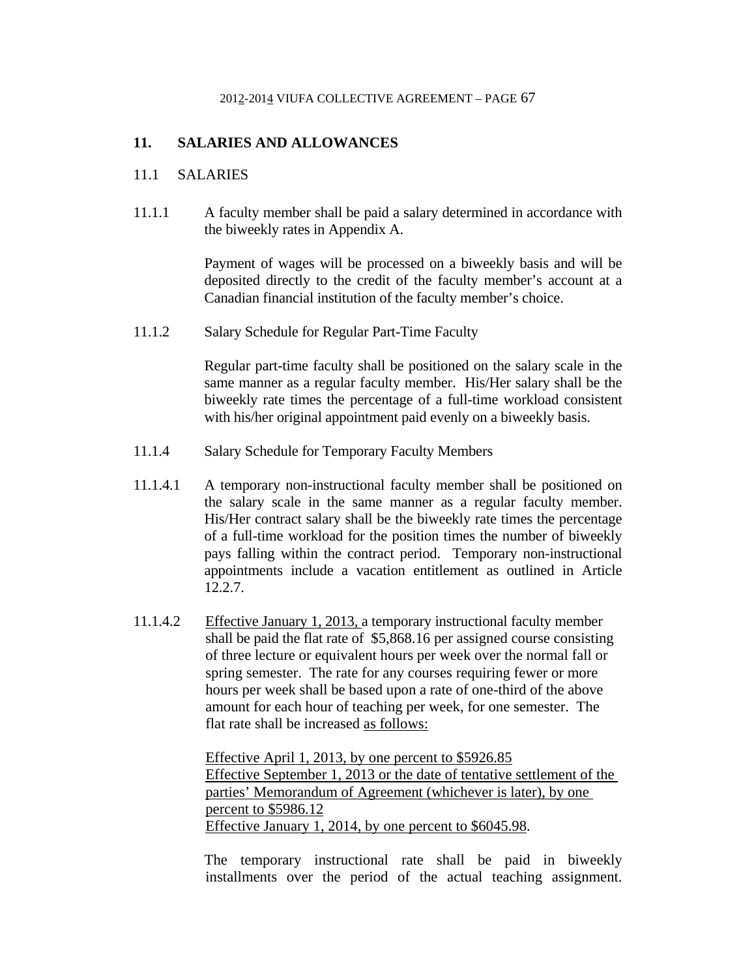# **11. SALARIES AND ALLOWANCES**

## 11.1 SALARIES

11.1.1 A faculty member shall be paid a salary determined in accordance with the biweekly rates in Appendix A.

> Payment of wages will be processed on a biweekly basis and will be deposited directly to the credit of the faculty member's account at a Canadian financial institution of the faculty member's choice.

11.1.2 Salary Schedule for Regular Part-Time Faculty

 Regular part-time faculty shall be positioned on the salary scale in the same manner as a regular faculty member. His/Her salary shall be the biweekly rate times the percentage of a full-time workload consistent with his/her original appointment paid evenly on a biweekly basis.

- 11.1.4 Salary Schedule for Temporary Faculty Members
- 11.1.4.1 A temporary non-instructional faculty member shall be positioned on the salary scale in the same manner as a regular faculty member. His/Her contract salary shall be the biweekly rate times the percentage of a full-time workload for the position times the number of biweekly pays falling within the contract period. Temporary non-instructional appointments include a vacation entitlement as outlined in Article 12.2.7.
- 11.1.4.2 Effective January 1, 2013, a temporary instructional faculty member shall be paid the flat rate of \$5,868.16 per assigned course consisting of three lecture or equivalent hours per week over the normal fall or spring semester. The rate for any courses requiring fewer or more hours per week shall be based upon a rate of one-third of the above amount for each hour of teaching per week, for one semester. The flat rate shall be increased as follows:

 Effective April 1, 2013, by one percent to \$5926.85 Effective September 1, 2013 or the date of tentative settlement of the parties' Memorandum of Agreement (whichever is later), by one percent to \$5986.12 Effective January 1, 2014, by one percent to \$6045.98.

 The temporary instructional rate shall be paid in biweekly installments over the period of the actual teaching assignment.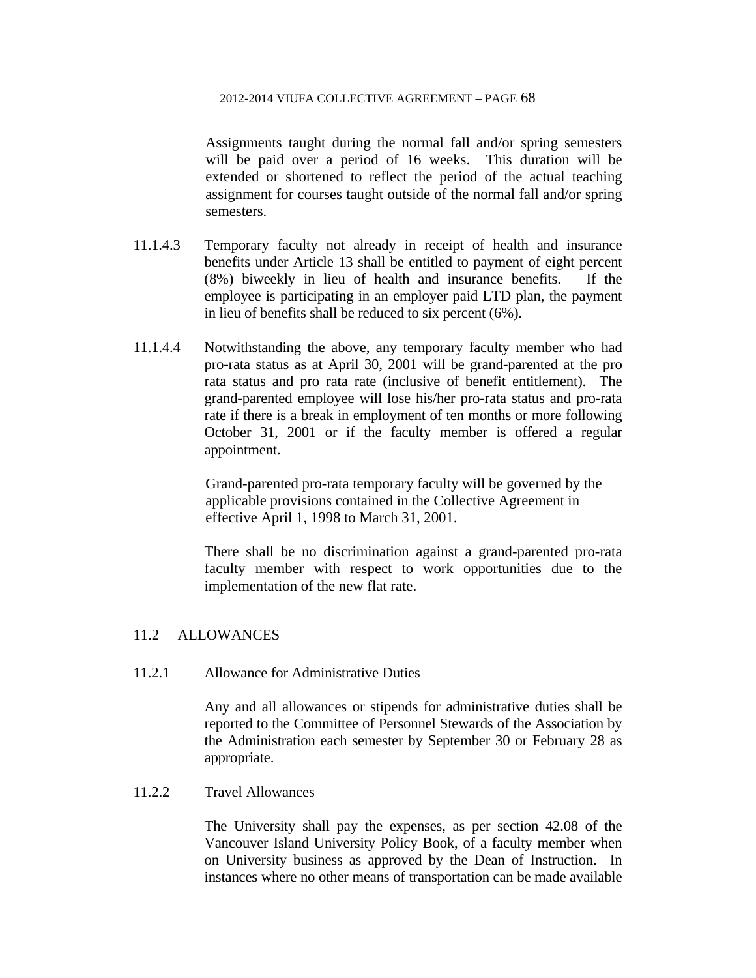Assignments taught during the normal fall and/or spring semesters will be paid over a period of 16 weeks. This duration will be extended or shortened to reflect the period of the actual teaching assignment for courses taught outside of the normal fall and/or spring semesters.

- 11.1.4.3 Temporary faculty not already in receipt of health and insurance benefits under Article 13 shall be entitled to payment of eight percent (8%) biweekly in lieu of health and insurance benefits. If the employee is participating in an employer paid LTD plan, the payment in lieu of benefits shall be reduced to six percent (6%).
- 11.1.4.4 Notwithstanding the above, any temporary faculty member who had pro-rata status as at April 30, 2001 will be grand-parented at the pro rata status and pro rata rate (inclusive of benefit entitlement). The grand-parented employee will lose his/her pro-rata status and pro-rata rate if there is a break in employment of ten months or more following October 31, 2001 or if the faculty member is offered a regular appointment.

Grand-parented pro-rata temporary faculty will be governed by the applicable provisions contained in the Collective Agreement in effective April 1, 1998 to March 31, 2001.

 There shall be no discrimination against a grand-parented pro-rata faculty member with respect to work opportunities due to the implementation of the new flat rate.

# 11.2 ALLOWANCES

11.2.1 Allowance for Administrative Duties

 Any and all allowances or stipends for administrative duties shall be reported to the Committee of Personnel Stewards of the Association by the Administration each semester by September 30 or February 28 as appropriate.

# 11.2.2 Travel Allowances

 The University shall pay the expenses, as per section 42.08 of the Vancouver Island University Policy Book, of a faculty member when on University business as approved by the Dean of Instruction. In instances where no other means of transportation can be made available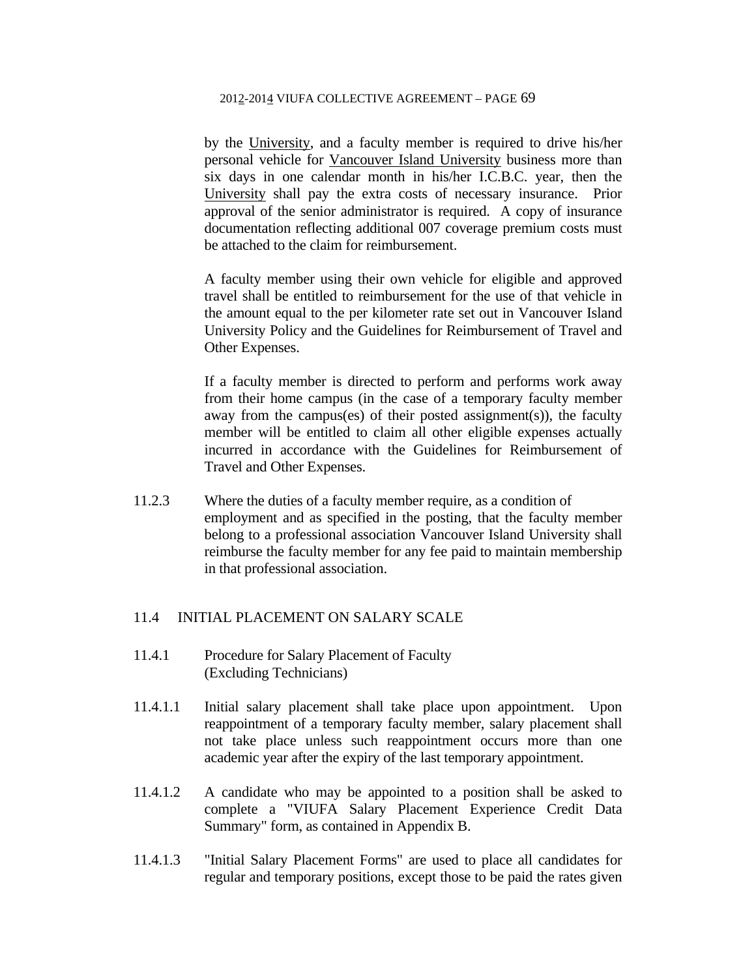by the University, and a faculty member is required to drive his/her personal vehicle for Vancouver Island University business more than six days in one calendar month in his/her I.C.B.C. year, then the University shall pay the extra costs of necessary insurance. Prior approval of the senior administrator is required. A copy of insurance documentation reflecting additional 007 coverage premium costs must be attached to the claim for reimbursement.

A faculty member using their own vehicle for eligible and approved travel shall be entitled to reimbursement for the use of that vehicle in the amount equal to the per kilometer rate set out in Vancouver Island University Policy and the Guidelines for Reimbursement of Travel and Other Expenses.

If a faculty member is directed to perform and performs work away from their home campus (in the case of a temporary faculty member away from the campus(es) of their posted assignment(s)), the faculty member will be entitled to claim all other eligible expenses actually incurred in accordance with the Guidelines for Reimbursement of Travel and Other Expenses.

11.2.3 Where the duties of a faculty member require, as a condition of employment and as specified in the posting, that the faculty member belong to a professional association Vancouver Island University shall reimburse the faculty member for any fee paid to maintain membership in that professional association.

## 11.4 INITIAL PLACEMENT ON SALARY SCALE

- 11.4.1 Procedure for Salary Placement of Faculty (Excluding Technicians)
- 11.4.1.1 Initial salary placement shall take place upon appointment. Upon reappointment of a temporary faculty member, salary placement shall not take place unless such reappointment occurs more than one academic year after the expiry of the last temporary appointment.
- 11.4.1.2 A candidate who may be appointed to a position shall be asked to complete a "VIUFA Salary Placement Experience Credit Data Summary" form, as contained in Appendix B.
- 11.4.1.3 "Initial Salary Placement Forms" are used to place all candidates for regular and temporary positions, except those to be paid the rates given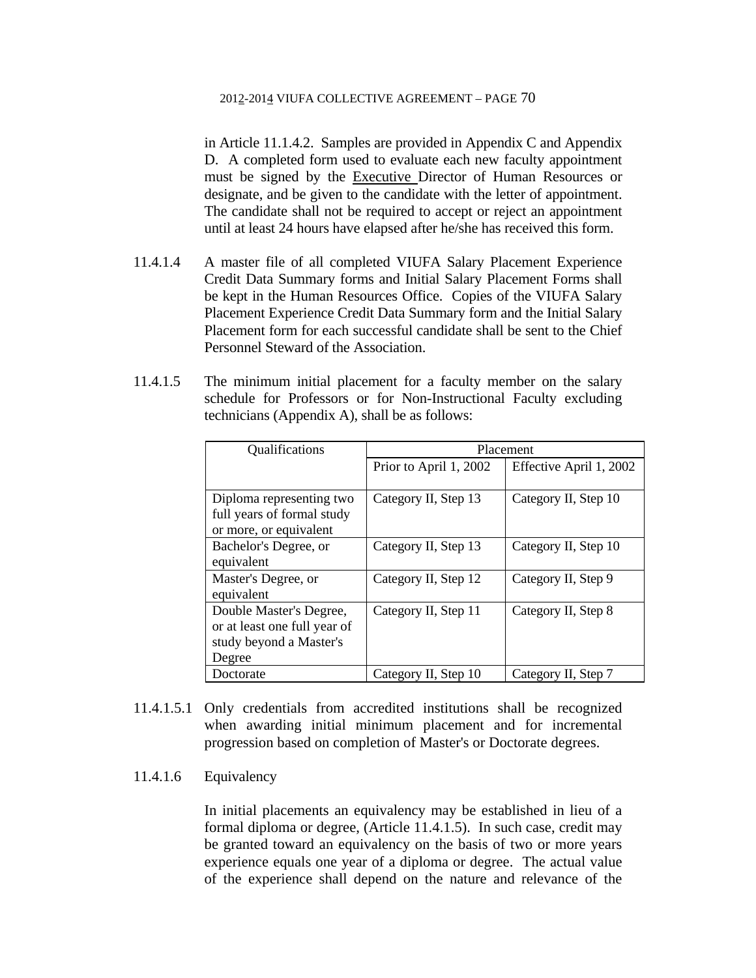in Article 11.1.4.2. Samples are provided in Appendix C and Appendix D. A completed form used to evaluate each new faculty appointment must be signed by the Executive Director of Human Resources or designate, and be given to the candidate with the letter of appointment. The candidate shall not be required to accept or reject an appointment until at least 24 hours have elapsed after he/she has received this form.

- 11.4.1.4 A master file of all completed VIUFA Salary Placement Experience Credit Data Summary forms and Initial Salary Placement Forms shall be kept in the Human Resources Office. Copies of the VIUFA Salary Placement Experience Credit Data Summary form and the Initial Salary Placement form for each successful candidate shall be sent to the Chief Personnel Steward of the Association.
- 11.4.1.5 The minimum initial placement for a faculty member on the salary schedule for Professors or for Non-Instructional Faculty excluding technicians (Appendix A), shall be as follows:

| Qualifications               | Placement              |                         |  |
|------------------------------|------------------------|-------------------------|--|
|                              | Prior to April 1, 2002 | Effective April 1, 2002 |  |
|                              |                        |                         |  |
| Diploma representing two     | Category II, Step 13   | Category II, Step 10    |  |
| full years of formal study   |                        |                         |  |
| or more, or equivalent       |                        |                         |  |
| Bachelor's Degree, or        | Category II, Step 13   | Category II, Step 10    |  |
| equivalent                   |                        |                         |  |
| Master's Degree, or          | Category II, Step 12   | Category II, Step 9     |  |
| equivalent                   |                        |                         |  |
| Double Master's Degree,      | Category II, Step 11   | Category II, Step 8     |  |
| or at least one full year of |                        |                         |  |
| study beyond a Master's      |                        |                         |  |
| Degree                       |                        |                         |  |
| Doctorate                    | Category II, Step 10   | Category II, Step 7     |  |

- 11.4.1.5.1 Only credentials from accredited institutions shall be recognized when awarding initial minimum placement and for incremental progression based on completion of Master's or Doctorate degrees.
- 11.4.1.6 Equivalency

 In initial placements an equivalency may be established in lieu of a formal diploma or degree, (Article 11.4.1.5). In such case, credit may be granted toward an equivalency on the basis of two or more years experience equals one year of a diploma or degree. The actual value of the experience shall depend on the nature and relevance of the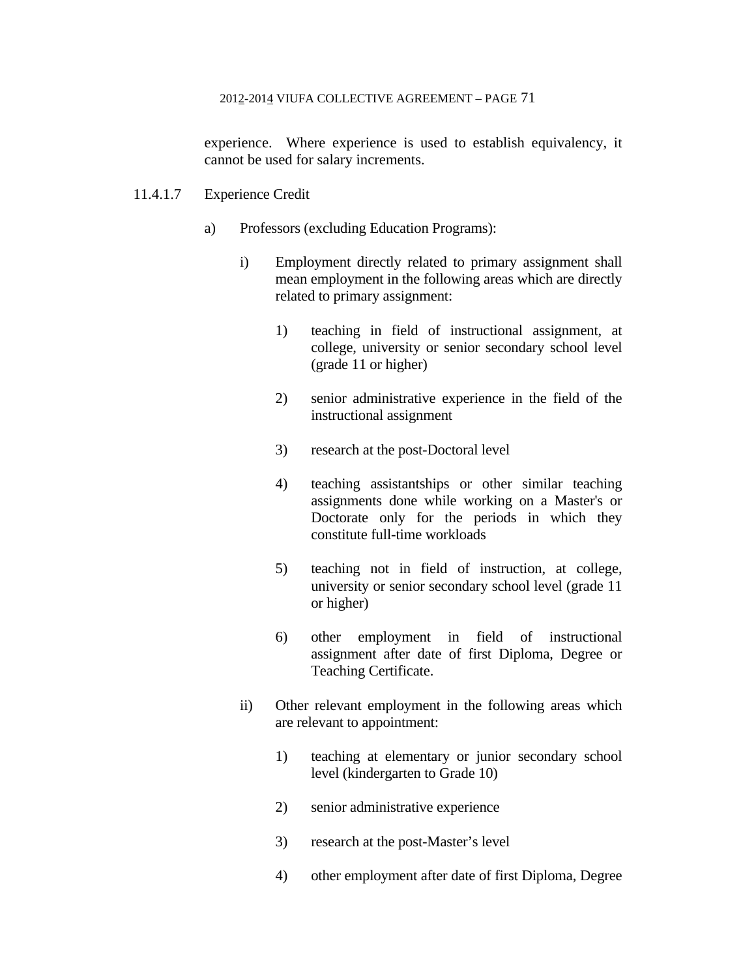experience. Where experience is used to establish equivalency, it cannot be used for salary increments.

# 11.4.1.7 Experience Credit

- a) Professors (excluding Education Programs):
	- i) Employment directly related to primary assignment shall mean employment in the following areas which are directly related to primary assignment:
		- 1) teaching in field of instructional assignment, at college, university or senior secondary school level (grade 11 or higher)
		- 2) senior administrative experience in the field of the instructional assignment
		- 3) research at the post-Doctoral level
		- 4) teaching assistantships or other similar teaching assignments done while working on a Master's or Doctorate only for the periods in which they constitute full-time workloads
		- 5) teaching not in field of instruction, at college, university or senior secondary school level (grade 11 or higher)
		- 6) other employment in field of instructional assignment after date of first Diploma, Degree or Teaching Certificate.
	- ii) Other relevant employment in the following areas which are relevant to appointment:
		- 1) teaching at elementary or junior secondary school level (kindergarten to Grade 10)
		- 2) senior administrative experience
		- 3) research at the post-Master's level
		- 4) other employment after date of first Diploma, Degree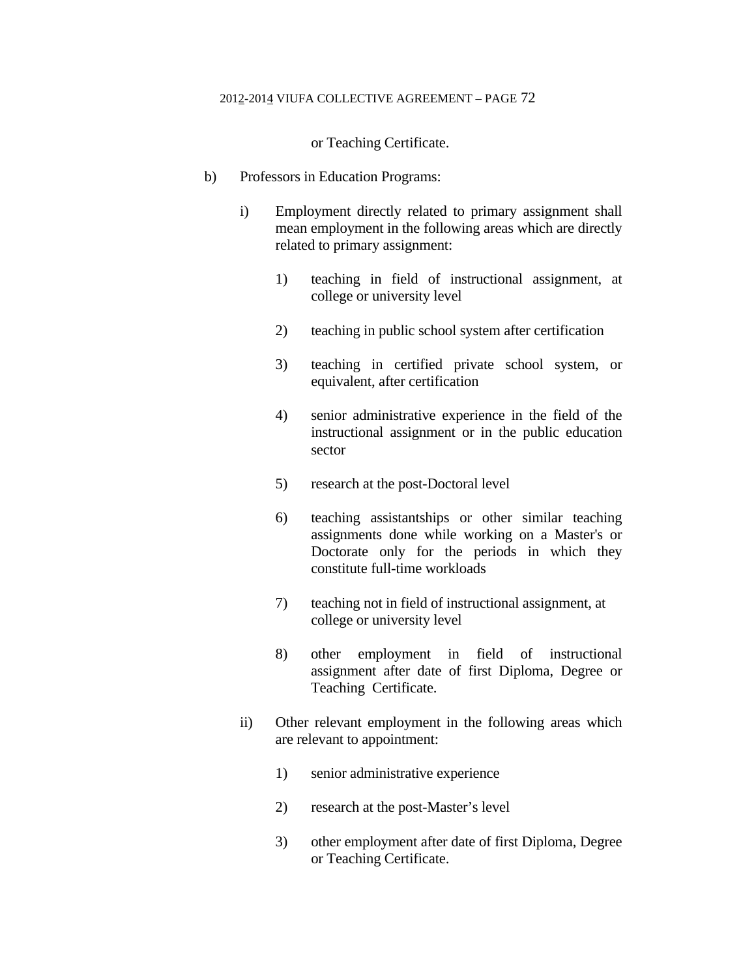or Teaching Certificate.

- b) Professors in Education Programs:
	- i) Employment directly related to primary assignment shall mean employment in the following areas which are directly related to primary assignment:
		- 1) teaching in field of instructional assignment, at college or university level
		- 2) teaching in public school system after certification
		- 3) teaching in certified private school system, or equivalent, after certification
		- 4) senior administrative experience in the field of the instructional assignment or in the public education sector
		- 5) research at the post-Doctoral level
		- 6) teaching assistantships or other similar teaching assignments done while working on a Master's or Doctorate only for the periods in which they constitute full-time workloads
		- 7) teaching not in field of instructional assignment, at college or university level
		- 8) other employment in field of instructional assignment after date of first Diploma, Degree or Teaching Certificate.
	- ii) Other relevant employment in the following areas which are relevant to appointment:
		- 1) senior administrative experience
		- 2) research at the post-Master's level
		- 3) other employment after date of first Diploma, Degree or Teaching Certificate.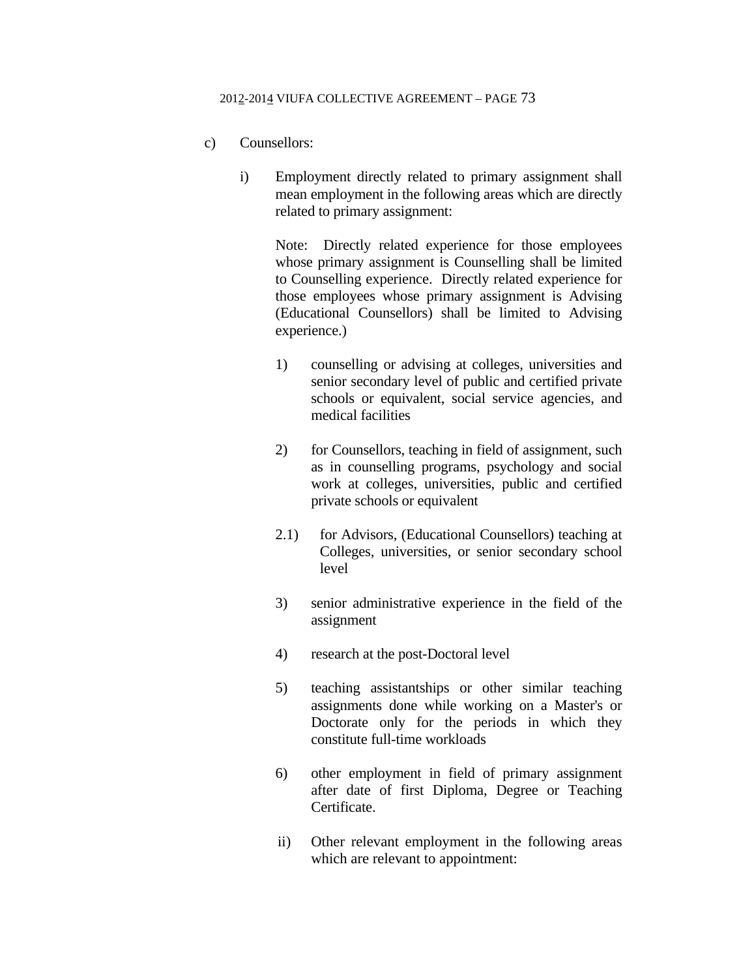- c) Counsellors:
	- i) Employment directly related to primary assignment shall mean employment in the following areas which are directly related to primary assignment:

 Note: Directly related experience for those employees whose primary assignment is Counselling shall be limited to Counselling experience. Directly related experience for those employees whose primary assignment is Advising (Educational Counsellors) shall be limited to Advising experience.)

- 1) counselling or advising at colleges, universities and senior secondary level of public and certified private schools or equivalent, social service agencies, and medical facilities
- 2) for Counsellors, teaching in field of assignment, such as in counselling programs, psychology and social work at colleges, universities, public and certified private schools or equivalent
- 2.1) for Advisors, (Educational Counsellors) teaching at Colleges, universities, or senior secondary school level
- 3) senior administrative experience in the field of the assignment
- 4) research at the post-Doctoral level
- 5) teaching assistantships or other similar teaching assignments done while working on a Master's or Doctorate only for the periods in which they constitute full-time workloads
- 6) other employment in field of primary assignment after date of first Diploma, Degree or Teaching Certificate.
- ii) Other relevant employment in the following areas which are relevant to appointment: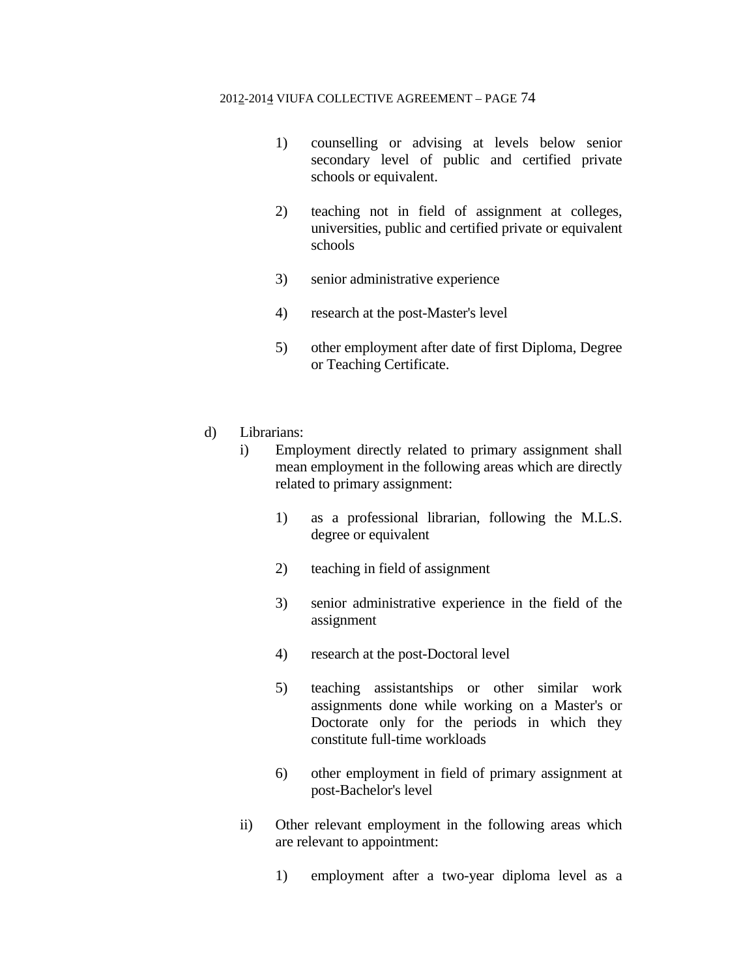- 1) counselling or advising at levels below senior secondary level of public and certified private schools or equivalent.
- 2) teaching not in field of assignment at colleges, universities, public and certified private or equivalent schools
- 3) senior administrative experience
- 4) research at the post-Master's level
- 5) other employment after date of first Diploma, Degree or Teaching Certificate.
- d) Librarians:
	- i) Employment directly related to primary assignment shall mean employment in the following areas which are directly related to primary assignment:
		- 1) as a professional librarian, following the M.L.S. degree or equivalent
		- 2) teaching in field of assignment
		- 3) senior administrative experience in the field of the assignment
		- 4) research at the post-Doctoral level
		- 5) teaching assistantships or other similar work assignments done while working on a Master's or Doctorate only for the periods in which they constitute full-time workloads
		- 6) other employment in field of primary assignment at post-Bachelor's level
	- ii) Other relevant employment in the following areas which are relevant to appointment:
		- 1) employment after a two-year diploma level as a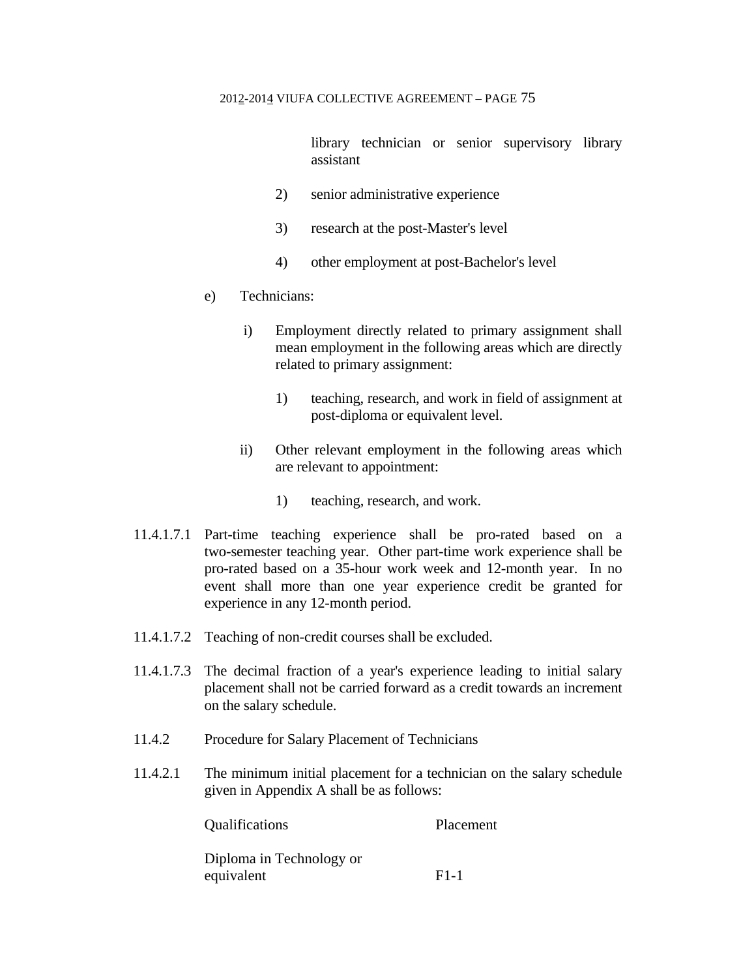library technician or senior supervisory library assistant

- 2) senior administrative experience
- 3) research at the post-Master's level
- 4) other employment at post-Bachelor's level
- e) Technicians:
	- i) Employment directly related to primary assignment shall mean employment in the following areas which are directly related to primary assignment:
		- 1) teaching, research, and work in field of assignment at post-diploma or equivalent level.
	- ii) Other relevant employment in the following areas which are relevant to appointment:
		- 1) teaching, research, and work.
- 11.4.1.7.1 Part-time teaching experience shall be pro-rated based on a two-semester teaching year. Other part-time work experience shall be pro-rated based on a 35-hour work week and 12-month year. In no event shall more than one year experience credit be granted for experience in any 12-month period.
- 11.4.1.7.2 Teaching of non-credit courses shall be excluded.
- 11.4.1.7.3 The decimal fraction of a year's experience leading to initial salary placement shall not be carried forward as a credit towards an increment on the salary schedule.
- 11.4.2 Procedure for Salary Placement of Technicians
- 11.4.2.1 The minimum initial placement for a technician on the salary schedule given in Appendix A shall be as follows:

 Qualifications Placement Diploma in Technology or equivalent F1-1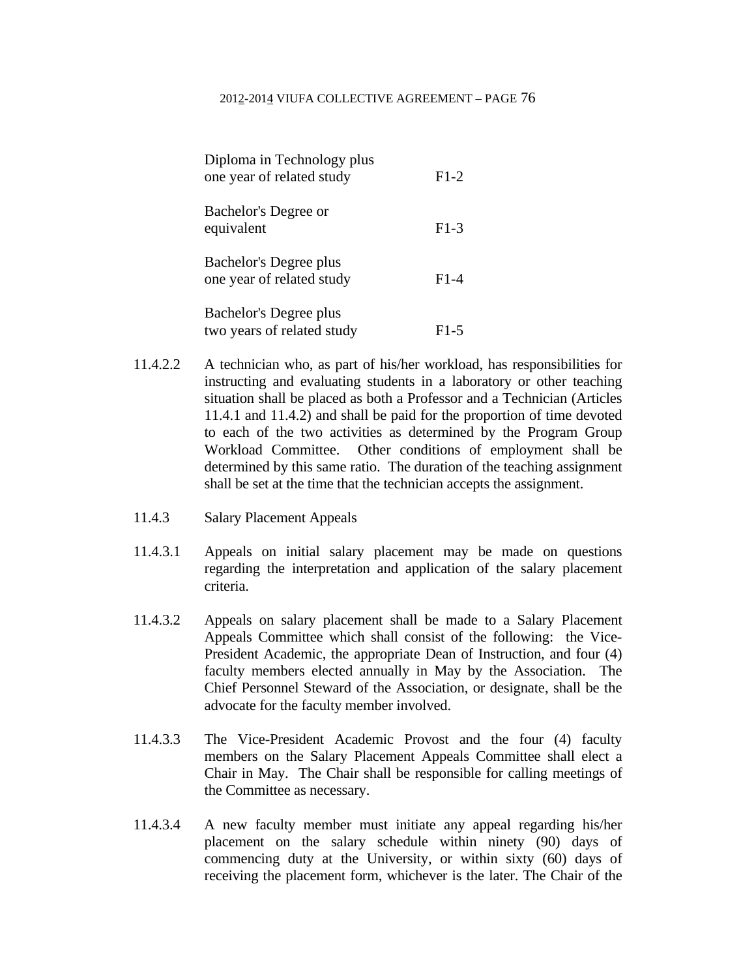|            | Diploma in Technology plus<br>one year of related study | $F1-2$ |
|------------|---------------------------------------------------------|--------|
| equivalent | Bachelor's Degree or                                    | $F1-3$ |
|            | Bachelor's Degree plus<br>one year of related study     | $F1-4$ |
|            | Bachelor's Degree plus<br>two years of related study    | F1-5   |

- 11.4.2.2 A technician who, as part of his/her workload, has responsibilities for instructing and evaluating students in a laboratory or other teaching situation shall be placed as both a Professor and a Technician (Articles 11.4.1 and 11.4.2) and shall be paid for the proportion of time devoted to each of the two activities as determined by the Program Group Workload Committee. Other conditions of employment shall be determined by this same ratio. The duration of the teaching assignment shall be set at the time that the technician accepts the assignment.
- 11.4.3 Salary Placement Appeals
- 11.4.3.1 Appeals on initial salary placement may be made on questions regarding the interpretation and application of the salary placement criteria.
- 11.4.3.2 Appeals on salary placement shall be made to a Salary Placement Appeals Committee which shall consist of the following: the Vice-President Academic, the appropriate Dean of Instruction, and four (4) faculty members elected annually in May by the Association. The Chief Personnel Steward of the Association, or designate, shall be the advocate for the faculty member involved.
- 11.4.3.3 The Vice-President Academic Provost and the four (4) faculty members on the Salary Placement Appeals Committee shall elect a Chair in May. The Chair shall be responsible for calling meetings of the Committee as necessary.
- 11.4.3.4 A new faculty member must initiate any appeal regarding his/her placement on the salary schedule within ninety (90) days of commencing duty at the University, or within sixty (60) days of receiving the placement form, whichever is the later. The Chair of the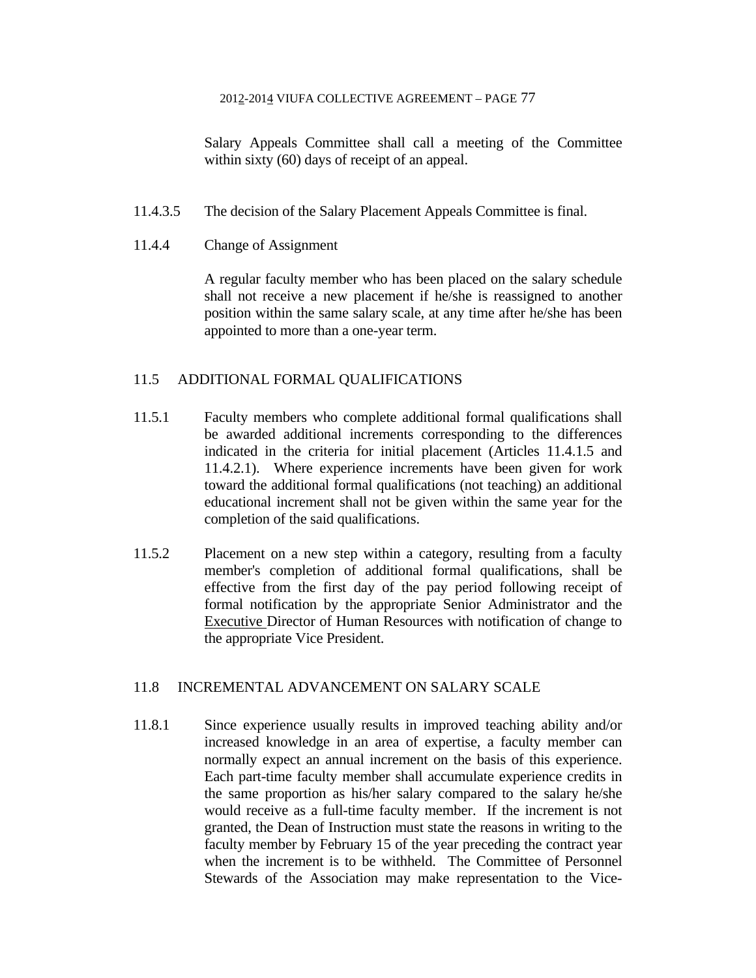Salary Appeals Committee shall call a meeting of the Committee within sixty (60) days of receipt of an appeal.

- 11.4.3.5 The decision of the Salary Placement Appeals Committee is final.
- 11.4.4 Change of Assignment

 A regular faculty member who has been placed on the salary schedule shall not receive a new placement if he/she is reassigned to another position within the same salary scale, at any time after he/she has been appointed to more than a one-year term.

# 11.5 ADDITIONAL FORMAL QUALIFICATIONS

- 11.5.1 Faculty members who complete additional formal qualifications shall be awarded additional increments corresponding to the differences indicated in the criteria for initial placement (Articles 11.4.1.5 and 11.4.2.1). Where experience increments have been given for work toward the additional formal qualifications (not teaching) an additional educational increment shall not be given within the same year for the completion of the said qualifications.
- 11.5.2 Placement on a new step within a category, resulting from a faculty member's completion of additional formal qualifications, shall be effective from the first day of the pay period following receipt of formal notification by the appropriate Senior Administrator and the Executive Director of Human Resources with notification of change to the appropriate Vice President.

## 11.8 INCREMENTAL ADVANCEMENT ON SALARY SCALE

11.8.1 Since experience usually results in improved teaching ability and/or increased knowledge in an area of expertise, a faculty member can normally expect an annual increment on the basis of this experience. Each part-time faculty member shall accumulate experience credits in the same proportion as his/her salary compared to the salary he/she would receive as a full-time faculty member. If the increment is not granted, the Dean of Instruction must state the reasons in writing to the faculty member by February 15 of the year preceding the contract year when the increment is to be withheld. The Committee of Personnel Stewards of the Association may make representation to the Vice-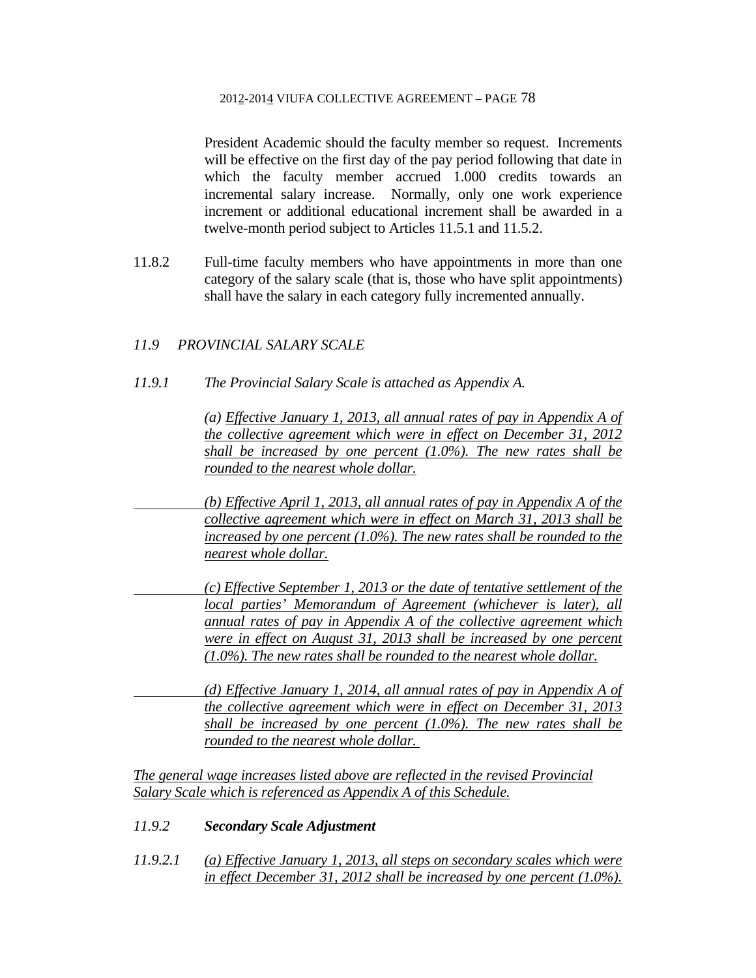President Academic should the faculty member so request. Increments will be effective on the first day of the pay period following that date in which the faculty member accrued 1.000 credits towards an incremental salary increase. Normally, only one work experience increment or additional educational increment shall be awarded in a twelve-month period subject to Articles 11.5.1 and 11.5.2.

11.8.2 Full-time faculty members who have appointments in more than one category of the salary scale (that is, those who have split appointments) shall have the salary in each category fully incremented annually.

# *11.9 PROVINCIAL SALARY SCALE*

*11.9.1 The Provincial Salary Scale is attached as Appendix A.* 

 *(a) Effective January 1, 2013, all annual rates of pay in Appendix A of the collective agreement which were in effect on December 31, 2012 shall be increased by one percent (1.0%). The new rates shall be rounded to the nearest whole dollar.* 

 *(b) Effective April 1, 2013, all annual rates of pay in Appendix A of the collective agreement which were in effect on March 31, 2013 shall be increased by one percent (1.0%). The new rates shall be rounded to the nearest whole dollar.* 

 *(c) Effective September 1, 2013 or the date of tentative settlement of the local parties' Memorandum of Agreement (whichever is later), all annual rates of pay in Appendix A of the collective agreement which were in effect on August 31, 2013 shall be increased by one percent (1.0%). The new rates shall be rounded to the nearest whole dollar.* 

 *(d) Effective January 1, 2014, all annual rates of pay in Appendix A of the collective agreement which were in effect on December 31, 2013 shall be increased by one percent (1.0%). The new rates shall be rounded to the nearest whole dollar.* 

*The general wage increases listed above are reflected in the revised Provincial Salary Scale which is referenced as Appendix A of this Schedule.* 

## *11.9.2 Secondary Scale Adjustment*

*11.9.2.1 (a) Effective January 1, 2013, all steps on secondary scales which were in effect December 31, 2012 shall be increased by one percent (1.0%).*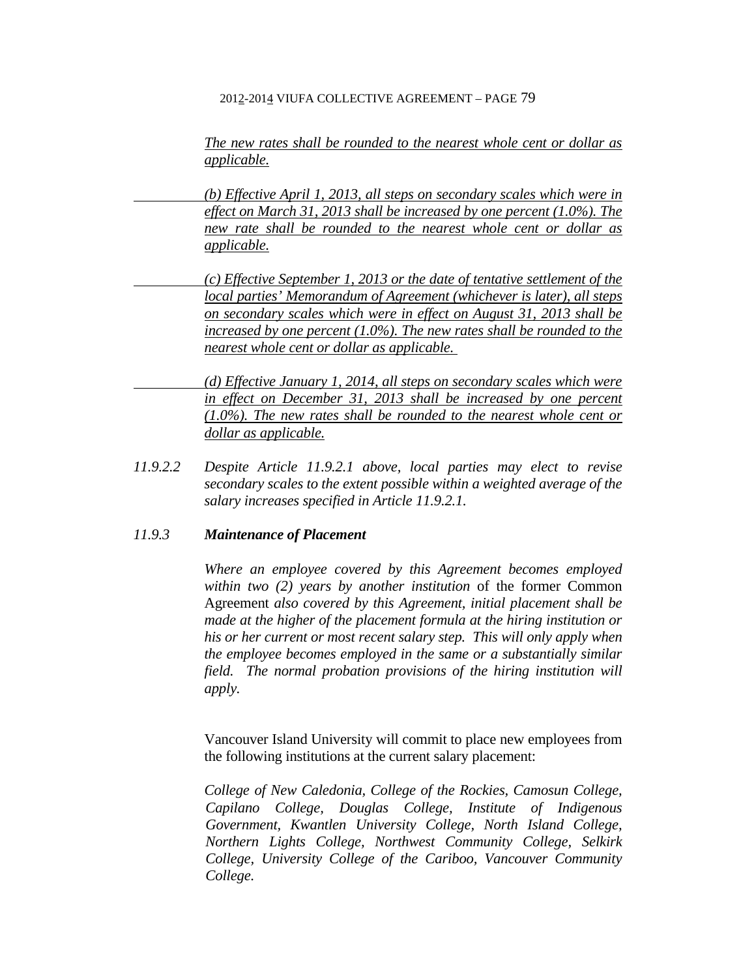*The new rates shall be rounded to the nearest whole cent or dollar as applicable.* 

 *(b) Effective April 1, 2013, all steps on secondary scales which were in effect on March 31, 2013 shall be increased by one percent (1.0%). The new rate shall be rounded to the nearest whole cent or dollar as applicable.* 

 *(c) Effective September 1, 2013 or the date of tentative settlement of the local parties' Memorandum of Agreement (whichever is later), all steps on secondary scales which were in effect on August 31, 2013 shall be increased by one percent (1.0%). The new rates shall be rounded to the nearest whole cent or dollar as applicable.* 

 *(d) Effective January 1, 2014, all steps on secondary scales which were in effect on December 31, 2013 shall be increased by one percent (1.0%). The new rates shall be rounded to the nearest whole cent or dollar as applicable.* 

*11.9.2.2 Despite Article 11.9.2.1 above, local parties may elect to revise secondary scales to the extent possible within a weighted average of the salary increases specified in Article 11.9.2.1.* 

## *11.9.3 Maintenance of Placement*

 *Where an employee covered by this Agreement becomes employed within two (2) years by another institution* of the former Common Agreement *also covered by this Agreement, initial placement shall be made at the higher of the placement formula at the hiring institution or his or her current or most recent salary step. This will only apply when the employee becomes employed in the same or a substantially similar field. The normal probation provisions of the hiring institution will apply.* 

Vancouver Island University will commit to place new employees from the following institutions at the current salary placement:

*College of New Caledonia, College of the Rockies, Camosun College, Capilano College, Douglas College, Institute of Indigenous Government, Kwantlen University College, North Island College, Northern Lights College, Northwest Community College, Selkirk College, University College of the Cariboo, Vancouver Community College.*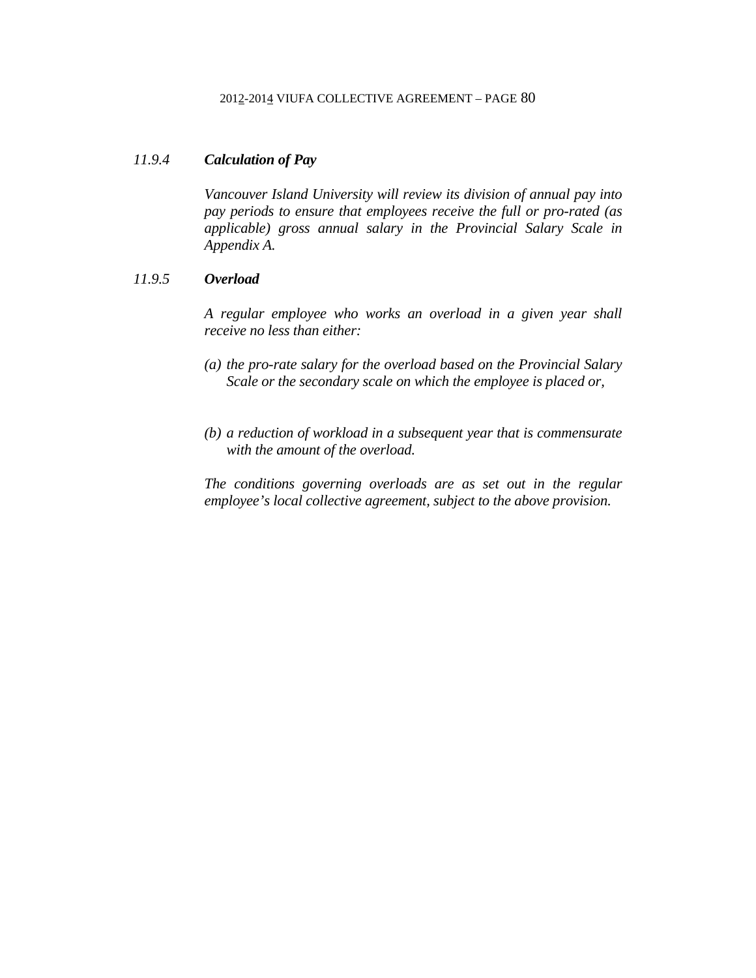## *11.9.4 Calculation of Pay*

 *Vancouver Island University will review its division of annual pay into pay periods to ensure that employees receive the full or pro-rated (as applicable) gross annual salary in the Provincial Salary Scale in Appendix A.* 

# *11.9.5 Overload*

 *A regular employee who works an overload in a given year shall receive no less than either:* 

- *(a) the pro-rate salary for the overload based on the Provincial Salary Scale or the secondary scale on which the employee is placed or,*
- *(b) a reduction of workload in a subsequent year that is commensurate with the amount of the overload.*

*The conditions governing overloads are as set out in the regular employee's local collective agreement, subject to the above provision.*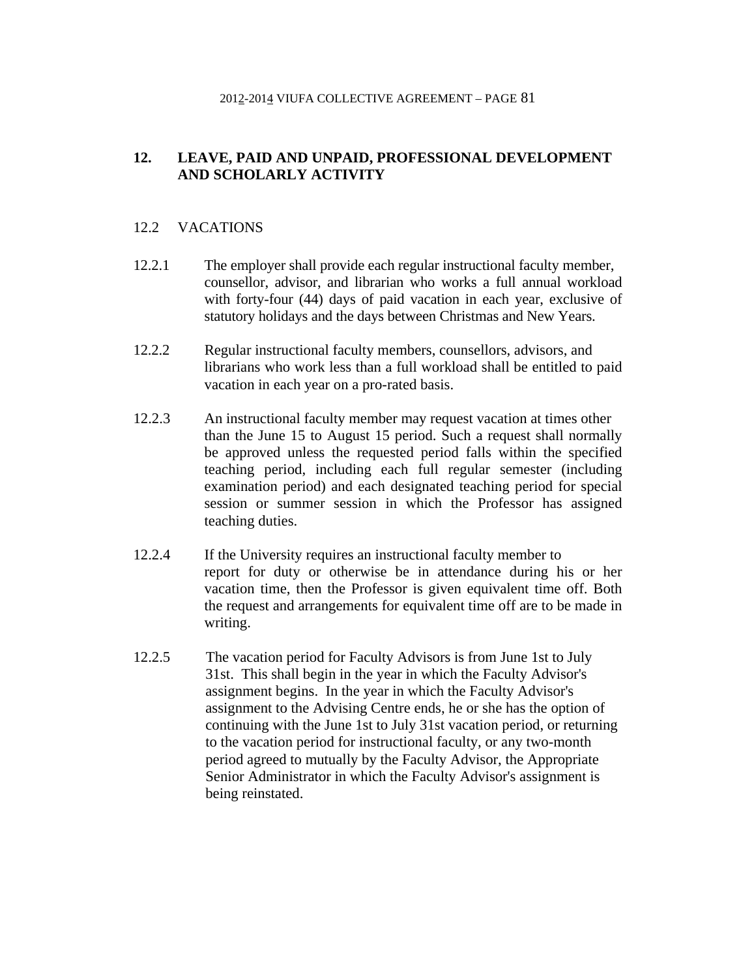# **12. LEAVE, PAID AND UNPAID, PROFESSIONAL DEVELOPMENT AND SCHOLARLY ACTIVITY**

# 12.2 VACATIONS

- 12.2.1 The employer shall provide each regular instructional faculty member, counsellor, advisor, and librarian who works a full annual workload with forty-four (44) days of paid vacation in each year, exclusive of statutory holidays and the days between Christmas and New Years.
- 12.2.2 Regular instructional faculty members, counsellors, advisors, and librarians who work less than a full workload shall be entitled to paid vacation in each year on a pro-rated basis.
- 12.2.3 An instructional faculty member may request vacation at times other than the June 15 to August 15 period. Such a request shall normally be approved unless the requested period falls within the specified teaching period, including each full regular semester (including examination period) and each designated teaching period for special session or summer session in which the Professor has assigned teaching duties.
- 12.2.4 If the University requires an instructional faculty member to report for duty or otherwise be in attendance during his or her vacation time, then the Professor is given equivalent time off. Both the request and arrangements for equivalent time off are to be made in writing.
- 12.2.5 The vacation period for Faculty Advisors is from June 1st to July 31st. This shall begin in the year in which the Faculty Advisor's assignment begins. In the year in which the Faculty Advisor's assignment to the Advising Centre ends, he or she has the option of continuing with the June 1st to July 31st vacation period, or returning to the vacation period for instructional faculty, or any two-month period agreed to mutually by the Faculty Advisor, the Appropriate Senior Administrator in which the Faculty Advisor's assignment is being reinstated.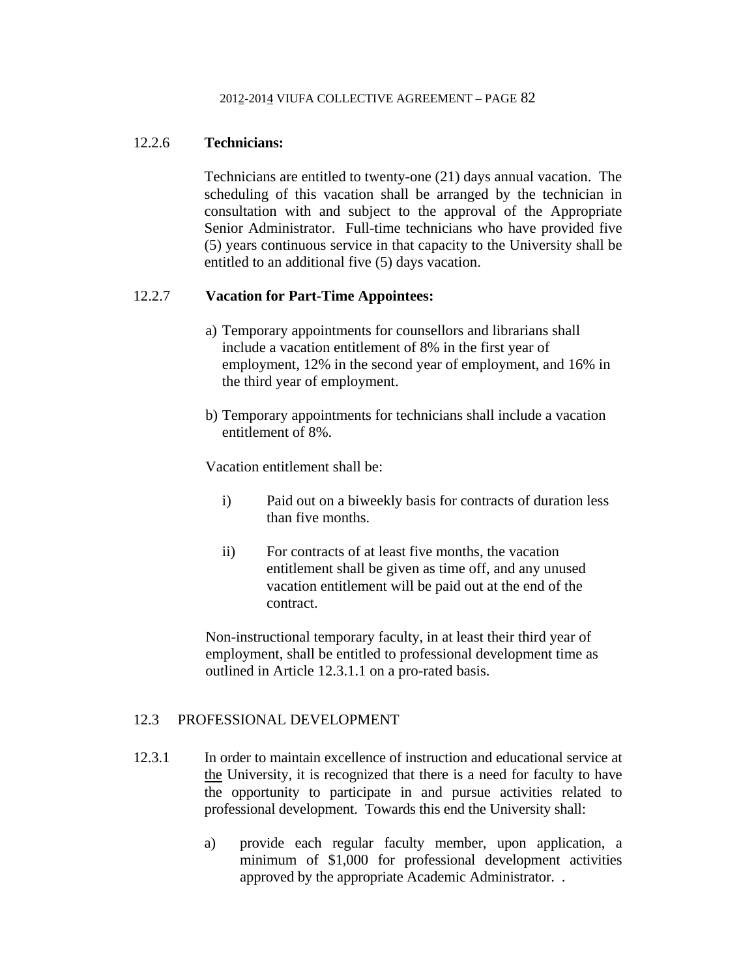# 12.2.6 **Technicians:**

 Technicians are entitled to twenty-one (21) days annual vacation. The scheduling of this vacation shall be arranged by the technician in consultation with and subject to the approval of the Appropriate Senior Administrator. Full-time technicians who have provided five (5) years continuous service in that capacity to the University shall be entitled to an additional five (5) days vacation.

# 12.2.7 **Vacation for Part-Time Appointees:**

- a) Temporary appointments for counsellors and librarians shall include a vacation entitlement of 8% in the first year of employment, 12% in the second year of employment, and 16% in the third year of employment.
- b) Temporary appointments for technicians shall include a vacation entitlement of 8%.

Vacation entitlement shall be:

- i) Paid out on a biweekly basis for contracts of duration less than five months.
- ii) For contracts of at least five months, the vacation entitlement shall be given as time off, and any unused vacation entitlement will be paid out at the end of the contract.

Non-instructional temporary faculty, in at least their third year of employment, shall be entitled to professional development time as outlined in Article 12.3.1.1 on a pro-rated basis.

## 12.3 PROFESSIONAL DEVELOPMENT

- 12.3.1 In order to maintain excellence of instruction and educational service at the University, it is recognized that there is a need for faculty to have the opportunity to participate in and pursue activities related to professional development. Towards this end the University shall:
	- a) provide each regular faculty member, upon application, a minimum of \$1,000 for professional development activities approved by the appropriate Academic Administrator. .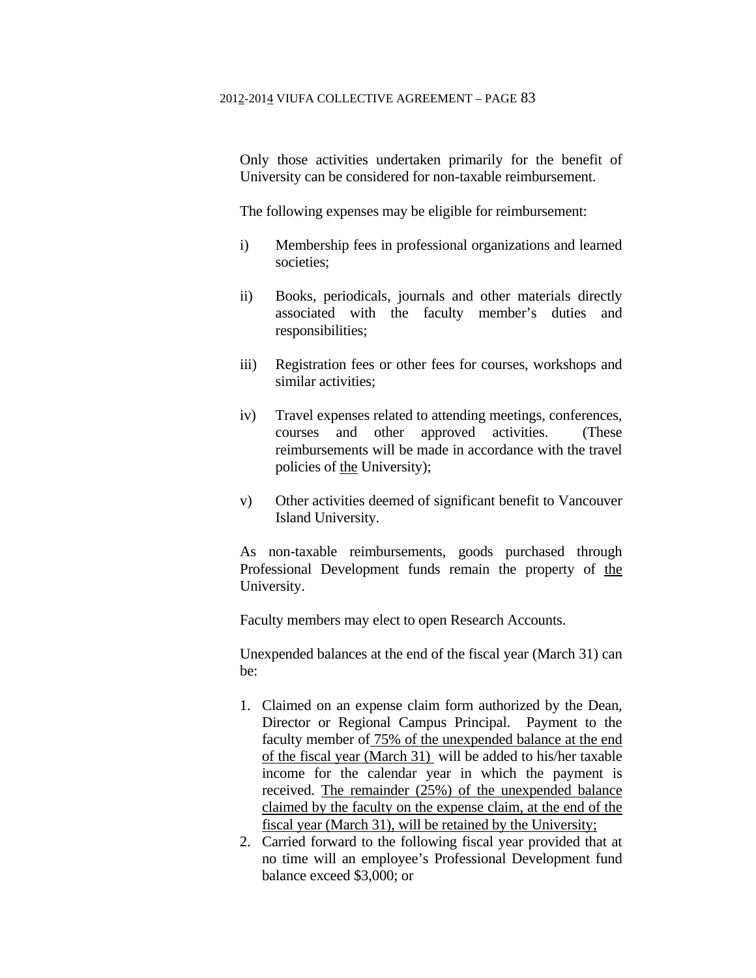Only those activities undertaken primarily for the benefit of University can be considered for non-taxable reimbursement.

The following expenses may be eligible for reimbursement:

- i) Membership fees in professional organizations and learned societies;
- ii) Books, periodicals, journals and other materials directly associated with the faculty member's duties and responsibilities;
- iii) Registration fees or other fees for courses, workshops and similar activities;
- iv) Travel expenses related to attending meetings, conferences, courses and other approved activities. (These reimbursements will be made in accordance with the travel policies of the University);
- v) Other activities deemed of significant benefit to Vancouver Island University.

 As non-taxable reimbursements, goods purchased through Professional Development funds remain the property of the University.

Faculty members may elect to open Research Accounts.

 Unexpended balances at the end of the fiscal year (March 31) can be:

- 1. Claimed on an expense claim form authorized by the Dean, Director or Regional Campus Principal. Payment to the faculty member of 75% of the unexpended balance at the end of the fiscal year (March 31) will be added to his/her taxable income for the calendar year in which the payment is received. The remainder (25%) of the unexpended balance claimed by the faculty on the expense claim, at the end of the fiscal year (March 31), will be retained by the University;
- 2. Carried forward to the following fiscal year provided that at no time will an employee's Professional Development fund balance exceed \$3,000; or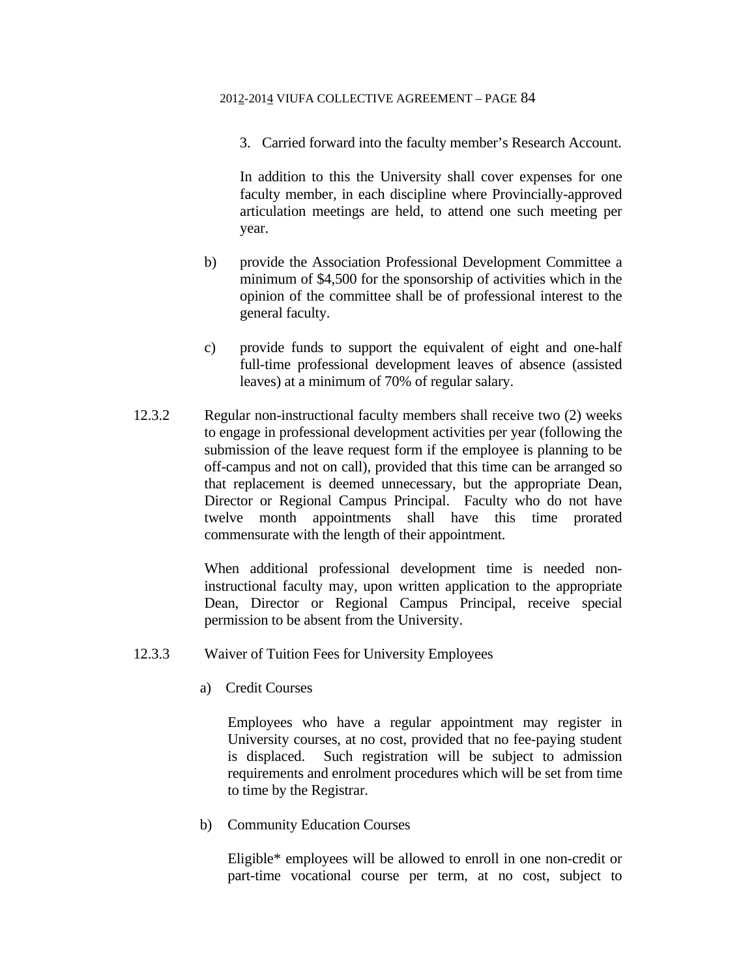3. Carried forward into the faculty member's Research Account.

 In addition to this the University shall cover expenses for one faculty member, in each discipline where Provincially-approved articulation meetings are held, to attend one such meeting per year.

- b) provide the Association Professional Development Committee a minimum of \$4,500 for the sponsorship of activities which in the opinion of the committee shall be of professional interest to the general faculty.
- c) provide funds to support the equivalent of eight and one-half full-time professional development leaves of absence (assisted leaves) at a minimum of 70% of regular salary.
- 12.3.2 Regular non-instructional faculty members shall receive two (2) weeks to engage in professional development activities per year (following the submission of the leave request form if the employee is planning to be off-campus and not on call), provided that this time can be arranged so that replacement is deemed unnecessary, but the appropriate Dean, Director or Regional Campus Principal. Faculty who do not have twelve month appointments shall have this time prorated commensurate with the length of their appointment.

 When additional professional development time is needed noninstructional faculty may, upon written application to the appropriate Dean, Director or Regional Campus Principal, receive special permission to be absent from the University.

- 12.3.3 Waiver of Tuition Fees for University Employees
	- a) Credit Courses

 Employees who have a regular appointment may register in University courses, at no cost, provided that no fee-paying student is displaced. Such registration will be subject to admission requirements and enrolment procedures which will be set from time to time by the Registrar.

b) Community Education Courses

Eligible\* employees will be allowed to enroll in one non-credit or part-time vocational course per term, at no cost, subject to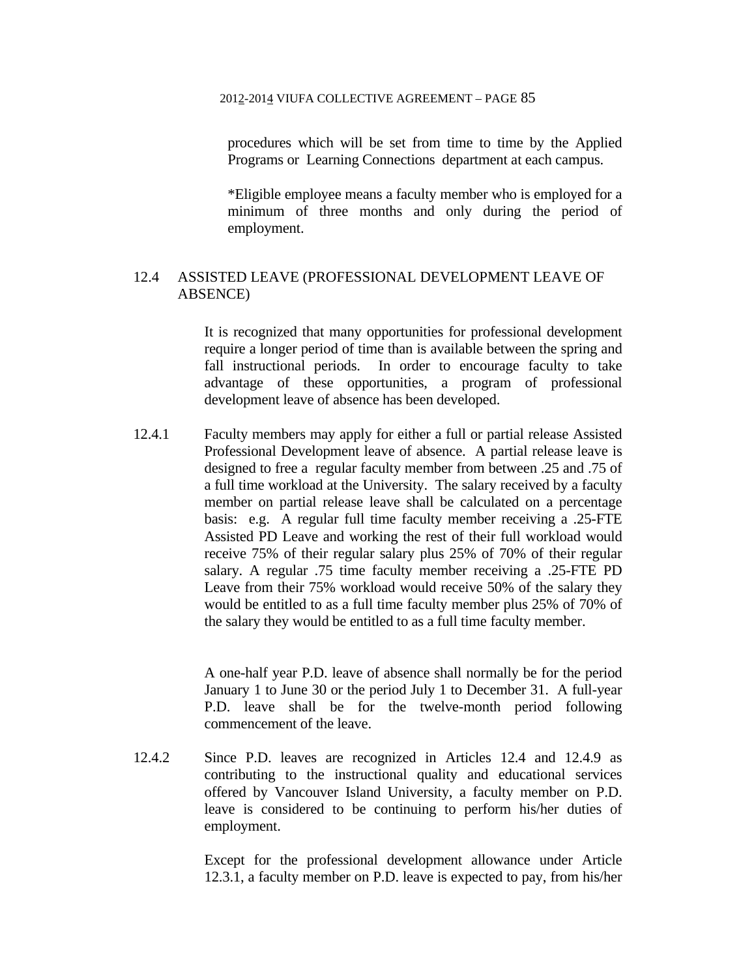procedures which will be set from time to time by the Applied Programs or Learning Connections department at each campus.

\*Eligible employee means a faculty member who is employed for a minimum of three months and only during the period of employment.

# 12.4 ASSISTED LEAVE (PROFESSIONAL DEVELOPMENT LEAVE OF ABSENCE)

 It is recognized that many opportunities for professional development require a longer period of time than is available between the spring and fall instructional periods. In order to encourage faculty to take advantage of these opportunities, a program of professional development leave of absence has been developed.

12.4.1 Faculty members may apply for either a full or partial release Assisted Professional Development leave of absence. A partial release leave is designed to free a regular faculty member from between .25 and .75 of a full time workload at the University. The salary received by a faculty member on partial release leave shall be calculated on a percentage basis: e.g. A regular full time faculty member receiving a .25-FTE Assisted PD Leave and working the rest of their full workload would receive 75% of their regular salary plus 25% of 70% of their regular salary. A regular .75 time faculty member receiving a .25-FTE PD Leave from their 75% workload would receive 50% of the salary they would be entitled to as a full time faculty member plus 25% of 70% of the salary they would be entitled to as a full time faculty member.

> A one-half year P.D. leave of absence shall normally be for the period January 1 to June 30 or the period July 1 to December 31. A full-year P.D. leave shall be for the twelve-month period following commencement of the leave.

12.4.2 Since P.D. leaves are recognized in Articles 12.4 and 12.4.9 as contributing to the instructional quality and educational services offered by Vancouver Island University, a faculty member on P.D. leave is considered to be continuing to perform his/her duties of employment.

> Except for the professional development allowance under Article 12.3.1, a faculty member on P.D. leave is expected to pay, from his/her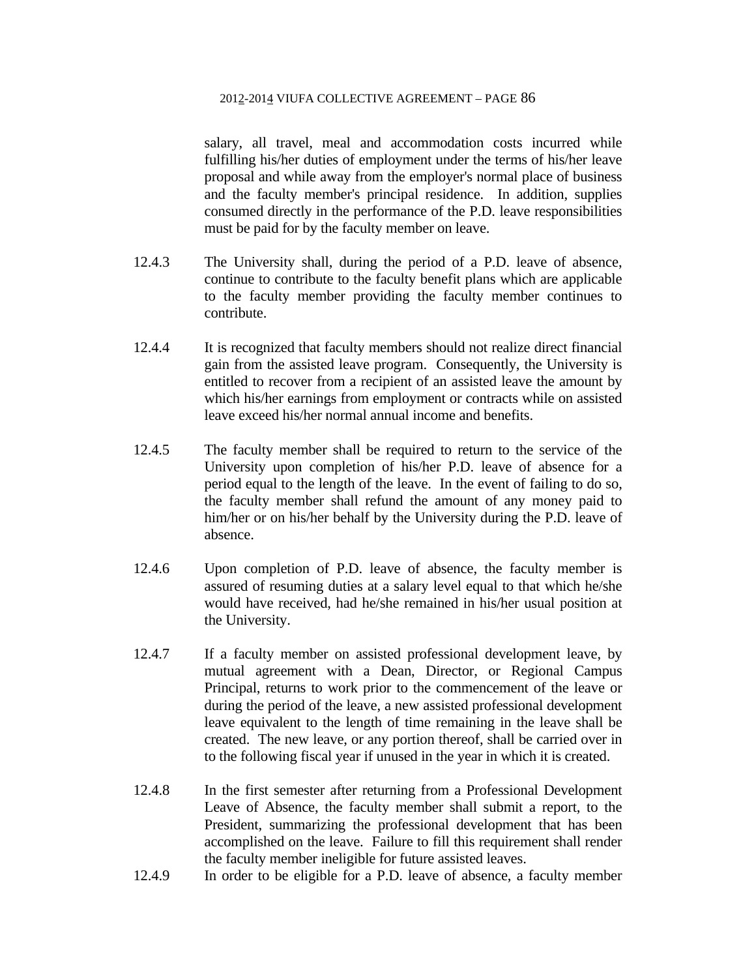salary, all travel, meal and accommodation costs incurred while fulfilling his/her duties of employment under the terms of his/her leave proposal and while away from the employer's normal place of business and the faculty member's principal residence. In addition, supplies consumed directly in the performance of the P.D. leave responsibilities must be paid for by the faculty member on leave.

- 12.4.3 The University shall, during the period of a P.D. leave of absence, continue to contribute to the faculty benefit plans which are applicable to the faculty member providing the faculty member continues to contribute.
- 12.4.4 It is recognized that faculty members should not realize direct financial gain from the assisted leave program. Consequently, the University is entitled to recover from a recipient of an assisted leave the amount by which his/her earnings from employment or contracts while on assisted leave exceed his/her normal annual income and benefits.
- 12.4.5 The faculty member shall be required to return to the service of the University upon completion of his/her P.D. leave of absence for a period equal to the length of the leave. In the event of failing to do so, the faculty member shall refund the amount of any money paid to him/her or on his/her behalf by the University during the P.D. leave of absence.
- 12.4.6 Upon completion of P.D. leave of absence, the faculty member is assured of resuming duties at a salary level equal to that which he/she would have received, had he/she remained in his/her usual position at the University.
- 12.4.7 If a faculty member on assisted professional development leave, by mutual agreement with a Dean, Director, or Regional Campus Principal, returns to work prior to the commencement of the leave or during the period of the leave, a new assisted professional development leave equivalent to the length of time remaining in the leave shall be created. The new leave, or any portion thereof, shall be carried over in to the following fiscal year if unused in the year in which it is created.
- 12.4.8 In the first semester after returning from a Professional Development Leave of Absence, the faculty member shall submit a report, to the President, summarizing the professional development that has been accomplished on the leave. Failure to fill this requirement shall render the faculty member ineligible for future assisted leaves.
- 12.4.9 In order to be eligible for a P.D. leave of absence, a faculty member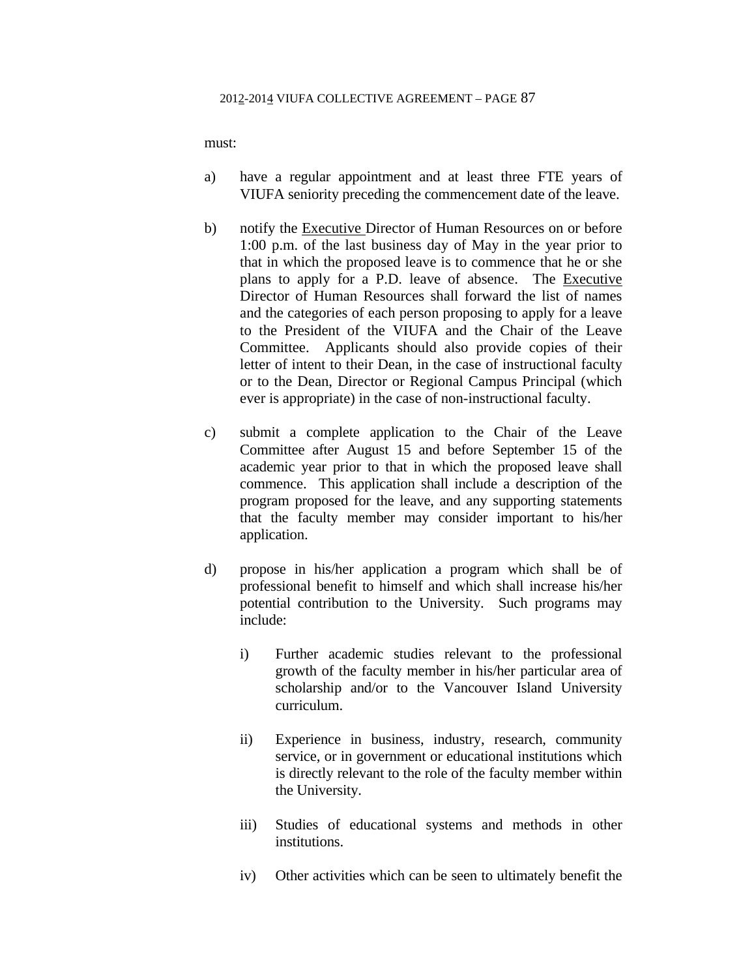must:

- a) have a regular appointment and at least three FTE years of VIUFA seniority preceding the commencement date of the leave.
- b) notify the Executive Director of Human Resources on or before 1:00 p.m. of the last business day of May in the year prior to that in which the proposed leave is to commence that he or she plans to apply for a P.D. leave of absence. The Executive Director of Human Resources shall forward the list of names and the categories of each person proposing to apply for a leave to the President of the VIUFA and the Chair of the Leave Committee. Applicants should also provide copies of their letter of intent to their Dean, in the case of instructional faculty or to the Dean, Director or Regional Campus Principal (which ever is appropriate) in the case of non-instructional faculty.
- c) submit a complete application to the Chair of the Leave Committee after August 15 and before September 15 of the academic year prior to that in which the proposed leave shall commence. This application shall include a description of the program proposed for the leave, and any supporting statements that the faculty member may consider important to his/her application.
- d) propose in his/her application a program which shall be of professional benefit to himself and which shall increase his/her potential contribution to the University. Such programs may include:
	- i) Further academic studies relevant to the professional growth of the faculty member in his/her particular area of scholarship and/or to the Vancouver Island University curriculum.
	- ii) Experience in business, industry, research, community service, or in government or educational institutions which is directly relevant to the role of the faculty member within the University.
	- iii) Studies of educational systems and methods in other institutions.
	- iv) Other activities which can be seen to ultimately benefit the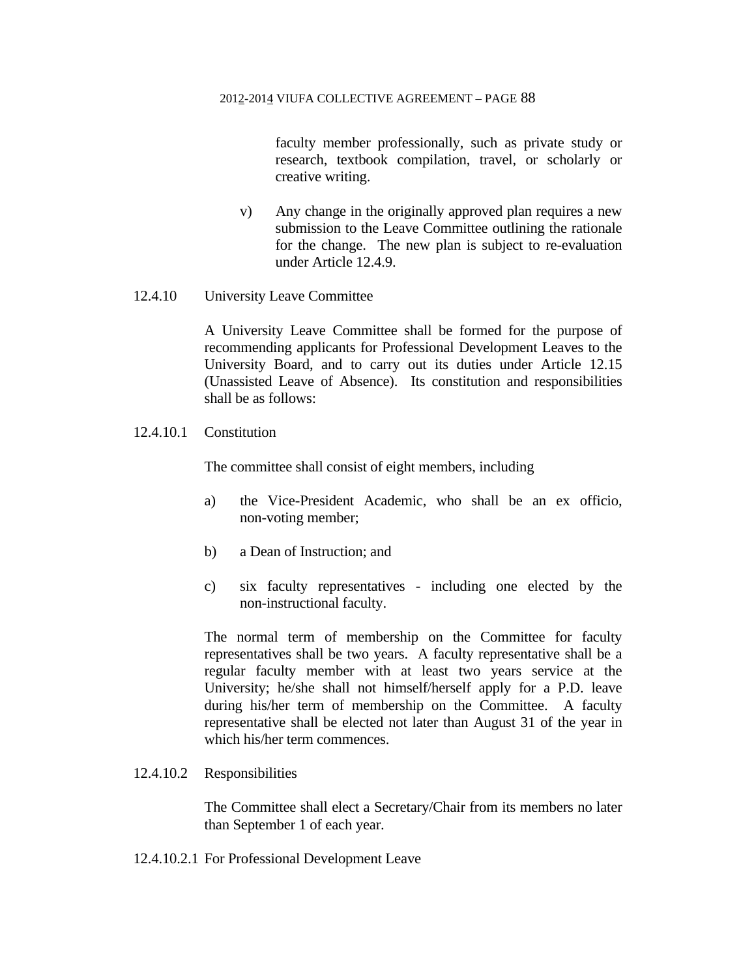faculty member professionally, such as private study or research, textbook compilation, travel, or scholarly or creative writing.

- v) Any change in the originally approved plan requires a new submission to the Leave Committee outlining the rationale for the change. The new plan is subject to re-evaluation under Article 12.4.9.
- 12.4.10 University Leave Committee

 A University Leave Committee shall be formed for the purpose of recommending applicants for Professional Development Leaves to the University Board, and to carry out its duties under Article 12.15 (Unassisted Leave of Absence). Its constitution and responsibilities shall be as follows:

12.4.10.1 Constitution

The committee shall consist of eight members, including

- a) the Vice-President Academic, who shall be an ex officio, non-voting member;
- b) a Dean of Instruction; and
- c) six faculty representatives including one elected by the non-instructional faculty.

The normal term of membership on the Committee for faculty representatives shall be two years. A faculty representative shall be a regular faculty member with at least two years service at the University; he/she shall not himself/herself apply for a P.D. leave during his/her term of membership on the Committee. A faculty representative shall be elected not later than August 31 of the year in which his/her term commences.

### 12.4.10.2 Responsibilities

 The Committee shall elect a Secretary/Chair from its members no later than September 1 of each year.

12.4.10.2.1 For Professional Development Leave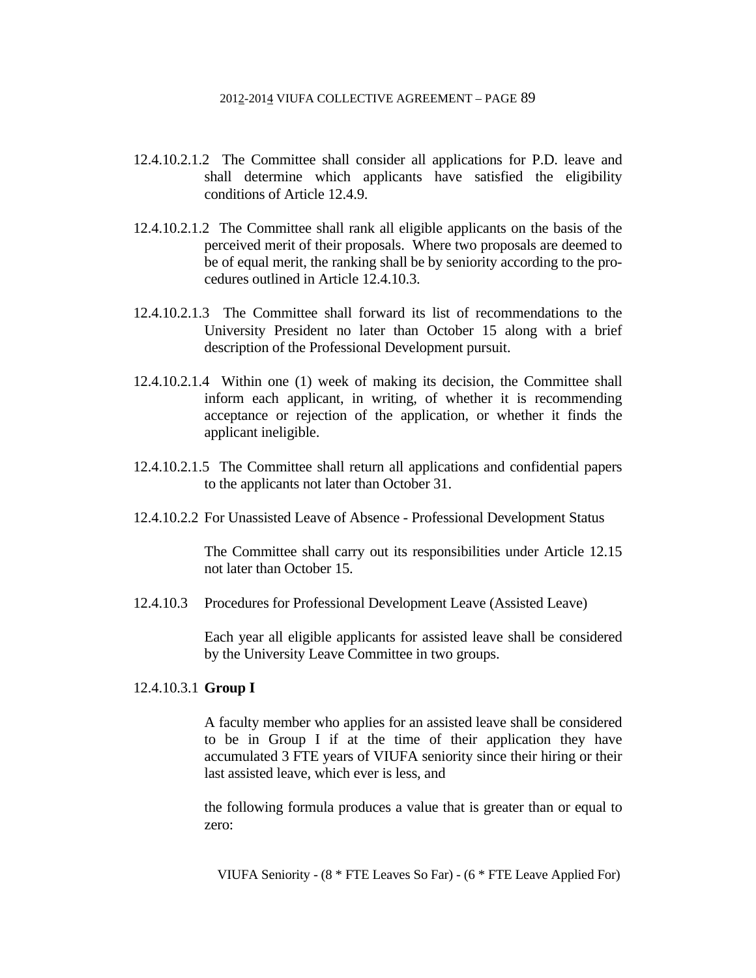- 12.4.10.2.1.2 The Committee shall consider all applications for P.D. leave and shall determine which applicants have satisfied the eligibility conditions of Article 12.4.9.
- 12.4.10.2.1.2 The Committee shall rank all eligible applicants on the basis of the perceived merit of their proposals. Where two proposals are deemed to be of equal merit, the ranking shall be by seniority according to the procedures outlined in Article 12.4.10.3.
- 12.4.10.2.1.3 The Committee shall forward its list of recommendations to the University President no later than October 15 along with a brief description of the Professional Development pursuit.
- 12.4.10.2.1.4 Within one (1) week of making its decision, the Committee shall inform each applicant, in writing, of whether it is recommending acceptance or rejection of the application, or whether it finds the applicant ineligible.
- 12.4.10.2.1.5 The Committee shall return all applications and confidential papers to the applicants not later than October 31.
- 12.4.10.2.2 For Unassisted Leave of Absence Professional Development Status

 The Committee shall carry out its responsibilities under Article 12.15 not later than October 15.

12.4.10.3 Procedures for Professional Development Leave (Assisted Leave)

 Each year all eligible applicants for assisted leave shall be considered by the University Leave Committee in two groups.

## 12.4.10.3.1 **Group I**

 A faculty member who applies for an assisted leave shall be considered to be in Group I if at the time of their application they have accumulated 3 FTE years of VIUFA seniority since their hiring or their last assisted leave, which ever is less, and

 the following formula produces a value that is greater than or equal to zero:

VIUFA Seniority - (8 \* FTE Leaves So Far) - (6 \* FTE Leave Applied For)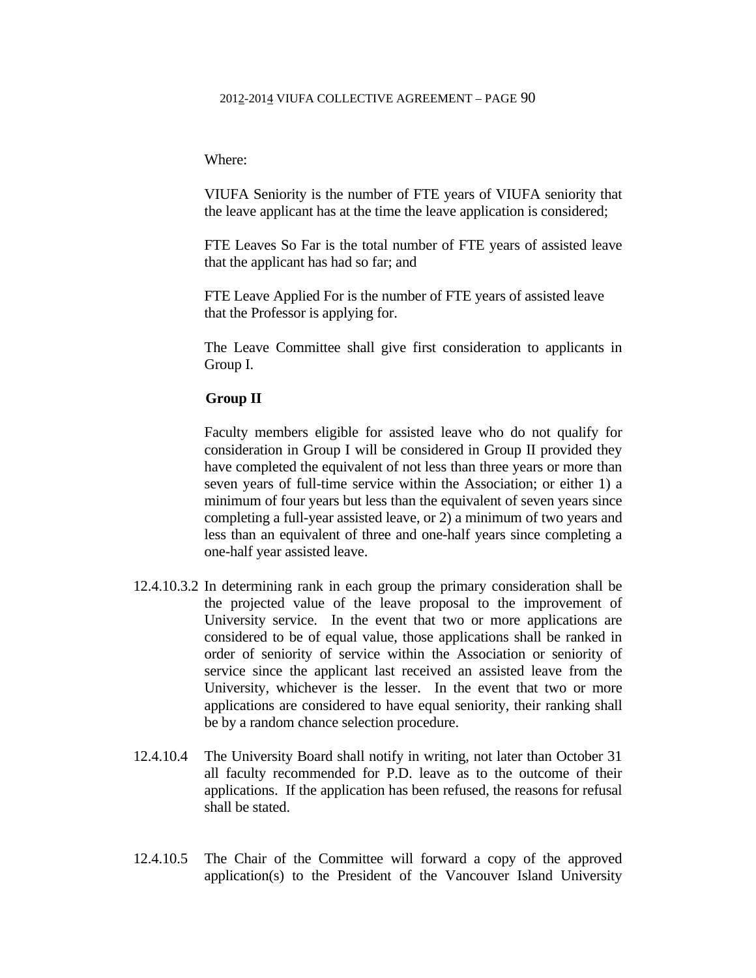### Where:

 VIUFA Seniority is the number of FTE years of VIUFA seniority that the leave applicant has at the time the leave application is considered;

 FTE Leaves So Far is the total number of FTE years of assisted leave that the applicant has had so far; and

 FTE Leave Applied For is the number of FTE years of assisted leave that the Professor is applying for.

 The Leave Committee shall give first consideration to applicants in Group I.

## **Group II**

 Faculty members eligible for assisted leave who do not qualify for consideration in Group I will be considered in Group II provided they have completed the equivalent of not less than three years or more than seven years of full-time service within the Association; or either 1) a minimum of four years but less than the equivalent of seven years since completing a full-year assisted leave, or 2) a minimum of two years and less than an equivalent of three and one-half years since completing a one-half year assisted leave.

- 12.4.10.3.2 In determining rank in each group the primary consideration shall be the projected value of the leave proposal to the improvement of University service. In the event that two or more applications are considered to be of equal value, those applications shall be ranked in order of seniority of service within the Association or seniority of service since the applicant last received an assisted leave from the University, whichever is the lesser. In the event that two or more applications are considered to have equal seniority, their ranking shall be by a random chance selection procedure.
- 12.4.10.4 The University Board shall notify in writing, not later than October 31 all faculty recommended for P.D. leave as to the outcome of their applications. If the application has been refused, the reasons for refusal shall be stated.
- 12.4.10.5 The Chair of the Committee will forward a copy of the approved application(s) to the President of the Vancouver Island University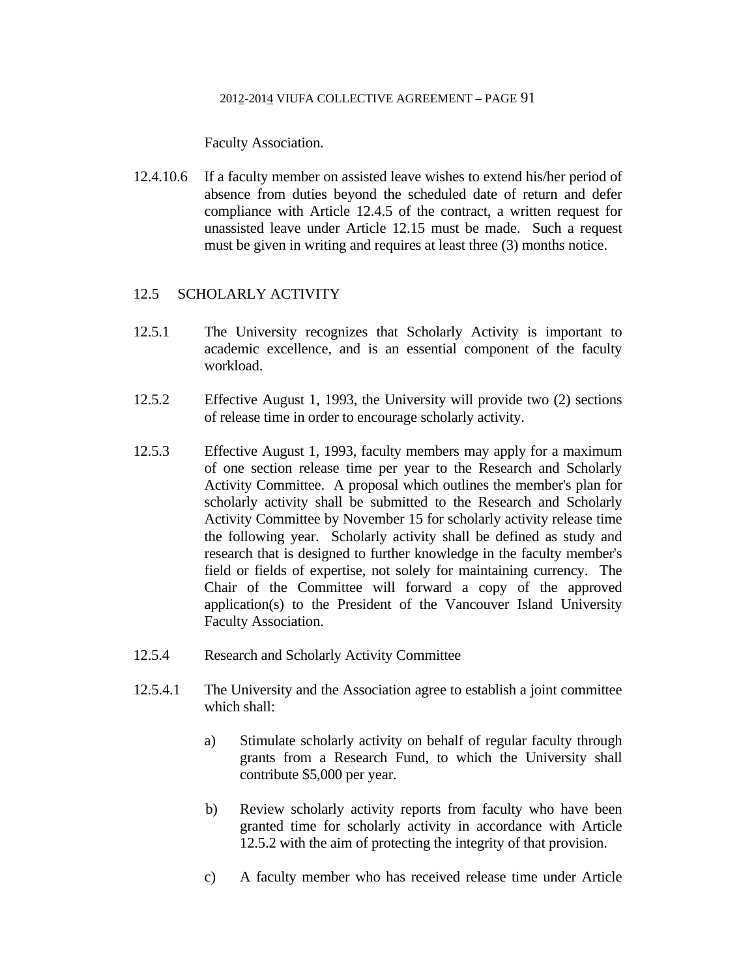Faculty Association.

12.4.10.6 If a faculty member on assisted leave wishes to extend his/her period of absence from duties beyond the scheduled date of return and defer compliance with Article 12.4.5 of the contract, a written request for unassisted leave under Article 12.15 must be made. Such a request must be given in writing and requires at least three (3) months notice.

## 12.5 SCHOLARLY ACTIVITY

- 12.5.1 The University recognizes that Scholarly Activity is important to academic excellence, and is an essential component of the faculty workload.
- 12.5.2 Effective August 1, 1993, the University will provide two (2) sections of release time in order to encourage scholarly activity.
- 12.5.3 Effective August 1, 1993, faculty members may apply for a maximum of one section release time per year to the Research and Scholarly Activity Committee. A proposal which outlines the member's plan for scholarly activity shall be submitted to the Research and Scholarly Activity Committee by November 15 for scholarly activity release time the following year. Scholarly activity shall be defined as study and research that is designed to further knowledge in the faculty member's field or fields of expertise, not solely for maintaining currency. The Chair of the Committee will forward a copy of the approved application(s) to the President of the Vancouver Island University Faculty Association.
- 12.5.4 Research and Scholarly Activity Committee
- 12.5.4.1 The University and the Association agree to establish a joint committee which shall:
	- a) Stimulate scholarly activity on behalf of regular faculty through grants from a Research Fund, to which the University shall contribute \$5,000 per year.
	- b) Review scholarly activity reports from faculty who have been granted time for scholarly activity in accordance with Article 12.5.2 with the aim of protecting the integrity of that provision.
	- c) A faculty member who has received release time under Article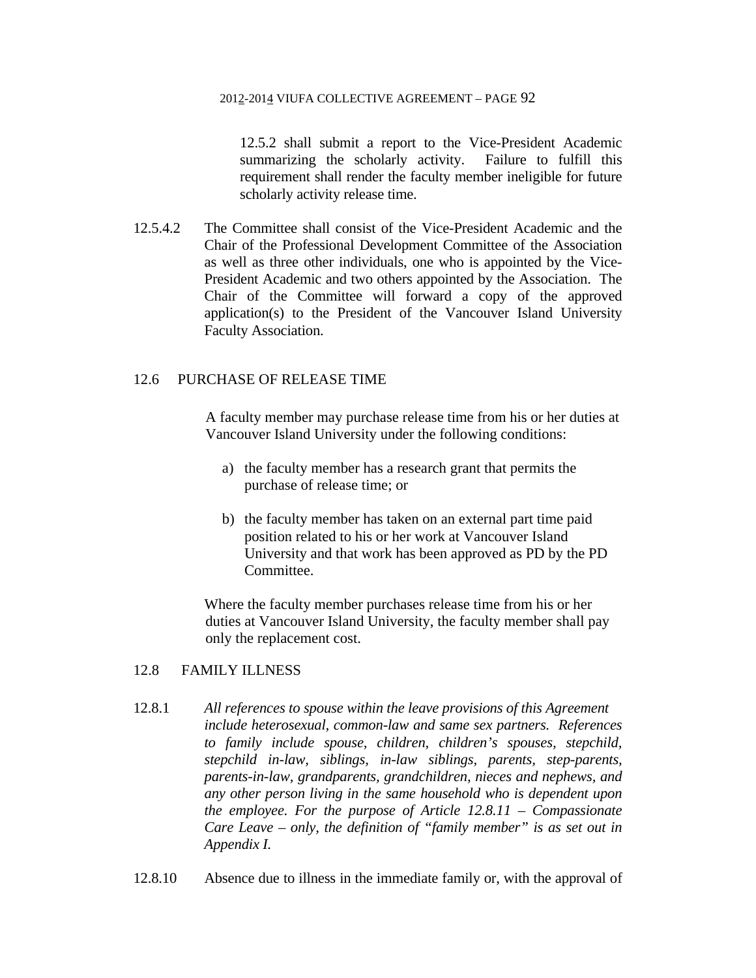12.5.2 shall submit a report to the Vice-President Academic summarizing the scholarly activity. Failure to fulfill this requirement shall render the faculty member ineligible for future scholarly activity release time.

12.5.4.2 The Committee shall consist of the Vice-President Academic and the Chair of the Professional Development Committee of the Association as well as three other individuals, one who is appointed by the Vice-President Academic and two others appointed by the Association. The Chair of the Committee will forward a copy of the approved application(s) to the President of the Vancouver Island University Faculty Association.

# 12.6 PURCHASE OF RELEASE TIME

A faculty member may purchase release time from his or her duties at Vancouver Island University under the following conditions:

- a) the faculty member has a research grant that permits the purchase of release time; or
- b) the faculty member has taken on an external part time paid position related to his or her work at Vancouver Island University and that work has been approved as PD by the PD Committee.

 Where the faculty member purchases release time from his or her duties at Vancouver Island University, the faculty member shall pay only the replacement cost.

# 12.8 FAMILY ILLNESS

- 12.8.1 *All references to spouse within the leave provisions of this Agreement include heterosexual, common-law and same sex partners. References to family include spouse, children, children's spouses, stepchild, stepchild in-law, siblings, in-law siblings, parents, step-parents, parents-in-law, grandparents, grandchildren, nieces and nephews, and any other person living in the same household who is dependent upon the employee. For the purpose of Article 12.8.11 – Compassionate Care Leave – only, the definition of "family member" is as set out in Appendix I.*
- 12.8.10 Absence due to illness in the immediate family or, with the approval of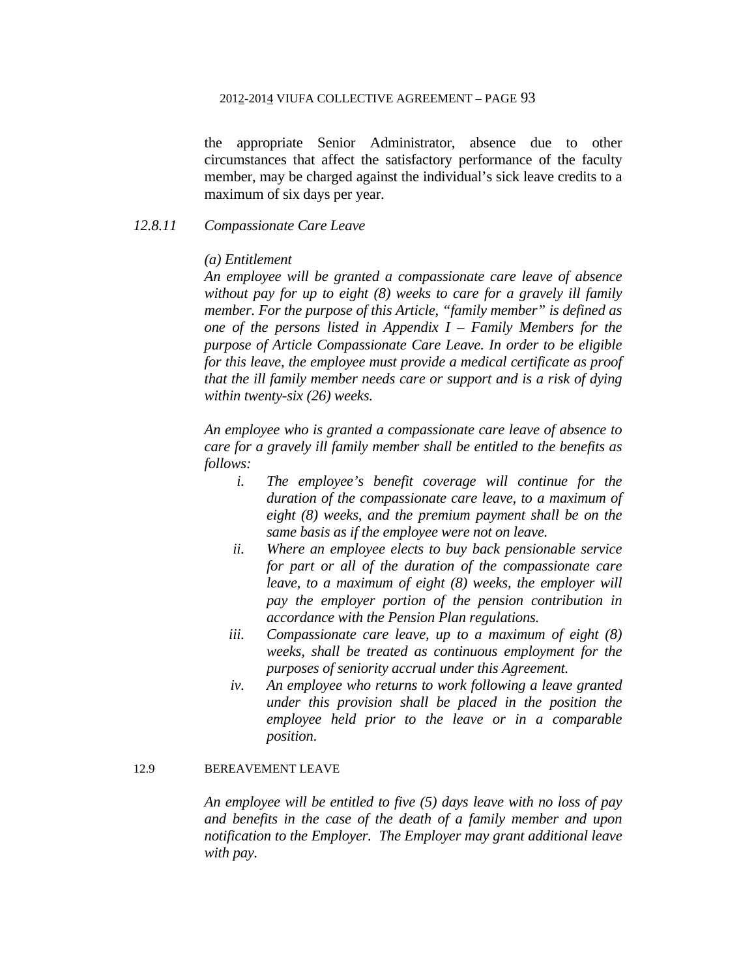the appropriate Senior Administrator, absence due to other circumstances that affect the satisfactory performance of the faculty member, may be charged against the individual's sick leave credits to a maximum of six days per year.

# *12.8.11 Compassionate Care Leave*

## *(a) Entitlement*

*An employee will be granted a compassionate care leave of absence without pay for up to eight (8) weeks to care for a gravely ill family member. For the purpose of this Article, "family member" is defined as one of the persons listed in Appendix I – Family Members for the purpose of Article Compassionate Care Leave. In order to be eligible for this leave, the employee must provide a medical certificate as proof that the ill family member needs care or support and is a risk of dying within twenty-six (26) weeks.* 

*An employee who is granted a compassionate care leave of absence to care for a gravely ill family member shall be entitled to the benefits as follows:* 

- *i. The employee's benefit coverage will continue for the duration of the compassionate care leave, to a maximum of eight (8) weeks, and the premium payment shall be on the same basis as if the employee were not on leave.*
- *ii. Where an employee elects to buy back pensionable service for part or all of the duration of the compassionate care leave, to a maximum of eight (8) weeks, the employer will pay the employer portion of the pension contribution in accordance with the Pension Plan regulations.*
- *iii. Compassionate care leave, up to a maximum of eight (8) weeks, shall be treated as continuous employment for the purposes of seniority accrual under this Agreement.*
- *iv. An employee who returns to work following a leave granted under this provision shall be placed in the position the employee held prior to the leave or in a comparable position*.

### 12.9 BEREAVEMENT LEAVE

*An employee will be entitled to five (5) days leave with no loss of pay and benefits in the case of the death of a family member and upon notification to the Employer. The Employer may grant additional leave with pay.*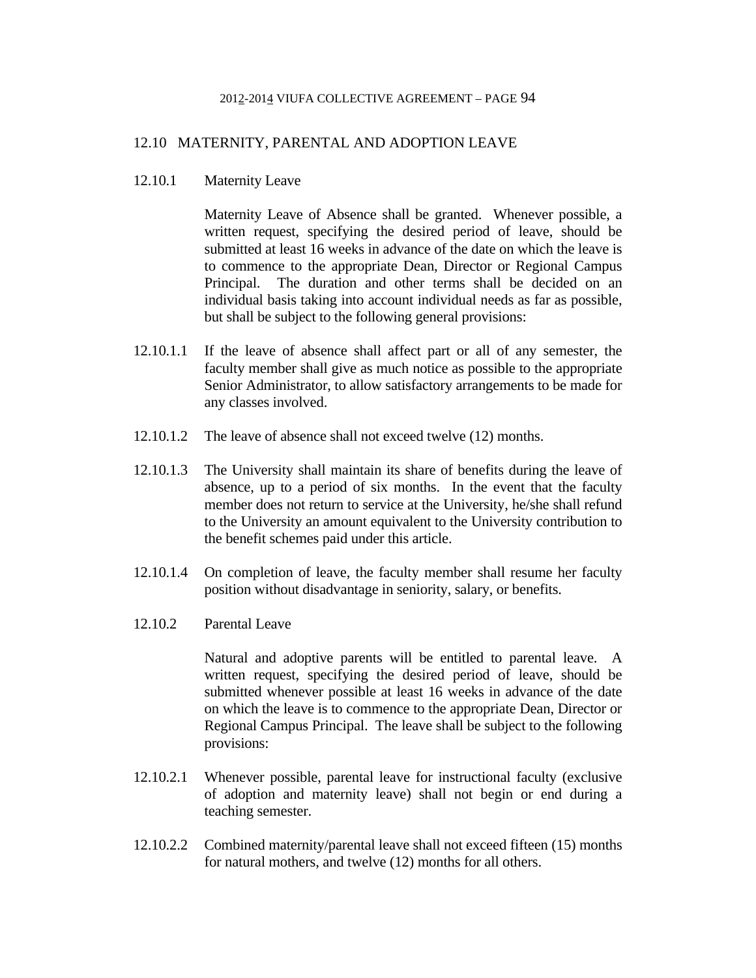# 12.10 MATERNITY, PARENTAL AND ADOPTION LEAVE

12.10.1 Maternity Leave

 Maternity Leave of Absence shall be granted. Whenever possible, a written request, specifying the desired period of leave, should be submitted at least 16 weeks in advance of the date on which the leave is to commence to the appropriate Dean, Director or Regional Campus Principal. The duration and other terms shall be decided on an individual basis taking into account individual needs as far as possible, but shall be subject to the following general provisions:

- 12.10.1.1 If the leave of absence shall affect part or all of any semester, the faculty member shall give as much notice as possible to the appropriate Senior Administrator, to allow satisfactory arrangements to be made for any classes involved.
- 12.10.1.2 The leave of absence shall not exceed twelve (12) months.
- 12.10.1.3 The University shall maintain its share of benefits during the leave of absence, up to a period of six months. In the event that the faculty member does not return to service at the University, he/she shall refund to the University an amount equivalent to the University contribution to the benefit schemes paid under this article.
- 12.10.1.4 On completion of leave, the faculty member shall resume her faculty position without disadvantage in seniority, salary, or benefits.
- 12.10.2 Parental Leave

 Natural and adoptive parents will be entitled to parental leave. A written request, specifying the desired period of leave, should be submitted whenever possible at least 16 weeks in advance of the date on which the leave is to commence to the appropriate Dean, Director or Regional Campus Principal. The leave shall be subject to the following provisions:

- 12.10.2.1 Whenever possible, parental leave for instructional faculty (exclusive of adoption and maternity leave) shall not begin or end during a teaching semester.
- 12.10.2.2 Combined maternity/parental leave shall not exceed fifteen (15) months for natural mothers, and twelve (12) months for all others.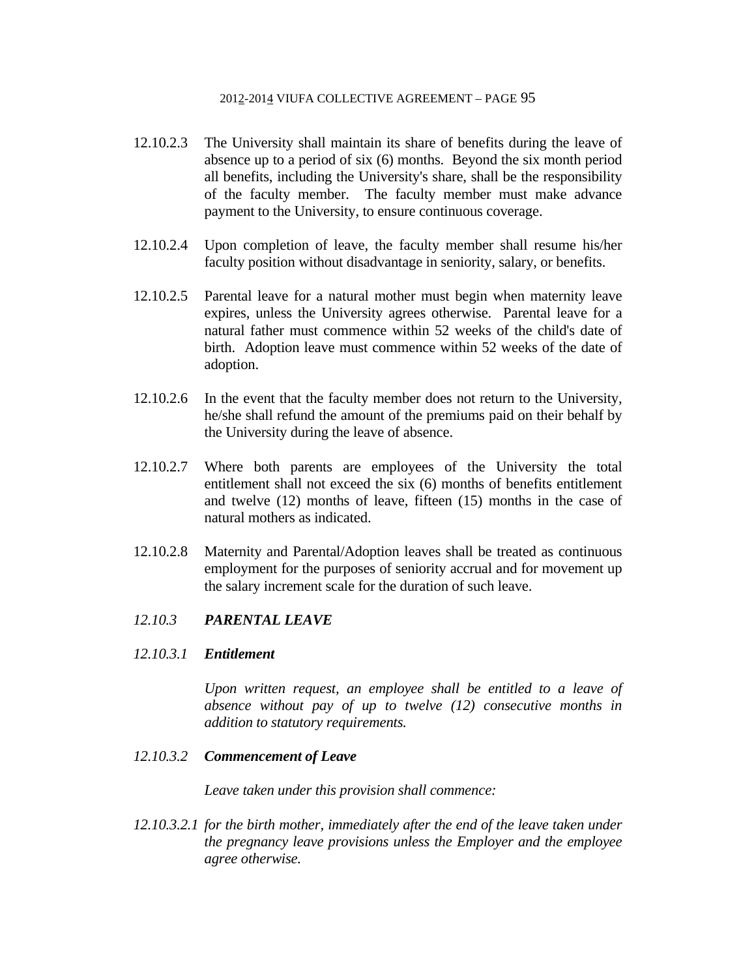- 12.10.2.3 The University shall maintain its share of benefits during the leave of absence up to a period of six (6) months. Beyond the six month period all benefits, including the University's share, shall be the responsibility of the faculty member. The faculty member must make advance payment to the University, to ensure continuous coverage.
- 12.10.2.4 Upon completion of leave, the faculty member shall resume his/her faculty position without disadvantage in seniority, salary, or benefits.
- 12.10.2.5 Parental leave for a natural mother must begin when maternity leave expires, unless the University agrees otherwise. Parental leave for a natural father must commence within 52 weeks of the child's date of birth. Adoption leave must commence within 52 weeks of the date of adoption.
- 12.10.2.6 In the event that the faculty member does not return to the University, he/she shall refund the amount of the premiums paid on their behalf by the University during the leave of absence.
- 12.10.2.7 Where both parents are employees of the University the total entitlement shall not exceed the six (6) months of benefits entitlement and twelve (12) months of leave, fifteen (15) months in the case of natural mothers as indicated.
- 12.10.2.8 Maternity and Parental/Adoption leaves shall be treated as continuous employment for the purposes of seniority accrual and for movement up the salary increment scale for the duration of such leave.

# *12.10.3 PARENTAL LEAVE*

# *12.10.3.1 Entitlement*

 *Upon written request, an employee shall be entitled to a leave of absence without pay of up to twelve (12) consecutive months in addition to statutory requirements.* 

### *12.10.3.2 Commencement of Leave*

 *Leave taken under this provision shall commence:* 

*12.10.3.2.1 for the birth mother, immediately after the end of the leave taken under the pregnancy leave provisions unless the Employer and the employee agree otherwise.*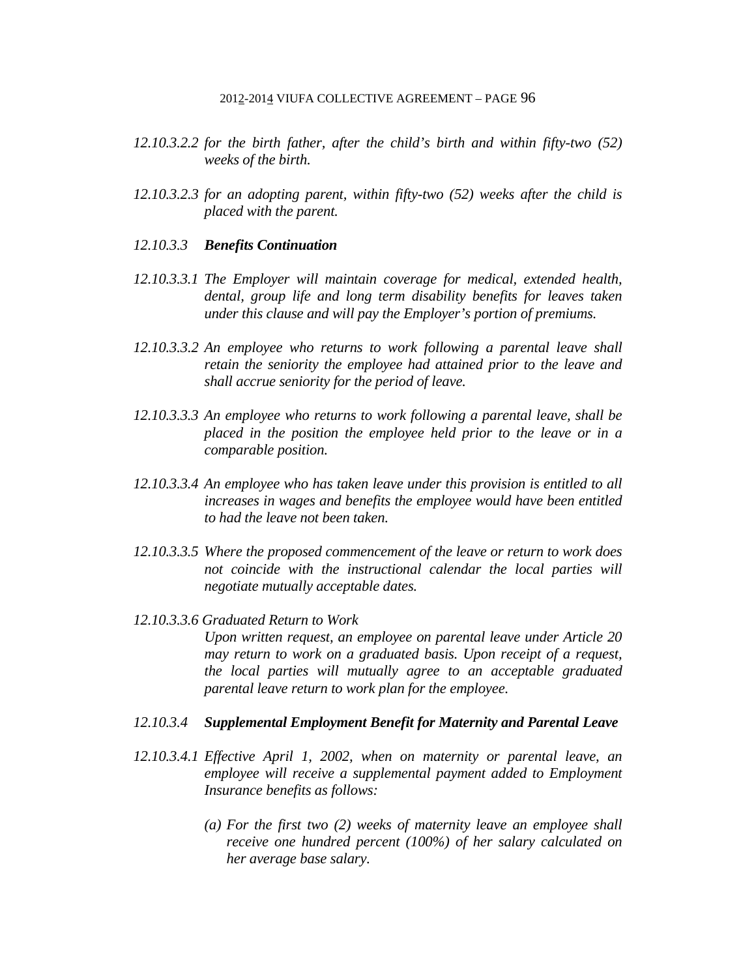- *12.10.3.2.2 for the birth father, after the child's birth and within fifty-two (52) weeks of the birth.*
- *12.10.3.2.3 for an adopting parent, within fifty-two (52) weeks after the child is placed with the parent.*
- *12.10.3.3 Benefits Continuation*
- *12.10.3.3.1 The Employer will maintain coverage for medical, extended health, dental, group life and long term disability benefits for leaves taken under this clause and will pay the Employer's portion of premiums.*
- *12.10.3.3.2 An employee who returns to work following a parental leave shall retain the seniority the employee had attained prior to the leave and shall accrue seniority for the period of leave.*
- *12.10.3.3.3 An employee who returns to work following a parental leave, shall be placed in the position the employee held prior to the leave or in a comparable position.*
- *12.10.3.3.4 An employee who has taken leave under this provision is entitled to all increases in wages and benefits the employee would have been entitled to had the leave not been taken.*
- *12.10.3.3.5 Where the proposed commencement of the leave or return to work does not coincide with the instructional calendar the local parties will negotiate mutually acceptable dates.*
- *12.10.3.3.6 Graduated Return to Work Upon written request, an employee on parental leave under Article 20 may return to work on a graduated basis. Upon receipt of a request, the local parties will mutually agree to an acceptable graduated parental leave return to work plan for the employee.*

# *12.10.3.4 Supplemental Employment Benefit for Maternity and Parental Leave*

- *12.10.3.4.1 Effective April 1, 2002, when on maternity or parental leave, an employee will receive a supplemental payment added to Employment Insurance benefits as follows:* 
	- *(a) For the first two (2) weeks of maternity leave an employee shall receive one hundred percent (100%) of her salary calculated on her average base salary.*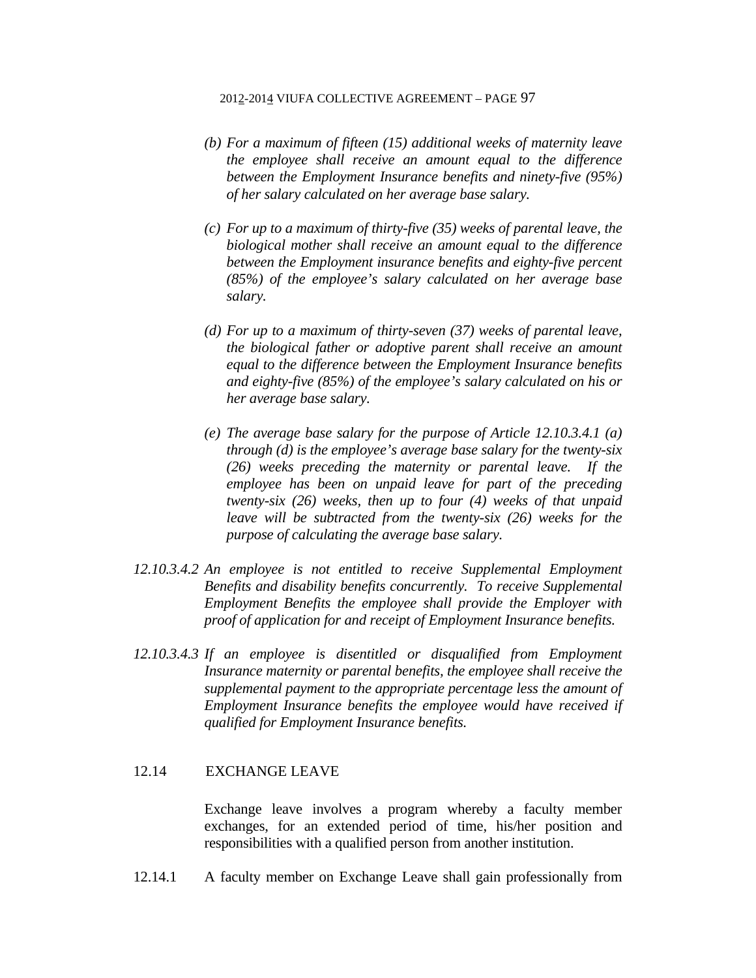- *(b) For a maximum of fifteen (15) additional weeks of maternity leave the employee shall receive an amount equal to the difference between the Employment Insurance benefits and ninety-five (95%) of her salary calculated on her average base salary.*
- *(c) For up to a maximum of thirty-five (35) weeks of parental leave, the biological mother shall receive an amount equal to the difference between the Employment insurance benefits and eighty-five percent (85%) of the employee's salary calculated on her average base salary.*
- *(d) For up to a maximum of thirty-seven (37) weeks of parental leave, the biological father or adoptive parent shall receive an amount equal to the difference between the Employment Insurance benefits and eighty-five (85%) of the employee's salary calculated on his or her average base salary.*
- *(e) The average base salary for the purpose of Article 12.10.3.4.1 (a) through (d) is the employee's average base salary for the twenty-six (26) weeks preceding the maternity or parental leave. If the employee has been on unpaid leave for part of the preceding twenty-six (26) weeks, then up to four (4) weeks of that unpaid leave will be subtracted from the twenty-six (26) weeks for the purpose of calculating the average base salary.*
- *12.10.3.4.2 An employee is not entitled to receive Supplemental Employment Benefits and disability benefits concurrently. To receive Supplemental Employment Benefits the employee shall provide the Employer with proof of application for and receipt of Employment Insurance benefits.*
- *12.10.3.4.3 If an employee is disentitled or disqualified from Employment Insurance maternity or parental benefits, the employee shall receive the supplemental payment to the appropriate percentage less the amount of Employment Insurance benefits the employee would have received if qualified for Employment Insurance benefits.*

# 12.14 EXCHANGE LEAVE

 Exchange leave involves a program whereby a faculty member exchanges, for an extended period of time, his/her position and responsibilities with a qualified person from another institution.

12.14.1 A faculty member on Exchange Leave shall gain professionally from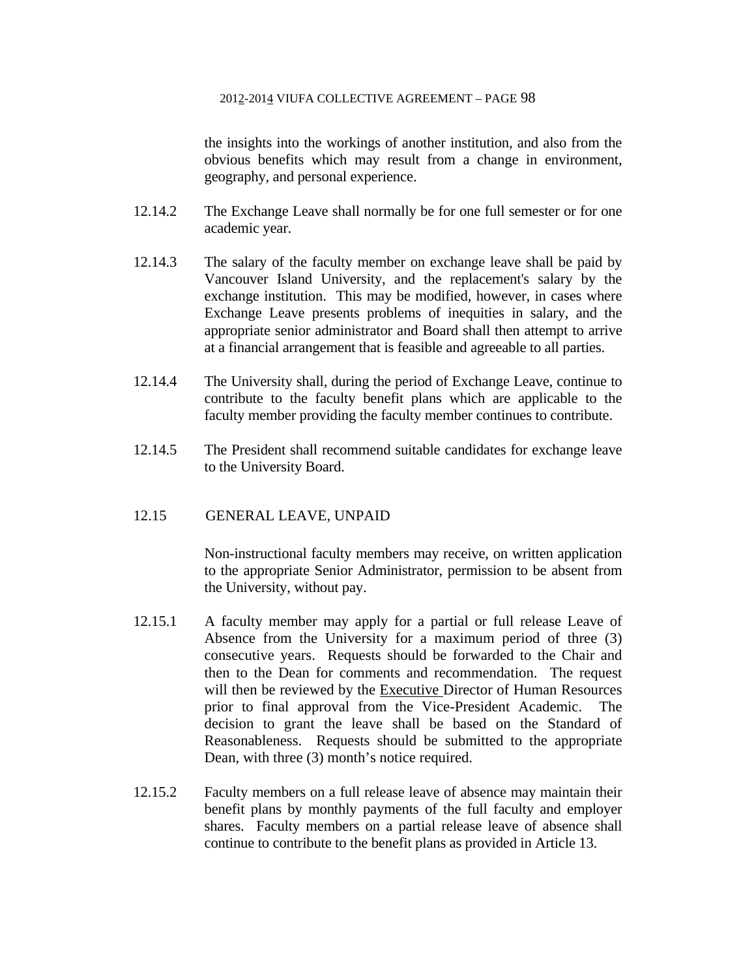the insights into the workings of another institution, and also from the obvious benefits which may result from a change in environment, geography, and personal experience.

- 12.14.2 The Exchange Leave shall normally be for one full semester or for one academic year.
- 12.14.3 The salary of the faculty member on exchange leave shall be paid by Vancouver Island University, and the replacement's salary by the exchange institution. This may be modified, however, in cases where Exchange Leave presents problems of inequities in salary, and the appropriate senior administrator and Board shall then attempt to arrive at a financial arrangement that is feasible and agreeable to all parties.
- 12.14.4 The University shall, during the period of Exchange Leave, continue to contribute to the faculty benefit plans which are applicable to the faculty member providing the faculty member continues to contribute.
- 12.14.5 The President shall recommend suitable candidates for exchange leave to the University Board.

# 12.15 GENERAL LEAVE, UNPAID

 Non-instructional faculty members may receive, on written application to the appropriate Senior Administrator, permission to be absent from the University, without pay.

- 12.15.1 A faculty member may apply for a partial or full release Leave of Absence from the University for a maximum period of three (3) consecutive years. Requests should be forwarded to the Chair and then to the Dean for comments and recommendation. The request will then be reviewed by the Executive Director of Human Resources prior to final approval from the Vice-President Academic. The decision to grant the leave shall be based on the Standard of Reasonableness. Requests should be submitted to the appropriate Dean, with three (3) month's notice required.
- 12.15.2 Faculty members on a full release leave of absence may maintain their benefit plans by monthly payments of the full faculty and employer shares. Faculty members on a partial release leave of absence shall continue to contribute to the benefit plans as provided in Article 13.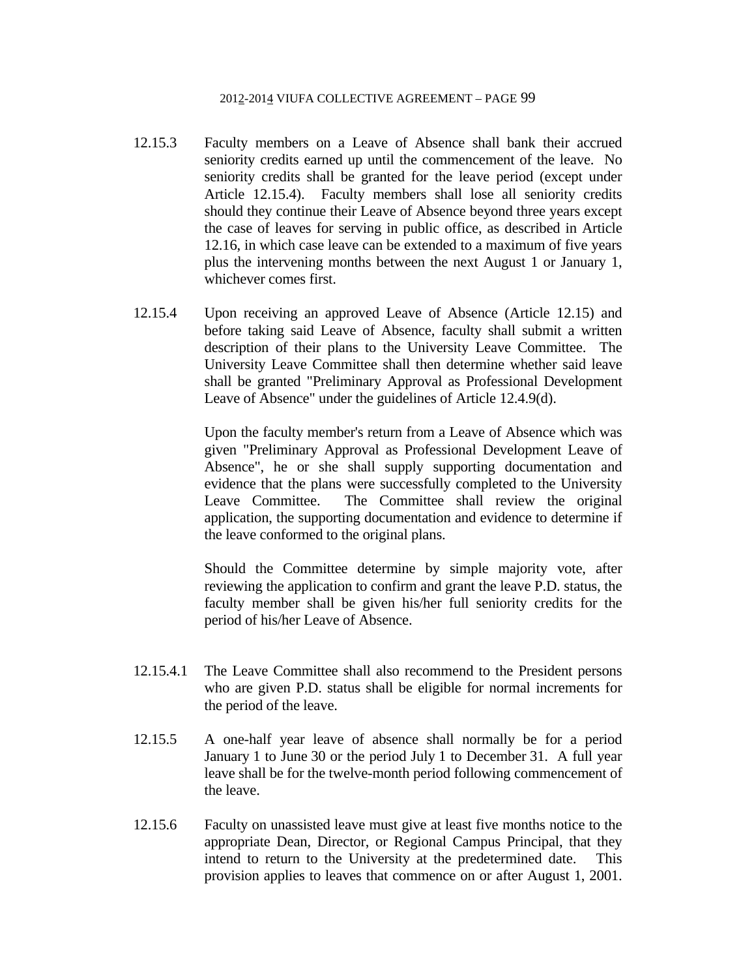- 12.15.3 Faculty members on a Leave of Absence shall bank their accrued seniority credits earned up until the commencement of the leave. No seniority credits shall be granted for the leave period (except under Article 12.15.4). Faculty members shall lose all seniority credits should they continue their Leave of Absence beyond three years except the case of leaves for serving in public office, as described in Article 12.16, in which case leave can be extended to a maximum of five years plus the intervening months between the next August 1 or January 1, whichever comes first.
- 12.15.4 Upon receiving an approved Leave of Absence (Article 12.15) and before taking said Leave of Absence, faculty shall submit a written description of their plans to the University Leave Committee. The University Leave Committee shall then determine whether said leave shall be granted "Preliminary Approval as Professional Development Leave of Absence" under the guidelines of Article 12.4.9(d).

 Upon the faculty member's return from a Leave of Absence which was given "Preliminary Approval as Professional Development Leave of Absence", he or she shall supply supporting documentation and evidence that the plans were successfully completed to the University Leave Committee. The Committee shall review the original application, the supporting documentation and evidence to determine if the leave conformed to the original plans.

 Should the Committee determine by simple majority vote, after reviewing the application to confirm and grant the leave P.D. status, the faculty member shall be given his/her full seniority credits for the period of his/her Leave of Absence.

- 12.15.4.1 The Leave Committee shall also recommend to the President persons who are given P.D. status shall be eligible for normal increments for the period of the leave.
- 12.15.5 A one-half year leave of absence shall normally be for a period January 1 to June 30 or the period July 1 to December 31. A full year leave shall be for the twelve-month period following commencement of the leave.
- 12.15.6 Faculty on unassisted leave must give at least five months notice to the appropriate Dean, Director, or Regional Campus Principal, that they intend to return to the University at the predetermined date. This provision applies to leaves that commence on or after August 1, 2001.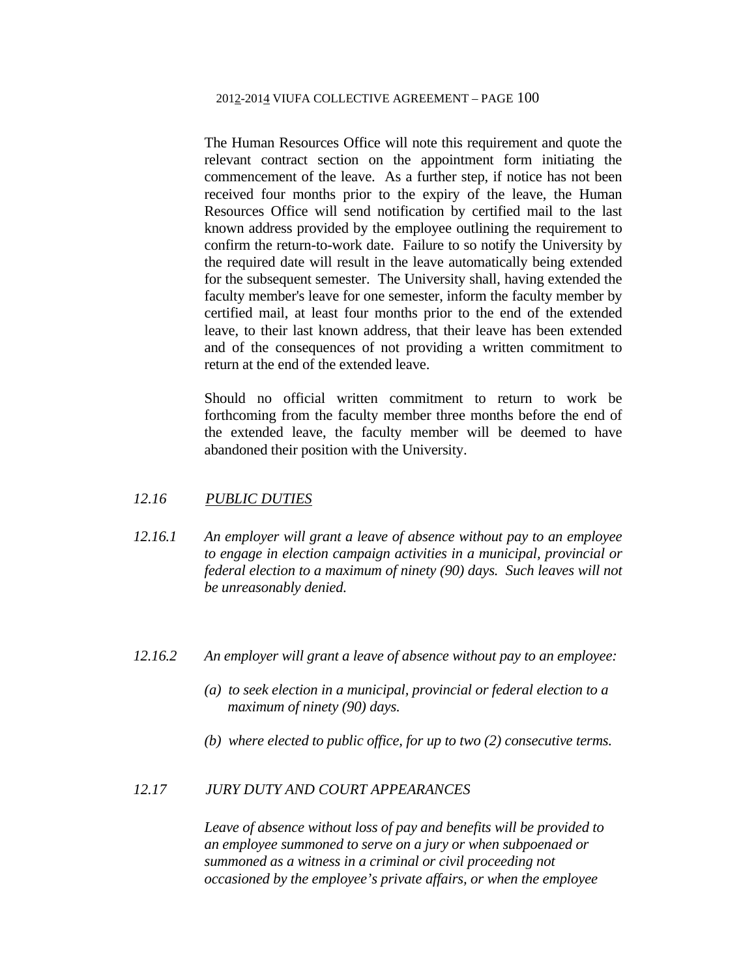The Human Resources Office will note this requirement and quote the relevant contract section on the appointment form initiating the commencement of the leave. As a further step, if notice has not been received four months prior to the expiry of the leave, the Human Resources Office will send notification by certified mail to the last known address provided by the employee outlining the requirement to confirm the return-to-work date. Failure to so notify the University by the required date will result in the leave automatically being extended for the subsequent semester. The University shall, having extended the faculty member's leave for one semester, inform the faculty member by certified mail, at least four months prior to the end of the extended leave, to their last known address, that their leave has been extended and of the consequences of not providing a written commitment to return at the end of the extended leave.

 Should no official written commitment to return to work be forthcoming from the faculty member three months before the end of the extended leave, the faculty member will be deemed to have abandoned their position with the University.

# *12.16 PUBLIC DUTIES*

- *12.16.1 An employer will grant a leave of absence without pay to an employee to engage in election campaign activities in a municipal, provincial or federal election to a maximum of ninety (90) days. Such leaves will not be unreasonably denied.*
- *12.16.2 An employer will grant a leave of absence without pay to an employee:* 
	- *(a) to seek election in a municipal, provincial or federal election to a maximum of ninety (90) days.*
	- *(b) where elected to public office, for up to two (2) consecutive terms.*

## *12.17 JURY DUTY AND COURT APPEARANCES*

 *Leave of absence without loss of pay and benefits will be provided to an employee summoned to serve on a jury or when subpoenaed or summoned as a witness in a criminal or civil proceeding not occasioned by the employee's private affairs, or when the employee*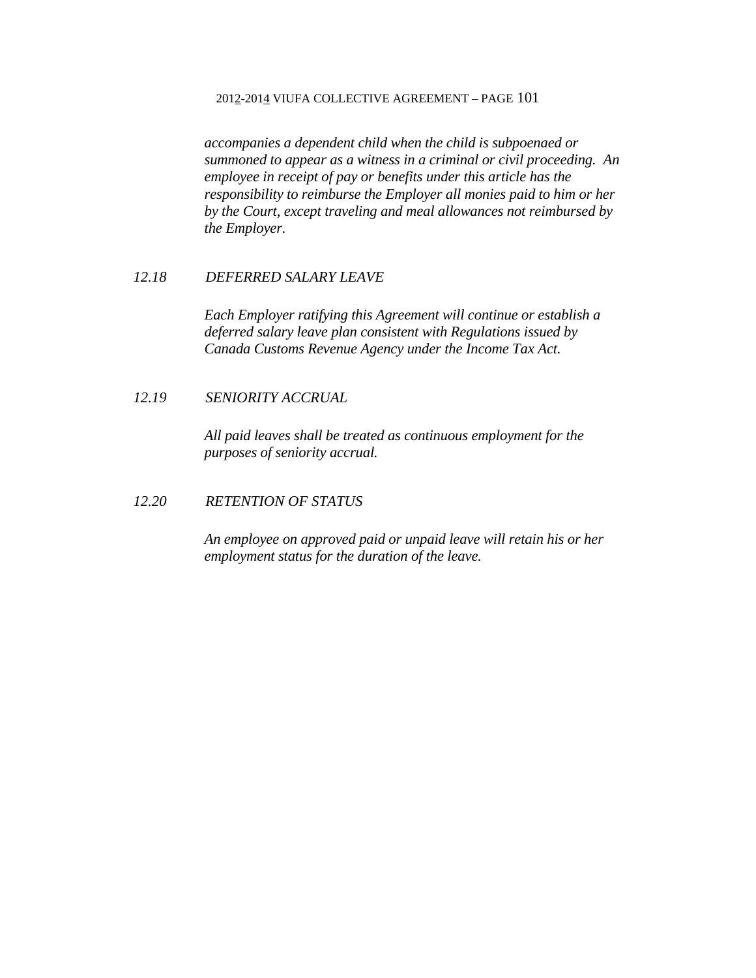*accompanies a dependent child when the child is subpoenaed or summoned to appear as a witness in a criminal or civil proceeding. An employee in receipt of pay or benefits under this article has the responsibility to reimburse the Employer all monies paid to him or her by the Court, except traveling and meal allowances not reimbursed by the Employer.* 

## *12.18 DEFERRED SALARY LEAVE*

 *Each Employer ratifying this Agreement will continue or establish a deferred salary leave plan consistent with Regulations issued by Canada Customs Revenue Agency under the Income Tax Act.* 

# *12.19 SENIORITY ACCRUAL*

*All paid leaves shall be treated as continuous employment for the purposes of seniority accrual.* 

# *12.20 RETENTION OF STATUS*

*An employee on approved paid or unpaid leave will retain his or her employment status for the duration of the leave.*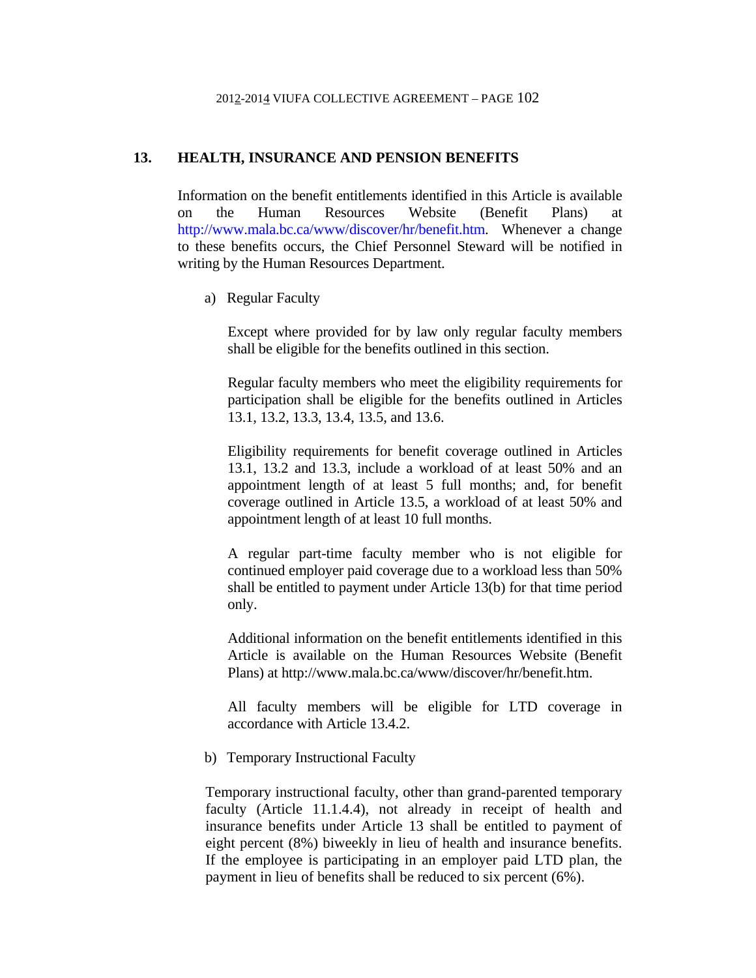# **13. HEALTH, INSURANCE AND PENSION BENEFITS**

Information on the benefit entitlements identified in this Article is available on the Human Resources Website (Benefit Plans) at http://www.mala.bc.ca/www/discover/hr/benefit.htm. Whenever a change to these benefits occurs, the Chief Personnel Steward will be notified in writing by the Human Resources Department.

a) Regular Faculty

Except where provided for by law only regular faculty members shall be eligible for the benefits outlined in this section.

 Regular faculty members who meet the eligibility requirements for participation shall be eligible for the benefits outlined in Articles 13.1, 13.2, 13.3, 13.4, 13.5, and 13.6.

 Eligibility requirements for benefit coverage outlined in Articles 13.1, 13.2 and 13.3, include a workload of at least 50% and an appointment length of at least 5 full months; and, for benefit coverage outlined in Article 13.5, a workload of at least 50% and appointment length of at least 10 full months.

 A regular part-time faculty member who is not eligible for continued employer paid coverage due to a workload less than 50% shall be entitled to payment under Article 13(b) for that time period only.

 Additional information on the benefit entitlements identified in this Article is available on the Human Resources Website (Benefit Plans) at http://www.mala.bc.ca/www/discover/hr/benefit.htm.

 All faculty members will be eligible for LTD coverage in accordance with Article 13.4.2.

b) Temporary Instructional Faculty

Temporary instructional faculty, other than grand-parented temporary faculty (Article 11.1.4.4), not already in receipt of health and insurance benefits under Article 13 shall be entitled to payment of eight percent (8%) biweekly in lieu of health and insurance benefits. If the employee is participating in an employer paid LTD plan, the payment in lieu of benefits shall be reduced to six percent (6%).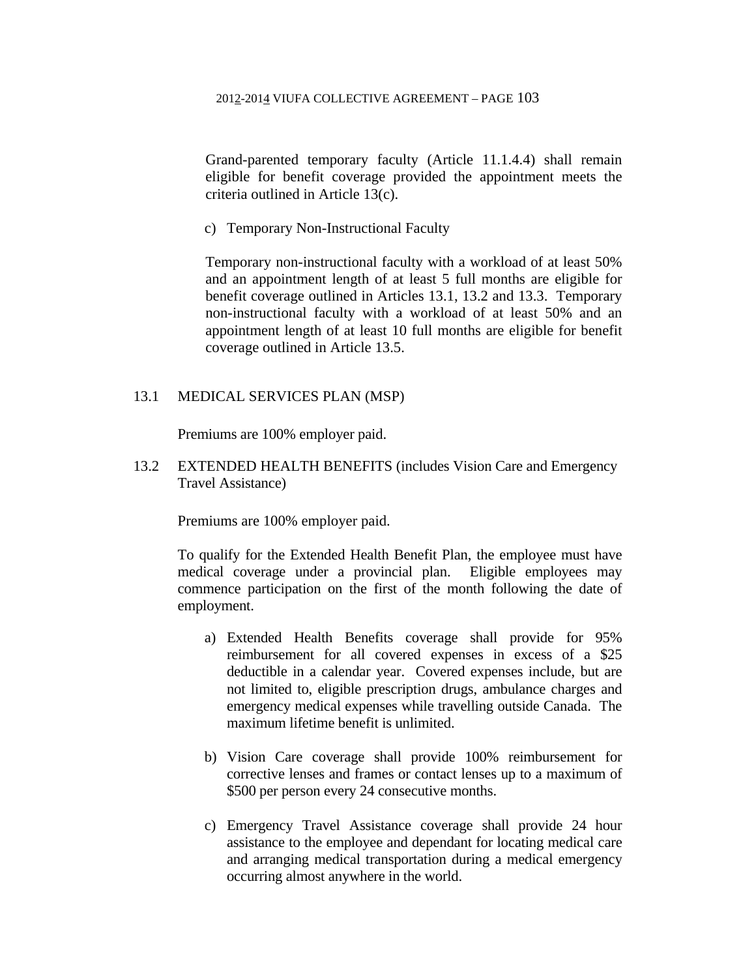Grand-parented temporary faculty (Article 11.1.4.4) shall remain eligible for benefit coverage provided the appointment meets the criteria outlined in Article 13(c).

c) Temporary Non-Instructional Faculty

Temporary non-instructional faculty with a workload of at least 50% and an appointment length of at least 5 full months are eligible for benefit coverage outlined in Articles 13.1, 13.2 and 13.3. Temporary non-instructional faculty with a workload of at least 50% and an appointment length of at least 10 full months are eligible for benefit coverage outlined in Article 13.5.

# 13.1 MEDICAL SERVICES PLAN (MSP)

Premiums are 100% employer paid.

13.2 EXTENDED HEALTH BENEFITS (includes Vision Care and Emergency Travel Assistance)

Premiums are 100% employer paid.

To qualify for the Extended Health Benefit Plan, the employee must have medical coverage under a provincial plan. Eligible employees may commence participation on the first of the month following the date of employment.

- a) Extended Health Benefits coverage shall provide for 95% reimbursement for all covered expenses in excess of a \$25 deductible in a calendar year. Covered expenses include, but are not limited to, eligible prescription drugs, ambulance charges and emergency medical expenses while travelling outside Canada. The maximum lifetime benefit is unlimited.
- b) Vision Care coverage shall provide 100% reimbursement for corrective lenses and frames or contact lenses up to a maximum of \$500 per person every 24 consecutive months.
- c) Emergency Travel Assistance coverage shall provide 24 hour assistance to the employee and dependant for locating medical care and arranging medical transportation during a medical emergency occurring almost anywhere in the world.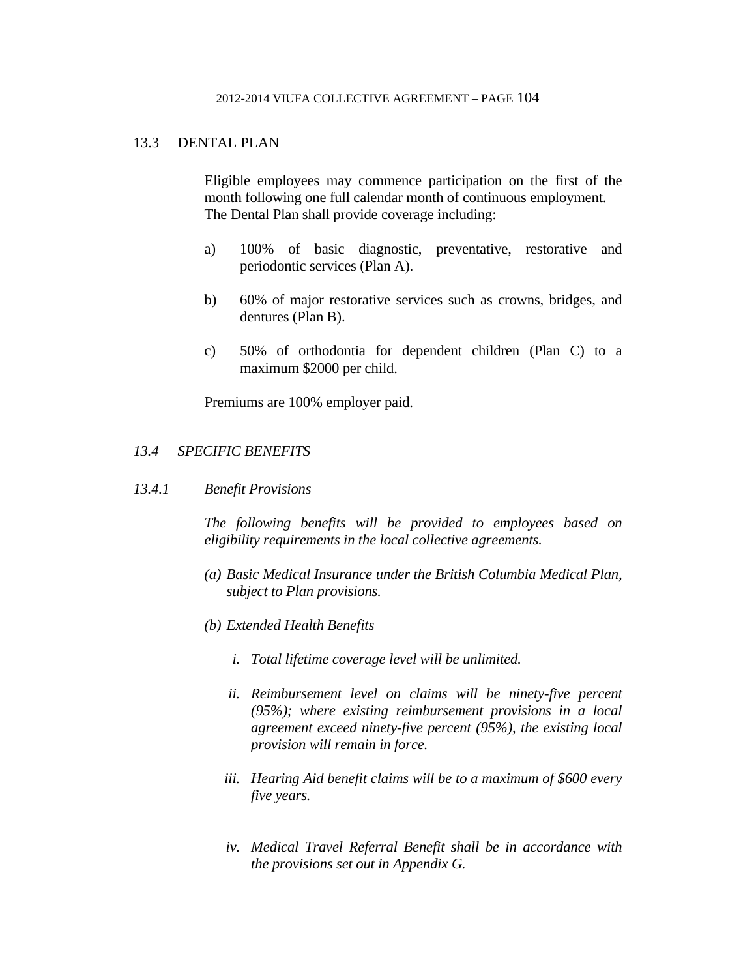# 13.3 DENTAL PLAN

 Eligible employees may commence participation on the first of the month following one full calendar month of continuous employment. The Dental Plan shall provide coverage including:

- a) 100% of basic diagnostic, preventative, restorative and periodontic services (Plan A).
- b) 60% of major restorative services such as crowns, bridges, and dentures (Plan B).
- c) 50% of orthodontia for dependent children (Plan C) to a maximum \$2000 per child.

Premiums are 100% employer paid.

# *13.4 SPECIFIC BENEFITS*

*13.4.1 Benefit Provisions* 

 *The following benefits will be provided to employees based on eligibility requirements in the local collective agreements.* 

- *(a) Basic Medical Insurance under the British Columbia Medical Plan, subject to Plan provisions.*
- *(b) Extended Health Benefits* 
	- *i. Total lifetime coverage level will be unlimited.*
	- *ii. Reimbursement level on claims will be ninety-five percent (95%); where existing reimbursement provisions in a local agreement exceed ninety-five percent (95%), the existing local provision will remain in force.*
	- *iii. Hearing Aid benefit claims will be to a maximum of \$600 every five years.*
	- *iv. Medical Travel Referral Benefit shall be in accordance with the provisions set out in Appendix G.*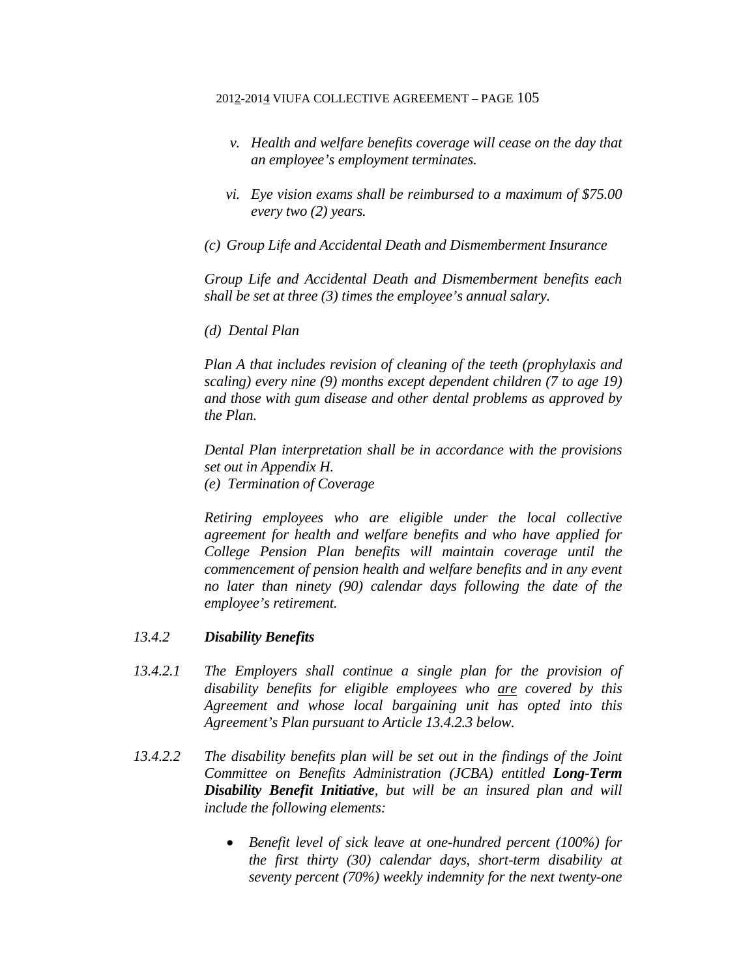- *v. Health and welfare benefits coverage will cease on the day that an employee's employment terminates.*
- *vi. Eye vision exams shall be reimbursed to a maximum of \$75.00 every two (2) years.*
- *(c) Group Life and Accidental Death and Dismemberment Insurance*

*Group Life and Accidental Death and Dismemberment benefits each shall be set at three (3) times the employee's annual salary.* 

 *(d) Dental Plan* 

*Plan A that includes revision of cleaning of the teeth (prophylaxis and scaling) every nine (9) months except dependent children (7 to age 19) and those with gum disease and other dental problems as approved by the Plan.* 

*Dental Plan interpretation shall be in accordance with the provisions set out in Appendix H.* 

*(e) Termination of Coverage* 

*Retiring employees who are eligible under the local collective agreement for health and welfare benefits and who have applied for College Pension Plan benefits will maintain coverage until the commencement of pension health and welfare benefits and in any event no later than ninety (90) calendar days following the date of the employee's retirement.* 

# *13.4.2 Disability Benefits*

- *13.4.2.1 The Employers shall continue a single plan for the provision of disability benefits for eligible employees who are covered by this Agreement and whose local bargaining unit has opted into this Agreement's Plan pursuant to Article 13.4.2.3 below.*
- *13.4.2.2 The disability benefits plan will be set out in the findings of the Joint Committee on Benefits Administration (JCBA) entitled Long-Term Disability Benefit Initiative, but will be an insured plan and will include the following elements:* 
	- *Benefit level of sick leave at one-hundred percent (100%) for the first thirty (30) calendar days, short-term disability at seventy percent (70%) weekly indemnity for the next twenty-one*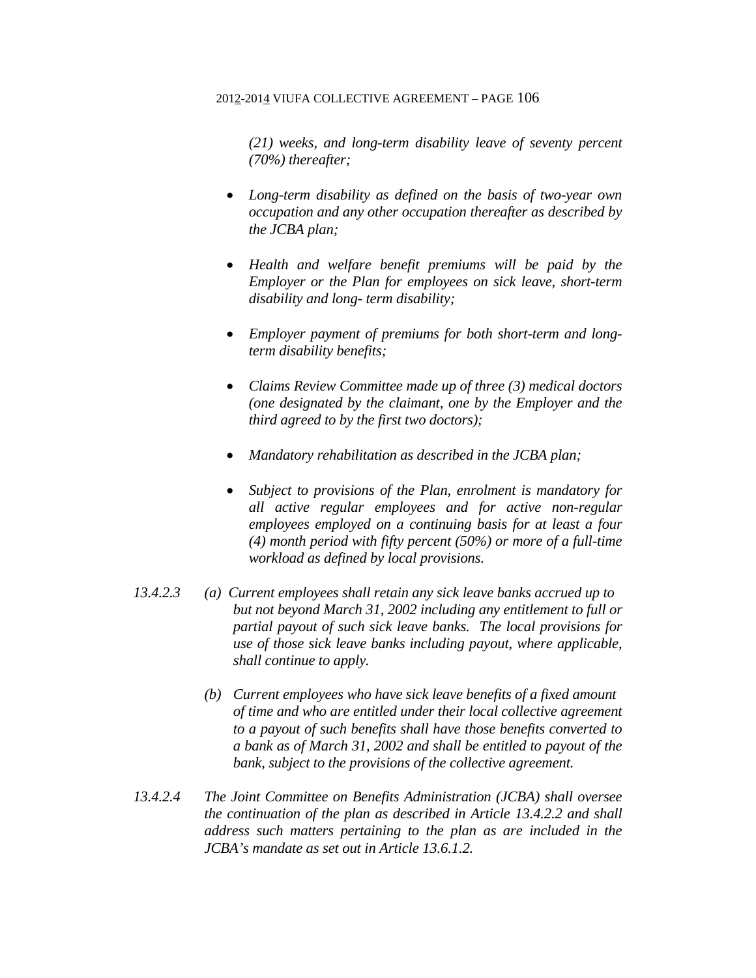*(21) weeks, and long-term disability leave of seventy percent (70%) thereafter;* 

- *Long-term disability as defined on the basis of two-year own occupation and any other occupation thereafter as described by the JCBA plan;*
- *Health and welfare benefit premiums will be paid by the Employer or the Plan for employees on sick leave, short-term disability and long- term disability;*
- *Employer payment of premiums for both short-term and longterm disability benefits;*
- *Claims Review Committee made up of three (3) medical doctors (one designated by the claimant, one by the Employer and the third agreed to by the first two doctors);*
- *Mandatory rehabilitation as described in the JCBA plan;*
- *Subject to provisions of the Plan, enrolment is mandatory for all active regular employees and for active non-regular employees employed on a continuing basis for at least a four (4) month period with fifty percent (50%) or more of a full-time workload as defined by local provisions.*
- *13.4.2.3 (a) Current employees shall retain any sick leave banks accrued up to but not beyond March 31, 2002 including any entitlement to full or partial payout of such sick leave banks. The local provisions for use of those sick leave banks including payout, where applicable, shall continue to apply.* 
	- *(b) Current employees who have sick leave benefits of a fixed amount of time and who are entitled under their local collective agreement to a payout of such benefits shall have those benefits converted to a bank as of March 31, 2002 and shall be entitled to payout of the bank, subject to the provisions of the collective agreement.*
- *13.4.2.4 The Joint Committee on Benefits Administration (JCBA) shall oversee the continuation of the plan as described in Article 13.4.2.2 and shall address such matters pertaining to the plan as are included in the JCBA's mandate as set out in Article 13.6.1.2.*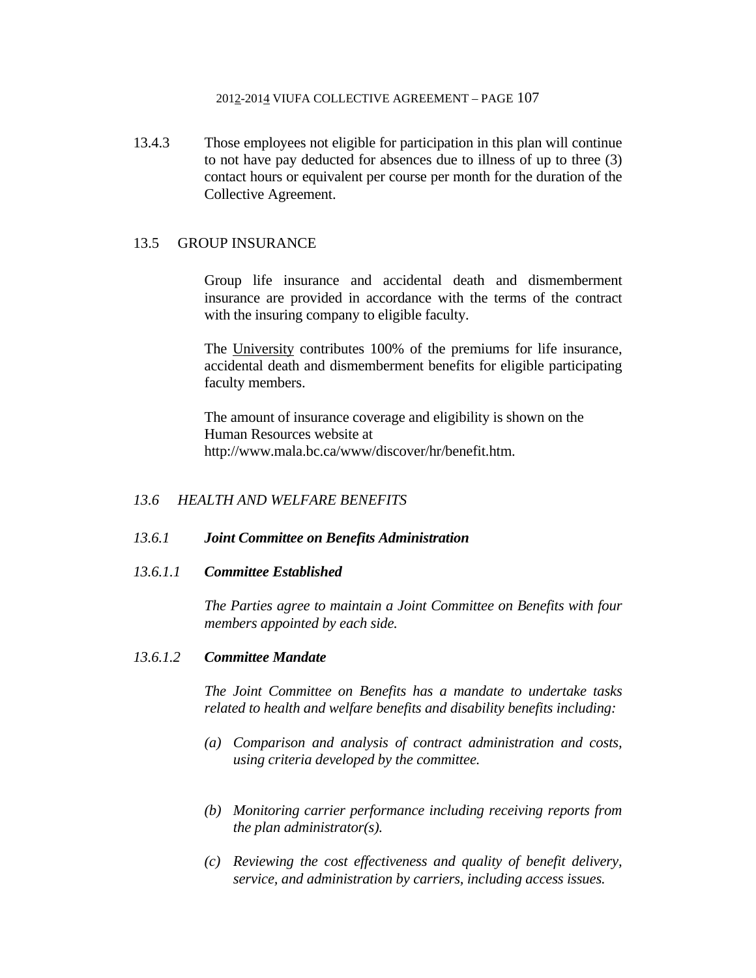13.4.3 Those employees not eligible for participation in this plan will continue to not have pay deducted for absences due to illness of up to three (3) contact hours or equivalent per course per month for the duration of the Collective Agreement.

# 13.5 GROUP INSURANCE

 Group life insurance and accidental death and dismemberment insurance are provided in accordance with the terms of the contract with the insuring company to eligible faculty.

 The University contributes 100% of the premiums for life insurance, accidental death and dismemberment benefits for eligible participating faculty members.

 The amount of insurance coverage and eligibility is shown on the Human Resources website at http://www.mala.bc.ca/www/discover/hr/benefit.htm.

# *13.6 HEALTH AND WELFARE BENEFITS*

# *13.6.1 Joint Committee on Benefits Administration*

# *13.6.1.1 Committee Established*

*The Parties agree to maintain a Joint Committee on Benefits with four members appointed by each side.* 

### *13.6.1.2 Committee Mandate*

*The Joint Committee on Benefits has a mandate to undertake tasks related to health and welfare benefits and disability benefits including:* 

- *(a) Comparison and analysis of contract administration and costs, using criteria developed by the committee.*
- *(b) Monitoring carrier performance including receiving reports from the plan administrator(s).*
- *(c) Reviewing the cost effectiveness and quality of benefit delivery, service, and administration by carriers, including access issues.*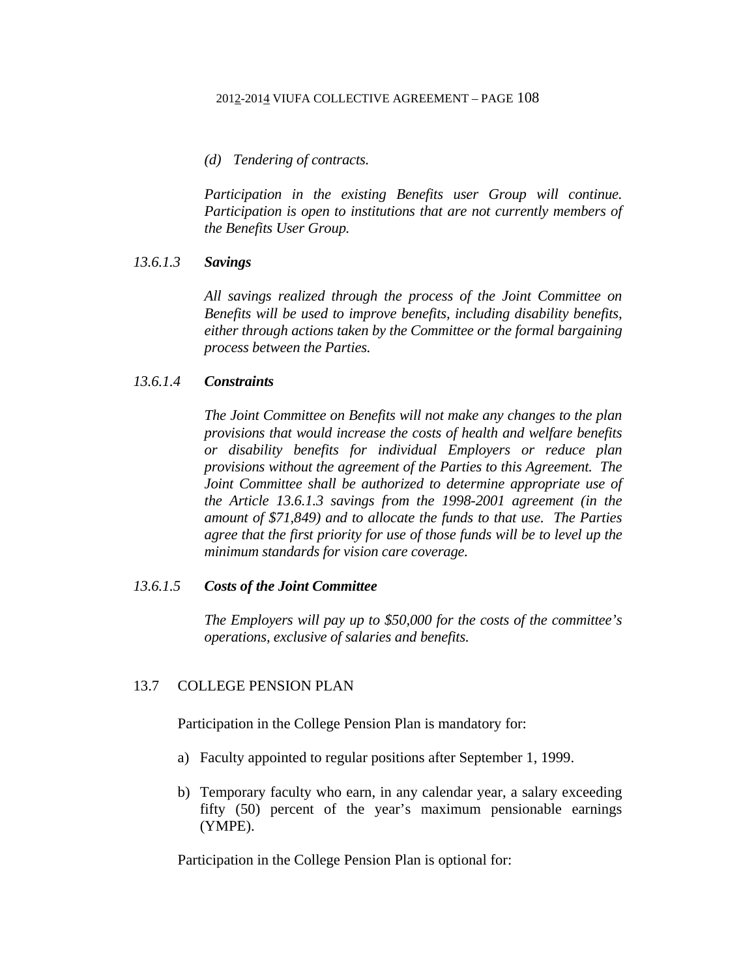### *(d) Tendering of contracts.*

*Participation in the existing Benefits user Group will continue. Participation is open to institutions that are not currently members of the Benefits User Group.* 

### *13.6.1.3 Savings*

*All savings realized through the process of the Joint Committee on Benefits will be used to improve benefits, including disability benefits, either through actions taken by the Committee or the formal bargaining process between the Parties.* 

### *13.6.1.4 Constraints*

*The Joint Committee on Benefits will not make any changes to the plan provisions that would increase the costs of health and welfare benefits or disability benefits for individual Employers or reduce plan provisions without the agreement of the Parties to this Agreement. The Joint Committee shall be authorized to determine appropriate use of the Article 13.6.1.3 savings from the 1998-2001 agreement (in the amount of \$71,849) and to allocate the funds to that use. The Parties agree that the first priority for use of those funds will be to level up the minimum standards for vision care coverage.* 

# *13.6.1.5 Costs of the Joint Committee*

*The Employers will pay up to \$50,000 for the costs of the committee's operations, exclusive of salaries and benefits.* 

## 13.7 COLLEGE PENSION PLAN

Participation in the College Pension Plan is mandatory for:

- a) Faculty appointed to regular positions after September 1, 1999.
- b) Temporary faculty who earn, in any calendar year, a salary exceeding fifty (50) percent of the year's maximum pensionable earnings (YMPE).

Participation in the College Pension Plan is optional for: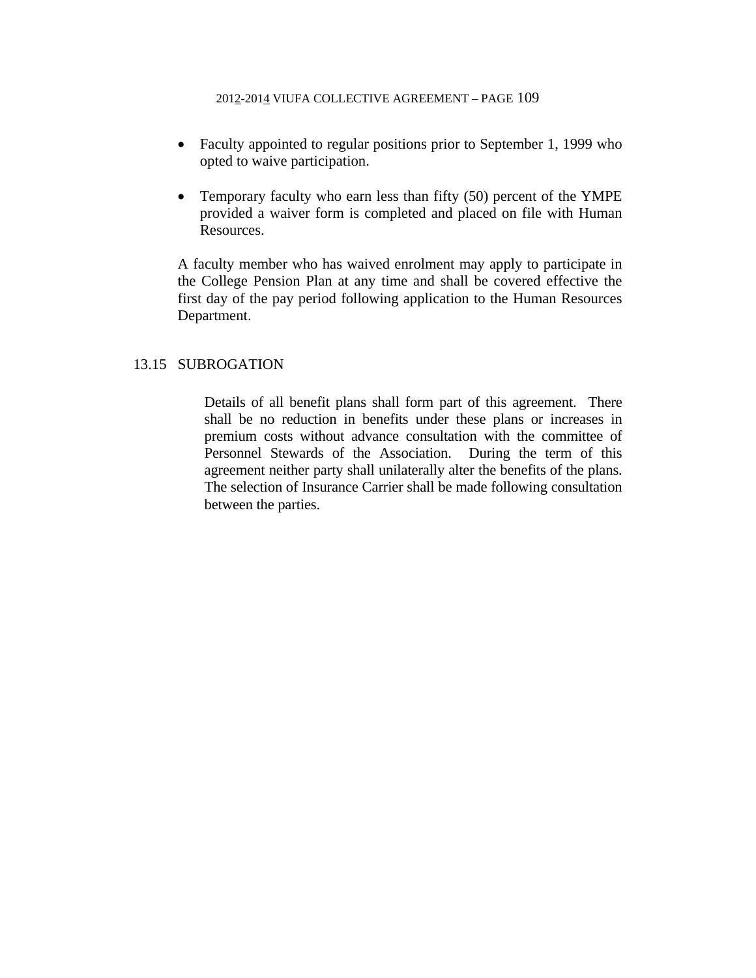- Faculty appointed to regular positions prior to September 1, 1999 who opted to waive participation.
- Temporary faculty who earn less than fifty (50) percent of the YMPE provided a waiver form is completed and placed on file with Human Resources.

A faculty member who has waived enrolment may apply to participate in the College Pension Plan at any time and shall be covered effective the first day of the pay period following application to the Human Resources Department.

## 13.15 SUBROGATION

 Details of all benefit plans shall form part of this agreement. There shall be no reduction in benefits under these plans or increases in premium costs without advance consultation with the committee of Personnel Stewards of the Association. During the term of this agreement neither party shall unilaterally alter the benefits of the plans. The selection of Insurance Carrier shall be made following consultation between the parties.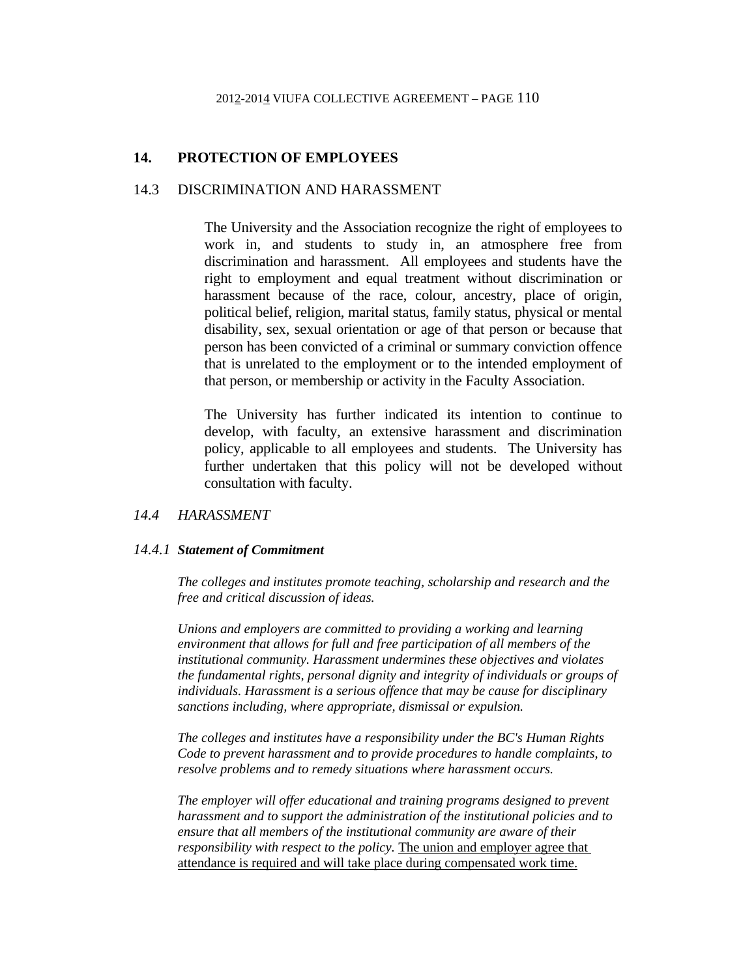# **14. PROTECTION OF EMPLOYEES**

# 14.3 DISCRIMINATION AND HARASSMENT

 The University and the Association recognize the right of employees to work in, and students to study in, an atmosphere free from discrimination and harassment. All employees and students have the right to employment and equal treatment without discrimination or harassment because of the race, colour, ancestry, place of origin, political belief, religion, marital status, family status, physical or mental disability, sex, sexual orientation or age of that person or because that person has been convicted of a criminal or summary conviction offence that is unrelated to the employment or to the intended employment of that person, or membership or activity in the Faculty Association.

 The University has further indicated its intention to continue to develop, with faculty, an extensive harassment and discrimination policy, applicable to all employees and students. The University has further undertaken that this policy will not be developed without consultation with faculty.

## *14.4 HARASSMENT*

#### *14.4.1 Statement of Commitment*

*The colleges and institutes promote teaching, scholarship and research and the free and critical discussion of ideas.* 

*Unions and employers are committed to providing a working and learning environment that allows for full and free participation of all members of the institutional community. Harassment undermines these objectives and violates the fundamental rights, personal dignity and integrity of individuals or groups of individuals. Harassment is a serious offence that may be cause for disciplinary sanctions including, where appropriate, dismissal or expulsion.* 

*The colleges and institutes have a responsibility under the BC's Human Rights Code to prevent harassment and to provide procedures to handle complaints, to resolve problems and to remedy situations where harassment occurs.* 

*The employer will offer educational and training programs designed to prevent harassment and to support the administration of the institutional policies and to ensure that all members of the institutional community are aware of their responsibility with respect to the policy.* The union and employer agree that attendance is required and will take place during compensated work time.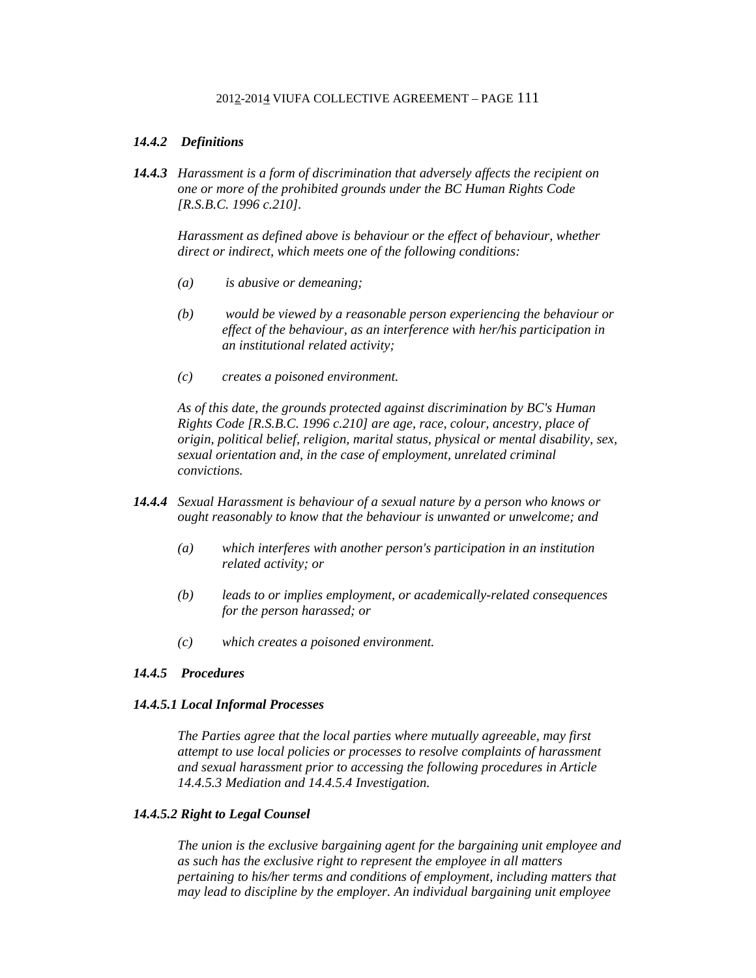### *14.4.2 Definitions*

*14.4.3 Harassment is a form of discrimination that adversely affects the recipient on one or more of the prohibited grounds under the BC Human Rights Code [R.S.B.C. 1996 c.210].* 

*Harassment as defined above is behaviour or the effect of behaviour, whether direct or indirect, which meets one of the following conditions:* 

- *(a) is abusive or demeaning;*
- *(b) would be viewed by a reasonable person experiencing the behaviour or effect of the behaviour, as an interference with her/his participation in an institutional related activity;*
- *(c) creates a poisoned environment.*

*As of this date, the grounds protected against discrimination by BC's Human Rights Code [R.S.B.C. 1996 c.210] are age, race, colour, ancestry, place of origin, political belief, religion, marital status, physical or mental disability, sex, sexual orientation and, in the case of employment, unrelated criminal convictions.* 

- *14.4.4 Sexual Harassment is behaviour of a sexual nature by a person who knows or ought reasonably to know that the behaviour is unwanted or unwelcome; and* 
	- *(a) which interferes with another person's participation in an institution related activity; or*
	- *(b) leads to or implies employment, or academically-related consequences for the person harassed; or*
	- *(c) which creates a poisoned environment.*

#### *14.4.5 Procedures*

#### *14.4.5.1 Local Informal Processes*

*The Parties agree that the local parties where mutually agreeable, may first attempt to use local policies or processes to resolve complaints of harassment and sexual harassment prior to accessing the following procedures in Article 14.4.5.3 Mediation and 14.4.5.4 Investigation.* 

### *14.4.5.2 Right to Legal Counsel*

*The union is the exclusive bargaining agent for the bargaining unit employee and as such has the exclusive right to represent the employee in all matters pertaining to his/her terms and conditions of employment, including matters that may lead to discipline by the employer. An individual bargaining unit employee*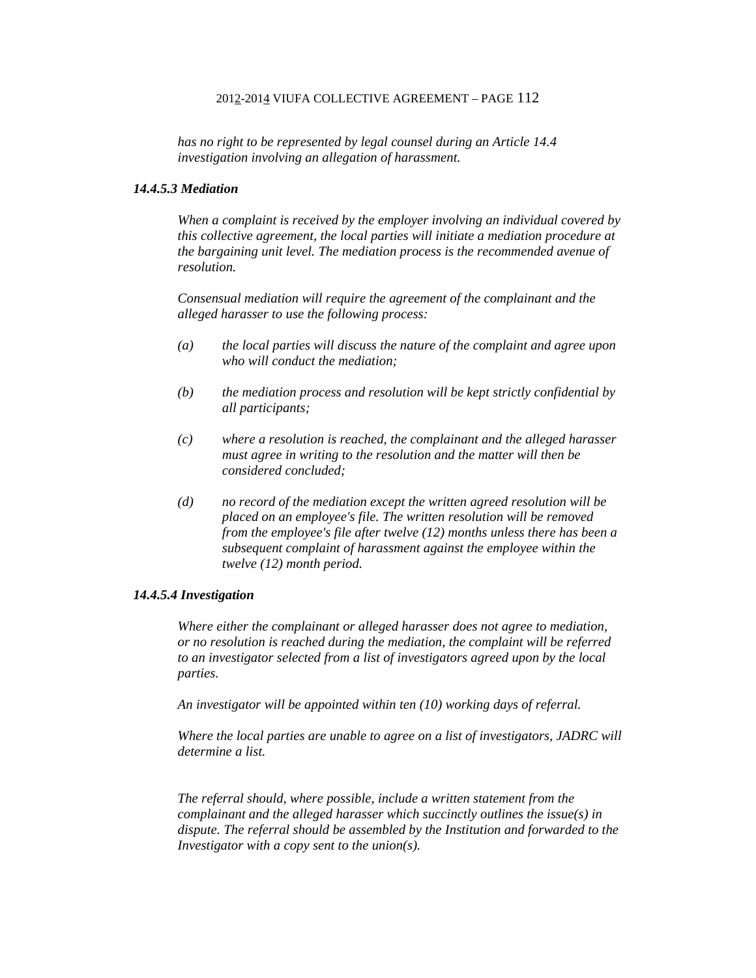*has no right to be represented by legal counsel during an Article 14.4 investigation involving an allegation of harassment.* 

#### *14.4.5.3 Mediation*

*When a complaint is received by the employer involving an individual covered by this collective agreement, the local parties will initiate a mediation procedure at the bargaining unit level. The mediation process is the recommended avenue of resolution.* 

*Consensual mediation will require the agreement of the complainant and the alleged harasser to use the following process:* 

- *(a) the local parties will discuss the nature of the complaint and agree upon who will conduct the mediation;*
- *(b) the mediation process and resolution will be kept strictly confidential by all participants;*
- *(c) where a resolution is reached, the complainant and the alleged harasser must agree in writing to the resolution and the matter will then be considered concluded;*
- *(d) no record of the mediation except the written agreed resolution will be placed on an employee's file. The written resolution will be removed from the employee's file after twelve (12) months unless there has been a subsequent complaint of harassment against the employee within the twelve (12) month period.*

#### *14.4.5.4 Investigation*

*Where either the complainant or alleged harasser does not agree to mediation, or no resolution is reached during the mediation, the complaint will be referred to an investigator selected from a list of investigators agreed upon by the local parties.* 

*An investigator will be appointed within ten (10) working days of referral.* 

*Where the local parties are unable to agree on a list of investigators, JADRC will determine a list.* 

*The referral should, where possible, include a written statement from the complainant and the alleged harasser which succinctly outlines the issue(s) in dispute. The referral should be assembled by the Institution and forwarded to the Investigator with a copy sent to the union(s).*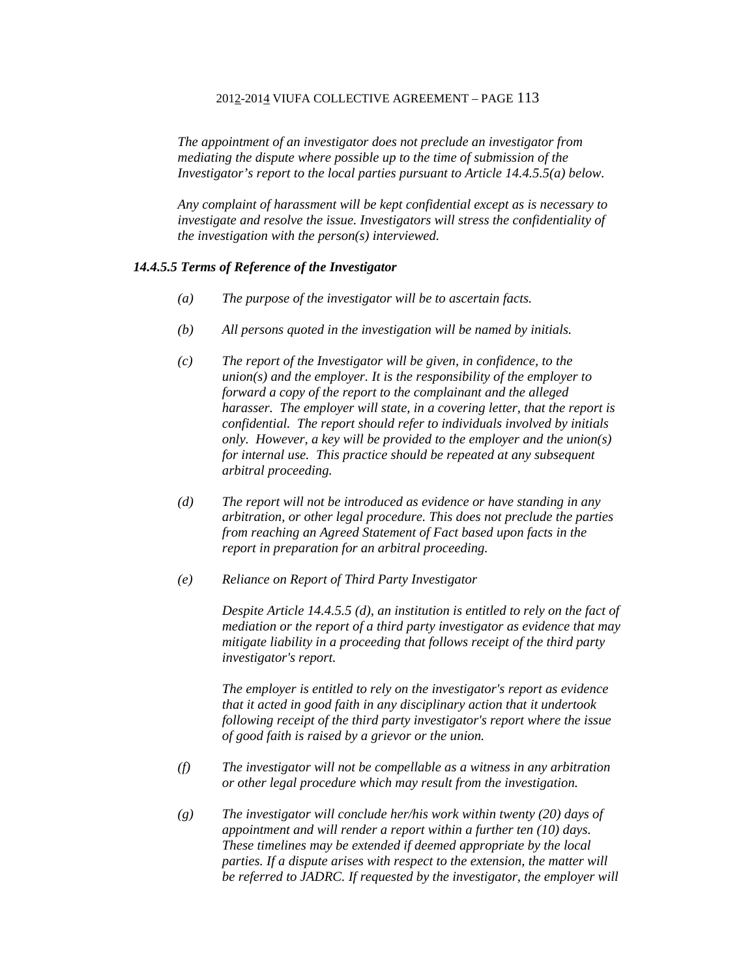*The appointment of an investigator does not preclude an investigator from mediating the dispute where possible up to the time of submission of the Investigator's report to the local parties pursuant to Article 14.4.5.5(a) below.* 

*Any complaint of harassment will be kept confidential except as is necessary to investigate and resolve the issue. Investigators will stress the confidentiality of the investigation with the person(s) interviewed.* 

#### *14.4.5.5 Terms of Reference of the Investigator*

- *(a) The purpose of the investigator will be to ascertain facts.*
- *(b) All persons quoted in the investigation will be named by initials.*
- *(c) The report of the Investigator will be given, in confidence, to the union(s) and the employer. It is the responsibility of the employer to forward a copy of the report to the complainant and the alleged harasser. The employer will state, in a covering letter, that the report is confidential. The report should refer to individuals involved by initials only. However, a key will be provided to the employer and the union(s) for internal use. This practice should be repeated at any subsequent arbitral proceeding.*
- *(d) The report will not be introduced as evidence or have standing in any arbitration, or other legal procedure. This does not preclude the parties from reaching an Agreed Statement of Fact based upon facts in the report in preparation for an arbitral proceeding.*
- *(e) Reliance on Report of Third Party Investigator*

*Despite Article 14.4.5.5 (d), an institution is entitled to rely on the fact of mediation or the report of a third party investigator as evidence that may mitigate liability in a proceeding that follows receipt of the third party investigator's report.* 

*The employer is entitled to rely on the investigator's report as evidence that it acted in good faith in any disciplinary action that it undertook following receipt of the third party investigator's report where the issue of good faith is raised by a grievor or the union.* 

- *(f) The investigator will not be compellable as a witness in any arbitration or other legal procedure which may result from the investigation.*
- *(g) The investigator will conclude her/his work within twenty (20) days of appointment and will render a report within a further ten (10) days. These timelines may be extended if deemed appropriate by the local parties. If a dispute arises with respect to the extension, the matter will be referred to JADRC. If requested by the investigator, the employer will*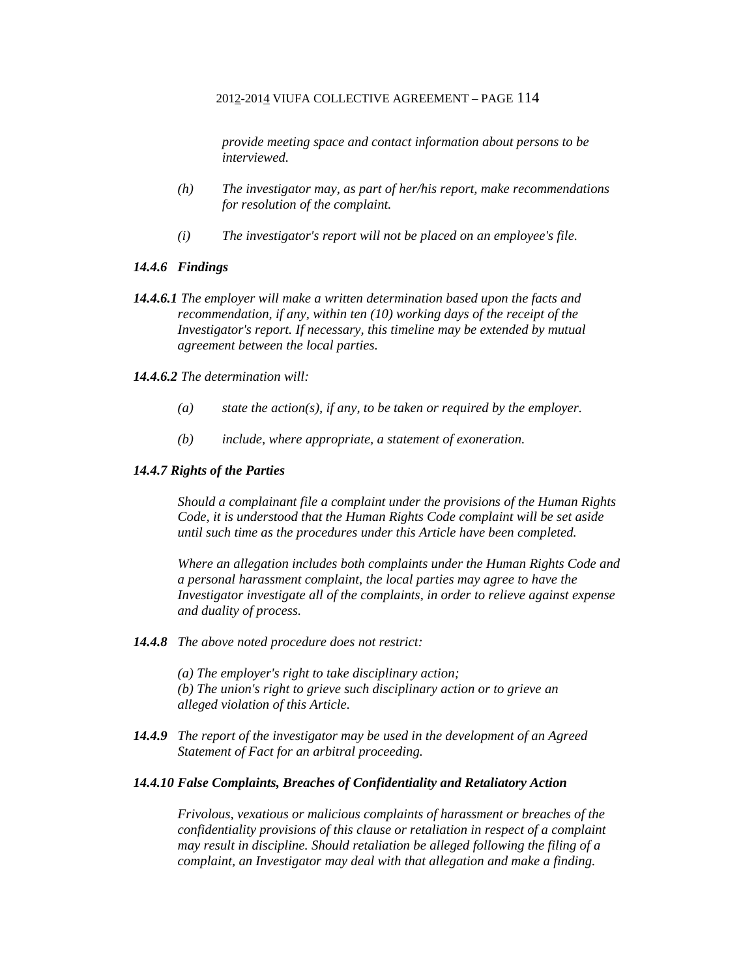*provide meeting space and contact information about persons to be interviewed.* 

- *(h) The investigator may, as part of her/his report, make recommendations for resolution of the complaint.*
- *(i) The investigator's report will not be placed on an employee's file.*

#### *14.4.6 Findings*

*14.4.6.1 The employer will make a written determination based upon the facts and recommendation, if any, within ten (10) working days of the receipt of the Investigator's report. If necessary, this timeline may be extended by mutual agreement between the local parties.* 

#### *14.4.6.2 The determination will:*

- *(a) state the action(s), if any, to be taken or required by the employer.*
- *(b) include, where appropriate, a statement of exoneration.*

#### *14.4.7 Rights of the Parties*

*Should a complainant file a complaint under the provisions of the Human Rights Code, it is understood that the Human Rights Code complaint will be set aside until such time as the procedures under this Article have been completed.* 

*Where an allegation includes both complaints under the Human Rights Code and a personal harassment complaint, the local parties may agree to have the Investigator investigate all of the complaints, in order to relieve against expense and duality of process.* 

*14.4.8 The above noted procedure does not restrict:* 

*(a) The employer's right to take disciplinary action; (b) The union's right to grieve such disciplinary action or to grieve an alleged violation of this Article.* 

*14.4.9 The report of the investigator may be used in the development of an Agreed Statement of Fact for an arbitral proceeding.* 

### *14.4.10 False Complaints, Breaches of Confidentiality and Retaliatory Action*

*Frivolous, vexatious or malicious complaints of harassment or breaches of the confidentiality provisions of this clause or retaliation in respect of a complaint may result in discipline. Should retaliation be alleged following the filing of a complaint, an Investigator may deal with that allegation and make a finding.*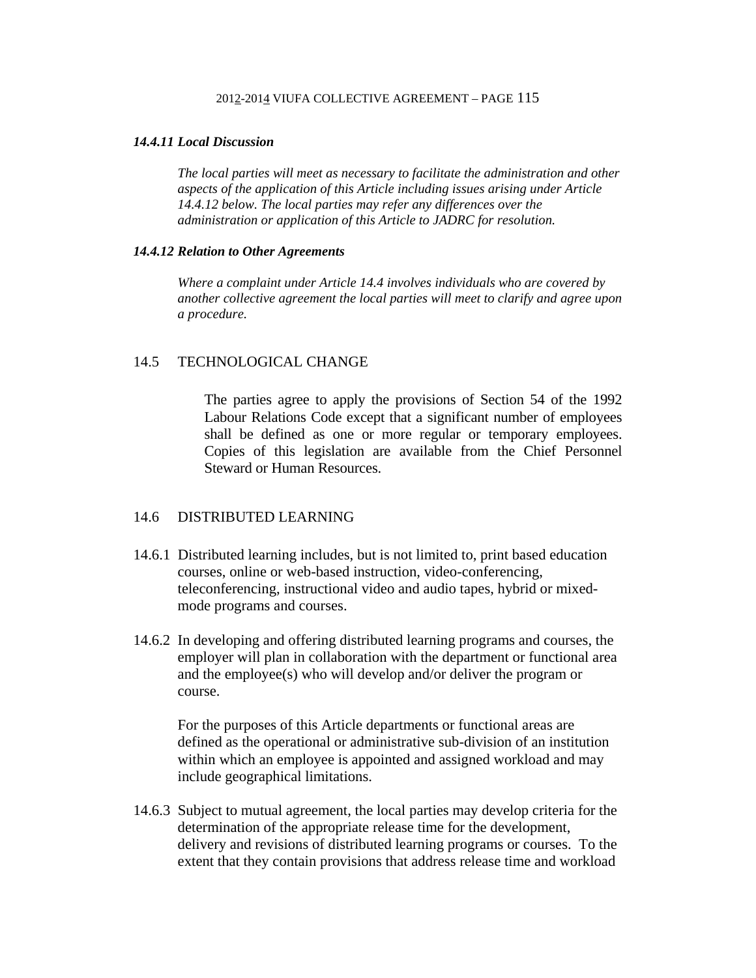### *14.4.11 Local Discussion*

*The local parties will meet as necessary to facilitate the administration and other aspects of the application of this Article including issues arising under Article 14.4.12 below. The local parties may refer any differences over the administration or application of this Article to JADRC for resolution.* 

### *14.4.12 Relation to Other Agreements*

*Where a complaint under Article 14.4 involves individuals who are covered by another collective agreement the local parties will meet to clarify and agree upon a procedure.* 

## 14.5 TECHNOLOGICAL CHANGE

 The parties agree to apply the provisions of Section 54 of the 1992 Labour Relations Code except that a significant number of employees shall be defined as one or more regular or temporary employees. Copies of this legislation are available from the Chief Personnel Steward or Human Resources.

# 14.6 DISTRIBUTED LEARNING

- 14.6.1 Distributed learning includes, but is not limited to, print based education courses, online or web-based instruction, video-conferencing, teleconferencing, instructional video and audio tapes, hybrid or mixedmode programs and courses.
- 14.6.2 In developing and offering distributed learning programs and courses, the employer will plan in collaboration with the department or functional area and the employee(s) who will develop and/or deliver the program or course.

For the purposes of this Article departments or functional areas are defined as the operational or administrative sub-division of an institution within which an employee is appointed and assigned workload and may include geographical limitations.

14.6.3 Subject to mutual agreement, the local parties may develop criteria for the determination of the appropriate release time for the development, delivery and revisions of distributed learning programs or courses. To the extent that they contain provisions that address release time and workload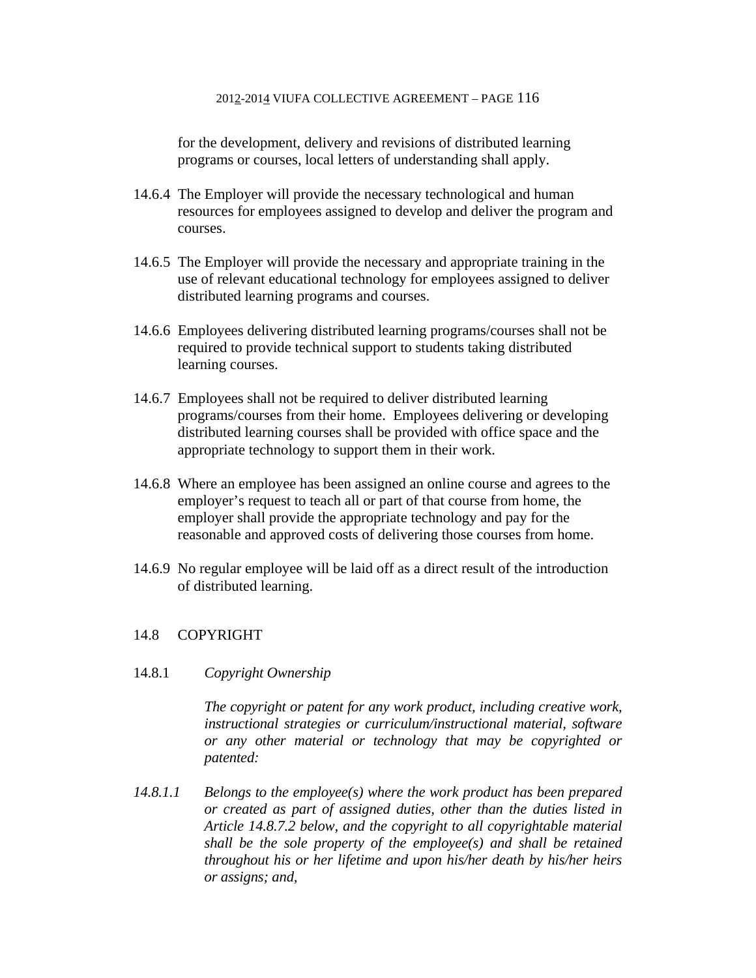for the development, delivery and revisions of distributed learning programs or courses, local letters of understanding shall apply.

- 14.6.4 The Employer will provide the necessary technological and human resources for employees assigned to develop and deliver the program and courses.
- 14.6.5 The Employer will provide the necessary and appropriate training in the use of relevant educational technology for employees assigned to deliver distributed learning programs and courses.
- 14.6.6 Employees delivering distributed learning programs/courses shall not be required to provide technical support to students taking distributed learning courses.
- 14.6.7 Employees shall not be required to deliver distributed learning programs/courses from their home. Employees delivering or developing distributed learning courses shall be provided with office space and the appropriate technology to support them in their work.
- 14.6.8 Where an employee has been assigned an online course and agrees to the employer's request to teach all or part of that course from home, the employer shall provide the appropriate technology and pay for the reasonable and approved costs of delivering those courses from home.
- 14.6.9 No regular employee will be laid off as a direct result of the introduction of distributed learning.

# 14.8 COPYRIGHT

# 14.8.1 *Copyright Ownership*

 *The copyright or patent for any work product, including creative work, instructional strategies or curriculum/instructional material, software or any other material or technology that may be copyrighted or patented:* 

*14.8.1.1 Belongs to the employee(s) where the work product has been prepared or created as part of assigned duties, other than the duties listed in Article 14.8.7.2 below, and the copyright to all copyrightable material shall be the sole property of the employee(s) and shall be retained throughout his or her lifetime and upon his/her death by his/her heirs or assigns; and,*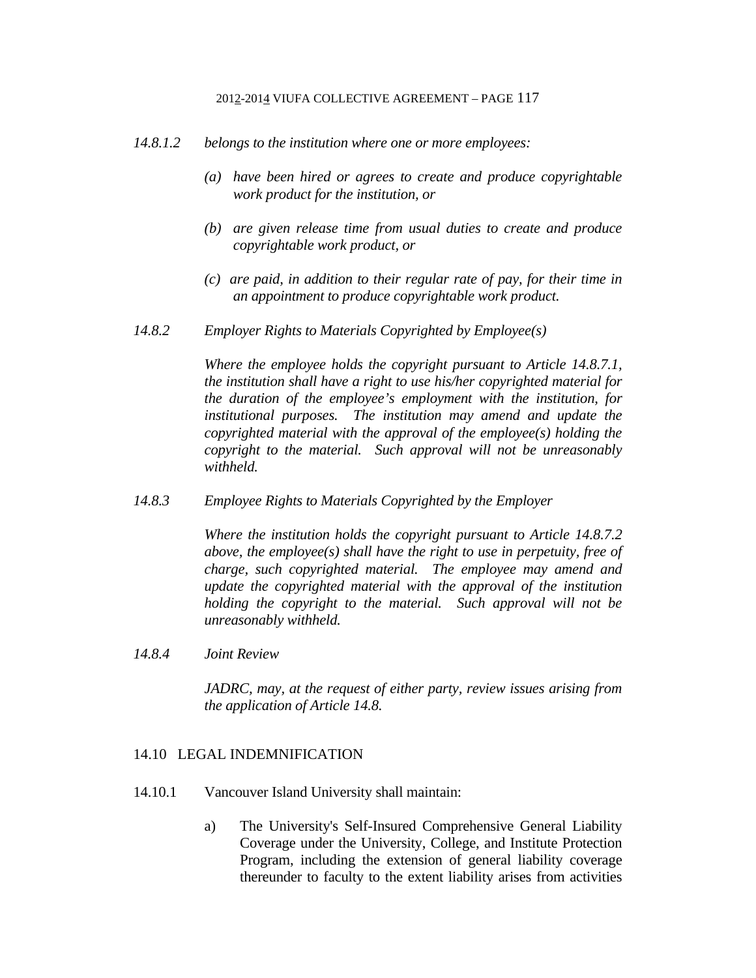- *14.8.1.2 belongs to the institution where one or more employees:* 
	- *(a) have been hired or agrees to create and produce copyrightable work product for the institution, or*
	- *(b) are given release time from usual duties to create and produce copyrightable work product, or*
	- *(c) are paid, in addition to their regular rate of pay, for their time in an appointment to produce copyrightable work product.*
- *14.8.2 Employer Rights to Materials Copyrighted by Employee(s)*

 *Where the employee holds the copyright pursuant to Article 14.8.7.1, the institution shall have a right to use his/her copyrighted material for the duration of the employee's employment with the institution, for institutional purposes. The institution may amend and update the copyrighted material with the approval of the employee(s) holding the copyright to the material. Such approval will not be unreasonably withheld.* 

*14.8.3 Employee Rights to Materials Copyrighted by the Employer* 

 *Where the institution holds the copyright pursuant to Article 14.8.7.2 above, the employee(s) shall have the right to use in perpetuity, free of charge, such copyrighted material. The employee may amend and update the copyrighted material with the approval of the institution holding the copyright to the material. Such approval will not be unreasonably withheld.* 

*14.8.4 Joint Review* 

 *JADRC, may, at the request of either party, review issues arising from the application of Article 14.8.* 

### 14.10 LEGAL INDEMNIFICATION

- 14.10.1 Vancouver Island University shall maintain:
	- a) The University's Self-Insured Comprehensive General Liability Coverage under the University, College, and Institute Protection Program, including the extension of general liability coverage thereunder to faculty to the extent liability arises from activities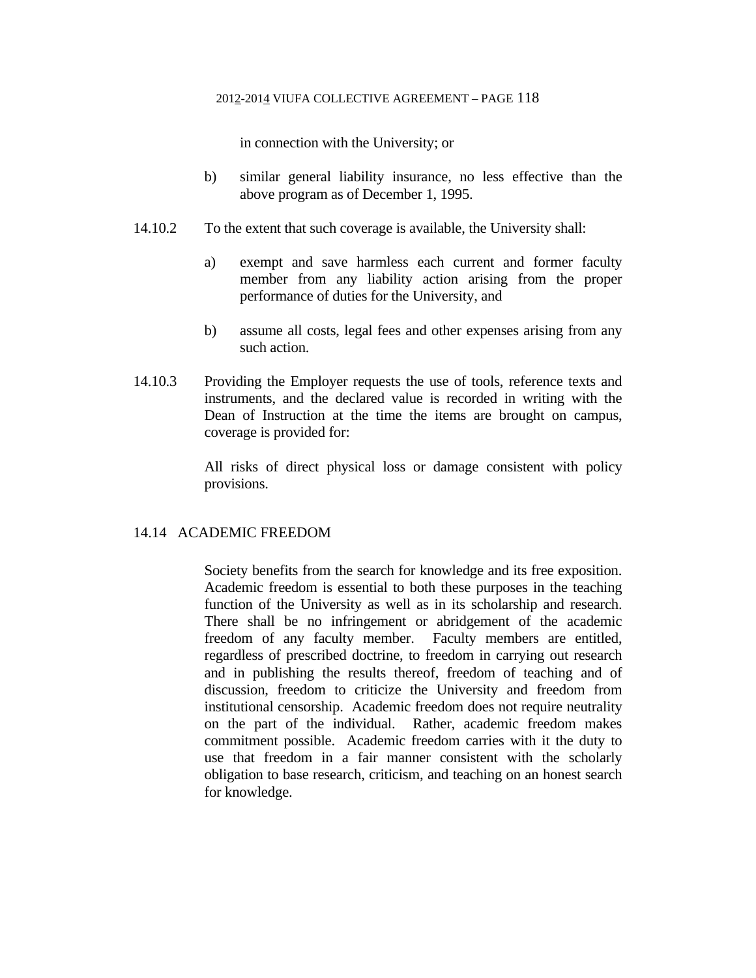in connection with the University; or

- b) similar general liability insurance, no less effective than the above program as of December 1, 1995.
- 14.10.2 To the extent that such coverage is available, the University shall:
	- a) exempt and save harmless each current and former faculty member from any liability action arising from the proper performance of duties for the University, and
	- b) assume all costs, legal fees and other expenses arising from any such action.
- 14.10.3 Providing the Employer requests the use of tools, reference texts and instruments, and the declared value is recorded in writing with the Dean of Instruction at the time the items are brought on campus, coverage is provided for:

 All risks of direct physical loss or damage consistent with policy provisions.

# 14.14 ACADEMIC FREEDOM

 Society benefits from the search for knowledge and its free exposition. Academic freedom is essential to both these purposes in the teaching function of the University as well as in its scholarship and research. There shall be no infringement or abridgement of the academic freedom of any faculty member. Faculty members are entitled, regardless of prescribed doctrine, to freedom in carrying out research and in publishing the results thereof, freedom of teaching and of discussion, freedom to criticize the University and freedom from institutional censorship. Academic freedom does not require neutrality on the part of the individual. Rather, academic freedom makes commitment possible. Academic freedom carries with it the duty to use that freedom in a fair manner consistent with the scholarly obligation to base research, criticism, and teaching on an honest search for knowledge.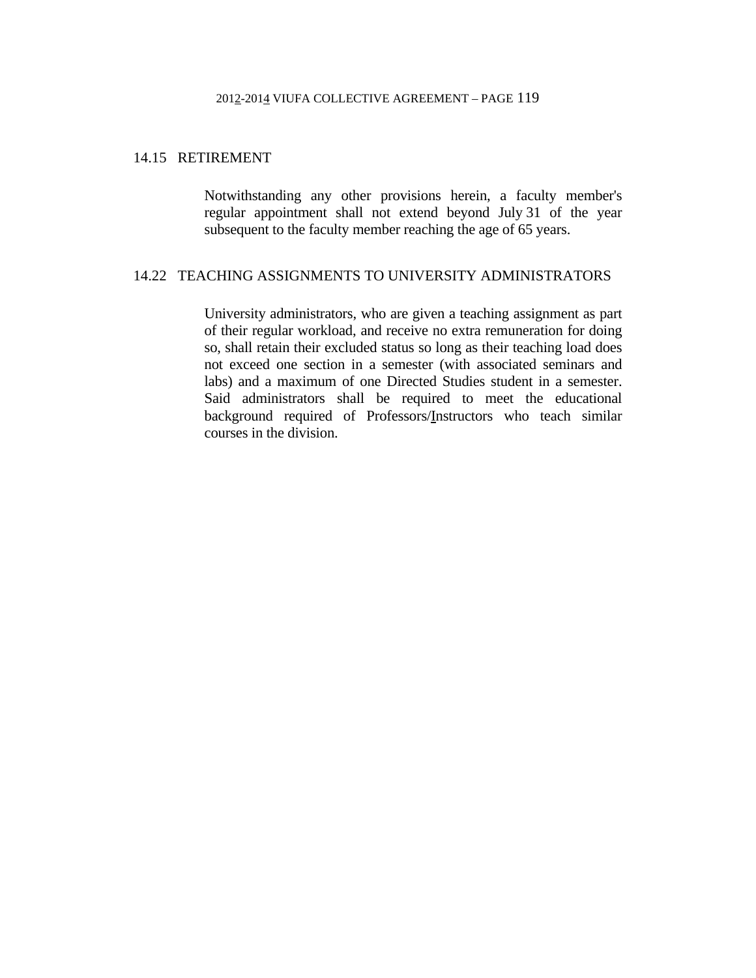# 14.15 RETIREMENT

 Notwithstanding any other provisions herein, a faculty member's regular appointment shall not extend beyond July 31 of the year subsequent to the faculty member reaching the age of 65 years.

# 14.22 TEACHING ASSIGNMENTS TO UNIVERSITY ADMINISTRATORS

 University administrators, who are given a teaching assignment as part of their regular workload, and receive no extra remuneration for doing so, shall retain their excluded status so long as their teaching load does not exceed one section in a semester (with associated seminars and labs) and a maximum of one Directed Studies student in a semester. Said administrators shall be required to meet the educational background required of Professors/Instructors who teach similar courses in the division.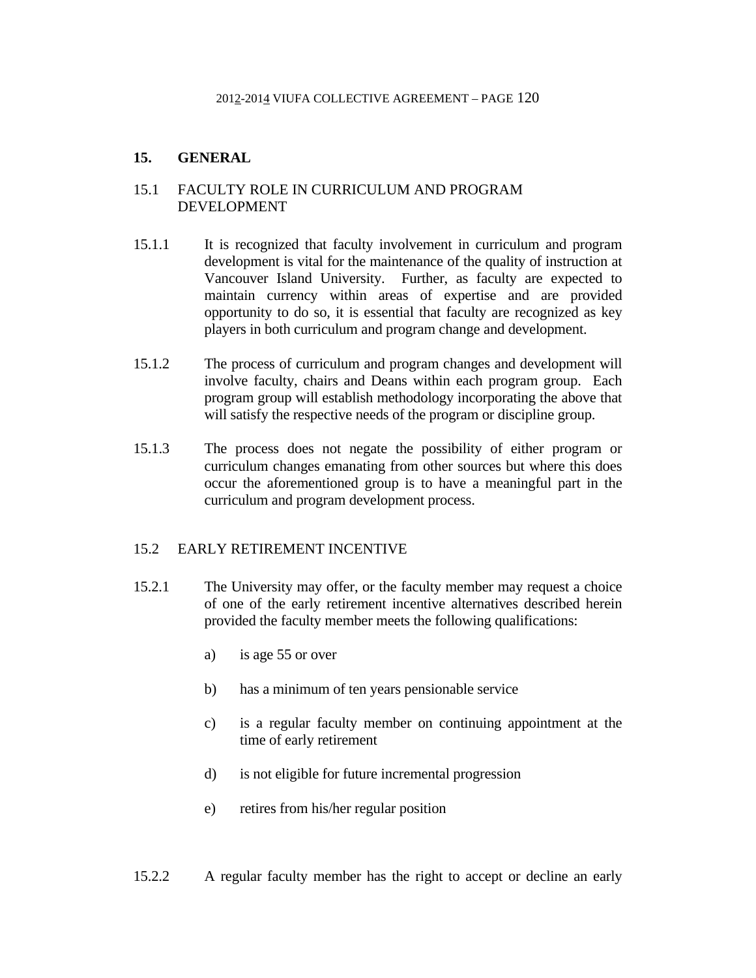# **15. GENERAL**

# 15.1 FACULTY ROLE IN CURRICULUM AND PROGRAM DEVELOPMENT

- 15.1.1 It is recognized that faculty involvement in curriculum and program development is vital for the maintenance of the quality of instruction at Vancouver Island University. Further, as faculty are expected to maintain currency within areas of expertise and are provided opportunity to do so, it is essential that faculty are recognized as key players in both curriculum and program change and development.
- 15.1.2 The process of curriculum and program changes and development will involve faculty, chairs and Deans within each program group. Each program group will establish methodology incorporating the above that will satisfy the respective needs of the program or discipline group.
- 15.1.3 The process does not negate the possibility of either program or curriculum changes emanating from other sources but where this does occur the aforementioned group is to have a meaningful part in the curriculum and program development process.

# 15.2 EARLY RETIREMENT INCENTIVE

- 15.2.1 The University may offer, or the faculty member may request a choice of one of the early retirement incentive alternatives described herein provided the faculty member meets the following qualifications:
	- a) is age 55 or over
	- b) has a minimum of ten years pensionable service
	- c) is a regular faculty member on continuing appointment at the time of early retirement
	- d) is not eligible for future incremental progression
	- e) retires from his/her regular position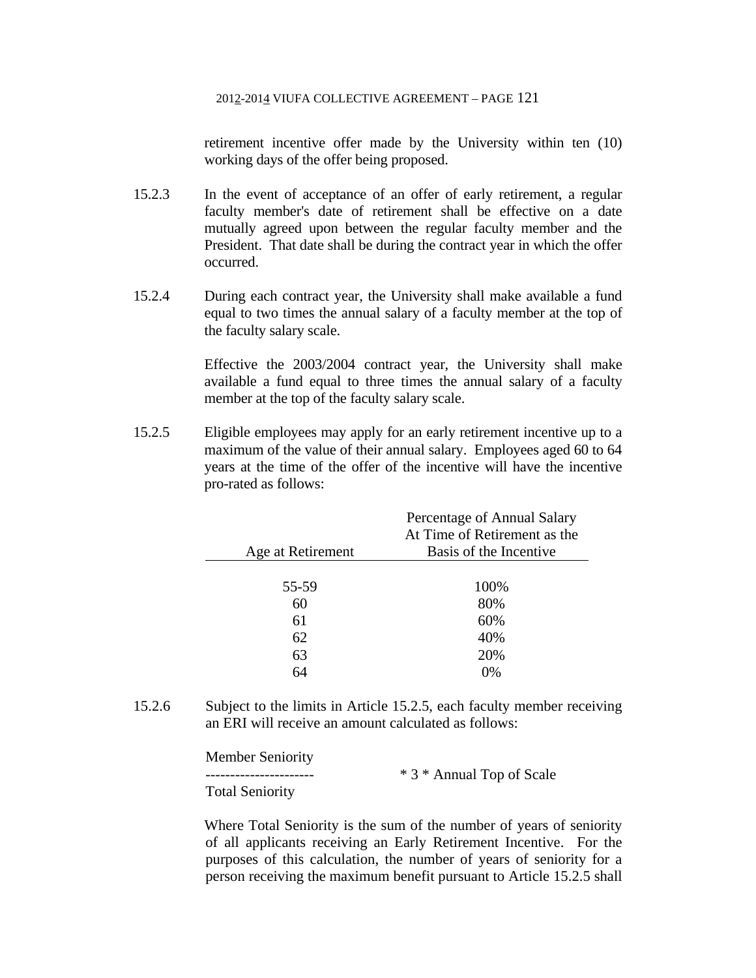retirement incentive offer made by the University within ten (10) working days of the offer being proposed.

- 15.2.3 In the event of acceptance of an offer of early retirement, a regular faculty member's date of retirement shall be effective on a date mutually agreed upon between the regular faculty member and the President. That date shall be during the contract year in which the offer occurred.
- 15.2.4 During each contract year, the University shall make available a fund equal to two times the annual salary of a faculty member at the top of the faculty salary scale.

 Effective the 2003/2004 contract year, the University shall make available a fund equal to three times the annual salary of a faculty member at the top of the faculty salary scale.

15.2.5 Eligible employees may apply for an early retirement incentive up to a maximum of the value of their annual salary. Employees aged 60 to 64 years at the time of the offer of the incentive will have the incentive pro-rated as follows:

|                   | Percentage of Annual Salary<br>At Time of Retirement as the |
|-------------------|-------------------------------------------------------------|
| Age at Retirement | Basis of the Incentive                                      |
|                   |                                                             |
| 55-59             | 100%                                                        |
| 60                | 80%                                                         |
| 61                | 60%                                                         |
| 62                | 40%                                                         |
| 63                | 20%                                                         |
| 64                | 0%                                                          |

15.2.6 Subject to the limits in Article 15.2.5, each faculty member receiving an ERI will receive an amount calculated as follows:

Member Seniority

\* 3 \* Annual Top of Scale Total Seniority

Where Total Seniority is the sum of the number of years of seniority of all applicants receiving an Early Retirement Incentive. For the purposes of this calculation, the number of years of seniority for a person receiving the maximum benefit pursuant to Article 15.2.5 shall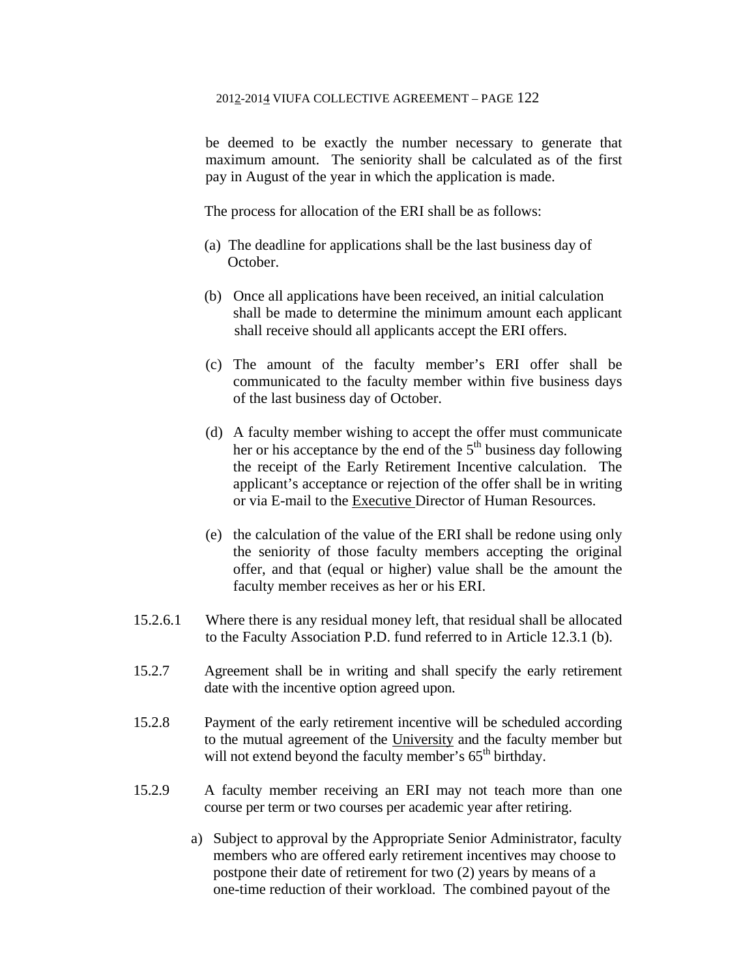be deemed to be exactly the number necessary to generate that maximum amount. The seniority shall be calculated as of the first pay in August of the year in which the application is made.

The process for allocation of the ERI shall be as follows:

- (a) The deadline for applications shall be the last business day of October.
- (b) Once all applications have been received, an initial calculation shall be made to determine the minimum amount each applicant shall receive should all applicants accept the ERI offers.
- (c) The amount of the faculty member's ERI offer shall be communicated to the faculty member within five business days of the last business day of October.
- (d) A faculty member wishing to accept the offer must communicate her or his acceptance by the end of the  $5<sup>th</sup>$  business day following the receipt of the Early Retirement Incentive calculation. The applicant's acceptance or rejection of the offer shall be in writing or via E-mail to the Executive Director of Human Resources.
- (e) the calculation of the value of the ERI shall be redone using only the seniority of those faculty members accepting the original offer, and that (equal or higher) value shall be the amount the faculty member receives as her or his ERI.
- 15.2.6.1 Where there is any residual money left, that residual shall be allocated to the Faculty Association P.D. fund referred to in Article 12.3.1 (b).
- 15.2.7 Agreement shall be in writing and shall specify the early retirement date with the incentive option agreed upon.
- 15.2.8 Payment of the early retirement incentive will be scheduled according to the mutual agreement of the University and the faculty member but will not extend beyond the faculty member's  $65<sup>th</sup>$  birthday.
- 15.2.9 A faculty member receiving an ERI may not teach more than one course per term or two courses per academic year after retiring.
	- a) Subject to approval by the Appropriate Senior Administrator, faculty members who are offered early retirement incentives may choose to postpone their date of retirement for two (2) years by means of a one-time reduction of their workload. The combined payout of the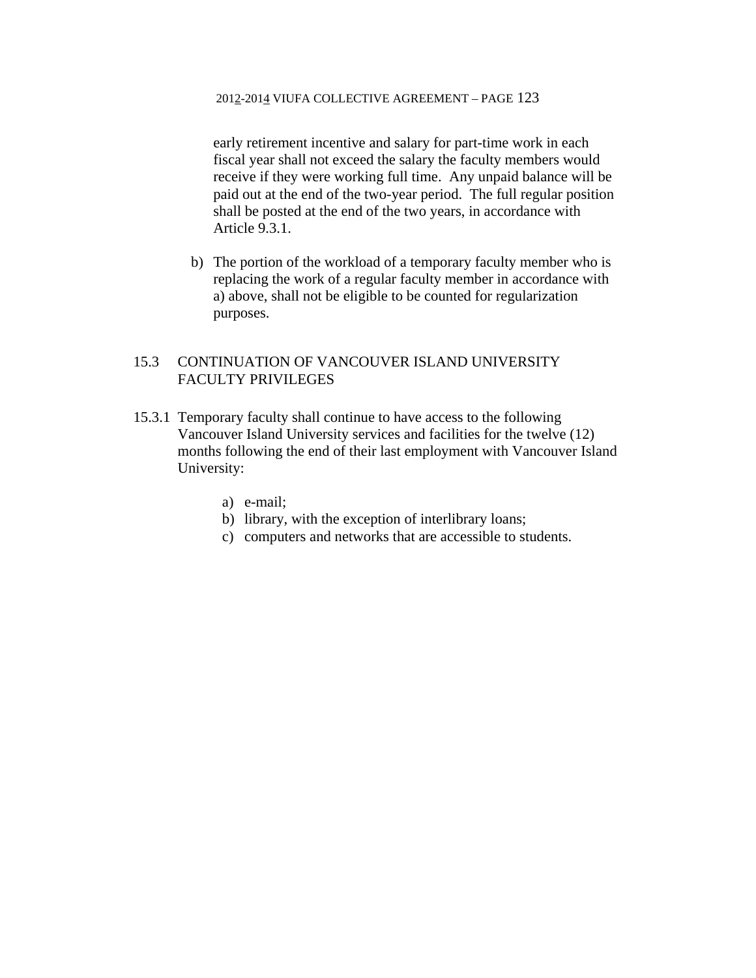early retirement incentive and salary for part-time work in each fiscal year shall not exceed the salary the faculty members would receive if they were working full time. Any unpaid balance will be paid out at the end of the two-year period. The full regular position shall be posted at the end of the two years, in accordance with Article 9.3.1.

b) The portion of the workload of a temporary faculty member who is replacing the work of a regular faculty member in accordance with a) above, shall not be eligible to be counted for regularization purposes.

# 15.3 CONTINUATION OF VANCOUVER ISLAND UNIVERSITY FACULTY PRIVILEGES

- 15.3.1 Temporary faculty shall continue to have access to the following Vancouver Island University services and facilities for the twelve (12) months following the end of their last employment with Vancouver Island University:
	- a) e-mail;
	- b) library, with the exception of interlibrary loans;
	- c) computers and networks that are accessible to students.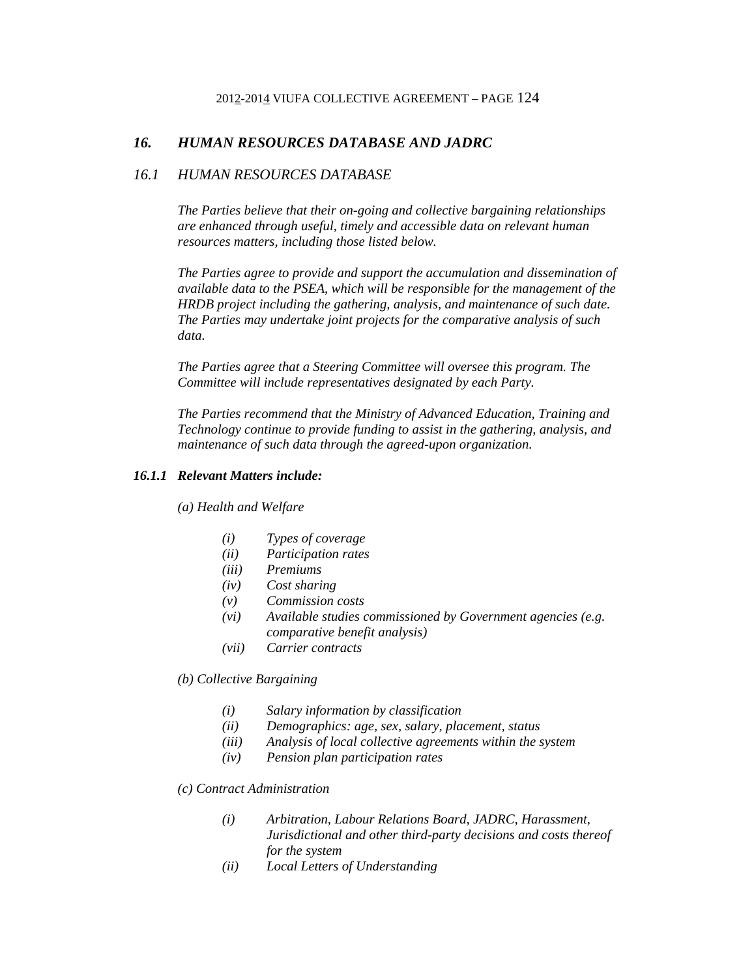# *16. HUMAN RESOURCES DATABASE AND JADRC*

### *16.1 HUMAN RESOURCES DATABASE*

*The Parties believe that their on-going and collective bargaining relationships are enhanced through useful, timely and accessible data on relevant human resources matters, including those listed below.* 

*The Parties agree to provide and support the accumulation and dissemination of available data to the PSEA, which will be responsible for the management of the HRDB project including the gathering, analysis, and maintenance of such date. The Parties may undertake joint projects for the comparative analysis of such data.* 

*The Parties agree that a Steering Committee will oversee this program. The Committee will include representatives designated by each Party.* 

*The Parties recommend that the Ministry of Advanced Education, Training and Technology continue to provide funding to assist in the gathering, analysis, and maintenance of such data through the agreed-upon organization.* 

## *16.1.1 Relevant Matters include:*

*(a) Health and Welfare* 

- *(i) Types of coverage*
- *(ii) Participation rates*
- *(iii) Premiums*
- *(iv) Cost sharing*
- *(v) Commission costs*
- *(vi) Available studies commissioned by Government agencies (e.g. comparative benefit analysis)*
- *(vii) Carrier contracts*

*(b) Collective Bargaining* 

- *(i) Salary information by classification*
- *(ii) Demographics: age, sex, salary, placement, status*
- *(iii) Analysis of local collective agreements within the system*
- *(iv) Pension plan participation rates*

#### *(c) Contract Administration*

- *(i) Arbitration, Labour Relations Board, JADRC, Harassment, Jurisdictional and other third-party decisions and costs thereof for the system*
- *(ii) Local Letters of Understanding*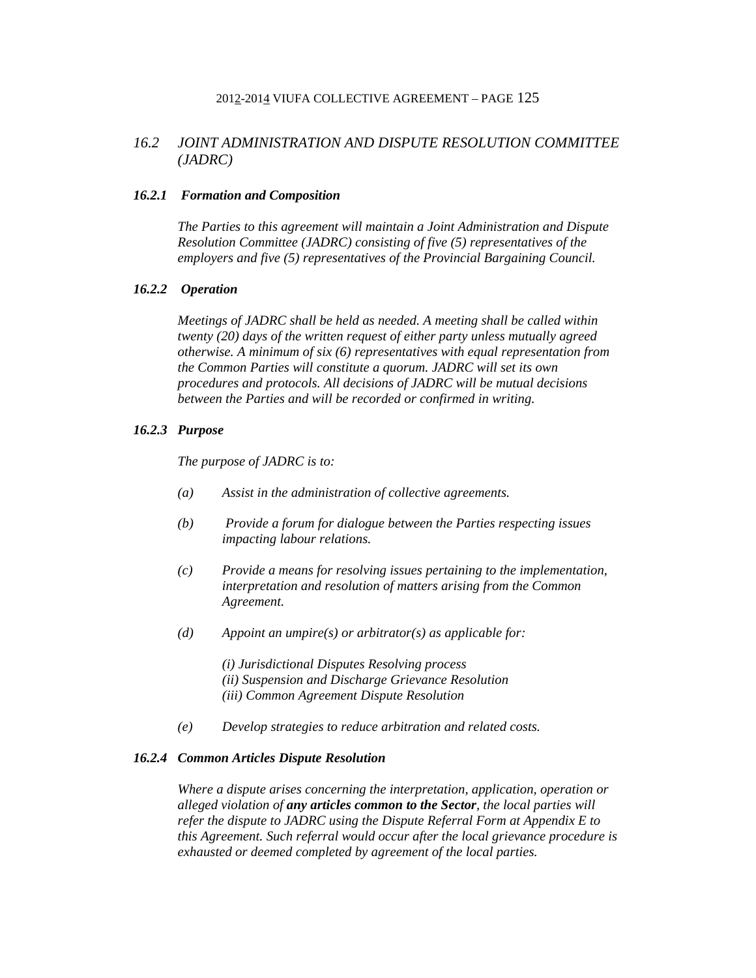# *16.2 JOINT ADMINISTRATION AND DISPUTE RESOLUTION COMMITTEE (JADRC)*

#### *16.2.1 Formation and Composition*

*The Parties to this agreement will maintain a Joint Administration and Dispute Resolution Committee (JADRC) consisting of five (5) representatives of the employers and five (5) representatives of the Provincial Bargaining Council.* 

## *16.2.2 Operation*

*Meetings of JADRC shall be held as needed. A meeting shall be called within twenty (20) days of the written request of either party unless mutually agreed otherwise. A minimum of six (6) representatives with equal representation from the Common Parties will constitute a quorum. JADRC will set its own procedures and protocols. All decisions of JADRC will be mutual decisions between the Parties and will be recorded or confirmed in writing.* 

#### *16.2.3 Purpose*

*The purpose of JADRC is to:* 

- *(a) Assist in the administration of collective agreements.*
- *(b) Provide a forum for dialogue between the Parties respecting issues impacting labour relations.*
- *(c) Provide a means for resolving issues pertaining to the implementation, interpretation and resolution of matters arising from the Common Agreement.*
- *(d) Appoint an umpire(s) or arbitrator(s) as applicable for:*

*(i) Jurisdictional Disputes Resolving process (ii) Suspension and Discharge Grievance Resolution (iii) Common Agreement Dispute Resolution* 

*(e) Develop strategies to reduce arbitration and related costs.* 

#### *16.2.4 Common Articles Dispute Resolution*

*Where a dispute arises concerning the interpretation, application, operation or alleged violation of any articles common to the Sector, the local parties will refer the dispute to JADRC using the Dispute Referral Form at Appendix E to this Agreement. Such referral would occur after the local grievance procedure is exhausted or deemed completed by agreement of the local parties.*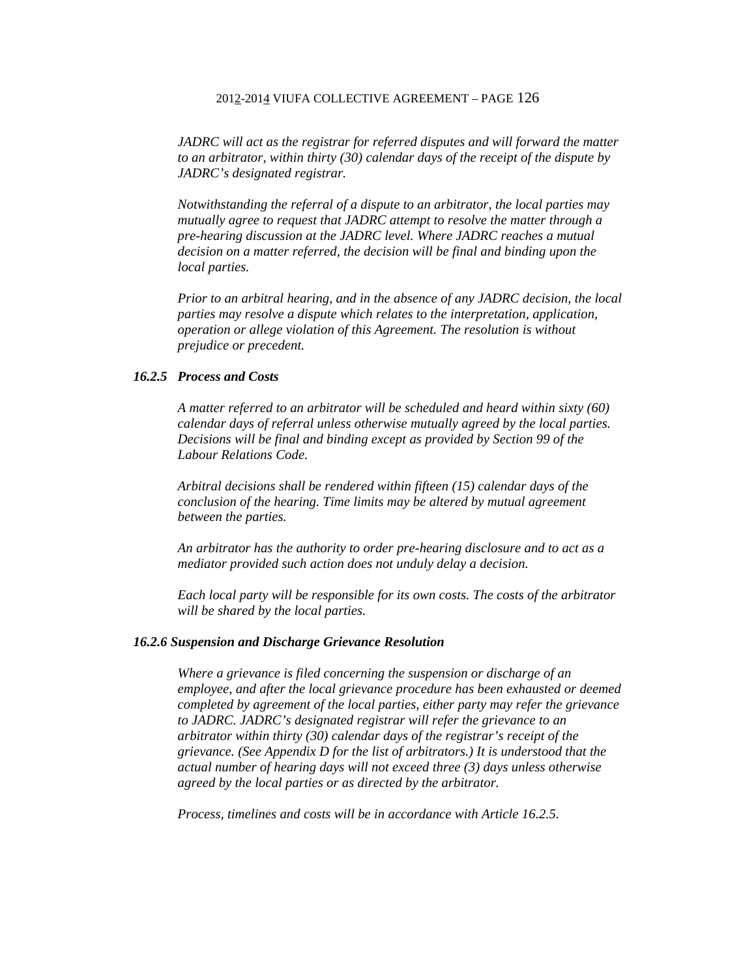*JADRC will act as the registrar for referred disputes and will forward the matter to an arbitrator, within thirty (30) calendar days of the receipt of the dispute by JADRC's designated registrar.* 

*Notwithstanding the referral of a dispute to an arbitrator, the local parties may mutually agree to request that JADRC attempt to resolve the matter through a pre-hearing discussion at the JADRC level. Where JADRC reaches a mutual decision on a matter referred, the decision will be final and binding upon the local parties.* 

*Prior to an arbitral hearing, and in the absence of any JADRC decision, the local parties may resolve a dispute which relates to the interpretation, application, operation or allege violation of this Agreement. The resolution is without prejudice or precedent.* 

#### *16.2.5 Process and Costs*

*A matter referred to an arbitrator will be scheduled and heard within sixty (60) calendar days of referral unless otherwise mutually agreed by the local parties. Decisions will be final and binding except as provided by Section 99 of the Labour Relations Code.* 

*Arbitral decisions shall be rendered within fifteen (15) calendar days of the conclusion of the hearing. Time limits may be altered by mutual agreement between the parties.* 

*An arbitrator has the authority to order pre-hearing disclosure and to act as a mediator provided such action does not unduly delay a decision.* 

*Each local party will be responsible for its own costs. The costs of the arbitrator will be shared by the local parties.* 

#### *16.2.6 Suspension and Discharge Grievance Resolution*

*Where a grievance is filed concerning the suspension or discharge of an employee, and after the local grievance procedure has been exhausted or deemed completed by agreement of the local parties, either party may refer the grievance to JADRC. JADRC's designated registrar will refer the grievance to an arbitrator within thirty (30) calendar days of the registrar's receipt of the grievance. (See Appendix D for the list of arbitrators.) It is understood that the actual number of hearing days will not exceed three (3) days unless otherwise agreed by the local parties or as directed by the arbitrator.* 

*Process, timelines and costs will be in accordance with Article 16.2.5.*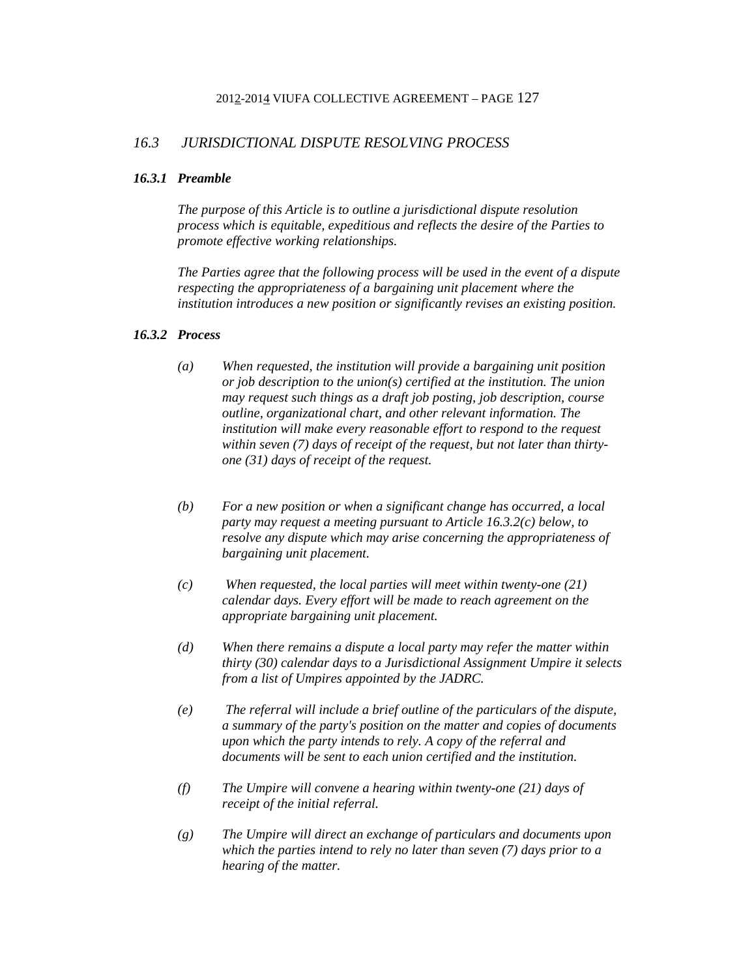# *16.3 JURISDICTIONAL DISPUTE RESOLVING PROCESS*

#### *16.3.1 Preamble*

*The purpose of this Article is to outline a jurisdictional dispute resolution process which is equitable, expeditious and reflects the desire of the Parties to promote effective working relationships.* 

*The Parties agree that the following process will be used in the event of a dispute respecting the appropriateness of a bargaining unit placement where the institution introduces a new position or significantly revises an existing position.* 

### *16.3.2 Process*

- *(a) When requested, the institution will provide a bargaining unit position or job description to the union(s) certified at the institution. The union may request such things as a draft job posting, job description, course outline, organizational chart, and other relevant information. The institution will make every reasonable effort to respond to the request within seven (7) days of receipt of the request, but not later than thirtyone (31) days of receipt of the request.*
- *(b) For a new position or when a significant change has occurred, a local party may request a meeting pursuant to Article 16.3.2(c) below, to resolve any dispute which may arise concerning the appropriateness of bargaining unit placement.*
- *(c) When requested, the local parties will meet within twenty-one (21) calendar days. Every effort will be made to reach agreement on the appropriate bargaining unit placement.*
- *(d) When there remains a dispute a local party may refer the matter within thirty (30) calendar days to a Jurisdictional Assignment Umpire it selects from a list of Umpires appointed by the JADRC.*
- *(e) The referral will include a brief outline of the particulars of the dispute, a summary of the party's position on the matter and copies of documents upon which the party intends to rely. A copy of the referral and documents will be sent to each union certified and the institution.*
- *(f) The Umpire will convene a hearing within twenty-one (21) days of receipt of the initial referral.*
- *(g) The Umpire will direct an exchange of particulars and documents upon which the parties intend to rely no later than seven (7) days prior to a hearing of the matter.*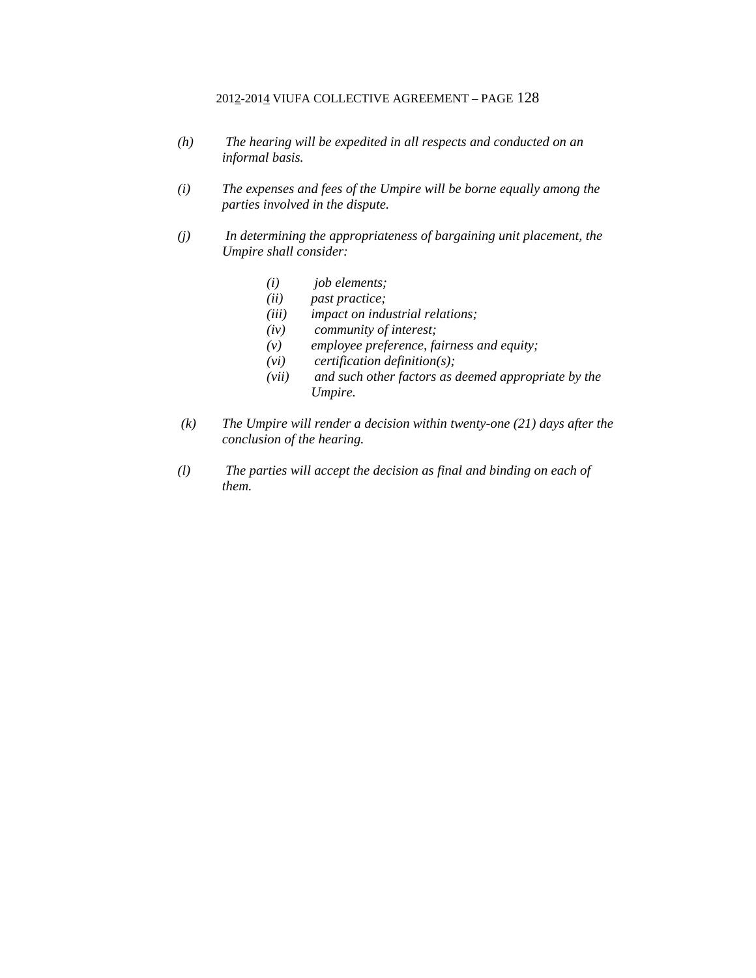- *(h) The hearing will be expedited in all respects and conducted on an informal basis.*
- *(i) The expenses and fees of the Umpire will be borne equally among the parties involved in the dispute.*
- *(j) In determining the appropriateness of bargaining unit placement, the Umpire shall consider:* 
	- *(i) job elements;*
	- *(ii) past practice;*
	- *(iii) impact on industrial relations;*
	- *(iv) community of interest;*
	- *(v) employee preference, fairness and equity;*
	- *(vi) certification definition(s);*
	- *(vii) and such other factors as deemed appropriate by the Umpire.*
- *(k) The Umpire will render a decision within twenty-one (21) days after the conclusion of the hearing.*
- *(l) The parties will accept the decision as final and binding on each of them.*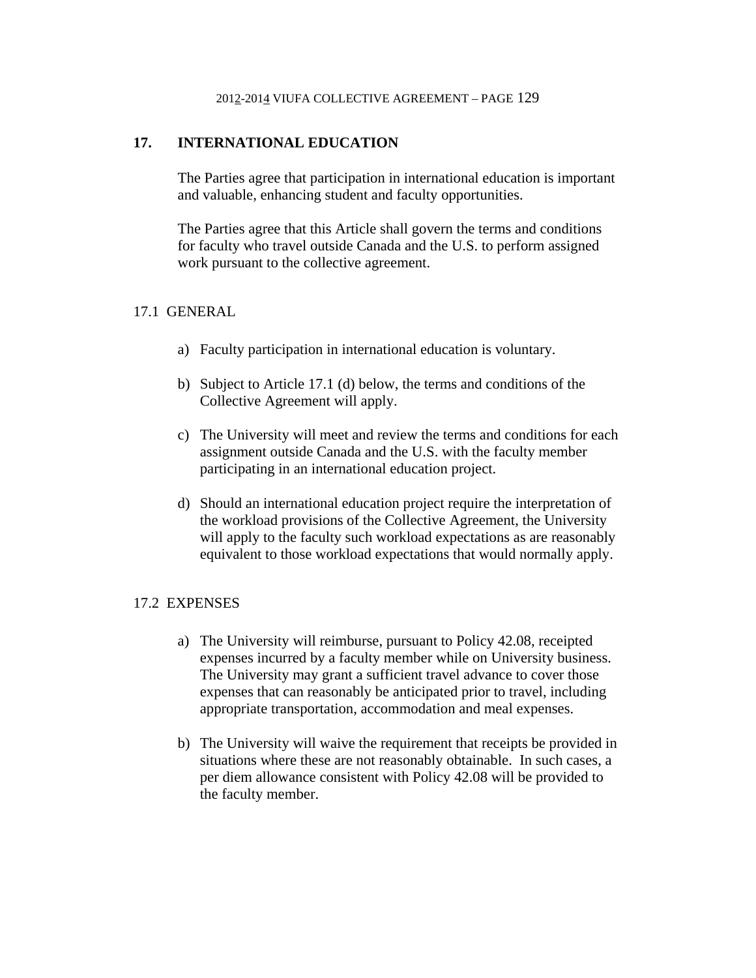# **17. INTERNATIONAL EDUCATION**

The Parties agree that participation in international education is important and valuable, enhancing student and faculty opportunities.

The Parties agree that this Article shall govern the terms and conditions for faculty who travel outside Canada and the U.S. to perform assigned work pursuant to the collective agreement.

# 17.1 GENERAL

- a) Faculty participation in international education is voluntary.
- b) Subject to Article 17.1 (d) below, the terms and conditions of the Collective Agreement will apply.
- c) The University will meet and review the terms and conditions for each assignment outside Canada and the U.S. with the faculty member participating in an international education project.
- d) Should an international education project require the interpretation of the workload provisions of the Collective Agreement, the University will apply to the faculty such workload expectations as are reasonably equivalent to those workload expectations that would normally apply.

# 17.2 EXPENSES

- a) The University will reimburse, pursuant to Policy 42.08, receipted expenses incurred by a faculty member while on University business. The University may grant a sufficient travel advance to cover those expenses that can reasonably be anticipated prior to travel, including appropriate transportation, accommodation and meal expenses.
- b) The University will waive the requirement that receipts be provided in situations where these are not reasonably obtainable. In such cases, a per diem allowance consistent with Policy 42.08 will be provided to the faculty member.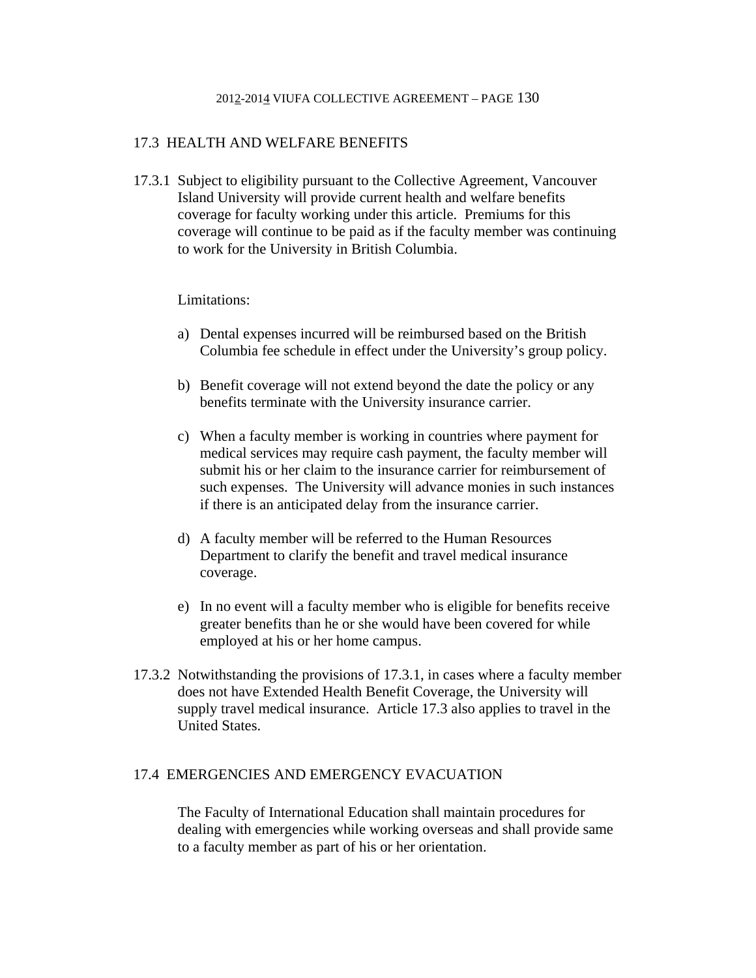# 17.3 HEALTH AND WELFARE BENEFITS

17.3.1 Subject to eligibility pursuant to the Collective Agreement, Vancouver Island University will provide current health and welfare benefits coverage for faculty working under this article. Premiums for this coverage will continue to be paid as if the faculty member was continuing to work for the University in British Columbia.

## Limitations:

- a) Dental expenses incurred will be reimbursed based on the British Columbia fee schedule in effect under the University's group policy.
- b) Benefit coverage will not extend beyond the date the policy or any benefits terminate with the University insurance carrier.
- c) When a faculty member is working in countries where payment for medical services may require cash payment, the faculty member will submit his or her claim to the insurance carrier for reimbursement of such expenses. The University will advance monies in such instances if there is an anticipated delay from the insurance carrier.
- d) A faculty member will be referred to the Human Resources Department to clarify the benefit and travel medical insurance coverage.
- e) In no event will a faculty member who is eligible for benefits receive greater benefits than he or she would have been covered for while employed at his or her home campus.
- 17.3.2 Notwithstanding the provisions of 17.3.1, in cases where a faculty member does not have Extended Health Benefit Coverage, the University will supply travel medical insurance. Article 17.3 also applies to travel in the United States.

### 17.4 EMERGENCIES AND EMERGENCY EVACUATION

The Faculty of International Education shall maintain procedures for dealing with emergencies while working overseas and shall provide same to a faculty member as part of his or her orientation.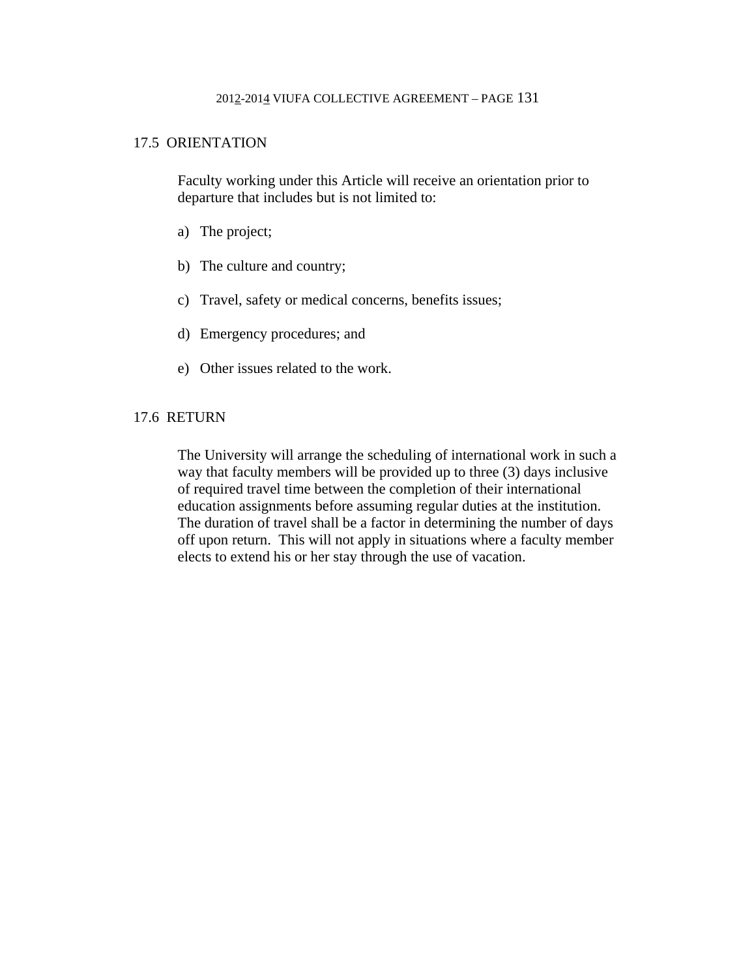# 17.5 ORIENTATION

Faculty working under this Article will receive an orientation prior to departure that includes but is not limited to:

- a) The project;
- b) The culture and country;
- c) Travel, safety or medical concerns, benefits issues;
- d) Emergency procedures; and
- e) Other issues related to the work.

# 17.6 RETURN

The University will arrange the scheduling of international work in such a way that faculty members will be provided up to three (3) days inclusive of required travel time between the completion of their international education assignments before assuming regular duties at the institution. The duration of travel shall be a factor in determining the number of days off upon return. This will not apply in situations where a faculty member elects to extend his or her stay through the use of vacation.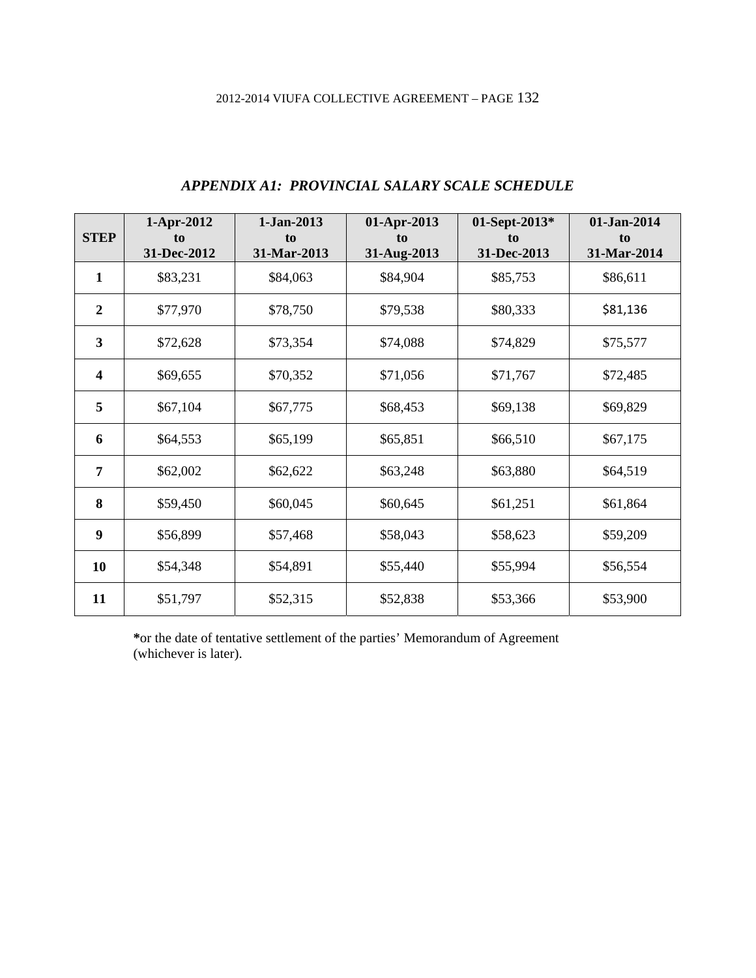| <b>STEP</b>             | 1-Apr-2012<br>to<br>31-Dec-2012 | 1-Jan-2013<br>to<br>31-Mar-2013 | 01-Apr-2013<br>to<br>31-Aug-2013 | 01-Sept-2013*<br>to<br>31-Dec-2013 | 01-Jan-2014<br>to<br>31-Mar-2014 |
|-------------------------|---------------------------------|---------------------------------|----------------------------------|------------------------------------|----------------------------------|
| $\mathbf{1}$            | \$83,231                        | \$84,063                        | \$84,904                         | \$85,753                           | \$86,611                         |
| $\overline{2}$          | \$77,970                        | \$78,750                        | \$79,538                         | \$80,333                           | \$81,136                         |
| $\overline{\mathbf{3}}$ | \$72,628                        | \$73,354                        | \$74,088                         | \$74,829                           | \$75,577                         |
| $\overline{\mathbf{4}}$ | \$69,655                        | \$70,352                        | \$71,056                         | \$71,767                           | \$72,485                         |
| 5                       | \$67,104                        | \$67,775                        | \$68,453                         | \$69,138                           | \$69,829                         |
| 6                       | \$64,553                        | \$65,199                        | \$65,851                         | \$66,510                           | \$67,175                         |
| $\overline{7}$          | \$62,002                        | \$62,622                        | \$63,248                         | \$63,880                           | \$64,519                         |
| 8                       | \$59,450                        | \$60,045                        | \$60,645                         | \$61,251                           | \$61,864                         |
| 9                       | \$56,899                        | \$57,468                        | \$58,043                         | \$58,623                           | \$59,209                         |
| 10                      | \$54,348                        | \$54,891                        | \$55,440                         | \$55,994                           | \$56,554                         |
| 11                      | \$51,797                        | \$52,315                        | \$52,838                         | \$53,366                           | \$53,900                         |

# *APPENDIX A1: PROVINCIAL SALARY SCALE SCHEDULE*

**\***or the date of tentative settlement of the parties' Memorandum of Agreement (whichever is later).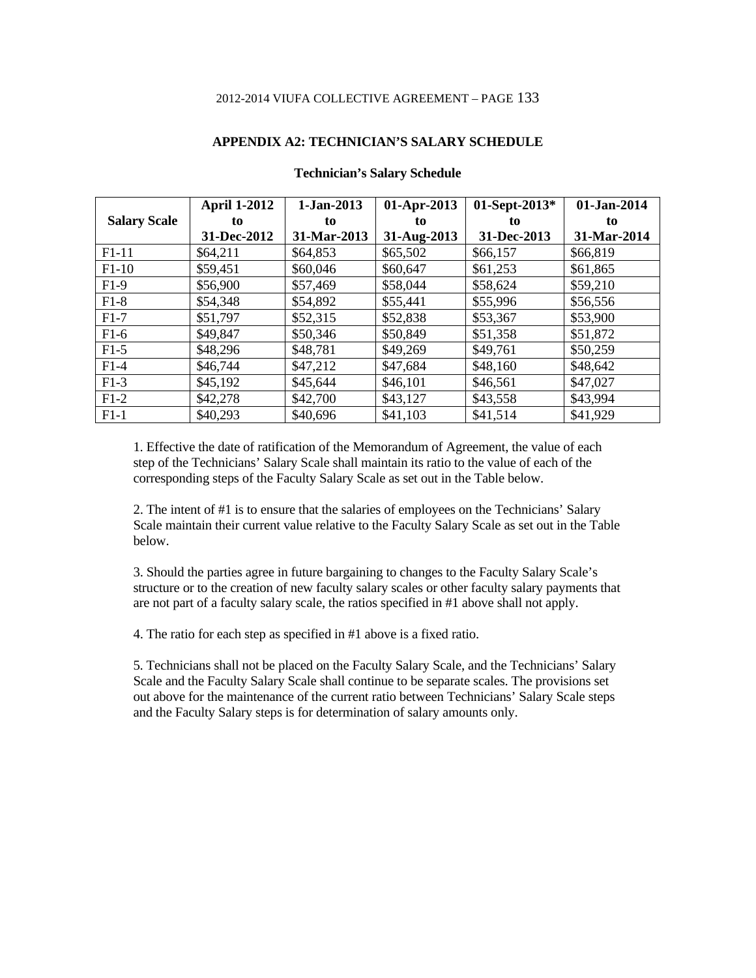#### **APPENDIX A2: TECHNICIAN'S SALARY SCHEDULE**

|                     | <b>April 1-2012</b> | 1-Jan-2013  | 01-Apr-2013 | 01-Sept-2013* | 01-Jan-2014 |
|---------------------|---------------------|-------------|-------------|---------------|-------------|
| <b>Salary Scale</b> | to                  | to          | to          | to            | to          |
|                     | 31-Dec-2012         | 31-Mar-2013 | 31-Aug-2013 | 31-Dec-2013   | 31-Mar-2014 |
| $F1-11$             | \$64,211            | \$64,853    | \$65,502    | \$66,157      | \$66,819    |
| $F1-10$             | \$59,451            | \$60,046    | \$60,647    | \$61,253      | \$61,865    |
| $F1-9$              | \$56,900            | \$57,469    | \$58,044    | \$58,624      | \$59,210    |
| $F1-8$              | \$54,348            | \$54,892    | \$55,441    | \$55,996      | \$56,556    |
| $F1-7$              | \$51,797            | \$52,315    | \$52,838    | \$53,367      | \$53,900    |
| $F1-6$              | \$49,847            | \$50,346    | \$50,849    | \$51,358      | \$51,872    |
| $F1-5$              | \$48,296            | \$48,781    | \$49,269    | \$49,761      | \$50,259    |
| $F1-4$              | \$46,744            | \$47,212    | \$47,684    | \$48,160      | \$48,642    |
| $F1-3$              | \$45,192            | \$45,644    | \$46,101    | \$46,561      | \$47,027    |
| $F1-2$              | \$42,278            | \$42,700    | \$43,127    | \$43,558      | \$43,994    |
| $F1-1$              | \$40,293            | \$40,696    | \$41,103    | \$41,514      | \$41,929    |

#### **Technician's Salary Schedule**

1. Effective the date of ratification of the Memorandum of Agreement, the value of each step of the Technicians' Salary Scale shall maintain its ratio to the value of each of the corresponding steps of the Faculty Salary Scale as set out in the Table below.

2. The intent of #1 is to ensure that the salaries of employees on the Technicians' Salary Scale maintain their current value relative to the Faculty Salary Scale as set out in the Table below.

3. Should the parties agree in future bargaining to changes to the Faculty Salary Scale's structure or to the creation of new faculty salary scales or other faculty salary payments that are not part of a faculty salary scale, the ratios specified in #1 above shall not apply.

4. The ratio for each step as specified in #1 above is a fixed ratio.

5. Technicians shall not be placed on the Faculty Salary Scale, and the Technicians' Salary Scale and the Faculty Salary Scale shall continue to be separate scales. The provisions set out above for the maintenance of the current ratio between Technicians' Salary Scale steps and the Faculty Salary steps is for determination of salary amounts only.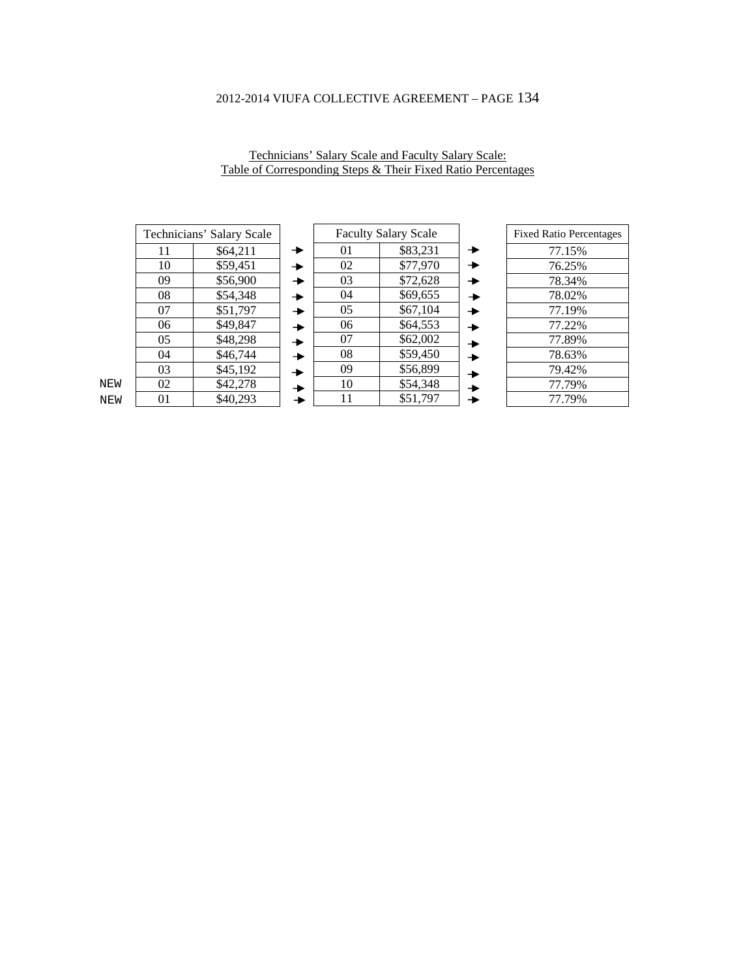Technicians' Salary Scale and Faculty Salary Scale: Table of Corresponding Steps & Their Fixed Ratio Percentages

| Technicians' Salary Scale |          |  |
|---------------------------|----------|--|
| 11                        | \$64,211 |  |
| 10                        | \$59,451 |  |
| 09                        | \$56,900 |  |
| 08                        | \$54,348 |  |
| 07                        | \$51,797 |  |
| 06                        | \$49,847 |  |
| 05                        | \$48,298 |  |
| 04                        | \$46,744 |  |
| 03                        | \$45,192 |  |
| 02                        | \$42,278 |  |
| 01                        | \$40,293 |  |

|                       |    | <b>Faculty Salary Scale</b> |  |
|-----------------------|----|-----------------------------|--|
|                       | 01 | \$83,231                    |  |
| ¥                     | 02 | \$77,970                    |  |
| $\blacktriangleright$ | 03 | \$72,628                    |  |
| $\blacktriangleright$ | 04 | \$69,655                    |  |
| ▸                     | 05 | \$67,104                    |  |
| $\blacktriangleright$ | 06 | \$64,553                    |  |
| $\rightarrow$         | 07 | \$62,002                    |  |
| ۰                     | 08 | \$59,450                    |  |
| ▶                     | 09 | \$56,899                    |  |
| ▸                     | 10 | \$54,348                    |  |
|                       | 11 | \$51,797                    |  |

| <b>Fixed Ratio Percentages</b> |
|--------------------------------|
| 77.15%                         |
| 76.25%                         |
| 78.34%                         |
| 78.02%                         |
| 77.19%                         |
| 77.22%                         |
| 77.89%                         |
| 78.63%                         |
| 79.42%                         |
| 77.79%                         |
| 77.79%                         |

NEW NEW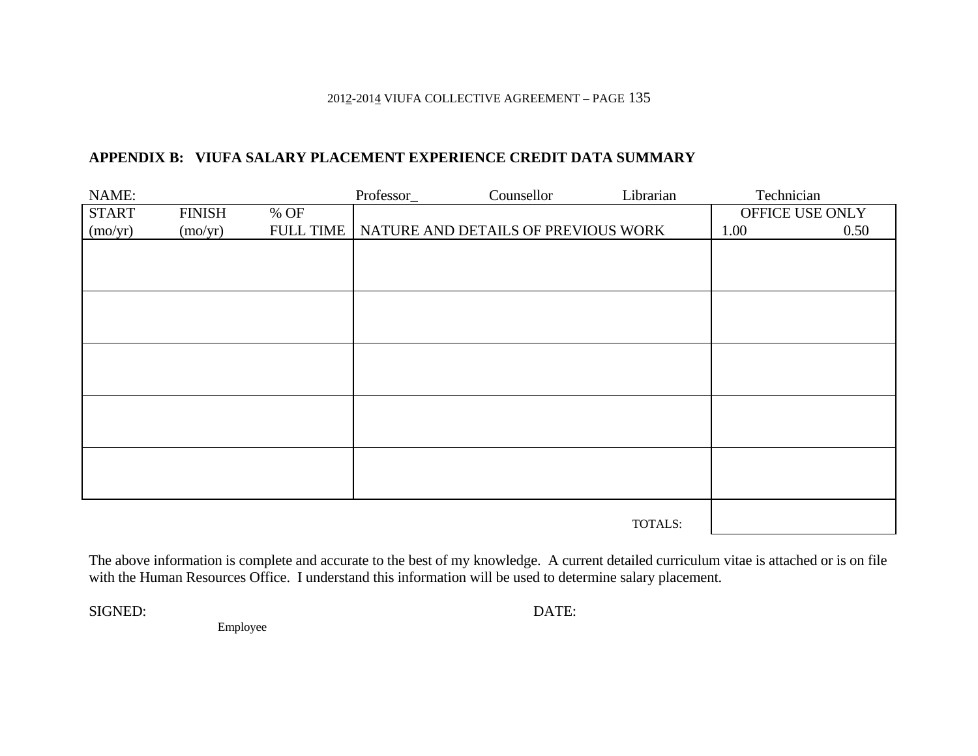### 201<u>2</u>-201<u>4</u> VIUFA COLLECTIVE AGREEMENT – PAGE 135

# **APPENDIX B: VIUFA SALARY PLACEMENT EXPERIENCE CREDIT DATA SUMMARY**

| NAME:        |               |                  | Professor_ | Counsellor                          | Librarian | Technician |                 |
|--------------|---------------|------------------|------------|-------------------------------------|-----------|------------|-----------------|
| <b>START</b> | <b>FINISH</b> | % OF             |            |                                     |           |            | OFFICE USE ONLY |
| (mo/yr)      | (mo/yr)       | <b>FULL TIME</b> |            | NATURE AND DETAILS OF PREVIOUS WORK |           | 1.00       | 0.50            |
|              |               |                  |            |                                     |           |            |                 |
|              |               |                  |            |                                     |           |            |                 |
|              |               |                  |            |                                     |           |            |                 |
|              |               |                  |            |                                     |           |            |                 |
|              |               |                  |            |                                     |           |            |                 |
|              |               |                  |            |                                     |           |            |                 |
|              |               |                  |            |                                     |           |            |                 |
|              |               |                  |            |                                     |           |            |                 |
|              |               |                  |            |                                     |           |            |                 |
|              |               |                  |            |                                     |           |            |                 |
|              |               |                  |            |                                     |           |            |                 |
|              |               |                  |            |                                     |           |            |                 |
|              |               |                  |            |                                     |           |            |                 |
|              |               |                  |            |                                     |           |            |                 |
|              |               |                  |            |                                     |           |            |                 |
|              |               |                  |            |                                     |           |            |                 |
|              |               |                  |            |                                     | TOTALS:   |            |                 |

The above information is complete and accurate to the best of my knowledge. A current detailed curriculum vitae is attached or is on file with the Human Resources Office. I understand this information will be used to determine salary placement.

SIGNED:

DATE:

Employee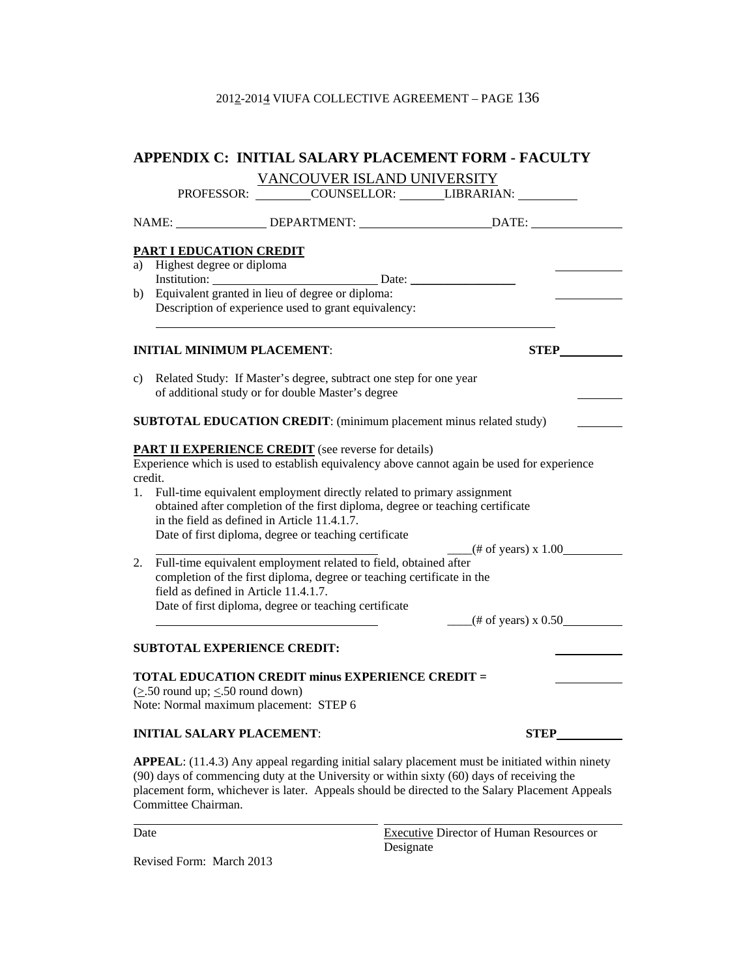|               | APPENDIX C: INITIAL SALARY PLACEMENT FORM - FACULTY                                                                                                                                                                                                                                                                                                                                                                            |  |  |
|---------------|--------------------------------------------------------------------------------------------------------------------------------------------------------------------------------------------------------------------------------------------------------------------------------------------------------------------------------------------------------------------------------------------------------------------------------|--|--|
|               | VANCOUVER ISLAND UNIVERSITY                                                                                                                                                                                                                                                                                                                                                                                                    |  |  |
|               | PROFESSOR: COUNSELLOR: LIBRARIAN:                                                                                                                                                                                                                                                                                                                                                                                              |  |  |
|               |                                                                                                                                                                                                                                                                                                                                                                                                                                |  |  |
|               | PART I EDUCATION CREDIT                                                                                                                                                                                                                                                                                                                                                                                                        |  |  |
|               | a) Highest degree or diploma                                                                                                                                                                                                                                                                                                                                                                                                   |  |  |
|               |                                                                                                                                                                                                                                                                                                                                                                                                                                |  |  |
|               |                                                                                                                                                                                                                                                                                                                                                                                                                                |  |  |
|               | Description of experience used to grant equivalency:                                                                                                                                                                                                                                                                                                                                                                           |  |  |
|               | <b>STEP</b>                                                                                                                                                                                                                                                                                                                                                                                                                    |  |  |
|               | <b>INITIAL MINIMUM PLACEMENT:</b>                                                                                                                                                                                                                                                                                                                                                                                              |  |  |
|               | c) Related Study: If Master's degree, subtract one step for one year<br>of additional study or for double Master's degree                                                                                                                                                                                                                                                                                                      |  |  |
|               | <b>SUBTOTAL EDUCATION CREDIT:</b> (minimum placement minus related study)                                                                                                                                                                                                                                                                                                                                                      |  |  |
| credit.<br>1. | <b>PART II EXPERIENCE CREDIT</b> (see reverse for details)<br>Experience which is used to establish equivalency above cannot again be used for experience<br>Full-time equivalent employment directly related to primary assignment<br>obtained after completion of the first diploma, degree or teaching certificate<br>in the field as defined in Article 11.4.1.7.<br>Date of first diploma, degree or teaching certificate |  |  |
|               | $-$ (# of years) x 1.00<br>Full-time equivalent employment related to field, obtained after<br>2.<br>completion of the first diploma, degree or teaching certificate in the<br>field as defined in Article 11.4.1.7.<br>Date of first diploma, degree or teaching certificate<br>$-$ (# of years) x 0.50                                                                                                                       |  |  |
|               | <b>SUBTOTAL EXPERIENCE CREDIT:</b>                                                                                                                                                                                                                                                                                                                                                                                             |  |  |
|               | <b>TOTAL EDUCATION CREDIT minus EXPERIENCE CREDIT =</b><br>$(\geq 50$ round up; $\leq 50$ round down)<br>Note: Normal maximum placement: STEP 6                                                                                                                                                                                                                                                                                |  |  |
|               | <b>INITIAL SALARY PLACEMENT:</b><br><b>STEP</b>                                                                                                                                                                                                                                                                                                                                                                                |  |  |
|               | <b>APPEAL</b> : (11.4.3) Any appeal regarding initial salary placement must be initiated within ninety<br>(90) days of commencing duty at the University or within sixty (60) days of receiving the<br>placement form, whichever is later. Appeals should be directed to the Salary Placement Appeals<br>Committee Chairman.                                                                                                   |  |  |

Revised Form: March 2013

l

Date **Executive Director of Human Resources or** Designate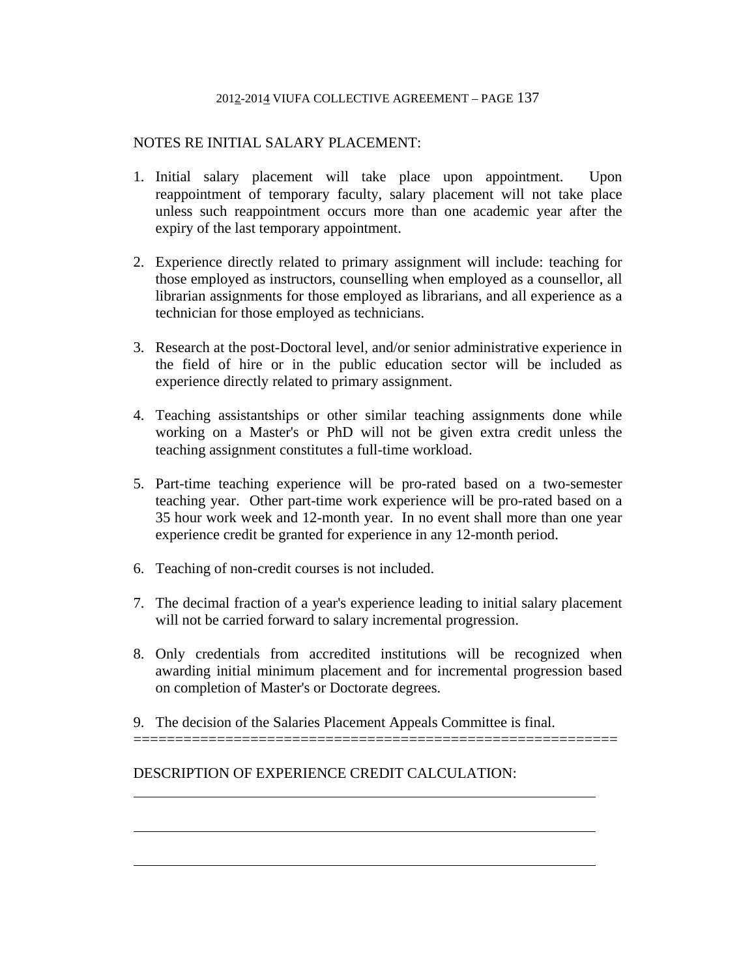# NOTES RE INITIAL SALARY PLACEMENT:

- 1. Initial salary placement will take place upon appointment. Upon reappointment of temporary faculty, salary placement will not take place unless such reappointment occurs more than one academic year after the expiry of the last temporary appointment.
- 2. Experience directly related to primary assignment will include: teaching for those employed as instructors, counselling when employed as a counsellor, all librarian assignments for those employed as librarians, and all experience as a technician for those employed as technicians.
- 3. Research at the post-Doctoral level, and/or senior administrative experience in the field of hire or in the public education sector will be included as experience directly related to primary assignment.
- 4. Teaching assistantships or other similar teaching assignments done while working on a Master's or PhD will not be given extra credit unless the teaching assignment constitutes a full-time workload.
- 5. Part-time teaching experience will be pro-rated based on a two-semester teaching year. Other part-time work experience will be pro-rated based on a 35 hour work week and 12-month year. In no event shall more than one year experience credit be granted for experience in any 12-month period.
- 6. Teaching of non-credit courses is not included.

l

 $\overline{a}$ 

l

- 7. The decimal fraction of a year's experience leading to initial salary placement will not be carried forward to salary incremental progression.
- 8. Only credentials from accredited institutions will be recognized when awarding initial minimum placement and for incremental progression based on completion of Master's or Doctorate degrees.

==========================================================

9. The decision of the Salaries Placement Appeals Committee is final.

DESCRIPTION OF EXPERIENCE CREDIT CALCULATION: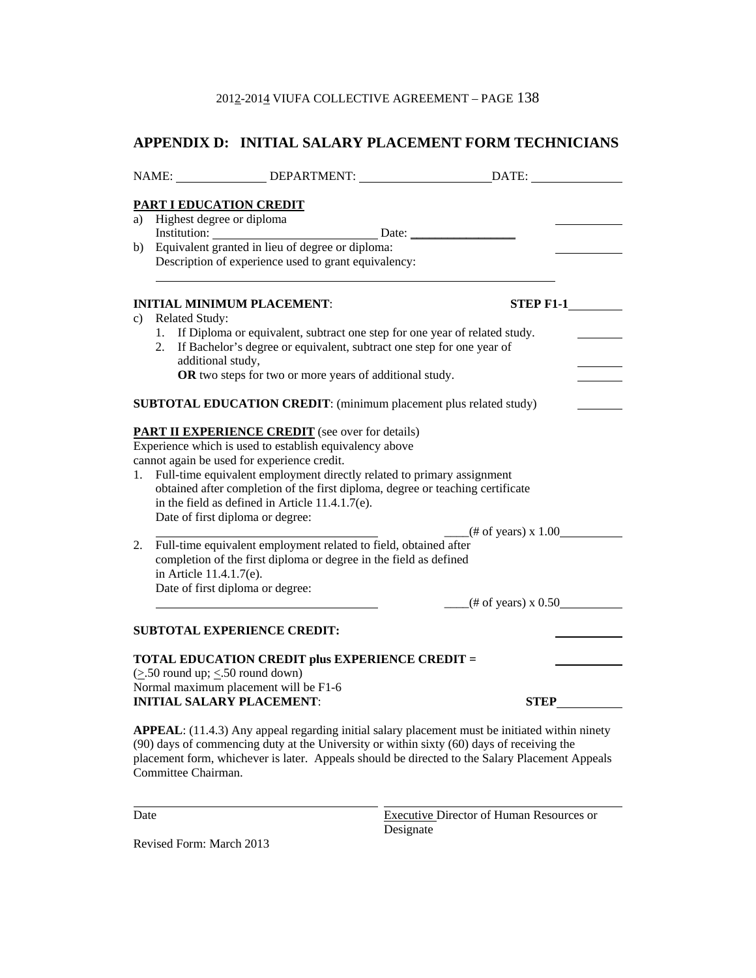# **APPENDIX D: INITIAL SALARY PLACEMENT FORM TECHNICIANS**

|                                                                                          |                                                                                                 | NAME: _________________DEPARTMENT: _____________________________DATE: ____________                                                                                                                                                                                                                                                                                                                                                                                                                                           |                                                    |  |  |
|------------------------------------------------------------------------------------------|-------------------------------------------------------------------------------------------------|------------------------------------------------------------------------------------------------------------------------------------------------------------------------------------------------------------------------------------------------------------------------------------------------------------------------------------------------------------------------------------------------------------------------------------------------------------------------------------------------------------------------------|----------------------------------------------------|--|--|
|                                                                                          | PART I EDUCATION CREDIT                                                                         |                                                                                                                                                                                                                                                                                                                                                                                                                                                                                                                              |                                                    |  |  |
|                                                                                          | a) Highest degree or diploma                                                                    |                                                                                                                                                                                                                                                                                                                                                                                                                                                                                                                              |                                                    |  |  |
|                                                                                          |                                                                                                 | Institution: Date: Date:                                                                                                                                                                                                                                                                                                                                                                                                                                                                                                     |                                                    |  |  |
| b)                                                                                       |                                                                                                 | Equivalent granted in lieu of degree or diploma:                                                                                                                                                                                                                                                                                                                                                                                                                                                                             |                                                    |  |  |
|                                                                                          |                                                                                                 | Description of experience used to grant equivalency:                                                                                                                                                                                                                                                                                                                                                                                                                                                                         |                                                    |  |  |
|                                                                                          |                                                                                                 |                                                                                                                                                                                                                                                                                                                                                                                                                                                                                                                              |                                                    |  |  |
|                                                                                          |                                                                                                 | <b>INITIAL MINIMUM PLACEMENT:</b>                                                                                                                                                                                                                                                                                                                                                                                                                                                                                            |                                                    |  |  |
|                                                                                          | c) Related Study:                                                                               |                                                                                                                                                                                                                                                                                                                                                                                                                                                                                                                              |                                                    |  |  |
|                                                                                          |                                                                                                 | 1. If Diploma or equivalent, subtract one step for one year of related study.                                                                                                                                                                                                                                                                                                                                                                                                                                                |                                                    |  |  |
|                                                                                          |                                                                                                 | 2. If Bachelor's degree or equivalent, subtract one step for one year of                                                                                                                                                                                                                                                                                                                                                                                                                                                     |                                                    |  |  |
|                                                                                          | additional study,                                                                               |                                                                                                                                                                                                                                                                                                                                                                                                                                                                                                                              |                                                    |  |  |
|                                                                                          |                                                                                                 | OR two steps for two or more years of additional study.                                                                                                                                                                                                                                                                                                                                                                                                                                                                      |                                                    |  |  |
|                                                                                          |                                                                                                 |                                                                                                                                                                                                                                                                                                                                                                                                                                                                                                                              |                                                    |  |  |
|                                                                                          |                                                                                                 | SUBTOTAL EDUCATION CREDIT: (minimum placement plus related study)                                                                                                                                                                                                                                                                                                                                                                                                                                                            |                                                    |  |  |
| 1.<br>2.                                                                                 | Date of first diploma or degree:<br>in Article 11.4.1.7(e).<br>Date of first diploma or degree: | <b>PART II EXPERIENCE CREDIT</b> (see over for details)<br>Experience which is used to establish equivalency above<br>cannot again be used for experience credit.<br>Full-time equivalent employment directly related to primary assignment<br>obtained after completion of the first diploma, degree or teaching certificate<br>in the field as defined in Article $11.4.1.7(e)$ .<br>Full-time equivalent employment related to field, obtained after<br>completion of the first diploma or degree in the field as defined | $-$ (# of years) x 1.00<br>$-$ (# of years) x 0.50 |  |  |
|                                                                                          |                                                                                                 | <b>SUBTOTAL EXPERIENCE CREDIT:</b>                                                                                                                                                                                                                                                                                                                                                                                                                                                                                           |                                                    |  |  |
|                                                                                          | $(\geq 50$ round up; $\leq 50$ round down)                                                      | <b>TOTAL EDUCATION CREDIT plus EXPERIENCE CREDIT =</b>                                                                                                                                                                                                                                                                                                                                                                                                                                                                       |                                                    |  |  |
| Normal maximum placement will be F1-6<br><b>INITIAL SALARY PLACEMENT:</b><br><b>STEP</b> |                                                                                                 |                                                                                                                                                                                                                                                                                                                                                                                                                                                                                                                              |                                                    |  |  |
|                                                                                          |                                                                                                 |                                                                                                                                                                                                                                                                                                                                                                                                                                                                                                                              |                                                    |  |  |
|                                                                                          | Committee Chairman.                                                                             | APPEAL: (11.4.3) Any appeal regarding initial salary placement must be initiated within ninety<br>(90) days of commencing duty at the University or within sixty (60) days of receiving the<br>placement form, whichever is later. Appeals should be directed to the Salary Placement Appeals                                                                                                                                                                                                                                |                                                    |  |  |

l

Date **Executive Director of Human Resources or** Executive Director of Human Resources or Designate **Designate** 

Revised Form: March 2013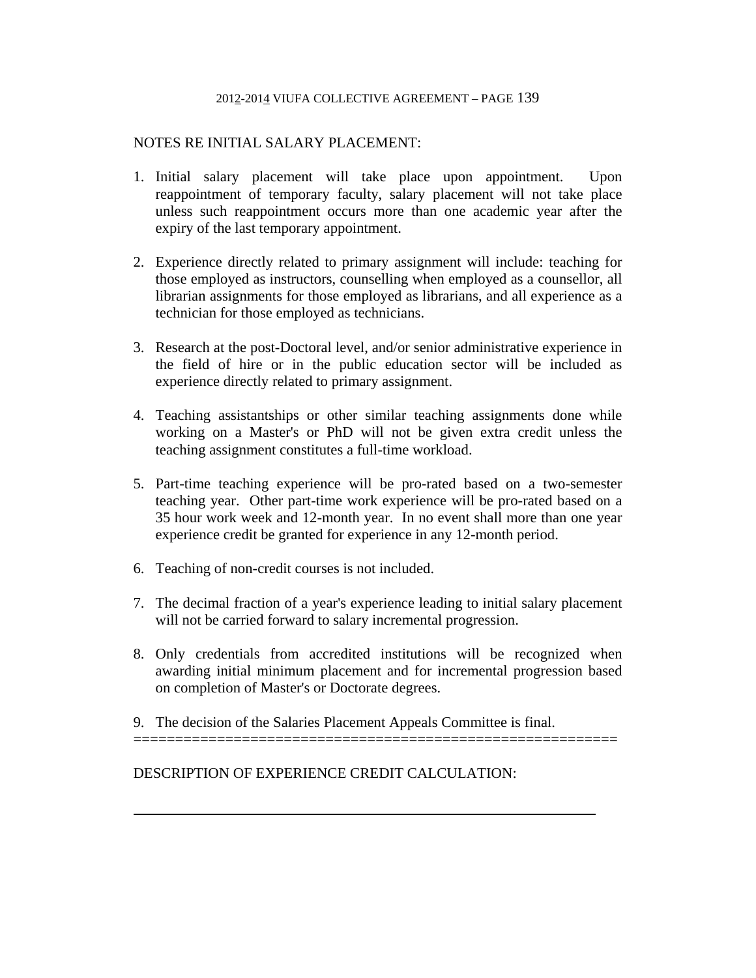# NOTES RE INITIAL SALARY PLACEMENT:

- 1. Initial salary placement will take place upon appointment. Upon reappointment of temporary faculty, salary placement will not take place unless such reappointment occurs more than one academic year after the expiry of the last temporary appointment.
- 2. Experience directly related to primary assignment will include: teaching for those employed as instructors, counselling when employed as a counsellor, all librarian assignments for those employed as librarians, and all experience as a technician for those employed as technicians.
- 3. Research at the post-Doctoral level, and/or senior administrative experience in the field of hire or in the public education sector will be included as experience directly related to primary assignment.
- 4. Teaching assistantships or other similar teaching assignments done while working on a Master's or PhD will not be given extra credit unless the teaching assignment constitutes a full-time workload.
- 5. Part-time teaching experience will be pro-rated based on a two-semester teaching year. Other part-time work experience will be pro-rated based on a 35 hour work week and 12-month year. In no event shall more than one year experience credit be granted for experience in any 12-month period.
- 6. Teaching of non-credit courses is not included.
- 7. The decimal fraction of a year's experience leading to initial salary placement will not be carried forward to salary incremental progression.
- 8. Only credentials from accredited institutions will be recognized when awarding initial minimum placement and for incremental progression based on completion of Master's or Doctorate degrees.

==========================================================

9. The decision of the Salaries Placement Appeals Committee is final.

DESCRIPTION OF EXPERIENCE CREDIT CALCULATION:

l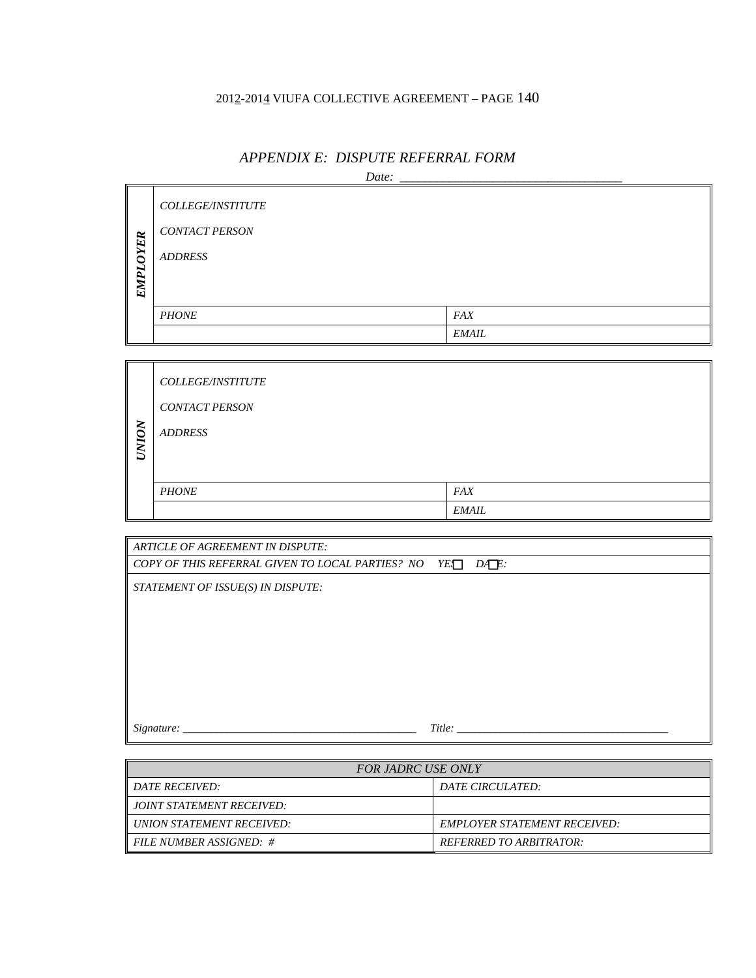|             | Date:                 |              |  |  |  |
|-------------|-----------------------|--------------|--|--|--|
|             | COLLEGE/INSTITUTE     |              |  |  |  |
|             | <b>CONTACT PERSON</b> |              |  |  |  |
| <b>OYER</b> | <b>ADDRESS</b>        |              |  |  |  |
| <b>EMPL</b> |                       |              |  |  |  |
|             |                       |              |  |  |  |
|             | <b>PHONE</b>          | <i>FAX</i>   |  |  |  |
|             |                       | <b>EMAIL</b> |  |  |  |

# *APPENDIX E: DISPUTE REFERRAL FORM*

|              | <b>COLLEGE/INSTITUTE</b> |              |
|--------------|--------------------------|--------------|
|              | <b>CONTACT PERSON</b>    |              |
| <b>NOIND</b> | <b>ADDRESS</b>           |              |
|              |                          |              |
|              |                          |              |
|              | <b>PHONE</b>             | <b>FAX</b>   |
|              |                          | <i>EMAIL</i> |

| ARTICLE OF AGREEMENT IN DISPUTE:                           |  |  |
|------------------------------------------------------------|--|--|
| COPY OF THIS REFERRAL GIVEN TO LOCAL PARTIES? NO YEL DALE: |  |  |
| STATEMENT OF ISSUE(S) IN DISPUTE:                          |  |  |
|                                                            |  |  |
|                                                            |  |  |
|                                                            |  |  |
|                                                            |  |  |
|                                                            |  |  |
|                                                            |  |  |
|                                                            |  |  |
| Title:<br>Signature:                                       |  |  |

| <b>FOR JADRC USE ONLY</b> |                                |  |
|---------------------------|--------------------------------|--|
| <i>DATE RECEIVED:</i>     | <i>DATE CIRCULATED:</i>        |  |
| JOINT STATEMENT RECEIVED: |                                |  |
| UNION STATEMENT RECEIVED: | EMPLOYER STATEMENT RECEIVED:   |  |
| FILE NUMBER ASSIGNED: #   | <b>REFERRED TO ARBITRATOR:</b> |  |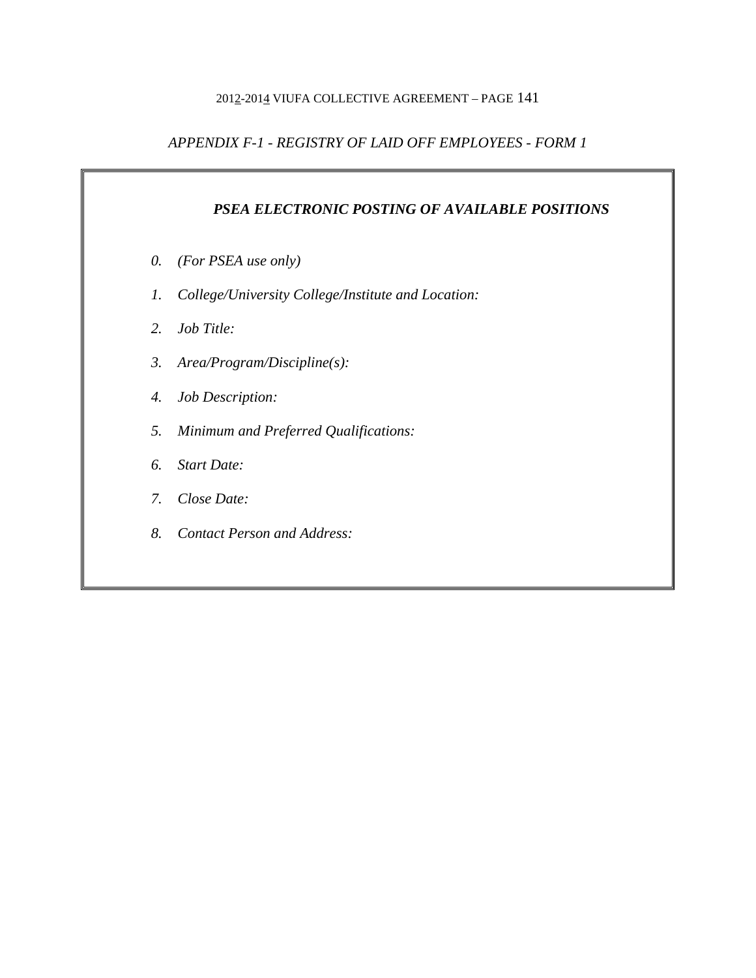# *APPENDIX F-1 - REGISTRY OF LAID OFF EMPLOYEES - FORM 1*

# *PSEA ELECTRONIC POSTING OF AVAILABLE POSITIONS*

- *0. (For PSEA use only)*
- *1. College/University College/Institute and Location:*
- *2. Job Title:*
- *3. Area/Program/Discipline(s):*
- *4. Job Description:*
- *5. Minimum and Preferred Qualifications:*
- *6. Start Date:*
- *7. Close Date:*
- *8. Contact Person and Address:*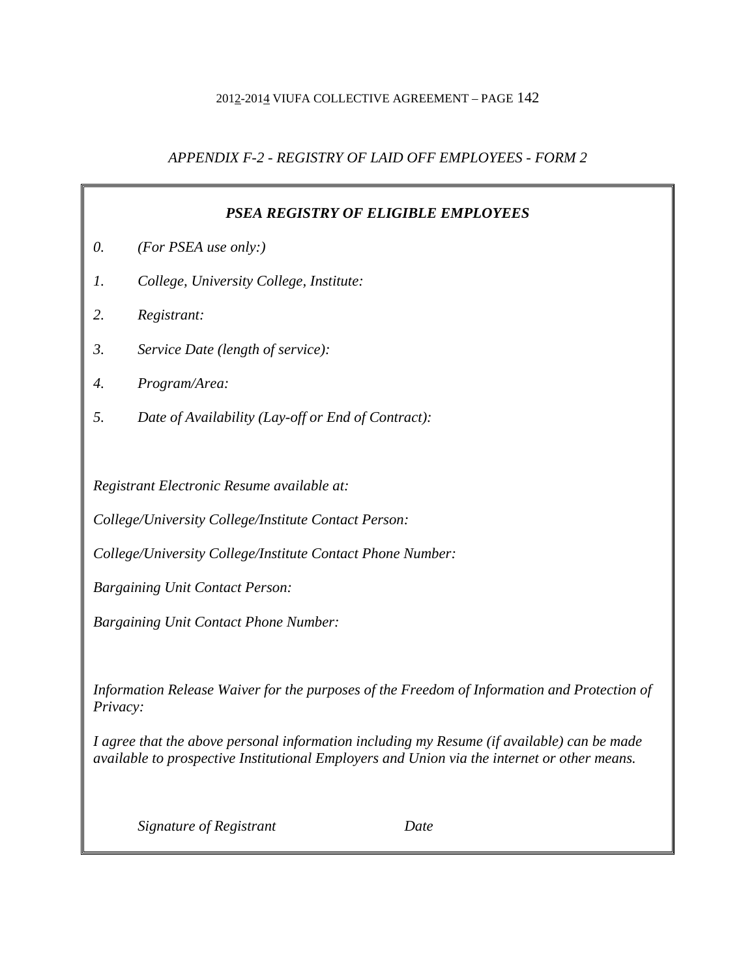# *APPENDIX F-2 - REGISTRY OF LAID OFF EMPLOYEES - FORM 2*

| <b>PSEA REGISTRY OF ELIGIBLE EMPLOYEES</b>                                                                                                                                                |                                                    |
|-------------------------------------------------------------------------------------------------------------------------------------------------------------------------------------------|----------------------------------------------------|
| 0.                                                                                                                                                                                        | (For PSEA use only:)                               |
| 1.                                                                                                                                                                                        | College, University College, Institute:            |
| 2.                                                                                                                                                                                        | Registrant:                                        |
| 3.                                                                                                                                                                                        | Service Date (length of service):                  |
| 4.                                                                                                                                                                                        | Program/Area:                                      |
| 5.                                                                                                                                                                                        | Date of Availability (Lay-off or End of Contract): |
|                                                                                                                                                                                           |                                                    |
| Registrant Electronic Resume available at:                                                                                                                                                |                                                    |
| College/University College/Institute Contact Person:                                                                                                                                      |                                                    |
| College/University College/Institute Contact Phone Number:                                                                                                                                |                                                    |
| <b>Bargaining Unit Contact Person:</b>                                                                                                                                                    |                                                    |
| <b>Bargaining Unit Contact Phone Number:</b>                                                                                                                                              |                                                    |
|                                                                                                                                                                                           |                                                    |
| Information Release Waiver for the purposes of the Freedom of Information and Protection of<br>Privacy:                                                                                   |                                                    |
| I agree that the above personal information including my Resume (if available) can be made<br>available to prospective Institutional Employers and Union via the internet or other means. |                                                    |
|                                                                                                                                                                                           | Signature of Registrant<br>Date                    |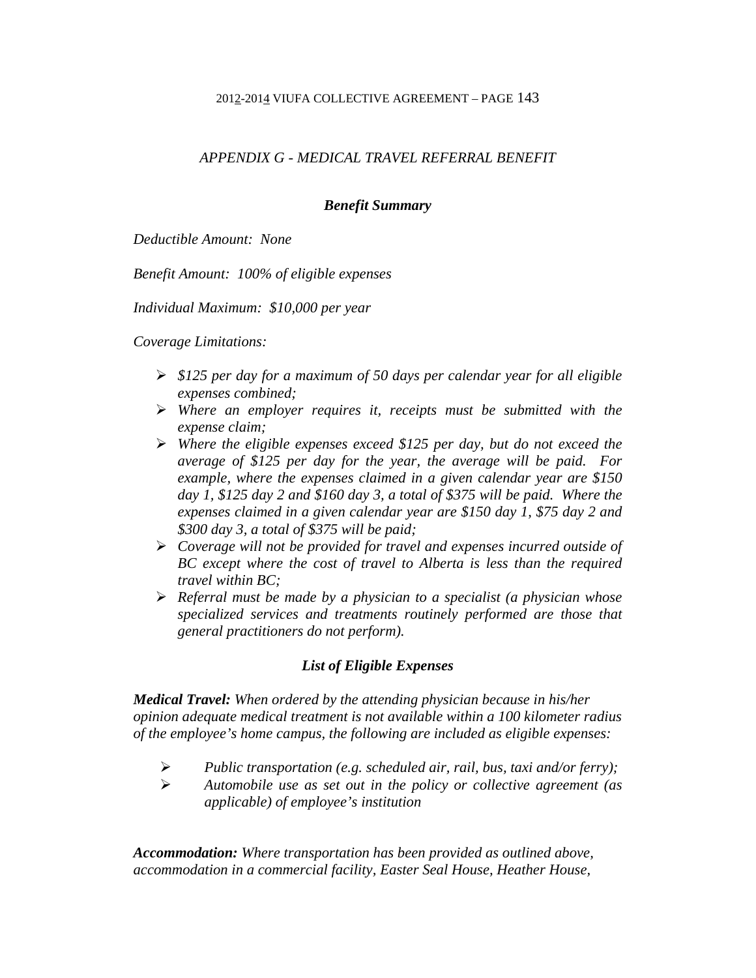# *APPENDIX G - MEDICAL TRAVEL REFERRAL BENEFIT*

# *Benefit Summary*

*Deductible Amount: None* 

*Benefit Amount: 100% of eligible expenses* 

*Individual Maximum: \$10,000 per year* 

*Coverage Limitations:* 

- *\$125 per day for a maximum of 50 days per calendar year for all eligible expenses combined;*
- *Where an employer requires it, receipts must be submitted with the expense claim;*
- *Where the eligible expenses exceed \$125 per day, but do not exceed the average of \$125 per day for the year, the average will be paid. For example, where the expenses claimed in a given calendar year are \$150 day 1, \$125 day 2 and \$160 day 3, a total of \$375 will be paid. Where the expenses claimed in a given calendar year are \$150 day 1, \$75 day 2 and \$300 day 3, a total of \$375 will be paid;*
- *Coverage will not be provided for travel and expenses incurred outside of BC except where the cost of travel to Alberta is less than the required travel within BC;*
- *Referral must be made by a physician to a specialist (a physician whose specialized services and treatments routinely performed are those that general practitioners do not perform).*

# *List of Eligible Expenses*

*Medical Travel: When ordered by the attending physician because in his/her opinion adequate medical treatment is not available within a 100 kilometer radius of the employee's home campus, the following are included as eligible expenses:* 

- *Public transportation (e.g. scheduled air, rail, bus, taxi and/or ferry);*
- *Automobile use as set out in the policy or collective agreement (as applicable) of employee's institution*

*Accommodation: Where transportation has been provided as outlined above, accommodation in a commercial facility, Easter Seal House, Heather House,*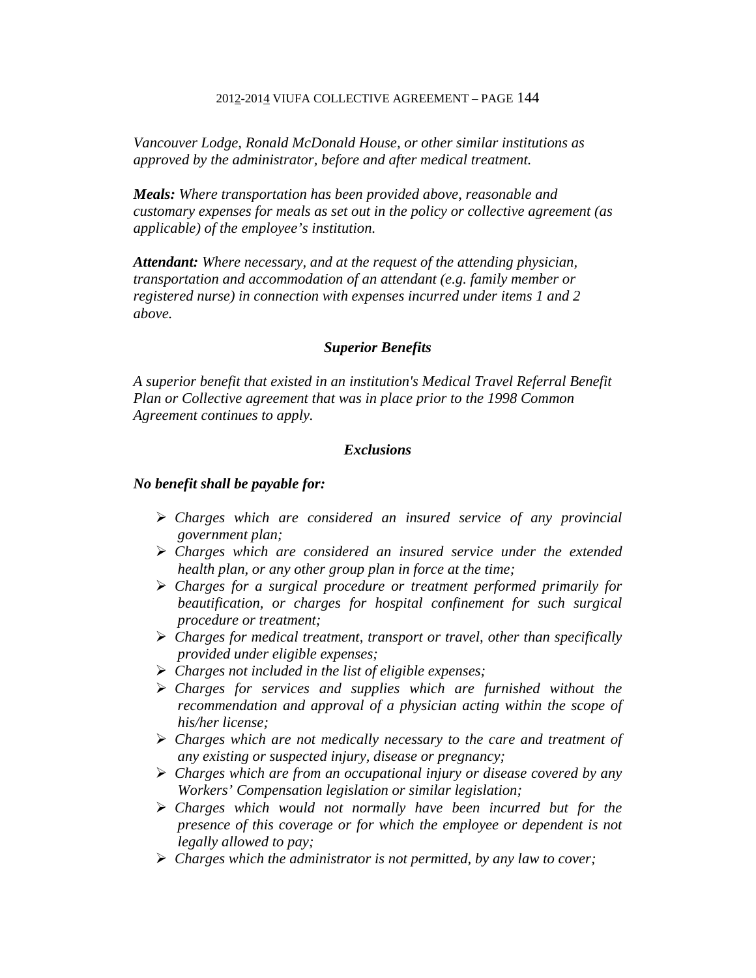*Vancouver Lodge, Ronald McDonald House, or other similar institutions as approved by the administrator, before and after medical treatment.* 

*Meals: Where transportation has been provided above, reasonable and customary expenses for meals as set out in the policy or collective agreement (as applicable) of the employee's institution.* 

*Attendant: Where necessary, and at the request of the attending physician, transportation and accommodation of an attendant (e.g. family member or registered nurse) in connection with expenses incurred under items 1 and 2 above.* 

#### *Superior Benefits*

*A superior benefit that existed in an institution's Medical Travel Referral Benefit Plan or Collective agreement that was in place prior to the 1998 Common Agreement continues to apply.* 

# *Exclusions*

#### *No benefit shall be payable for:*

- *Charges which are considered an insured service of any provincial government plan;*
- *Charges which are considered an insured service under the extended health plan, or any other group plan in force at the time;*
- *Charges for a surgical procedure or treatment performed primarily for beautification, or charges for hospital confinement for such surgical procedure or treatment;*
- *Charges for medical treatment, transport or travel, other than specifically provided under eligible expenses;*
- *Charges not included in the list of eligible expenses;*
- *Charges for services and supplies which are furnished without the recommendation and approval of a physician acting within the scope of his/her license;*
- *Charges which are not medically necessary to the care and treatment of any existing or suspected injury, disease or pregnancy;*
- *Charges which are from an occupational injury or disease covered by any Workers' Compensation legislation or similar legislation;*
- *Charges which would not normally have been incurred but for the presence of this coverage or for which the employee or dependent is not legally allowed to pay;*
- *Charges which the administrator is not permitted, by any law to cover;*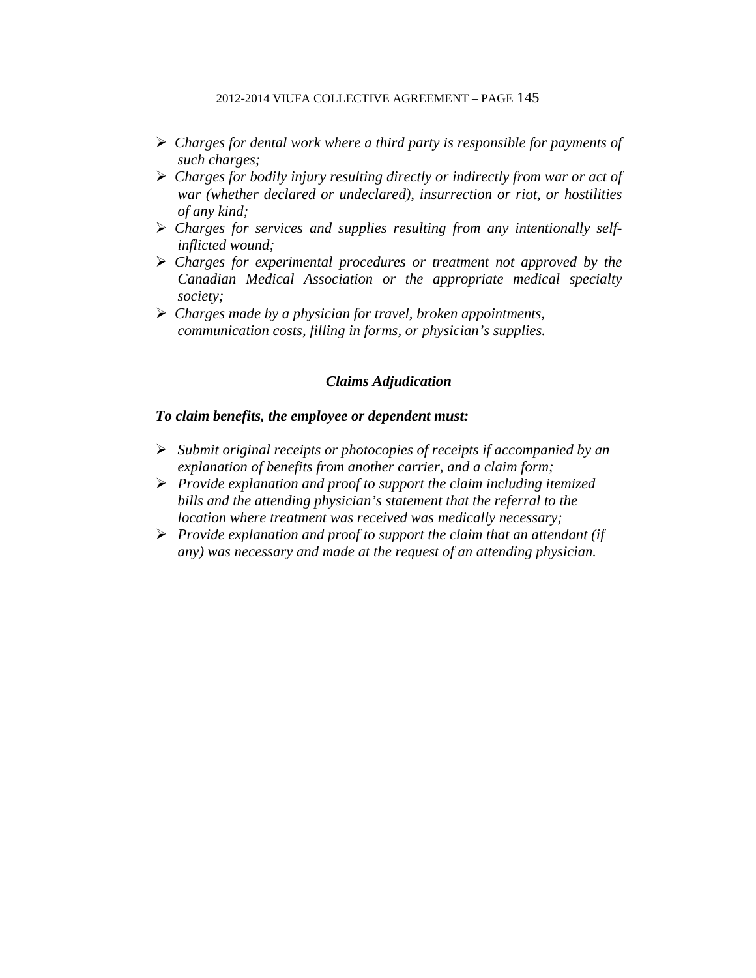- *Charges for dental work where a third party is responsible for payments of such charges;*
- *Charges for bodily injury resulting directly or indirectly from war or act of war (whether declared or undeclared), insurrection or riot, or hostilities of any kind;*
- *Charges for services and supplies resulting from any intentionally selfinflicted wound;*
- *Charges for experimental procedures or treatment not approved by the Canadian Medical Association or the appropriate medical specialty society;*
- *Charges made by a physician for travel, broken appointments, communication costs, filling in forms, or physician's supplies.*

# *Claims Adjudication*

### *To claim benefits, the employee or dependent must:*

- *Submit original receipts or photocopies of receipts if accompanied by an explanation of benefits from another carrier, and a claim form;*
- *Provide explanation and proof to support the claim including itemized bills and the attending physician's statement that the referral to the location where treatment was received was medically necessary;*
- *Provide explanation and proof to support the claim that an attendant (if any) was necessary and made at the request of an attending physician.*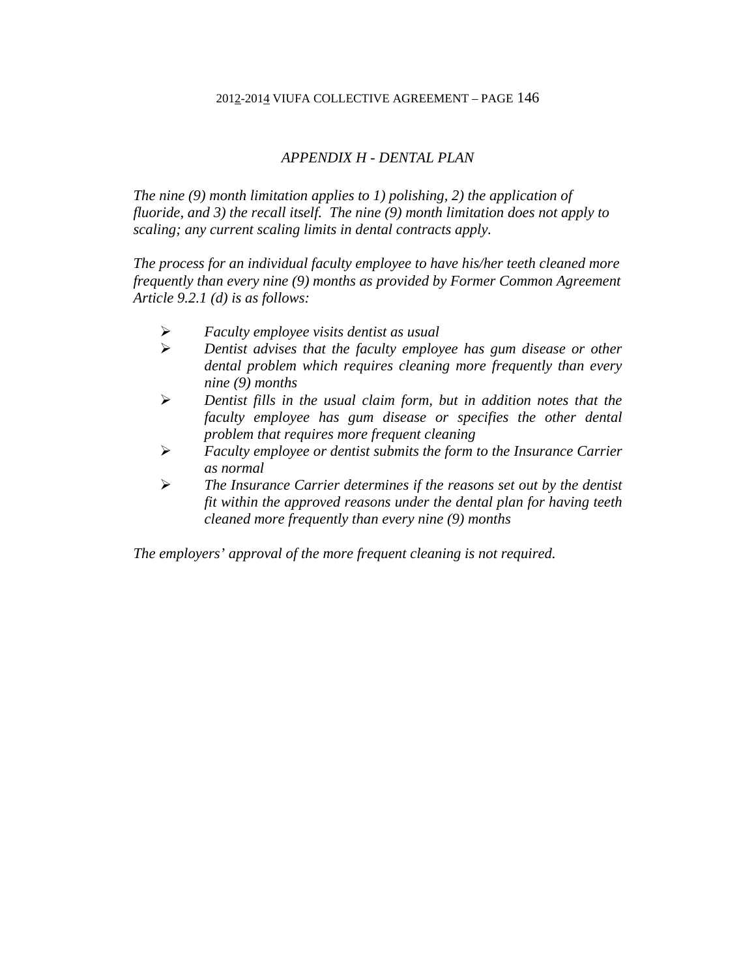# *APPENDIX H - DENTAL PLAN*

*The nine (9) month limitation applies to 1) polishing, 2) the application of fluoride, and 3) the recall itself. The nine (9) month limitation does not apply to scaling; any current scaling limits in dental contracts apply.* 

*The process for an individual faculty employee to have his/her teeth cleaned more frequently than every nine (9) months as provided by Former Common Agreement Article 9.2.1 (d) is as follows:* 

- *Faculty employee visits dentist as usual*
- *Dentist advises that the faculty employee has gum disease or other dental problem which requires cleaning more frequently than every nine (9) months*
- *Dentist fills in the usual claim form, but in addition notes that the faculty employee has gum disease or specifies the other dental problem that requires more frequent cleaning*
- *Faculty employee or dentist submits the form to the Insurance Carrier as normal*
- *The Insurance Carrier determines if the reasons set out by the dentist fit within the approved reasons under the dental plan for having teeth cleaned more frequently than every nine (9) months*

*The employers' approval of the more frequent cleaning is not required.*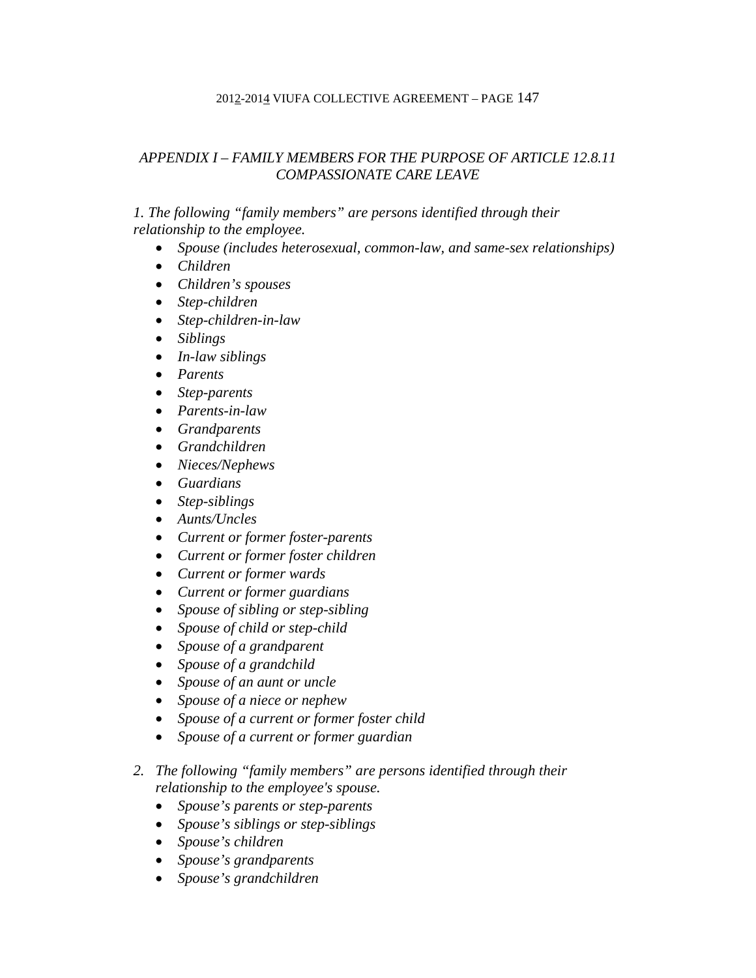# *APPENDIX I – FAMILY MEMBERS FOR THE PURPOSE OF ARTICLE 12.8.11 COMPASSIONATE CARE LEAVE*

# *1. The following "family members" are persons identified through their relationship to the employee.*

- *Spouse (includes heterosexual, common-law, and same-sex relationships)*
- *Children*
- *Children's spouses*
- *Step-children*
- *Step-children-in-law*
- *Siblings*
- *In-law siblings*
- *Parents*
- *Step-parents*
- *Parents-in-law*
- *Grandparents*
- *Grandchildren*
- *Nieces/Nephews*
- *Guardians*
- *Step-siblings*
- *Aunts/Uncles*
- *Current or former foster-parents*
- *Current or former foster children*
- *Current or former wards*
- *Current or former guardians*
- *Spouse of sibling or step-sibling*
- *Spouse of child or step-child*
- *Spouse of a grandparent*
- *Spouse of a grandchild*
- *Spouse of an aunt or uncle*
- *Spouse of a niece or nephew*
- *Spouse of a current or former foster child*
- *Spouse of a current or former guardian*
- *2. The following "family members" are persons identified through their relationship to the employee's spouse.* 
	- *Spouse's parents or step-parents*
	- *Spouse's siblings or step-siblings*
	- *Spouse's children*
	- *Spouse's grandparents*
	- *Spouse's grandchildren*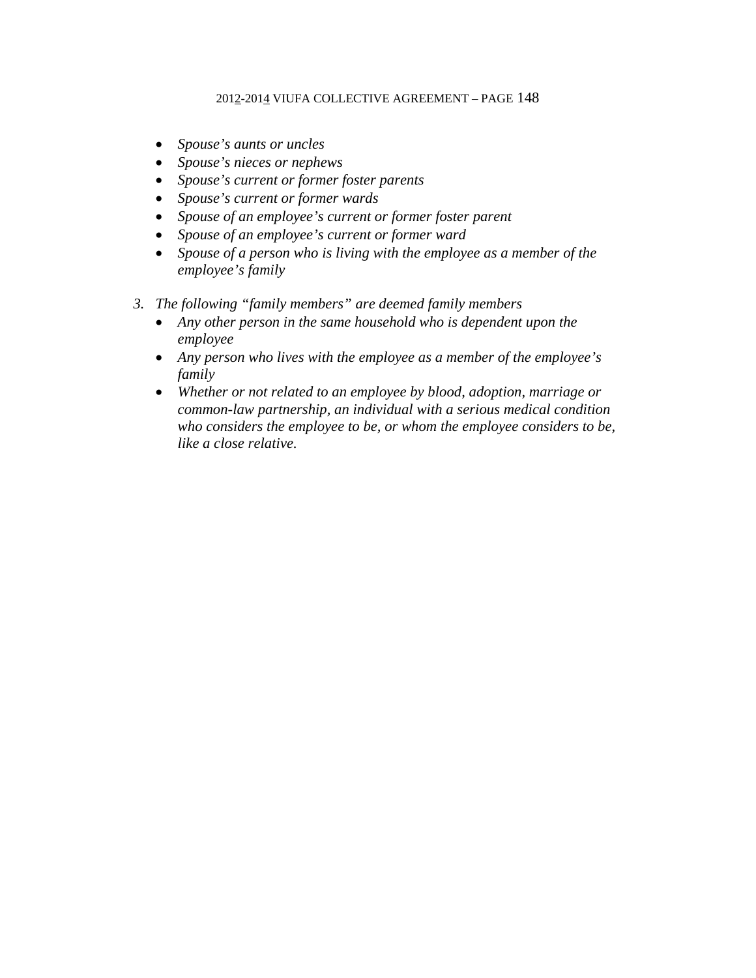- *Spouse's aunts or uncles*
- *Spouse's nieces or nephews*
- *Spouse's current or former foster parents*
- *Spouse's current or former wards*
- *Spouse of an employee's current or former foster parent*
- *Spouse of an employee's current or former ward*
- *Spouse of a person who is living with the employee as a member of the employee's family*
- *3. The following "family members" are deemed family members* 
	- *Any other person in the same household who is dependent upon the employee*
	- *Any person who lives with the employee as a member of the employee's family*
	- *Whether or not related to an employee by blood, adoption, marriage or common-law partnership, an individual with a serious medical condition who considers the employee to be, or whom the employee considers to be, like a close relative.*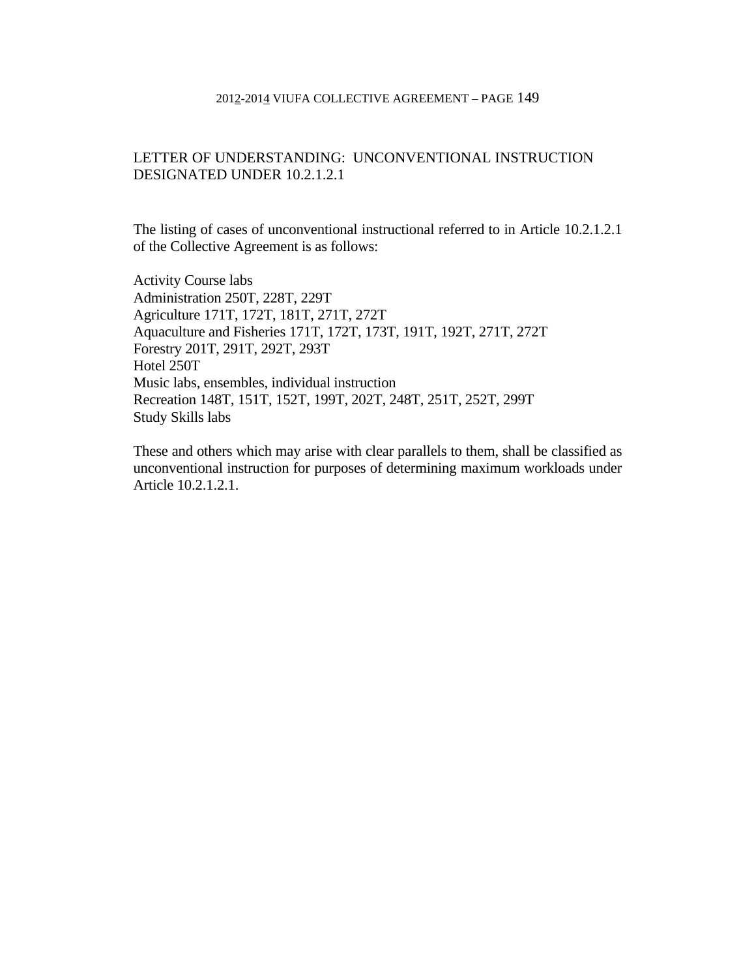# LETTER OF UNDERSTANDING: UNCONVENTIONAL INSTRUCTION DESIGNATED UNDER 10.2.1.2.1

The listing of cases of unconventional instructional referred to in Article 10.2.1.2.1 of the Collective Agreement is as follows:

Activity Course labs Administration 250T, 228T, 229T Agriculture 171T, 172T, 181T, 271T, 272T Aquaculture and Fisheries 171T, 172T, 173T, 191T, 192T, 271T, 272T Forestry 201T, 291T, 292T, 293T Hotel 250T Music labs, ensembles, individual instruction Recreation 148T, 151T, 152T, 199T, 202T, 248T, 251T, 252T, 299T Study Skills labs

These and others which may arise with clear parallels to them, shall be classified as unconventional instruction for purposes of determining maximum workloads under Article 10.2.1.2.1.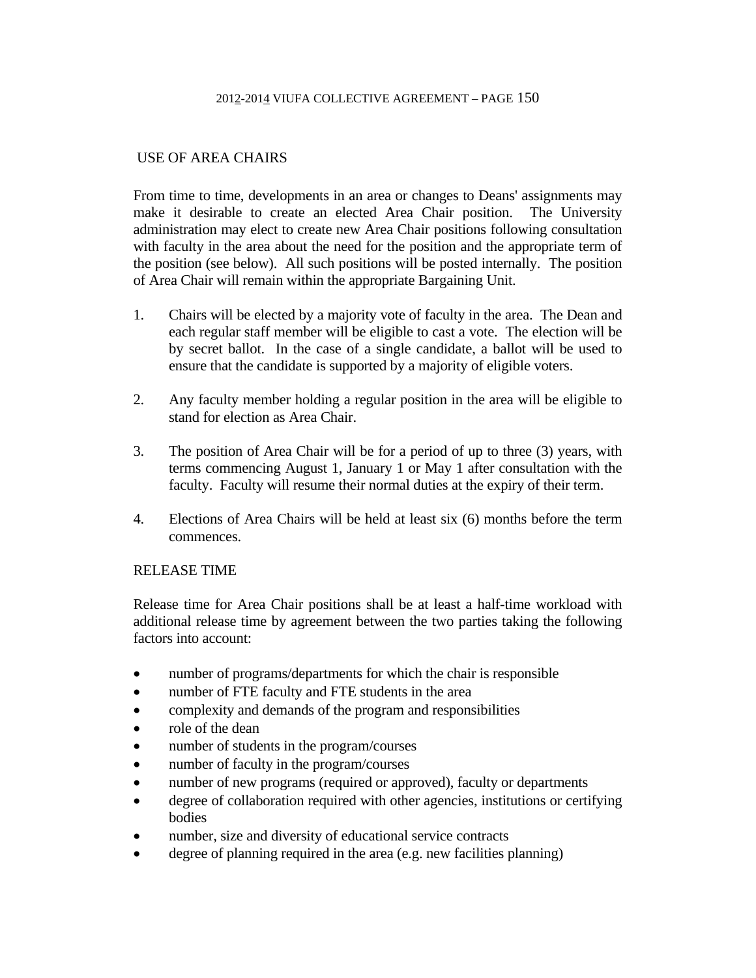# USE OF AREA CHAIRS

From time to time, developments in an area or changes to Deans' assignments may make it desirable to create an elected Area Chair position. The University administration may elect to create new Area Chair positions following consultation with faculty in the area about the need for the position and the appropriate term of the position (see below). All such positions will be posted internally. The position of Area Chair will remain within the appropriate Bargaining Unit.

- 1. Chairs will be elected by a majority vote of faculty in the area. The Dean and each regular staff member will be eligible to cast a vote. The election will be by secret ballot. In the case of a single candidate, a ballot will be used to ensure that the candidate is supported by a majority of eligible voters.
- 2. Any faculty member holding a regular position in the area will be eligible to stand for election as Area Chair.
- 3. The position of Area Chair will be for a period of up to three (3) years, with terms commencing August 1, January 1 or May 1 after consultation with the faculty. Faculty will resume their normal duties at the expiry of their term.
- 4. Elections of Area Chairs will be held at least six (6) months before the term commences.

# RELEASE TIME

Release time for Area Chair positions shall be at least a half-time workload with additional release time by agreement between the two parties taking the following factors into account:

- number of programs/departments for which the chair is responsible
- number of FTE faculty and FTE students in the area
- complexity and demands of the program and responsibilities
- role of the dean
- number of students in the program/courses
- number of faculty in the program/courses
- number of new programs (required or approved), faculty or departments
- degree of collaboration required with other agencies, institutions or certifying bodies
- number, size and diversity of educational service contracts
- degree of planning required in the area (e.g. new facilities planning)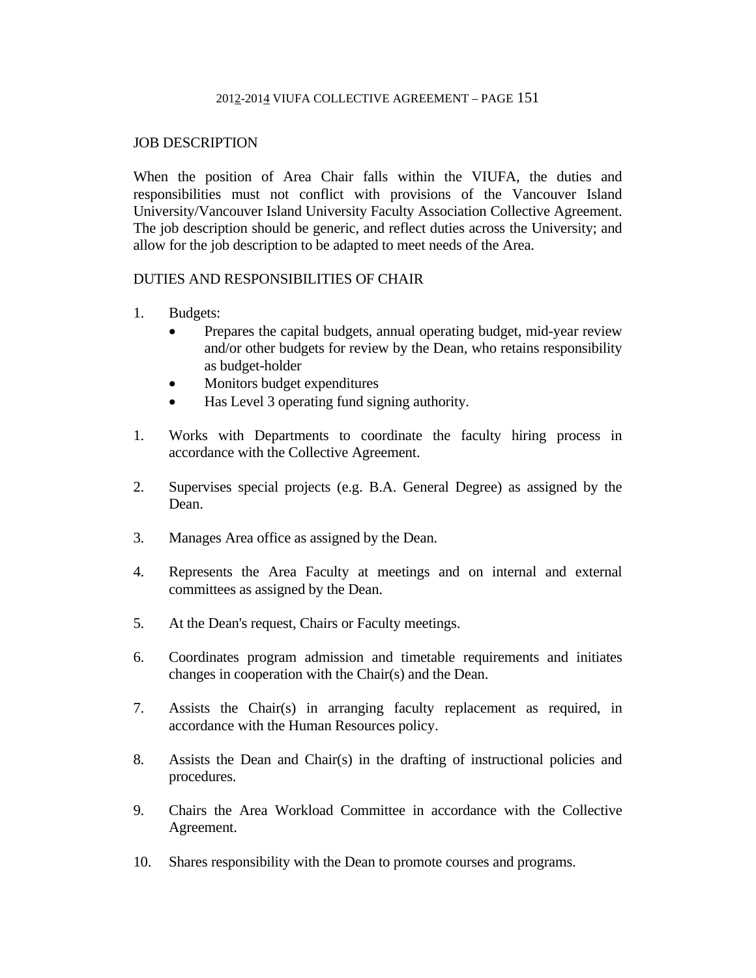## JOB DESCRIPTION

When the position of Area Chair falls within the VIUFA, the duties and responsibilities must not conflict with provisions of the Vancouver Island University/Vancouver Island University Faculty Association Collective Agreement. The job description should be generic, and reflect duties across the University; and allow for the job description to be adapted to meet needs of the Area.

# DUTIES AND RESPONSIBILITIES OF CHAIR

- 1. Budgets:
	- Prepares the capital budgets, annual operating budget, mid-year review and/or other budgets for review by the Dean, who retains responsibility as budget-holder
	- Monitors budget expenditures
	- Has Level 3 operating fund signing authority.
- 1. Works with Departments to coordinate the faculty hiring process in accordance with the Collective Agreement.
- 2. Supervises special projects (e.g. B.A. General Degree) as assigned by the Dean.
- 3. Manages Area office as assigned by the Dean.
- 4. Represents the Area Faculty at meetings and on internal and external committees as assigned by the Dean.
- 5. At the Dean's request, Chairs or Faculty meetings.
- 6. Coordinates program admission and timetable requirements and initiates changes in cooperation with the Chair(s) and the Dean.
- 7. Assists the Chair(s) in arranging faculty replacement as required, in accordance with the Human Resources policy.
- 8. Assists the Dean and Chair(s) in the drafting of instructional policies and procedures.
- 9. Chairs the Area Workload Committee in accordance with the Collective Agreement.
- 10. Shares responsibility with the Dean to promote courses and programs.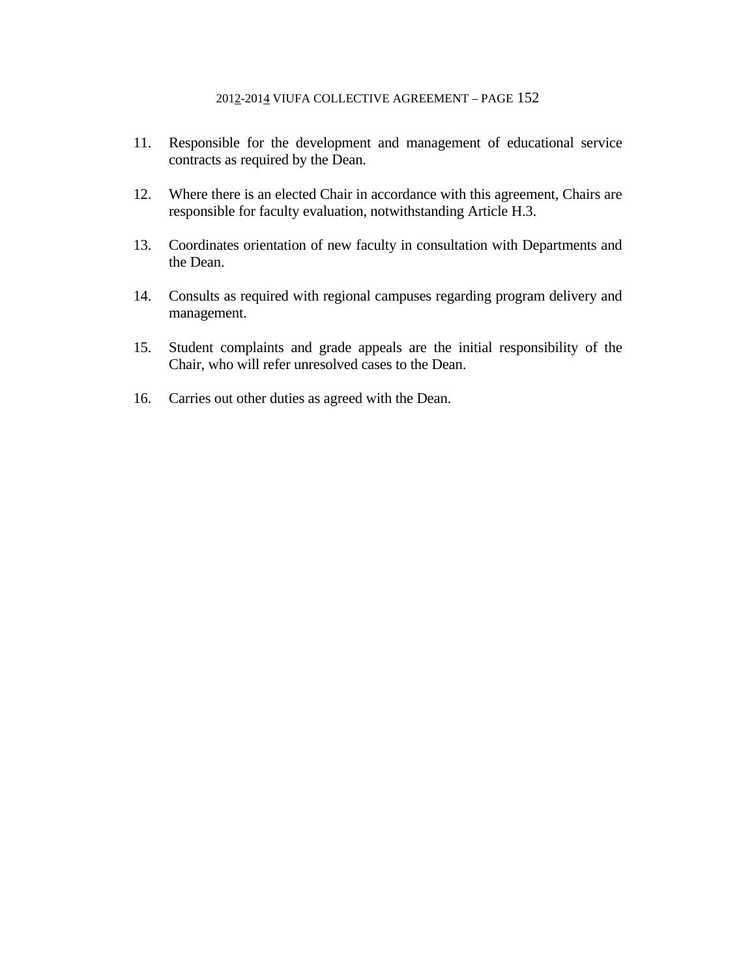- 11. Responsible for the development and management of educational service contracts as required by the Dean.
- 12. Where there is an elected Chair in accordance with this agreement, Chairs are responsible for faculty evaluation, notwithstanding Article H.3.
- 13. Coordinates orientation of new faculty in consultation with Departments and the Dean.
- 14. Consults as required with regional campuses regarding program delivery and management.
- 15. Student complaints and grade appeals are the initial responsibility of the Chair, who will refer unresolved cases to the Dean.
- 16. Carries out other duties as agreed with the Dean.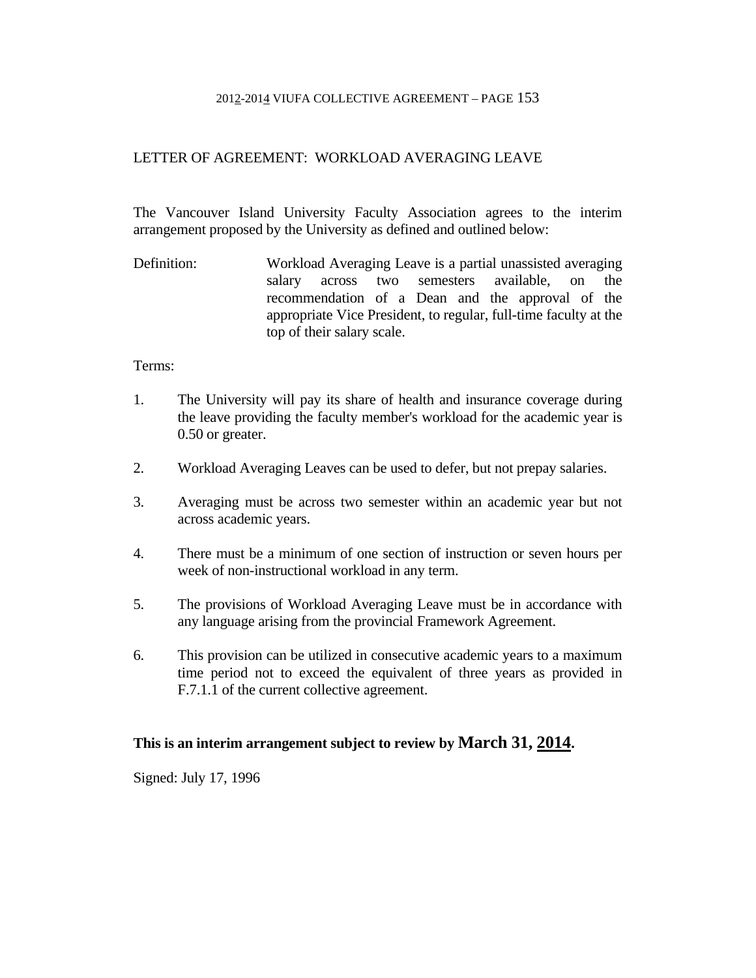# LETTER OF AGREEMENT: WORKLOAD AVERAGING LEAVE

The Vancouver Island University Faculty Association agrees to the interim arrangement proposed by the University as defined and outlined below:

Definition: Workload Averaging Leave is a partial unassisted averaging salary across two semesters available, on the recommendation of a Dean and the approval of the appropriate Vice President, to regular, full-time faculty at the top of their salary scale.

### Terms:

- 1. The University will pay its share of health and insurance coverage during the leave providing the faculty member's workload for the academic year is 0.50 or greater.
- 2. Workload Averaging Leaves can be used to defer, but not prepay salaries.
- 3. Averaging must be across two semester within an academic year but not across academic years.
- 4. There must be a minimum of one section of instruction or seven hours per week of non-instructional workload in any term.
- 5. The provisions of Workload Averaging Leave must be in accordance with any language arising from the provincial Framework Agreement.
- 6. This provision can be utilized in consecutive academic years to a maximum time period not to exceed the equivalent of three years as provided in F.7.1.1 of the current collective agreement.

# **This is an interim arrangement subject to review by March 31, 2014.**

Signed: July 17, 1996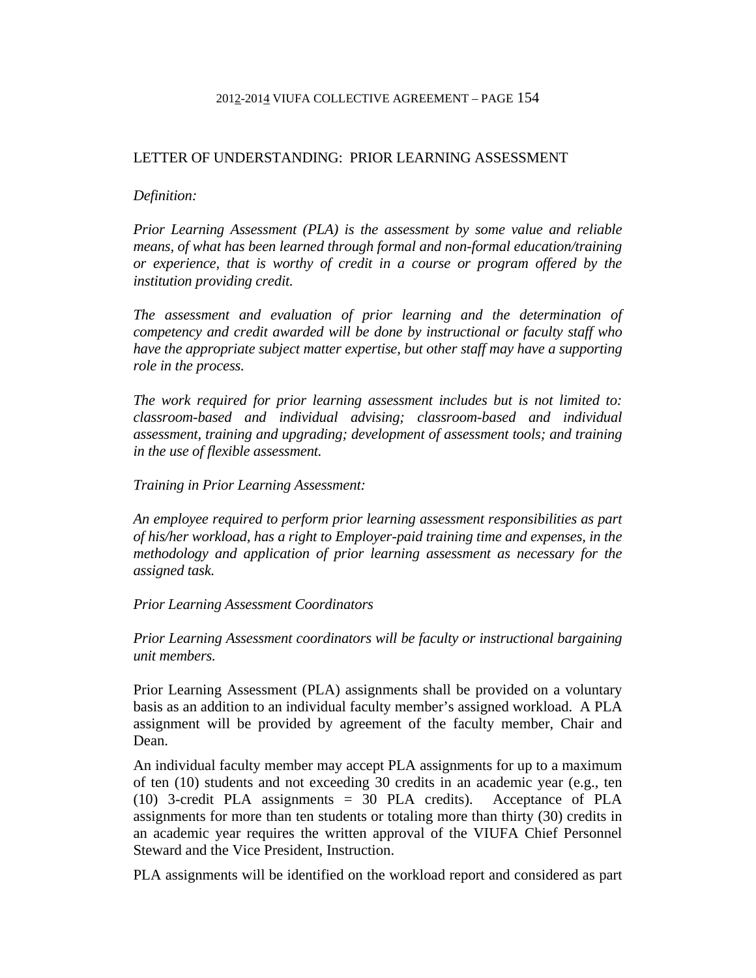## LETTER OF UNDERSTANDING: PRIOR LEARNING ASSESSMENT

#### *Definition:*

*Prior Learning Assessment (PLA) is the assessment by some value and reliable means, of what has been learned through formal and non-formal education/training or experience, that is worthy of credit in a course or program offered by the institution providing credit.* 

*The assessment and evaluation of prior learning and the determination of competency and credit awarded will be done by instructional or faculty staff who have the appropriate subject matter expertise, but other staff may have a supporting role in the process.* 

*The work required for prior learning assessment includes but is not limited to: classroom-based and individual advising; classroom-based and individual assessment, training and upgrading; development of assessment tools; and training in the use of flexible assessment.* 

*Training in Prior Learning Assessment:* 

*An employee required to perform prior learning assessment responsibilities as part of his/her workload, has a right to Employer-paid training time and expenses, in the methodology and application of prior learning assessment as necessary for the assigned task.* 

### *Prior Learning Assessment Coordinators*

*Prior Learning Assessment coordinators will be faculty or instructional bargaining unit members.* 

Prior Learning Assessment (PLA) assignments shall be provided on a voluntary basis as an addition to an individual faculty member's assigned workload. A PLA assignment will be provided by agreement of the faculty member, Chair and Dean.

An individual faculty member may accept PLA assignments for up to a maximum of ten (10) students and not exceeding 30 credits in an academic year (e.g., ten (10) 3-credit PLA assignments = 30 PLA credits). Acceptance of PLA assignments for more than ten students or totaling more than thirty (30) credits in an academic year requires the written approval of the VIUFA Chief Personnel Steward and the Vice President, Instruction.

PLA assignments will be identified on the workload report and considered as part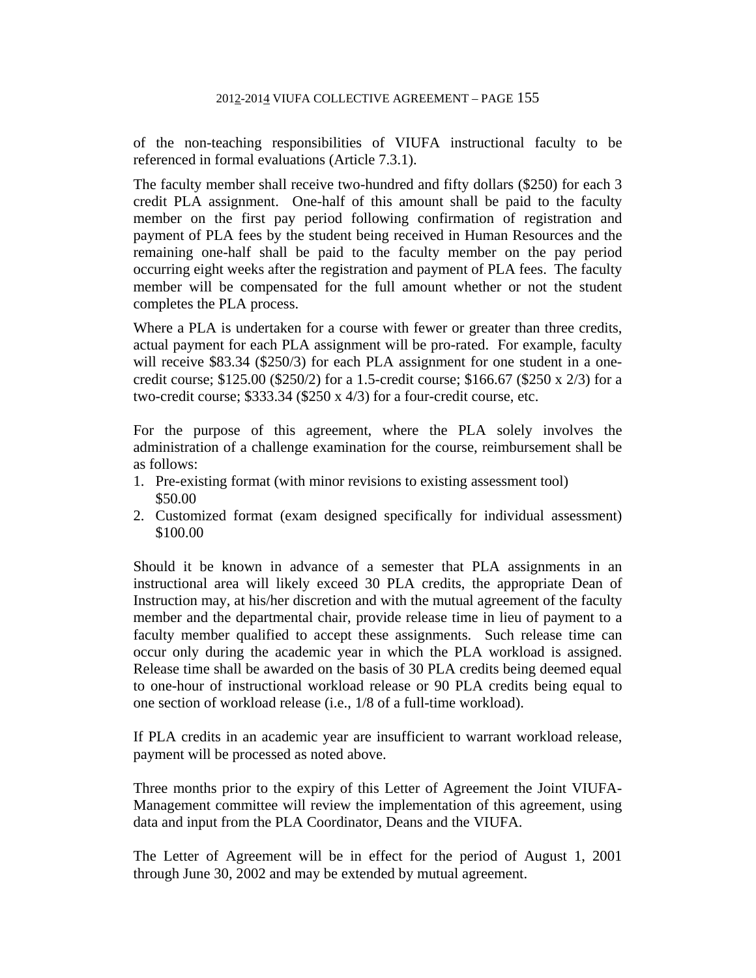of the non-teaching responsibilities of VIUFA instructional faculty to be referenced in formal evaluations (Article 7.3.1).

The faculty member shall receive two-hundred and fifty dollars (\$250) for each 3 credit PLA assignment. One-half of this amount shall be paid to the faculty member on the first pay period following confirmation of registration and payment of PLA fees by the student being received in Human Resources and the remaining one-half shall be paid to the faculty member on the pay period occurring eight weeks after the registration and payment of PLA fees. The faculty member will be compensated for the full amount whether or not the student completes the PLA process.

Where a PLA is undertaken for a course with fewer or greater than three credits, actual payment for each PLA assignment will be pro-rated. For example, faculty will receive \$83.34 (\$250/3) for each PLA assignment for one student in a onecredit course;  $$125.00$  ( $$250/2$ ) for a 1.5-credit course;  $$166.67$  ( $$250 \times 2/3$ ) for a two-credit course; \$333.34 (\$250 x 4/3) for a four-credit course, etc.

For the purpose of this agreement, where the PLA solely involves the administration of a challenge examination for the course, reimbursement shall be as follows:

- 1. Pre-existing format (with minor revisions to existing assessment tool) \$50.00
- 2. Customized format (exam designed specifically for individual assessment) \$100.00

Should it be known in advance of a semester that PLA assignments in an instructional area will likely exceed 30 PLA credits, the appropriate Dean of Instruction may, at his/her discretion and with the mutual agreement of the faculty member and the departmental chair, provide release time in lieu of payment to a faculty member qualified to accept these assignments. Such release time can occur only during the academic year in which the PLA workload is assigned. Release time shall be awarded on the basis of 30 PLA credits being deemed equal to one-hour of instructional workload release or 90 PLA credits being equal to one section of workload release (i.e., 1/8 of a full-time workload).

If PLA credits in an academic year are insufficient to warrant workload release, payment will be processed as noted above.

Three months prior to the expiry of this Letter of Agreement the Joint VIUFA-Management committee will review the implementation of this agreement, using data and input from the PLA Coordinator, Deans and the VIUFA.

The Letter of Agreement will be in effect for the period of August 1, 2001 through June 30, 2002 and may be extended by mutual agreement.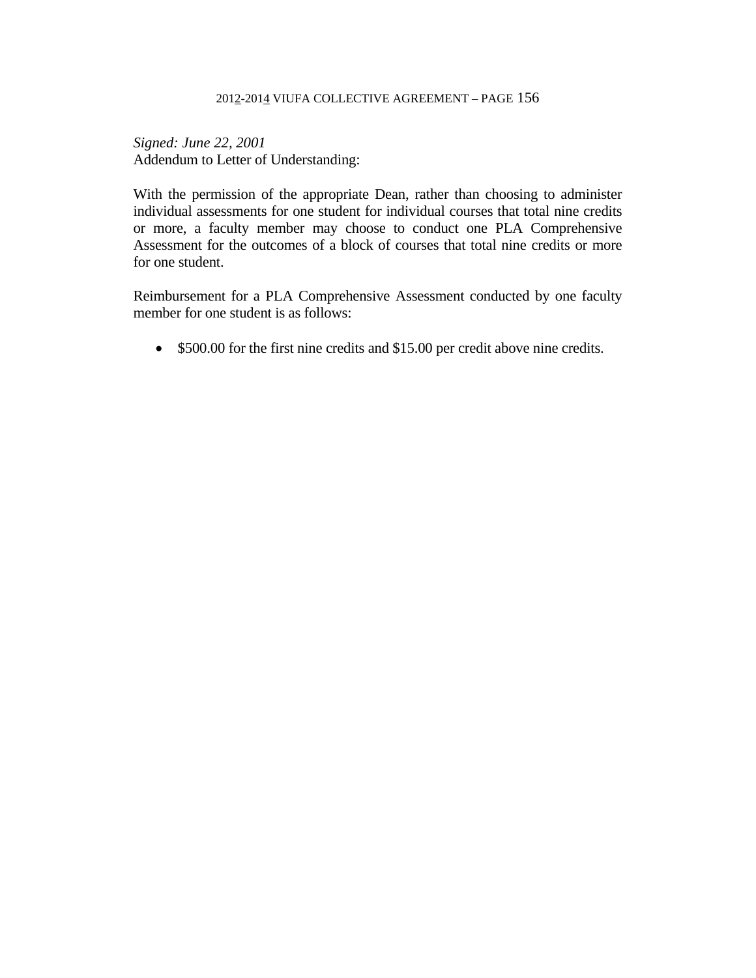*Signed: June 22, 2001*  Addendum to Letter of Understanding:

With the permission of the appropriate Dean, rather than choosing to administer individual assessments for one student for individual courses that total nine credits or more, a faculty member may choose to conduct one PLA Comprehensive Assessment for the outcomes of a block of courses that total nine credits or more for one student.

Reimbursement for a PLA Comprehensive Assessment conducted by one faculty member for one student is as follows:

\$500.00 for the first nine credits and \$15.00 per credit above nine credits.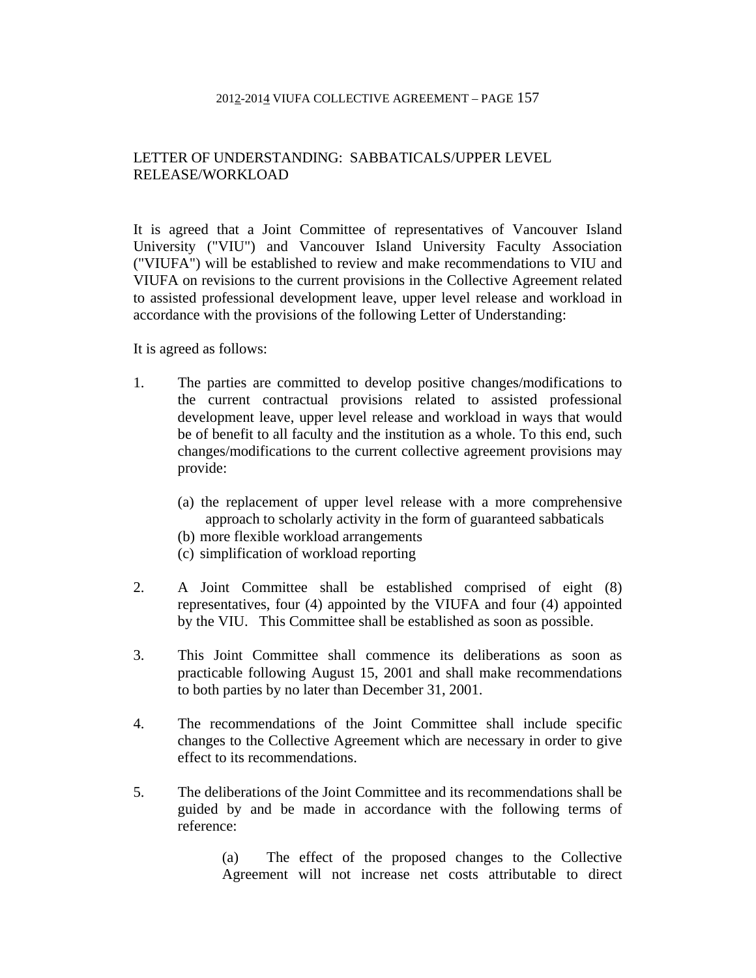# LETTER OF UNDERSTANDING: SABBATICALS/UPPER LEVEL RELEASE/WORKLOAD

It is agreed that a Joint Committee of representatives of Vancouver Island University ("VIU") and Vancouver Island University Faculty Association ("VIUFA") will be established to review and make recommendations to VIU and VIUFA on revisions to the current provisions in the Collective Agreement related to assisted professional development leave, upper level release and workload in accordance with the provisions of the following Letter of Understanding:

It is agreed as follows:

- 1. The parties are committed to develop positive changes/modifications to the current contractual provisions related to assisted professional development leave, upper level release and workload in ways that would be of benefit to all faculty and the institution as a whole. To this end, such changes/modifications to the current collective agreement provisions may provide:
	- (a) the replacement of upper level release with a more comprehensive approach to scholarly activity in the form of guaranteed sabbaticals
	- (b) more flexible workload arrangements
	- (c) simplification of workload reporting
- 2. A Joint Committee shall be established comprised of eight (8) representatives, four (4) appointed by the VIUFA and four (4) appointed by the VIU. This Committee shall be established as soon as possible.
- 3. This Joint Committee shall commence its deliberations as soon as practicable following August 15, 2001 and shall make recommendations to both parties by no later than December 31, 2001.
- 4. The recommendations of the Joint Committee shall include specific changes to the Collective Agreement which are necessary in order to give effect to its recommendations.
- 5. The deliberations of the Joint Committee and its recommendations shall be guided by and be made in accordance with the following terms of reference:

 (a) The effect of the proposed changes to the Collective Agreement will not increase net costs attributable to direct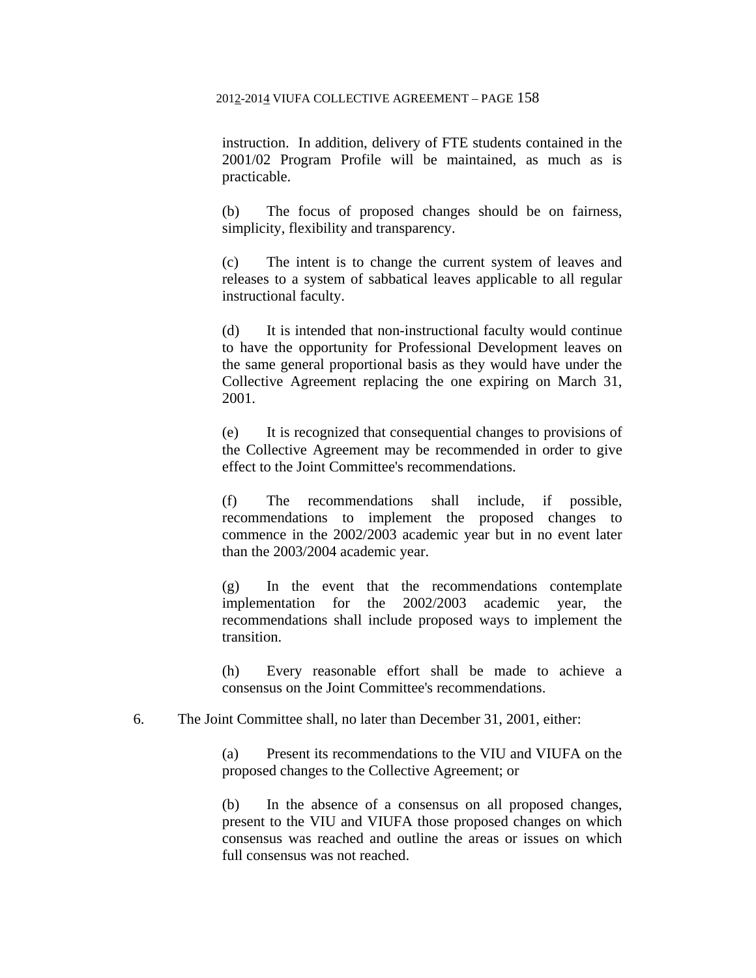instruction. In addition, delivery of FTE students contained in the 2001/02 Program Profile will be maintained, as much as is practicable.

 (b) The focus of proposed changes should be on fairness, simplicity, flexibility and transparency.

 (c) The intent is to change the current system of leaves and releases to a system of sabbatical leaves applicable to all regular instructional faculty.

 (d) It is intended that non-instructional faculty would continue to have the opportunity for Professional Development leaves on the same general proportional basis as they would have under the Collective Agreement replacing the one expiring on March 31, 2001.

 (e) It is recognized that consequential changes to provisions of the Collective Agreement may be recommended in order to give effect to the Joint Committee's recommendations.

 (f) The recommendations shall include, if possible, recommendations to implement the proposed changes to commence in the 2002/2003 academic year but in no event later than the 2003/2004 academic year.

 (g) In the event that the recommendations contemplate implementation for the 2002/2003 academic year, the recommendations shall include proposed ways to implement the transition.

 (h) Every reasonable effort shall be made to achieve a consensus on the Joint Committee's recommendations.

6. The Joint Committee shall, no later than December 31, 2001, either:

 (a) Present its recommendations to the VIU and VIUFA on the proposed changes to the Collective Agreement; or

 (b) In the absence of a consensus on all proposed changes, present to the VIU and VIUFA those proposed changes on which consensus was reached and outline the areas or issues on which full consensus was not reached.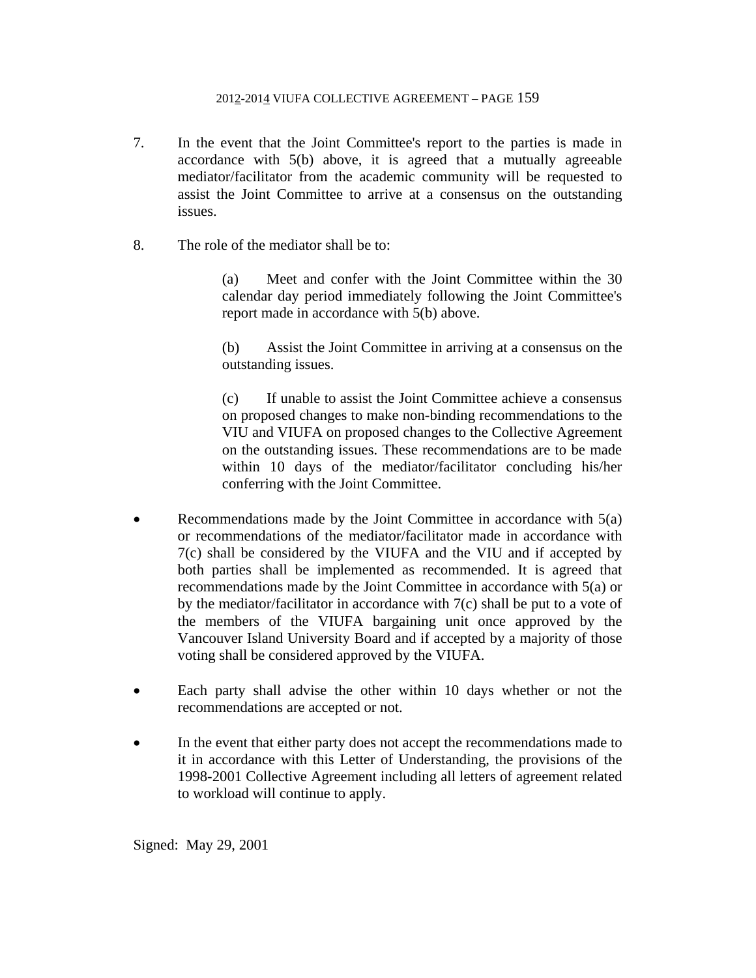- 7. In the event that the Joint Committee's report to the parties is made in accordance with 5(b) above, it is agreed that a mutually agreeable mediator/facilitator from the academic community will be requested to assist the Joint Committee to arrive at a consensus on the outstanding issues.
- 8. The role of the mediator shall be to:

 (a) Meet and confer with the Joint Committee within the 30 calendar day period immediately following the Joint Committee's report made in accordance with 5(b) above.

 (b) Assist the Joint Committee in arriving at a consensus on the outstanding issues.

 (c) If unable to assist the Joint Committee achieve a consensus on proposed changes to make non-binding recommendations to the VIU and VIUFA on proposed changes to the Collective Agreement on the outstanding issues. These recommendations are to be made within 10 days of the mediator/facilitator concluding his/her conferring with the Joint Committee.

- Recommendations made by the Joint Committee in accordance with 5(a) or recommendations of the mediator/facilitator made in accordance with 7(c) shall be considered by the VIUFA and the VIU and if accepted by both parties shall be implemented as recommended. It is agreed that recommendations made by the Joint Committee in accordance with 5(a) or by the mediator/facilitator in accordance with 7(c) shall be put to a vote of the members of the VIUFA bargaining unit once approved by the Vancouver Island University Board and if accepted by a majority of those voting shall be considered approved by the VIUFA.
- Each party shall advise the other within 10 days whether or not the recommendations are accepted or not.
- In the event that either party does not accept the recommendations made to it in accordance with this Letter of Understanding, the provisions of the 1998-2001 Collective Agreement including all letters of agreement related to workload will continue to apply.

Signed: May 29, 2001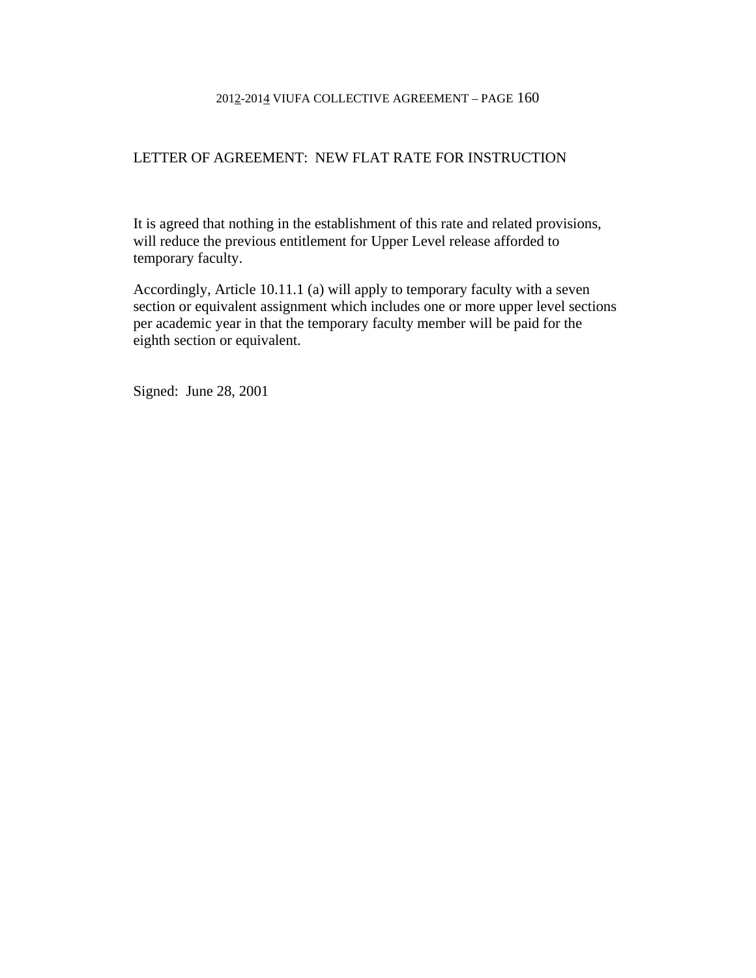# LETTER OF AGREEMENT: NEW FLAT RATE FOR INSTRUCTION

It is agreed that nothing in the establishment of this rate and related provisions, will reduce the previous entitlement for Upper Level release afforded to temporary faculty.

Accordingly, Article 10.11.1 (a) will apply to temporary faculty with a seven section or equivalent assignment which includes one or more upper level sections per academic year in that the temporary faculty member will be paid for the eighth section or equivalent.

Signed: June 28, 2001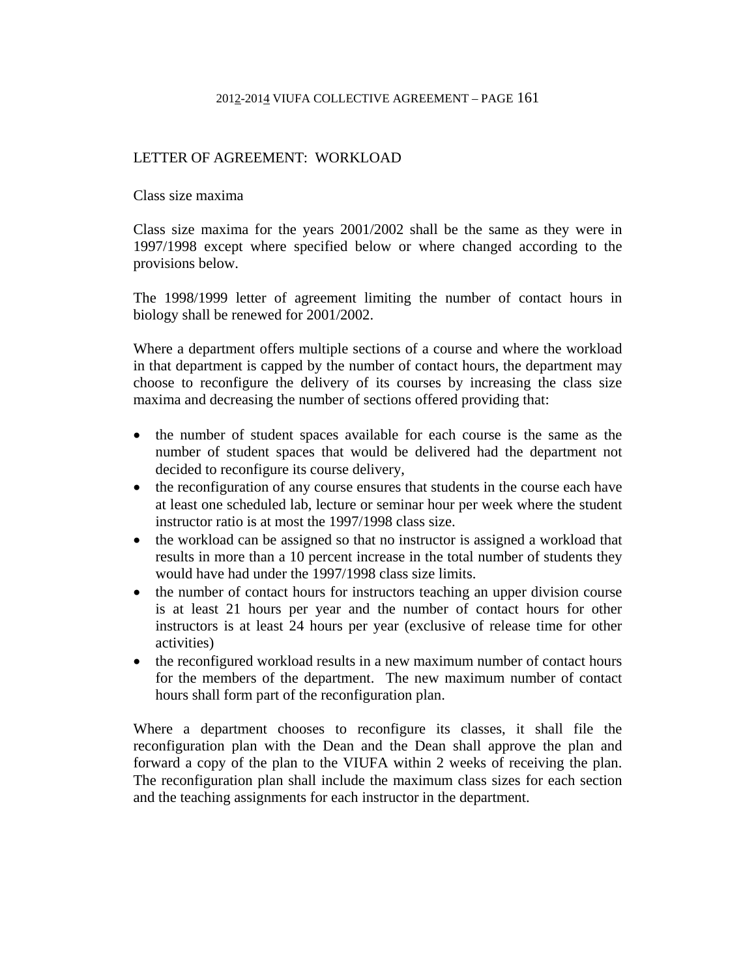# LETTER OF AGREEMENT: WORKLOAD

Class size maxima

Class size maxima for the years 2001/2002 shall be the same as they were in 1997/1998 except where specified below or where changed according to the provisions below.

The 1998/1999 letter of agreement limiting the number of contact hours in biology shall be renewed for 2001/2002.

Where a department offers multiple sections of a course and where the workload in that department is capped by the number of contact hours, the department may choose to reconfigure the delivery of its courses by increasing the class size maxima and decreasing the number of sections offered providing that:

- the number of student spaces available for each course is the same as the number of student spaces that would be delivered had the department not decided to reconfigure its course delivery,
- the reconfiguration of any course ensures that students in the course each have at least one scheduled lab, lecture or seminar hour per week where the student instructor ratio is at most the 1997/1998 class size.
- the workload can be assigned so that no instructor is assigned a workload that results in more than a 10 percent increase in the total number of students they would have had under the 1997/1998 class size limits.
- the number of contact hours for instructors teaching an upper division course is at least 21 hours per year and the number of contact hours for other instructors is at least 24 hours per year (exclusive of release time for other activities)
- the reconfigured workload results in a new maximum number of contact hours for the members of the department. The new maximum number of contact hours shall form part of the reconfiguration plan.

Where a department chooses to reconfigure its classes, it shall file the reconfiguration plan with the Dean and the Dean shall approve the plan and forward a copy of the plan to the VIUFA within 2 weeks of receiving the plan. The reconfiguration plan shall include the maximum class sizes for each section and the teaching assignments for each instructor in the department.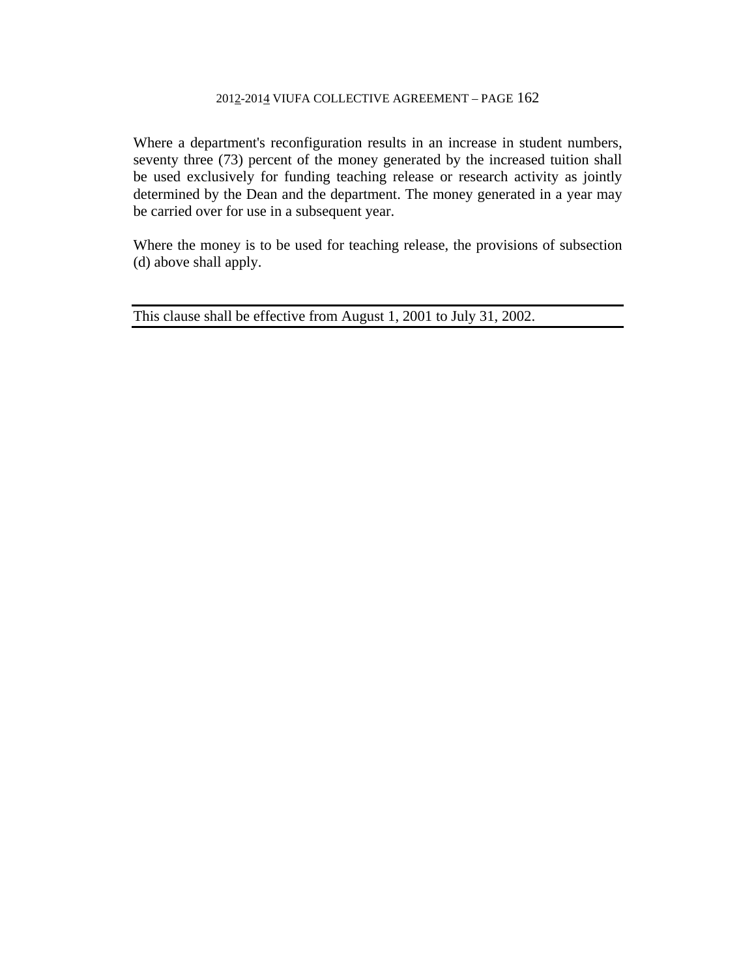Where a department's reconfiguration results in an increase in student numbers, seventy three (73) percent of the money generated by the increased tuition shall be used exclusively for funding teaching release or research activity as jointly determined by the Dean and the department. The money generated in a year may be carried over for use in a subsequent year.

Where the money is to be used for teaching release, the provisions of subsection (d) above shall apply.

This clause shall be effective from August 1, 2001 to July 31, 2002.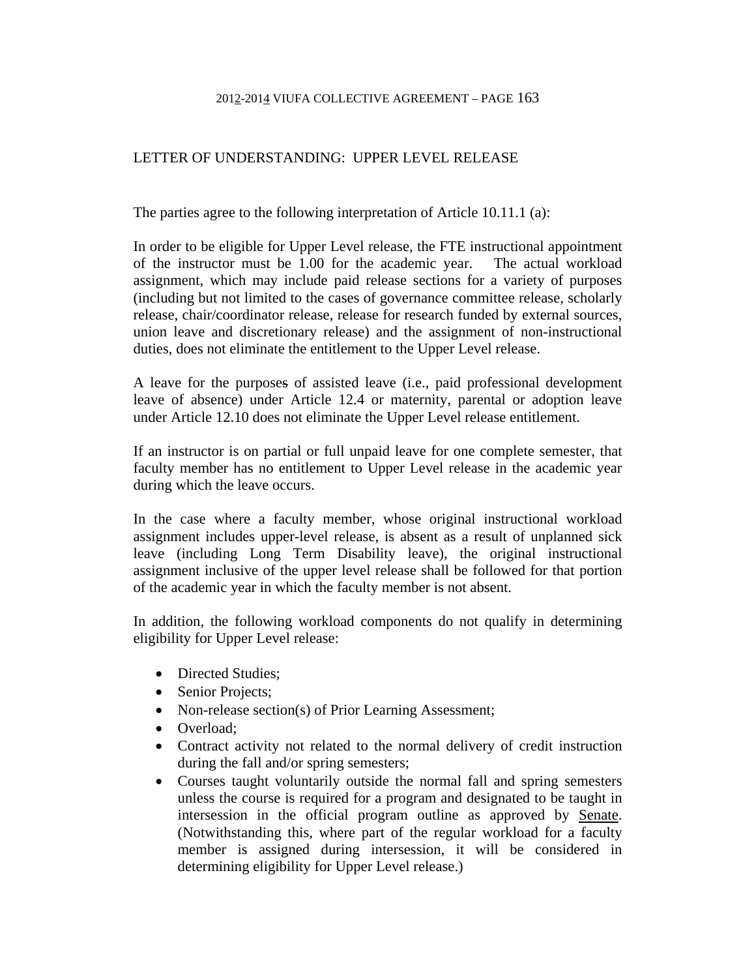# LETTER OF UNDERSTANDING: UPPER LEVEL RELEASE

The parties agree to the following interpretation of Article 10.11.1 (a):

In order to be eligible for Upper Level release, the FTE instructional appointment of the instructor must be 1.00 for the academic year. The actual workload assignment, which may include paid release sections for a variety of purposes (including but not limited to the cases of governance committee release, scholarly release, chair/coordinator release, release for research funded by external sources, union leave and discretionary release) and the assignment of non-instructional duties, does not eliminate the entitlement to the Upper Level release.

A leave for the purposes of assisted leave (i.e., paid professional development leave of absence) under Article 12.4 or maternity, parental or adoption leave under Article 12.10 does not eliminate the Upper Level release entitlement.

If an instructor is on partial or full unpaid leave for one complete semester, that faculty member has no entitlement to Upper Level release in the academic year during which the leave occurs.

In the case where a faculty member, whose original instructional workload assignment includes upper-level release, is absent as a result of unplanned sick leave (including Long Term Disability leave), the original instructional assignment inclusive of the upper level release shall be followed for that portion of the academic year in which the faculty member is not absent.

In addition, the following workload components do not qualify in determining eligibility for Upper Level release:

- Directed Studies;
- Senior Projects;
- Non-release section(s) of Prior Learning Assessment;
- Overload:
- Contract activity not related to the normal delivery of credit instruction during the fall and/or spring semesters;
- Courses taught voluntarily outside the normal fall and spring semesters unless the course is required for a program and designated to be taught in intersession in the official program outline as approved by Senate. (Notwithstanding this, where part of the regular workload for a faculty member is assigned during intersession, it will be considered in determining eligibility for Upper Level release.)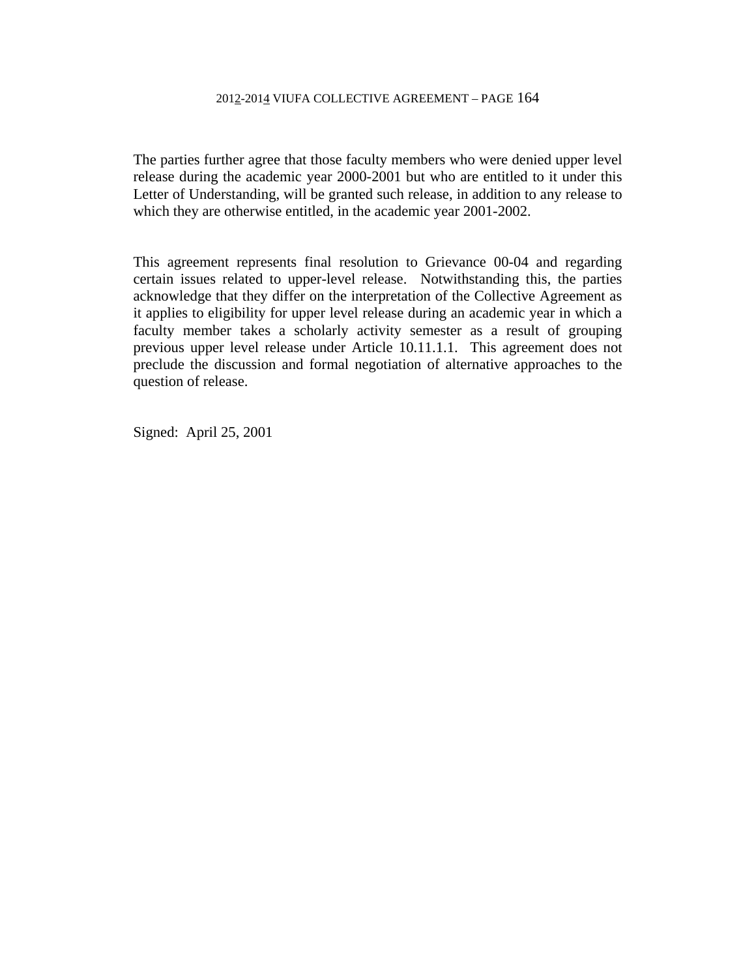The parties further agree that those faculty members who were denied upper level release during the academic year 2000-2001 but who are entitled to it under this Letter of Understanding, will be granted such release, in addition to any release to which they are otherwise entitled, in the academic year 2001-2002.

This agreement represents final resolution to Grievance 00-04 and regarding certain issues related to upper-level release. Notwithstanding this, the parties acknowledge that they differ on the interpretation of the Collective Agreement as it applies to eligibility for upper level release during an academic year in which a faculty member takes a scholarly activity semester as a result of grouping previous upper level release under Article 10.11.1.1. This agreement does not preclude the discussion and formal negotiation of alternative approaches to the question of release.

Signed: April 25, 2001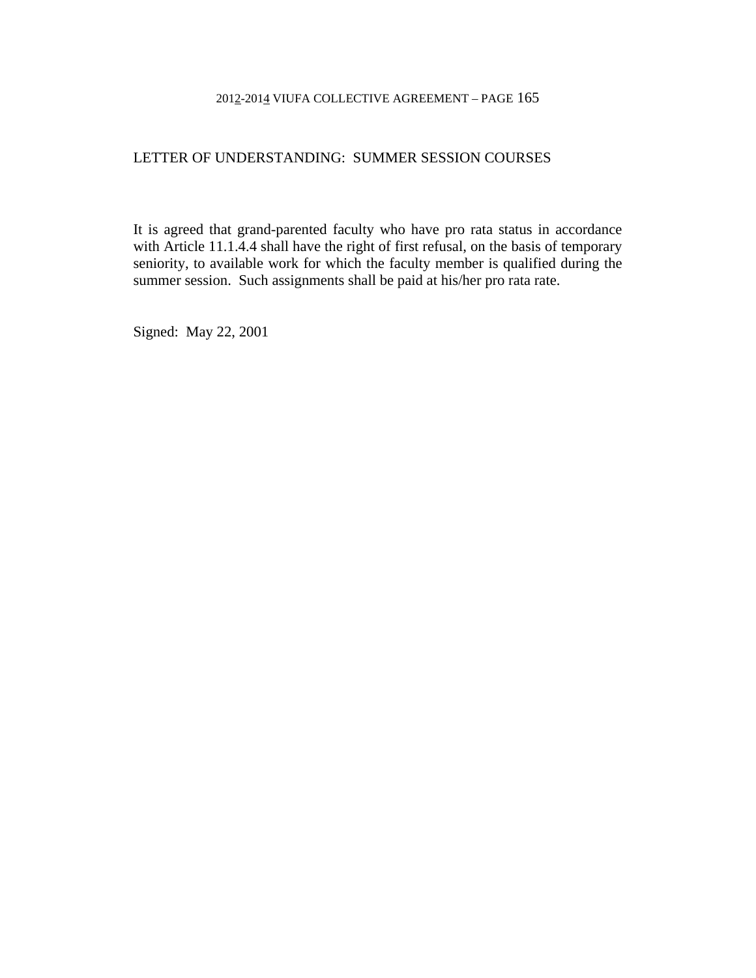#### LETTER OF UNDERSTANDING: SUMMER SESSION COURSES

It is agreed that grand-parented faculty who have pro rata status in accordance with Article 11.1.4.4 shall have the right of first refusal, on the basis of temporary seniority, to available work for which the faculty member is qualified during the summer session. Such assignments shall be paid at his/her pro rata rate.

Signed: May 22, 2001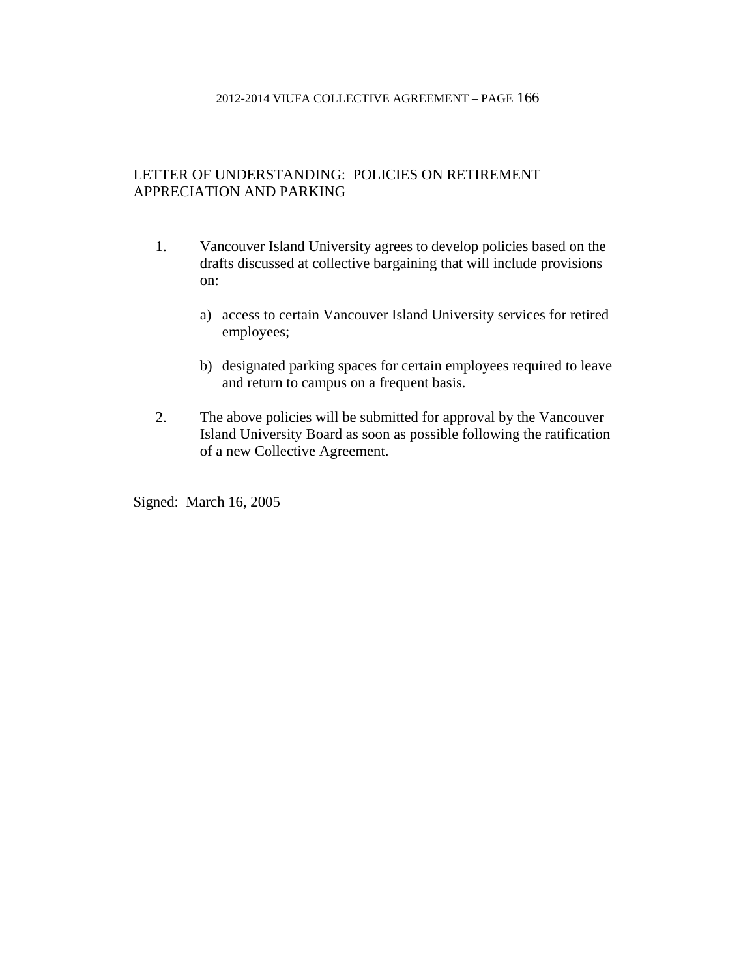## LETTER OF UNDERSTANDING: POLICIES ON RETIREMENT APPRECIATION AND PARKING

- 1. Vancouver Island University agrees to develop policies based on the drafts discussed at collective bargaining that will include provisions on:
	- a) access to certain Vancouver Island University services for retired employees;
	- b) designated parking spaces for certain employees required to leave and return to campus on a frequent basis.
- 2. The above policies will be submitted for approval by the Vancouver Island University Board as soon as possible following the ratification of a new Collective Agreement.

Signed: March 16, 2005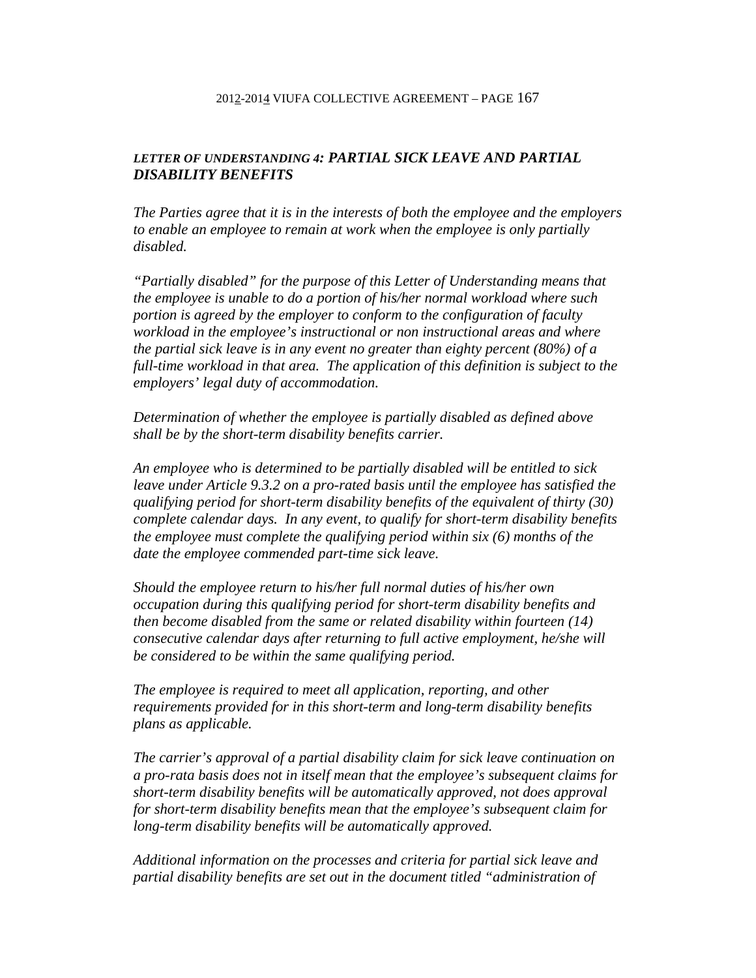## *LETTER OF UNDERSTANDING 4: PARTIAL SICK LEAVE AND PARTIAL DISABILITY BENEFITS*

*The Parties agree that it is in the interests of both the employee and the employers to enable an employee to remain at work when the employee is only partially disabled.* 

*"Partially disabled" for the purpose of this Letter of Understanding means that the employee is unable to do a portion of his/her normal workload where such portion is agreed by the employer to conform to the configuration of faculty workload in the employee's instructional or non instructional areas and where the partial sick leave is in any event no greater than eighty percent (80%) of a*  full-time workload in that area. The application of this definition is subject to the *employers' legal duty of accommodation.* 

*Determination of whether the employee is partially disabled as defined above shall be by the short-term disability benefits carrier.* 

*An employee who is determined to be partially disabled will be entitled to sick leave under Article 9.3.2 on a pro-rated basis until the employee has satisfied the qualifying period for short-term disability benefits of the equivalent of thirty (30) complete calendar days. In any event, to qualify for short-term disability benefits the employee must complete the qualifying period within six (6) months of the date the employee commended part-time sick leave.* 

*Should the employee return to his/her full normal duties of his/her own occupation during this qualifying period for short-term disability benefits and then become disabled from the same or related disability within fourteen (14) consecutive calendar days after returning to full active employment, he/she will be considered to be within the same qualifying period.* 

*The employee is required to meet all application, reporting, and other requirements provided for in this short-term and long-term disability benefits plans as applicable.* 

*The carrier's approval of a partial disability claim for sick leave continuation on a pro-rata basis does not in itself mean that the employee's subsequent claims for short-term disability benefits will be automatically approved, not does approval for short-term disability benefits mean that the employee's subsequent claim for long-term disability benefits will be automatically approved.* 

*Additional information on the processes and criteria for partial sick leave and partial disability benefits are set out in the document titled "administration of*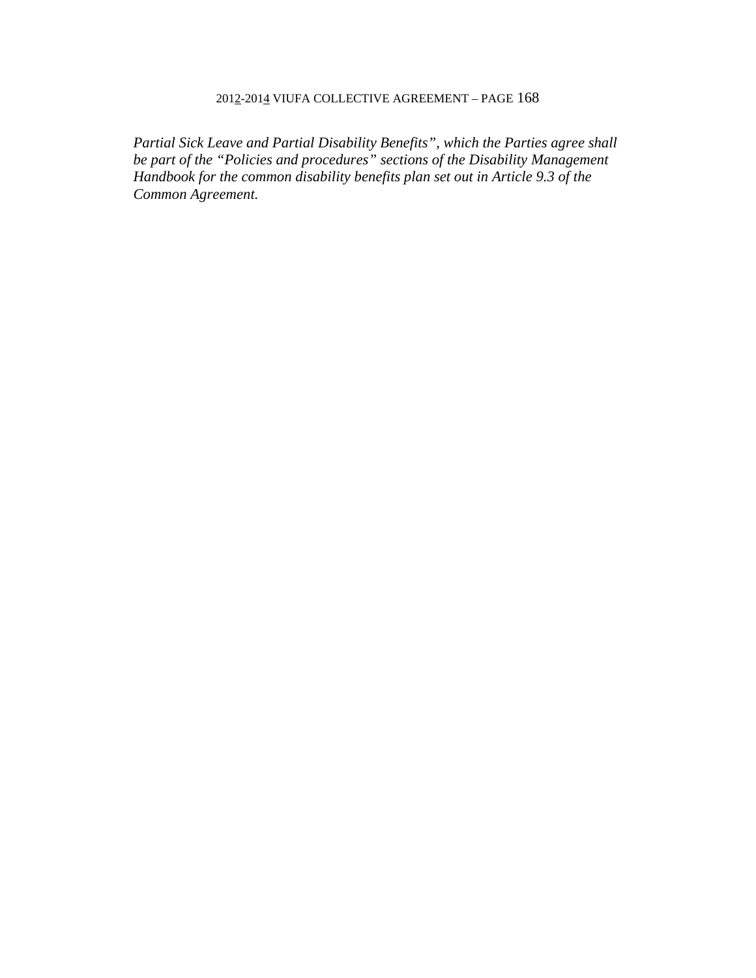*Partial Sick Leave and Partial Disability Benefits", which the Parties agree shall be part of the "Policies and procedures" sections of the Disability Management Handbook for the common disability benefits plan set out in Article 9.3 of the Common Agreement.*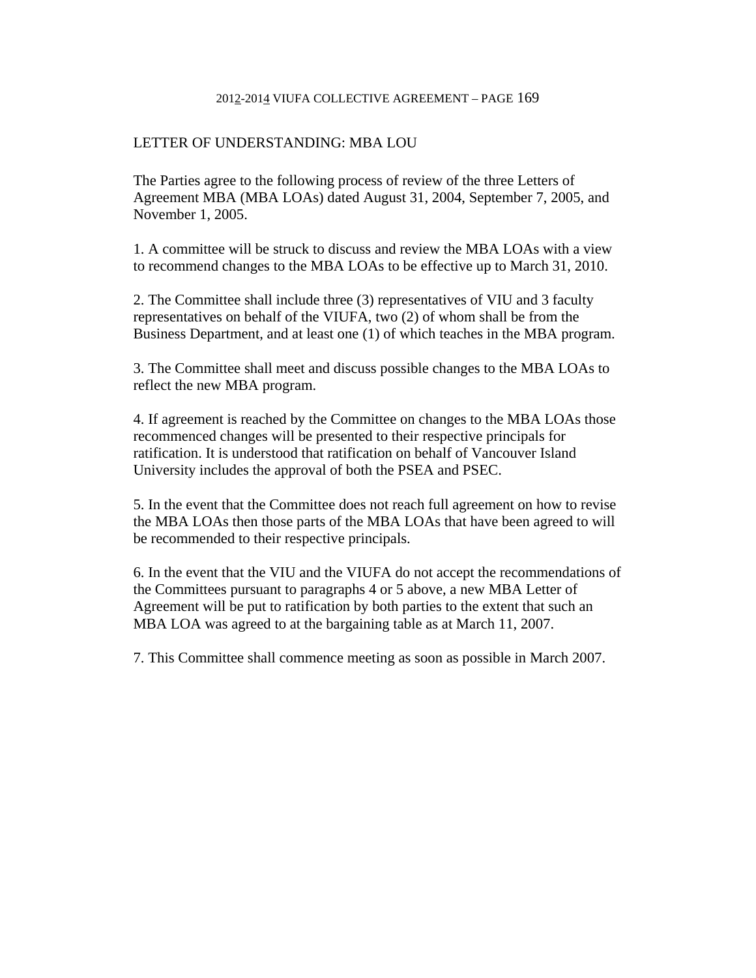#### LETTER OF UNDERSTANDING: MBA LOU

The Parties agree to the following process of review of the three Letters of Agreement MBA (MBA LOAs) dated August 31, 2004, September 7, 2005, and November 1, 2005.

1. A committee will be struck to discuss and review the MBA LOAs with a view to recommend changes to the MBA LOAs to be effective up to March 31, 2010.

2. The Committee shall include three (3) representatives of VIU and 3 faculty representatives on behalf of the VIUFA, two (2) of whom shall be from the Business Department, and at least one (1) of which teaches in the MBA program.

3. The Committee shall meet and discuss possible changes to the MBA LOAs to reflect the new MBA program.

4. If agreement is reached by the Committee on changes to the MBA LOAs those recommenced changes will be presented to their respective principals for ratification. It is understood that ratification on behalf of Vancouver Island University includes the approval of both the PSEA and PSEC.

5. In the event that the Committee does not reach full agreement on how to revise the MBA LOAs then those parts of the MBA LOAs that have been agreed to will be recommended to their respective principals.

6. In the event that the VIU and the VIUFA do not accept the recommendations of the Committees pursuant to paragraphs 4 or 5 above, a new MBA Letter of Agreement will be put to ratification by both parties to the extent that such an MBA LOA was agreed to at the bargaining table as at March 11, 2007.

7. This Committee shall commence meeting as soon as possible in March 2007.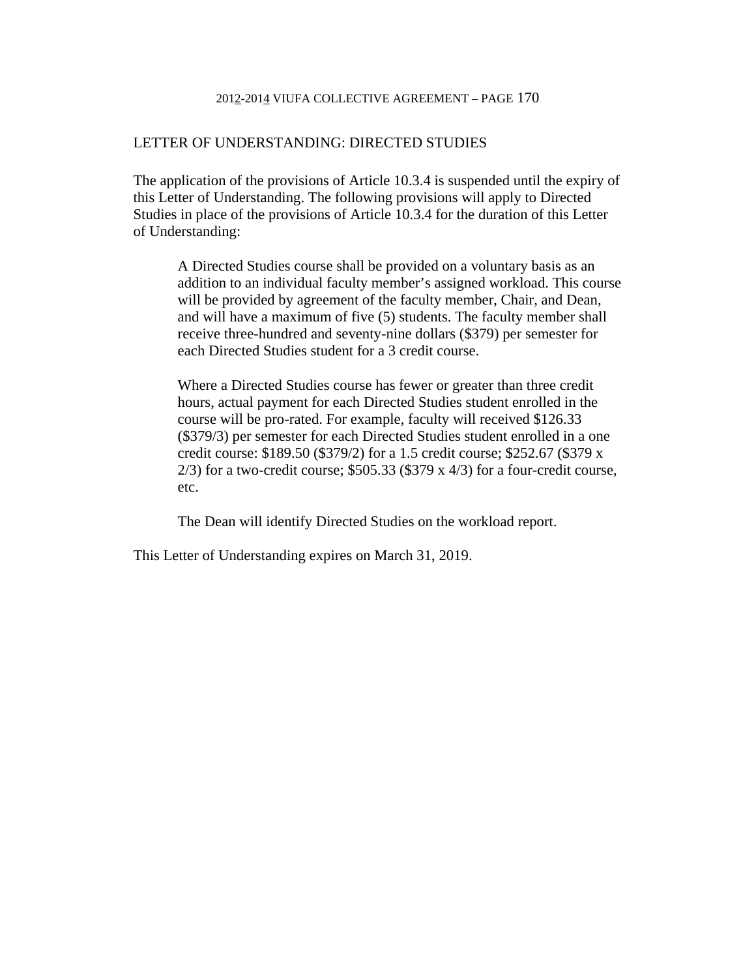#### LETTER OF UNDERSTANDING: DIRECTED STUDIES

The application of the provisions of Article 10.3.4 is suspended until the expiry of this Letter of Understanding. The following provisions will apply to Directed Studies in place of the provisions of Article 10.3.4 for the duration of this Letter of Understanding:

A Directed Studies course shall be provided on a voluntary basis as an addition to an individual faculty member's assigned workload. This course will be provided by agreement of the faculty member, Chair, and Dean, and will have a maximum of five (5) students. The faculty member shall receive three-hundred and seventy-nine dollars (\$379) per semester for each Directed Studies student for a 3 credit course.

Where a Directed Studies course has fewer or greater than three credit hours, actual payment for each Directed Studies student enrolled in the course will be pro-rated. For example, faculty will received \$126.33 (\$379/3) per semester for each Directed Studies student enrolled in a one credit course: \$189.50 (\$379/2) for a 1.5 credit course; \$252.67 (\$379 x  $2/3$ ) for a two-credit course; \$505.33 (\$379 x 4/3) for a four-credit course, etc.

The Dean will identify Directed Studies on the workload report.

This Letter of Understanding expires on March 31, 2019.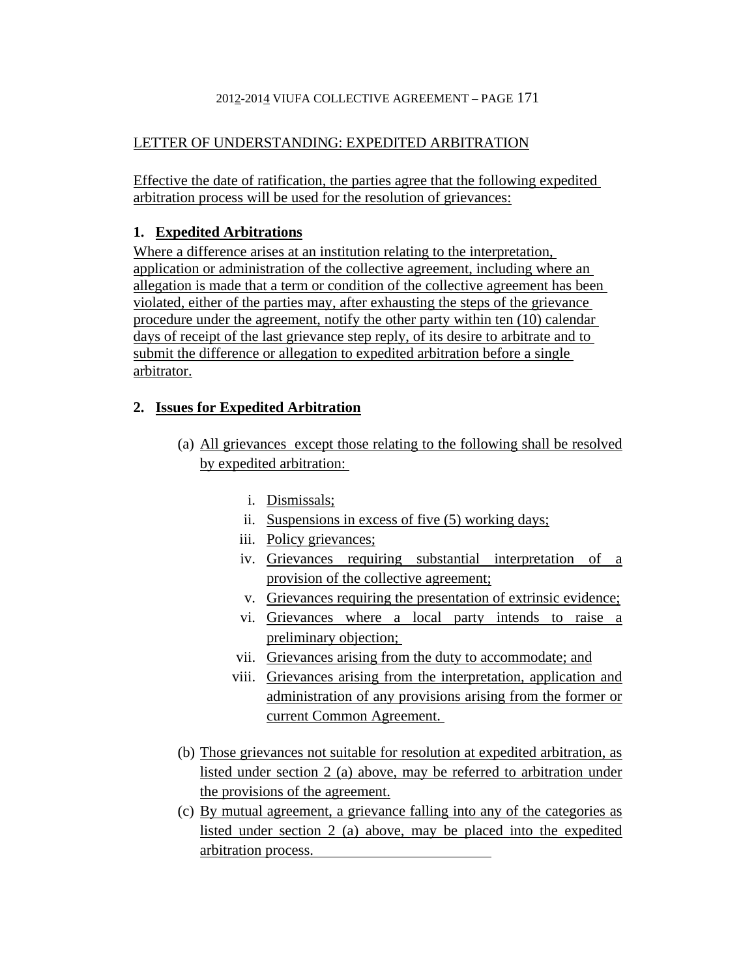# LETTER OF UNDERSTANDING: EXPEDITED ARBITRATION

Effective the date of ratification, the parties agree that the following expedited arbitration process will be used for the resolution of grievances:

# **1. Expedited Arbitrations**

Where a difference arises at an institution relating to the interpretation, application or administration of the collective agreement, including where an allegation is made that a term or condition of the collective agreement has been violated, either of the parties may, after exhausting the steps of the grievance procedure under the agreement, notify the other party within ten (10) calendar days of receipt of the last grievance step reply, of its desire to arbitrate and to submit the difference or allegation to expedited arbitration before a single arbitrator.

# **2. Issues for Expedited Arbitration**

- (a) All grievances except those relating to the following shall be resolved by expedited arbitration:
	- i. Dismissals;
	- ii. Suspensions in excess of five (5) working days;
	- iii. Policy grievances;
	- iv. Grievances requiring substantial interpretation of a provision of the collective agreement;
	- v. Grievances requiring the presentation of extrinsic evidence;
	- vi. Grievances where a local party intends to raise a preliminary objection;
	- vii. Grievances arising from the duty to accommodate; and
	- viii. Grievances arising from the interpretation, application and administration of any provisions arising from the former or current Common Agreement.
- (b) Those grievances not suitable for resolution at expedited arbitration, as listed under section 2 (a) above, may be referred to arbitration under the provisions of the agreement.
- (c) By mutual agreement, a grievance falling into any of the categories as listed under section 2 (a) above, may be placed into the expedited arbitration process.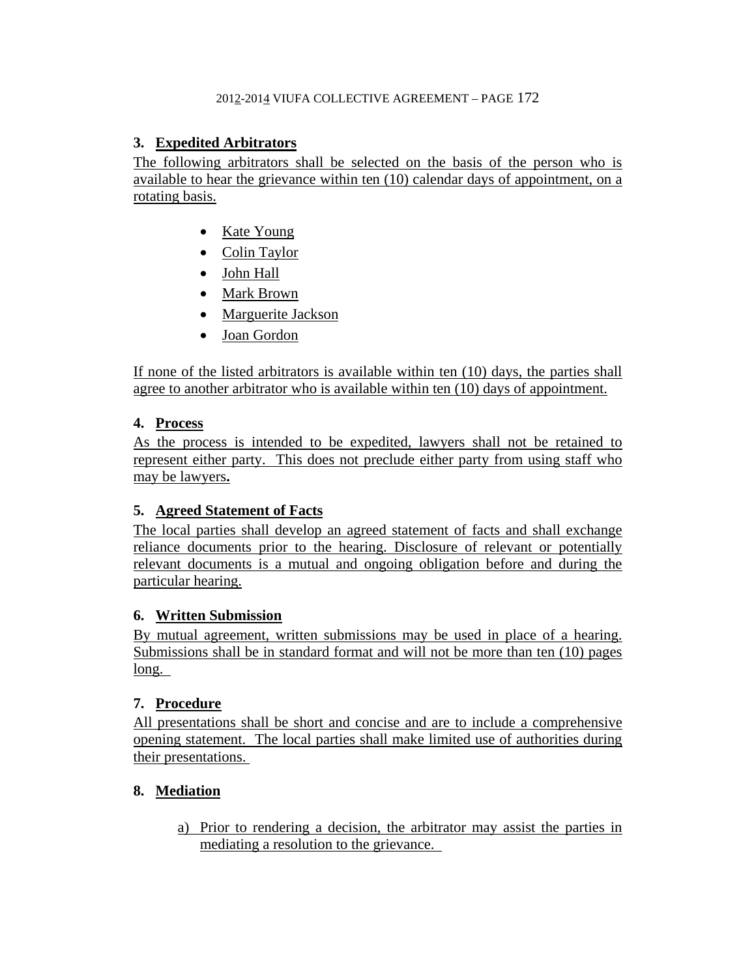# **3. Expedited Arbitrators**

The following arbitrators shall be selected on the basis of the person who is available to hear the grievance within ten (10) calendar days of appointment, on a rotating basis.

- Kate Young
- Colin Taylor
- John Hall
- Mark Brown
- Marguerite Jackson
- Joan Gordon

If none of the listed arbitrators is available within ten (10) days, the parties shall agree to another arbitrator who is available within ten (10) days of appointment.

# **4. Process**

As the process is intended to be expedited, lawyers shall not be retained to represent either party. This does not preclude either party from using staff who may be lawyers**.** 

# **5. Agreed Statement of Facts**

The local parties shall develop an agreed statement of facts and shall exchange reliance documents prior to the hearing. Disclosure of relevant or potentially relevant documents is a mutual and ongoing obligation before and during the particular hearing.

# **6. Written Submission**

By mutual agreement, written submissions may be used in place of a hearing. Submissions shall be in standard format and will not be more than ten (10) pages long.

# **7. Procedure**

All presentations shall be short and concise and are to include a comprehensive opening statement. The local parties shall make limited use of authorities during their presentations.

# **8. Mediation**

a) Prior to rendering a decision, the arbitrator may assist the parties in mediating a resolution to the grievance.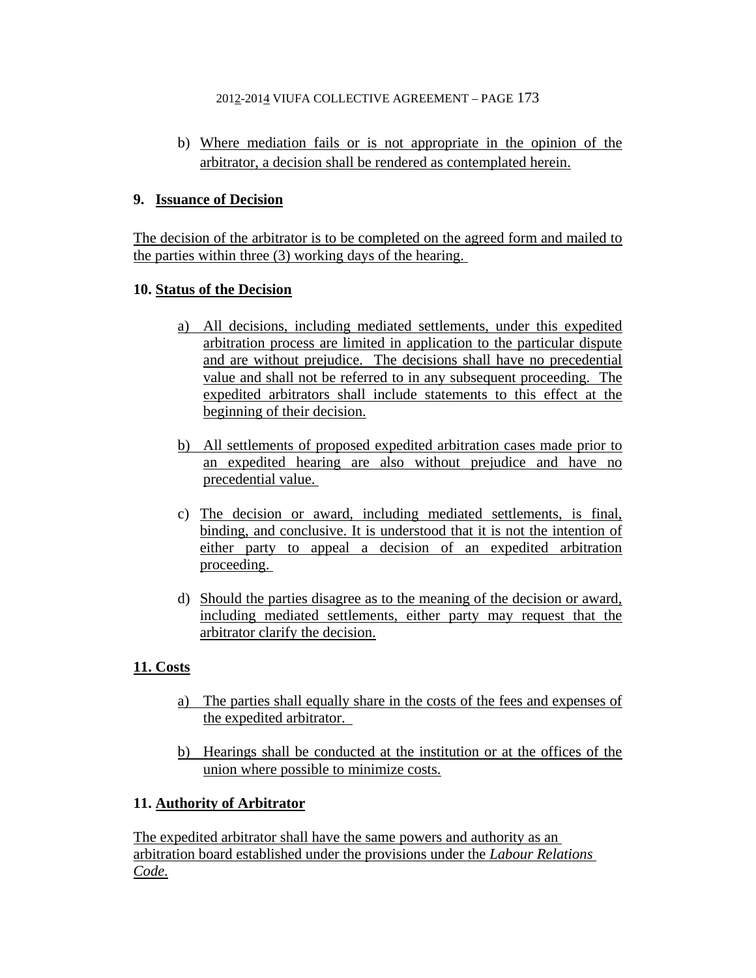b) Where mediation fails or is not appropriate in the opinion of the arbitrator, a decision shall be rendered as contemplated herein.

# **9. Issuance of Decision**

The decision of the arbitrator is to be completed on the agreed form and mailed to the parties within three (3) working days of the hearing.

# **10. Status of the Decision**

- a) All decisions, including mediated settlements, under this expedited arbitration process are limited in application to the particular dispute and are without prejudice. The decisions shall have no precedential value and shall not be referred to in any subsequent proceeding. The expedited arbitrators shall include statements to this effect at the beginning of their decision.
- b) All settlements of proposed expedited arbitration cases made prior to an expedited hearing are also without prejudice and have no precedential value.
- c) The decision or award, including mediated settlements, is final, binding, and conclusive. It is understood that it is not the intention of either party to appeal a decision of an expedited arbitration proceeding.
- d) Should the parties disagree as to the meaning of the decision or award, including mediated settlements, either party may request that the arbitrator clarify the decision.

# **11. Costs**

- a)The parties shall equally share in the costs of the fees and expenses of the expedited arbitrator.
- b) Hearings shall be conducted at the institution or at the offices of the union where possible to minimize costs.

# **11. Authority of Arbitrator**

The expedited arbitrator shall have the same powers and authority as an arbitration board established under the provisions under the *Labour Relations Code.*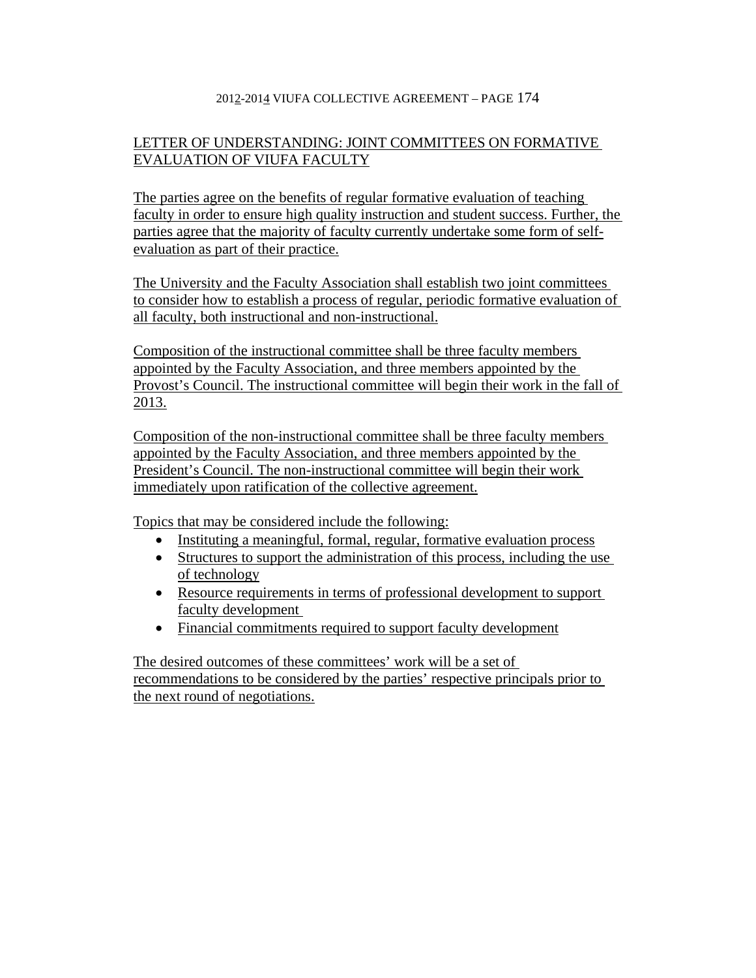# LETTER OF UNDERSTANDING: JOINT COMMITTEES ON FORMATIVE EVALUATION OF VIUFA FACULTY

The parties agree on the benefits of regular formative evaluation of teaching faculty in order to ensure high quality instruction and student success. Further, the parties agree that the majority of faculty currently undertake some form of selfevaluation as part of their practice.

The University and the Faculty Association shall establish two joint committees to consider how to establish a process of regular, periodic formative evaluation of all faculty, both instructional and non-instructional.

Composition of the instructional committee shall be three faculty members appointed by the Faculty Association, and three members appointed by the Provost's Council. The instructional committee will begin their work in the fall of 2013.

Composition of the non-instructional committee shall be three faculty members appointed by the Faculty Association, and three members appointed by the President's Council. The non-instructional committee will begin their work immediately upon ratification of the collective agreement.

Topics that may be considered include the following:

- Instituting a meaningful, formal, regular, formative evaluation process
- Structures to support the administration of this process, including the use of technology
- Resource requirements in terms of professional development to support faculty development
- Financial commitments required to support faculty development

The desired outcomes of these committees' work will be a set of recommendations to be considered by the parties' respective principals prior to the next round of negotiations.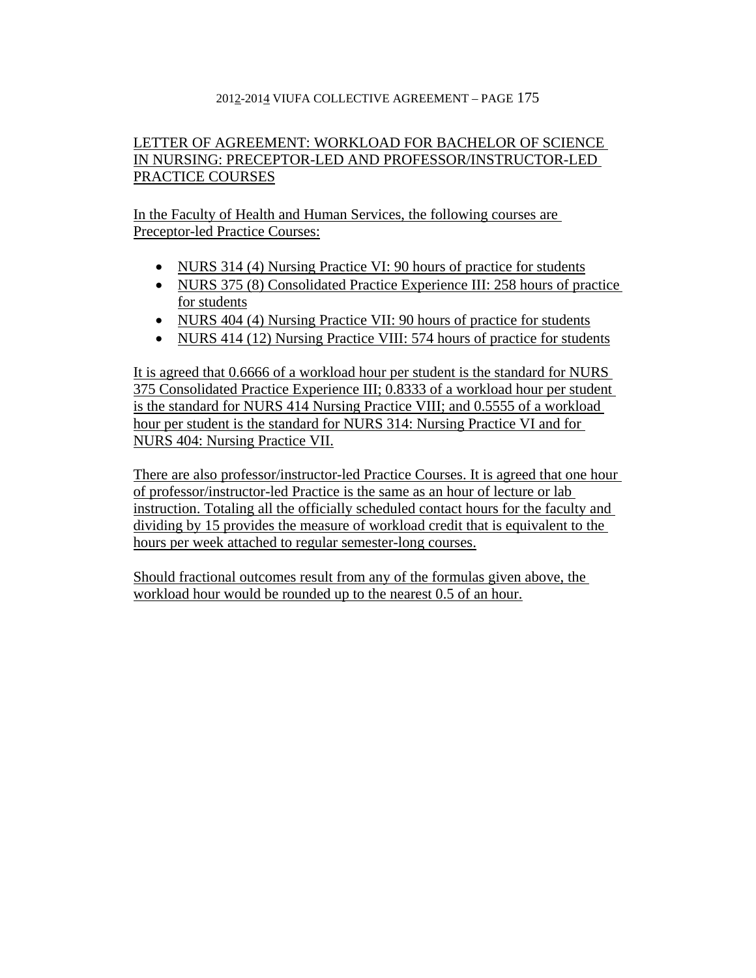# LETTER OF AGREEMENT: WORKLOAD FOR BACHELOR OF SCIENCE IN NURSING: PRECEPTOR-LED AND PROFESSOR/INSTRUCTOR-LED PRACTICE COURSES

In the Faculty of Health and Human Services, the following courses are Preceptor-led Practice Courses:

- NURS 314 (4) Nursing Practice VI: 90 hours of practice for students
- NURS 375 (8) Consolidated Practice Experience III: 258 hours of practice for students
- NURS 404 (4) Nursing Practice VII: 90 hours of practice for students
- NURS 414 (12) Nursing Practice VIII: 574 hours of practice for students

It is agreed that 0.6666 of a workload hour per student is the standard for NURS 375 Consolidated Practice Experience III; 0.8333 of a workload hour per student is the standard for NURS 414 Nursing Practice VIII; and 0.5555 of a workload hour per student is the standard for NURS 314: Nursing Practice VI and for NURS 404: Nursing Practice VII.

There are also professor/instructor-led Practice Courses. It is agreed that one hour of professor/instructor-led Practice is the same as an hour of lecture or lab instruction. Totaling all the officially scheduled contact hours for the faculty and dividing by 15 provides the measure of workload credit that is equivalent to the hours per week attached to regular semester-long courses.

Should fractional outcomes result from any of the formulas given above, the workload hour would be rounded up to the nearest 0.5 of an hour.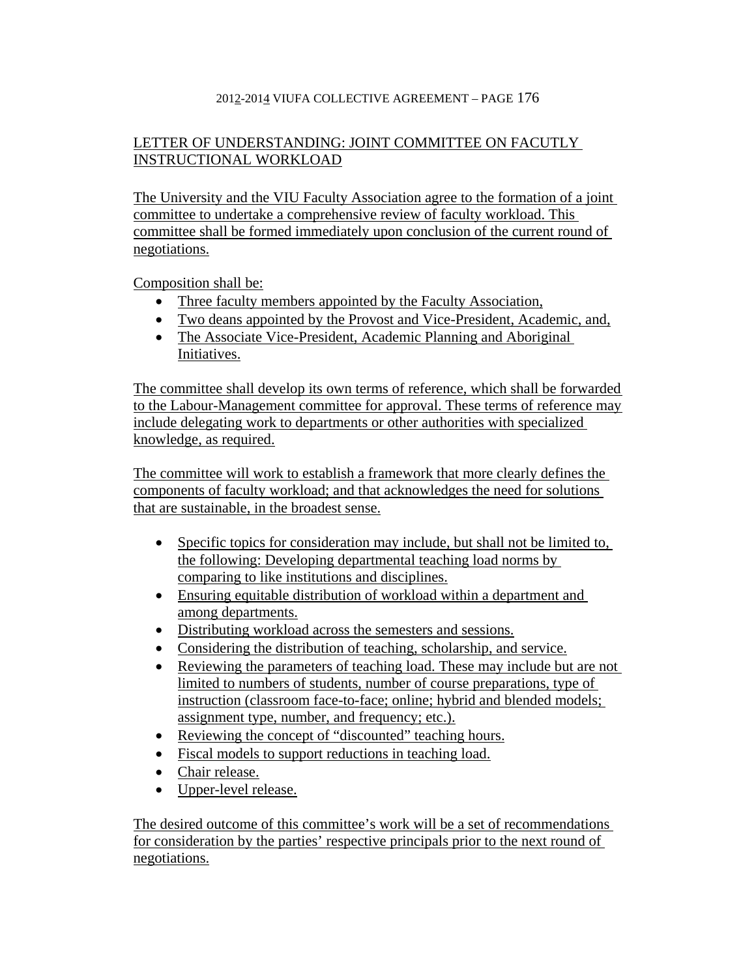# LETTER OF UNDERSTANDING: JOINT COMMITTEE ON FACUTLY INSTRUCTIONAL WORKLOAD

The University and the VIU Faculty Association agree to the formation of a joint committee to undertake a comprehensive review of faculty workload. This committee shall be formed immediately upon conclusion of the current round of negotiations.

Composition shall be:

- Three faculty members appointed by the Faculty Association,
- Two deans appointed by the Provost and Vice-President, Academic, and,
- The Associate Vice-President, Academic Planning and Aboriginal Initiatives.

The committee shall develop its own terms of reference, which shall be forwarded to the Labour-Management committee for approval. These terms of reference may include delegating work to departments or other authorities with specialized knowledge, as required.

The committee will work to establish a framework that more clearly defines the components of faculty workload; and that acknowledges the need for solutions that are sustainable, in the broadest sense.

- Specific topics for consideration may include, but shall not be limited to, the following: Developing departmental teaching load norms by comparing to like institutions and disciplines.
- Ensuring equitable distribution of workload within a department and among departments.
- Distributing workload across the semesters and sessions.
- Considering the distribution of teaching, scholarship, and service.
- Reviewing the parameters of teaching load. These may include but are not limited to numbers of students, number of course preparations, type of instruction (classroom face-to-face; online; hybrid and blended models; assignment type, number, and frequency; etc.).
- Reviewing the concept of "discounted" teaching hours.
- Fiscal models to support reductions in teaching load.
- Chair release.
- Upper-level release.

The desired outcome of this committee's work will be a set of recommendations for consideration by the parties' respective principals prior to the next round of negotiations.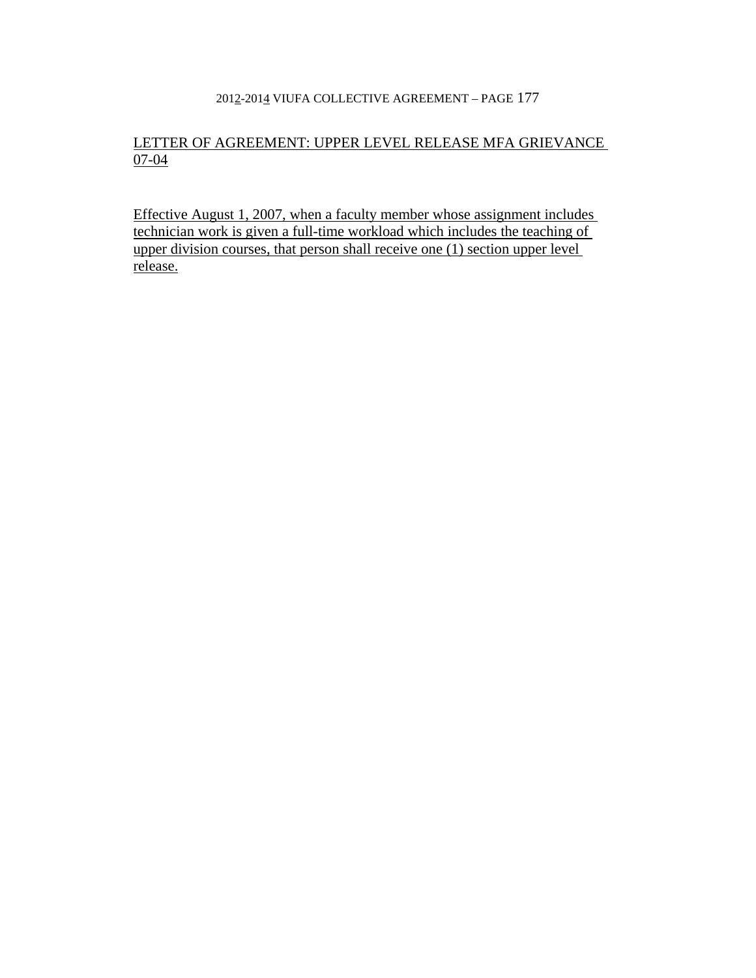# LETTER OF AGREEMENT: UPPER LEVEL RELEASE MFA GRIEVANCE 07-04

Effective August 1, 2007, when a faculty member whose assignment includes technician work is given a full-time workload which includes the teaching of upper division courses, that person shall receive one (1) section upper level release.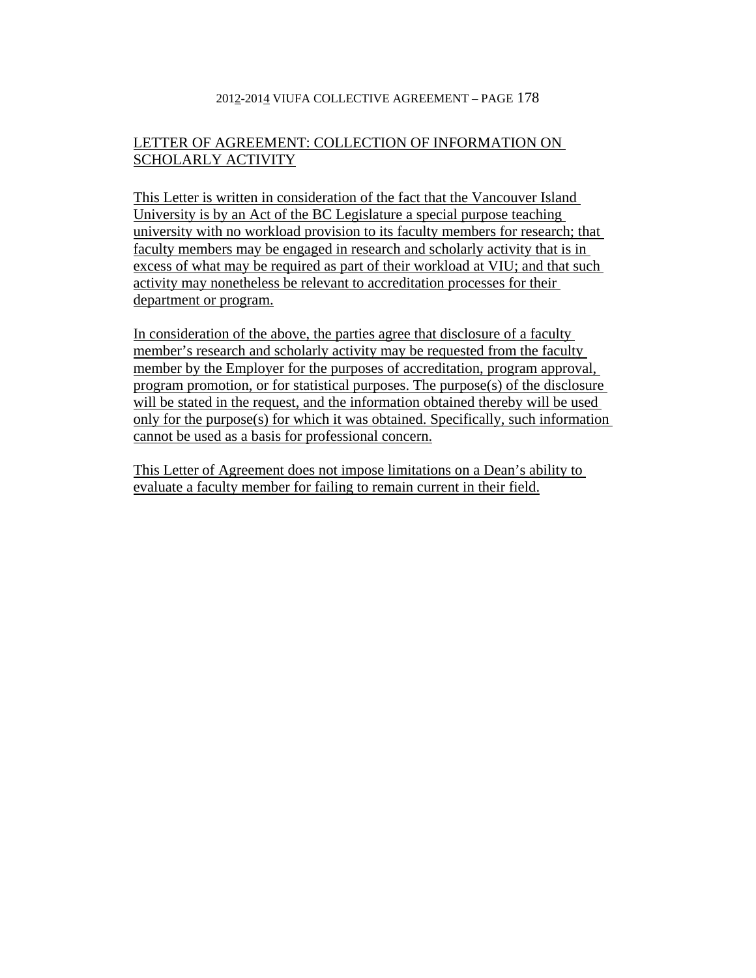# LETTER OF AGREEMENT: COLLECTION OF INFORMATION ON SCHOLARLY ACTIVITY

This Letter is written in consideration of the fact that the Vancouver Island University is by an Act of the BC Legislature a special purpose teaching university with no workload provision to its faculty members for research; that faculty members may be engaged in research and scholarly activity that is in excess of what may be required as part of their workload at VIU; and that such activity may nonetheless be relevant to accreditation processes for their department or program.

In consideration of the above, the parties agree that disclosure of a faculty member's research and scholarly activity may be requested from the faculty member by the Employer for the purposes of accreditation, program approval, program promotion, or for statistical purposes. The purpose(s) of the disclosure will be stated in the request, and the information obtained thereby will be used only for the purpose(s) for which it was obtained. Specifically, such information cannot be used as a basis for professional concern.

This Letter of Agreement does not impose limitations on a Dean's ability to evaluate a faculty member for failing to remain current in their field.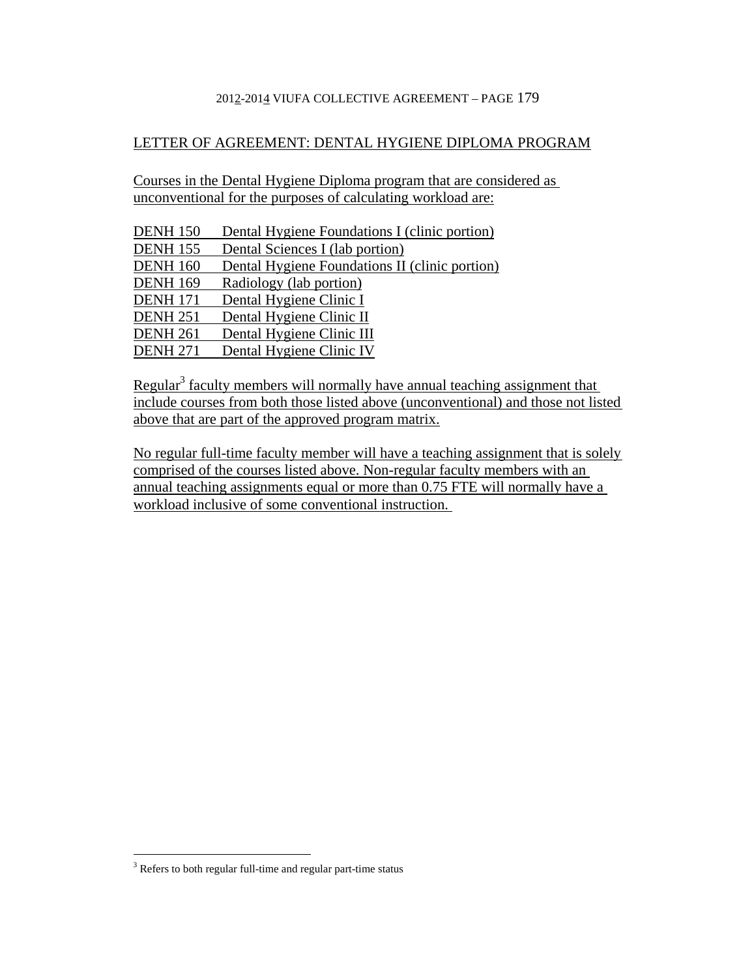## LETTER OF AGREEMENT: DENTAL HYGIENE DIPLOMA PROGRAM

Courses in the Dental Hygiene Diploma program that are considered as unconventional for the purposes of calculating workload are:

| <b>DENH 150</b> | Dental Hygiene Foundations I (clinic portion)  |
|-----------------|------------------------------------------------|
| <b>DENH 155</b> | Dental Sciences I (lab portion)                |
| <b>DENH 160</b> | Dental Hygiene Foundations II (clinic portion) |
| <b>DENH 169</b> | Radiology (lab portion)                        |
| <b>DENH 171</b> | Dental Hygiene Clinic I                        |
| <b>DENH 251</b> | Dental Hygiene Clinic II                       |
| <b>DENH 261</b> | Dental Hygiene Clinic III                      |
| <b>DENH 271</b> | Dental Hygiene Clinic IV                       |

Regular<sup>3</sup> faculty members will normally have annual teaching assignment that include courses from both those listed above (unconventional) and those not listed above that are part of the approved program matrix.

No regular full-time faculty member will have a teaching assignment that is solely comprised of the courses listed above. Non-regular faculty members with an annual teaching assignments equal or more than 0.75 FTE will normally have a workload inclusive of some conventional instruction.

<sup>&</sup>lt;sup>3</sup> Refers to both regular full-time and regular part-time status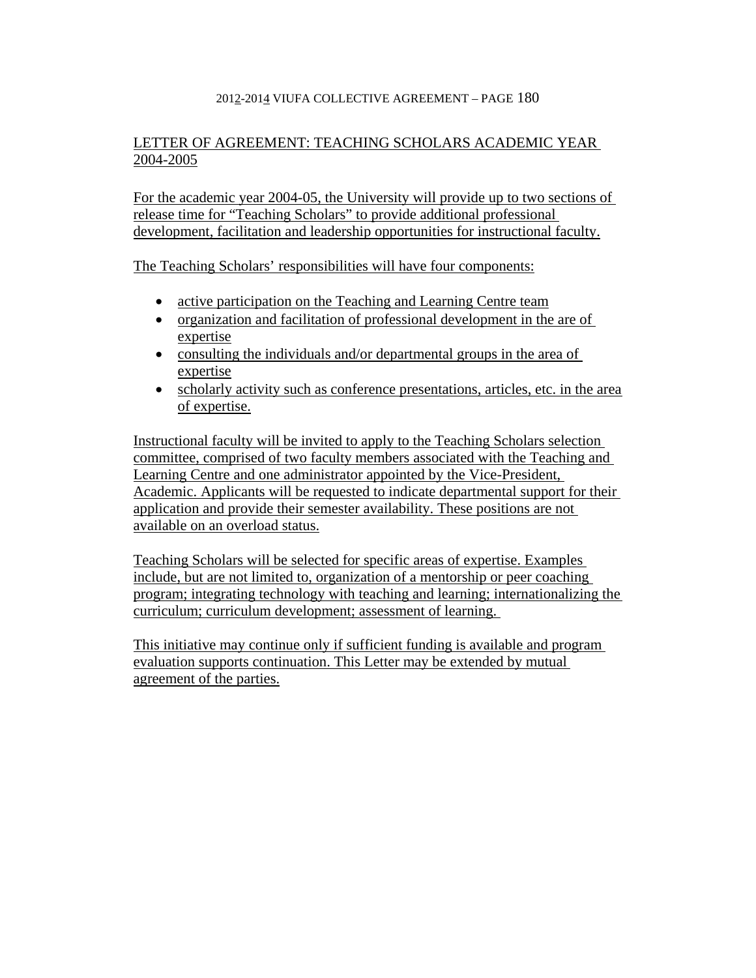# LETTER OF AGREEMENT: TEACHING SCHOLARS ACADEMIC YEAR 2004-2005

For the academic year 2004-05, the University will provide up to two sections of release time for "Teaching Scholars" to provide additional professional development, facilitation and leadership opportunities for instructional faculty.

The Teaching Scholars' responsibilities will have four components:

- active participation on the Teaching and Learning Centre team
- organization and facilitation of professional development in the are of expertise
- consulting the individuals and/or departmental groups in the area of expertise
- scholarly activity such as conference presentations, articles, etc. in the area of expertise.

Instructional faculty will be invited to apply to the Teaching Scholars selection committee, comprised of two faculty members associated with the Teaching and Learning Centre and one administrator appointed by the Vice-President, Academic. Applicants will be requested to indicate departmental support for their application and provide their semester availability. These positions are not available on an overload status.

Teaching Scholars will be selected for specific areas of expertise. Examples include, but are not limited to, organization of a mentorship or peer coaching program; integrating technology with teaching and learning; internationalizing the curriculum; curriculum development; assessment of learning.

This initiative may continue only if sufficient funding is available and program evaluation supports continuation. This Letter may be extended by mutual agreement of the parties.